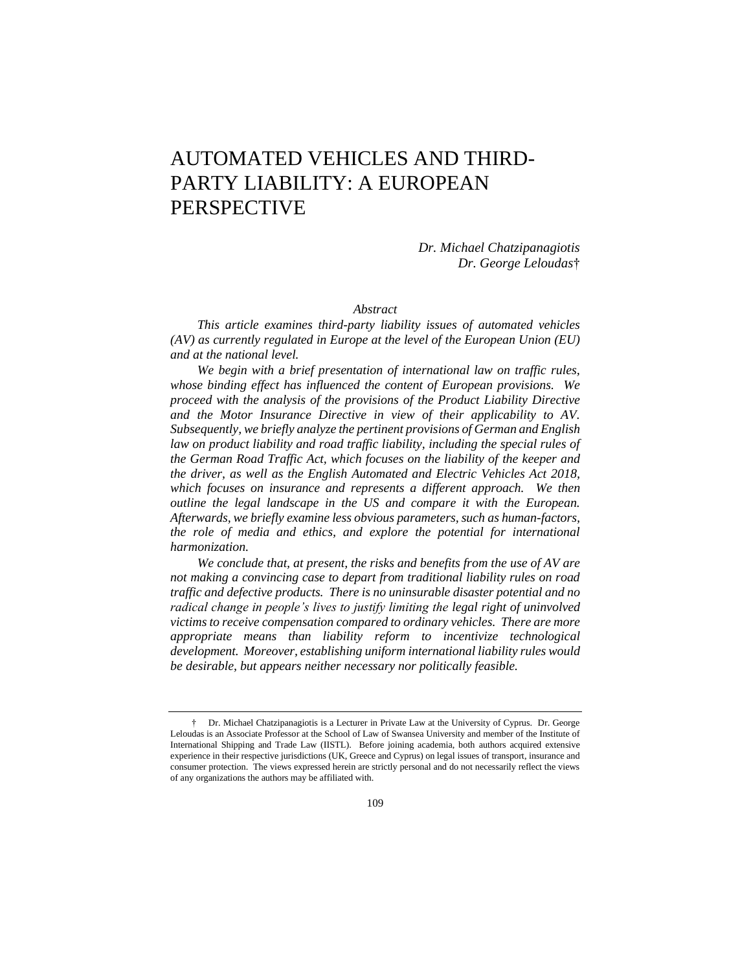# AUTOMATED VEHICLES AND THIRD-PARTY LIABILITY: A EUROPEAN PERSPECTIVE

*Dr. Michael Chatzipanagiotis Dr. George Leloudas*†

#### *Abstract*

*This article examines third-party liability issues of automated vehicles (AV) as currently regulated in Europe at the level of the European Union (EU) and at the national level.*

*We begin with a brief presentation of international law on traffic rules, whose binding effect has influenced the content of European provisions. We proceed with the analysis of the provisions of the Product Liability Directive and the Motor Insurance Directive in view of their applicability to AV. Subsequently, we briefly analyze the pertinent provisions of German and English*  law on product liability and road traffic liability, including the special rules of *the German Road Traffic Act, which focuses on the liability of the keeper and the driver, as well as the English Automated and Electric Vehicles Act 2018, which focuses on insurance and represents a different approach. We then outline the legal landscape in the US and compare it with the European. Afterwards, we briefly examine less obvious parameters, such as human-factors,*  the role of media and ethics, and explore the potential for international *harmonization.*

*We conclude that, at present, the risks and benefits from the use of AV are not making a convincing case to depart from traditional liability rules on road traffic and defective products. There is no uninsurable disaster potential and no radical change in people's lives to justify limiting the legal right of uninvolved victims to receive compensation compared to ordinary vehicles. There are more appropriate means than liability reform to incentivize technological development. Moreover, establishing uniform international liability rules would be desirable, but appears neither necessary nor politically feasible.* 

<sup>†</sup> Dr. Michael Chatzipanagiotis is a Lecturer in Private Law at the University of Cyprus. Dr. George Leloudas is an Associate Professor at the School of Law of Swansea University and member of the Institute of International Shipping and Trade Law (IISTL). Before joining academia, both authors acquired extensive experience in their respective jurisdictions (UK, Greece and Cyprus) on legal issues of transport, insurance and consumer protection. The views expressed herein are strictly personal and do not necessarily reflect the views of any organizations the authors may be affiliated with.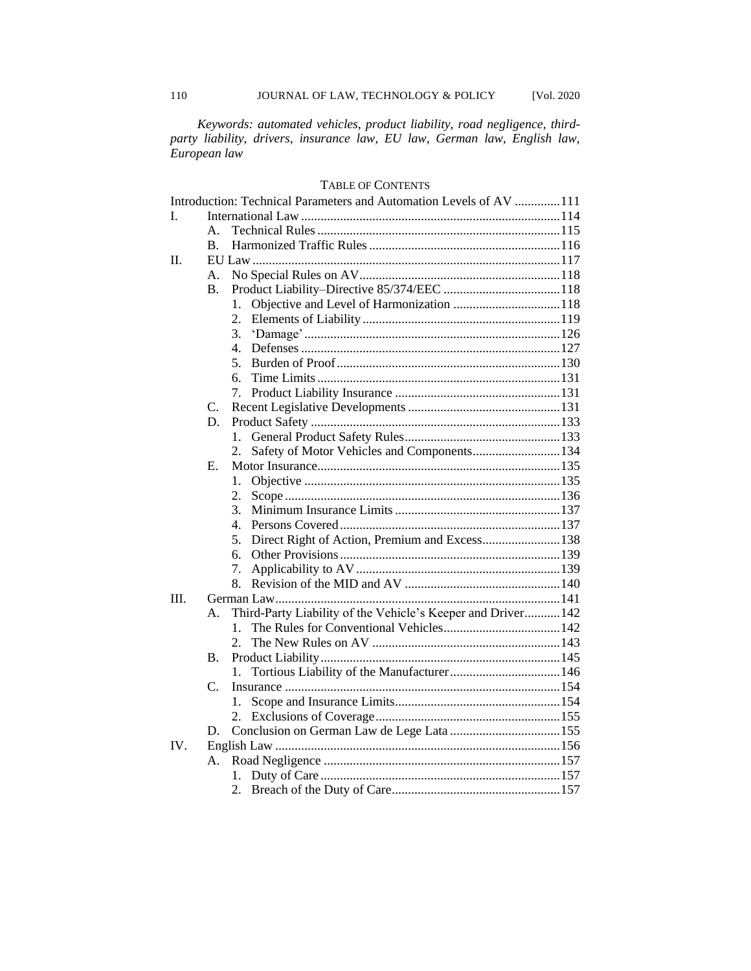*Keywords: automated vehicles, product liability, road negligence, thirdparty liability, drivers, insurance law, EU law, German law, English law, European law*

## TABLE OF CONTENTS

|      |                | Introduction: Technical Parameters and Automation Levels of AV 111 |  |
|------|----------------|--------------------------------------------------------------------|--|
| L    |                |                                                                    |  |
|      | $\mathbf{A}$   |                                                                    |  |
|      | $\mathbf{B}$ . |                                                                    |  |
| II.  |                |                                                                    |  |
|      | А.             |                                                                    |  |
|      | <b>B.</b>      |                                                                    |  |
|      |                | 1.                                                                 |  |
|      |                | 2.                                                                 |  |
|      |                | 3.                                                                 |  |
|      |                | $\mathbf{4}$ .                                                     |  |
|      |                | 5.                                                                 |  |
|      |                | б.                                                                 |  |
|      |                | 7.                                                                 |  |
|      | C.             |                                                                    |  |
|      | D.             |                                                                    |  |
|      |                | 1.                                                                 |  |
|      |                | Safety of Motor Vehicles and Components134<br>2.                   |  |
|      | Е.             |                                                                    |  |
|      |                | 1.                                                                 |  |
|      |                | 2.                                                                 |  |
|      |                | 3.                                                                 |  |
|      |                | 4.                                                                 |  |
|      |                | Direct Right of Action, Premium and Excess138<br>5.                |  |
|      |                | б.                                                                 |  |
|      |                | 7.                                                                 |  |
|      |                | 8.                                                                 |  |
| III. |                |                                                                    |  |
|      | A.             | Third-Party Liability of the Vehicle's Keeper and Driver 142       |  |
|      |                | $\mathbf{1}$ .                                                     |  |
|      |                | 2.                                                                 |  |
|      | Β.             |                                                                    |  |
|      |                | 1.                                                                 |  |
|      | C.             |                                                                    |  |
|      |                | 1.                                                                 |  |
|      |                |                                                                    |  |
|      | D.             |                                                                    |  |
| IV.  |                |                                                                    |  |
|      | А.             |                                                                    |  |
|      |                |                                                                    |  |
|      |                |                                                                    |  |
|      |                |                                                                    |  |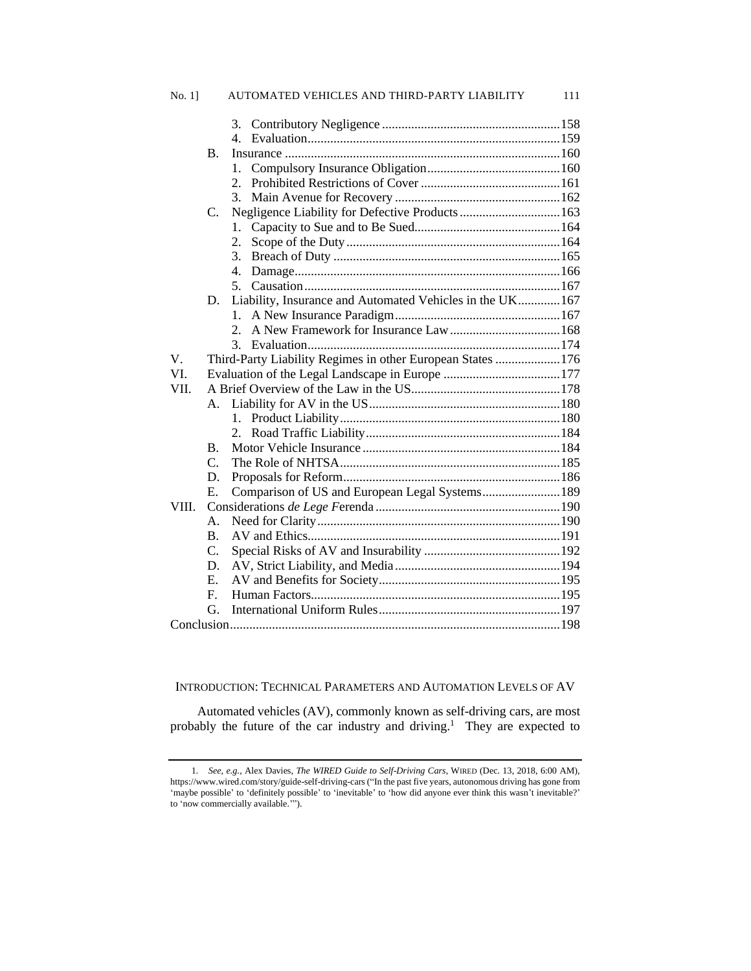| $No. 1$ ] |                | AUTOMATED VEHICLES AND THIRD-PARTY LIABILITY               | 111 |  |  |
|-----------|----------------|------------------------------------------------------------|-----|--|--|
|           |                |                                                            |     |  |  |
|           |                | 4.                                                         |     |  |  |
|           | B.             |                                                            |     |  |  |
|           |                | 1.                                                         |     |  |  |
|           |                | 2.                                                         |     |  |  |
|           |                | 3.                                                         |     |  |  |
|           | C.             | Negligence Liability for Defective Products  163           |     |  |  |
|           |                | 1.                                                         |     |  |  |
|           |                | 2.                                                         |     |  |  |
|           |                | 3.                                                         |     |  |  |
|           |                | 4.                                                         |     |  |  |
|           |                | 5.                                                         |     |  |  |
|           | D.             | Liability, Insurance and Automated Vehicles in the UK 167  |     |  |  |
|           |                | 1.                                                         |     |  |  |
|           |                | 2.                                                         |     |  |  |
|           |                | $\mathcal{E}$                                              |     |  |  |
| V.        |                | Third-Party Liability Regimes in other European States 176 |     |  |  |
| VI.       |                |                                                            |     |  |  |
| VII.      |                |                                                            |     |  |  |
|           | А.             |                                                            |     |  |  |
|           |                | 1.                                                         |     |  |  |
|           |                | 2.                                                         |     |  |  |
|           | B.             |                                                            |     |  |  |
|           | $C_{\cdot}$    |                                                            |     |  |  |
|           | D.             |                                                            |     |  |  |
|           | Ε.             | Comparison of US and European Legal Systems 189            |     |  |  |
| VIII.     |                |                                                            |     |  |  |
|           | $\mathsf{A}$ . |                                                            |     |  |  |
|           | <b>B.</b>      |                                                            |     |  |  |
|           | C.             |                                                            |     |  |  |
|           | D.             |                                                            |     |  |  |
|           | E.             |                                                            |     |  |  |
|           | $F_{\rm c}$    |                                                            |     |  |  |
|           | G.             |                                                            |     |  |  |
|           |                |                                                            |     |  |  |

## INTRODUCTION: TECHNICAL PARAMETERS AND AUTOMATION LEVELS OF AV

Automated vehicles (AV), commonly known as self-driving cars, are most probably the future of the car industry and driving.<sup>1</sup> They are expected to

<sup>1</sup>*. See, e.g.*, Alex Davies, *The WIRED Guide to Self-Driving Cars*, WIRED (Dec. 13, 2018, 6:00 AM), https://www.wired.com/story/guide-self-driving-cars ("In the past five years, autonomous driving has gone from 'maybe possible' to 'definitely possible' to 'inevitable' to 'how did anyone ever think this wasn't inevitable?' to 'now commercially available.'").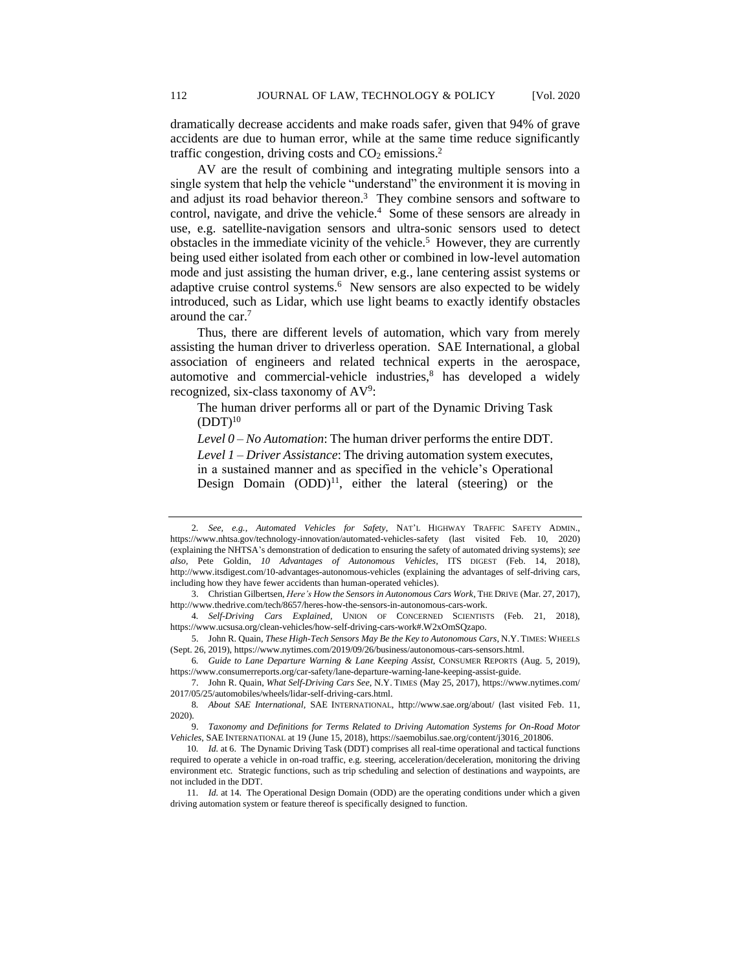dramatically decrease accidents and make roads safer, given that 94% of grave accidents are due to human error, while at the same time reduce significantly traffic congestion, driving costs and  $CO<sub>2</sub>$  emissions.<sup>2</sup>

AV are the result of combining and integrating multiple sensors into a single system that help the vehicle "understand" the environment it is moving in and adjust its road behavior thereon.<sup>3</sup> They combine sensors and software to control, navigate, and drive the vehicle.<sup>4</sup> Some of these sensors are already in use, e.g. satellite-navigation sensors and ultra-sonic sensors used to detect obstacles in the immediate vicinity of the vehicle.<sup>5</sup> However, they are currently being used either isolated from each other or combined in low-level automation mode and just assisting the human driver, e.g., lane centering assist systems or adaptive cruise control systems.<sup>6</sup> New sensors are also expected to be widely introduced, such as Lidar, which use light beams to exactly identify obstacles around the car.<sup>7</sup>

Thus, there are different levels of automation, which vary from merely assisting the human driver to driverless operation. SAE International, a global association of engineers and related technical experts in the aerospace, automotive and commercial-vehicle industries, $8$  has developed a widely recognized, six-class taxonomy of AV<sup>9</sup>:

The human driver performs all or part of the Dynamic Driving Task  $(DDT)<sup>10</sup>$ 

*Level 0 – No Automation*: The human driver performs the entire DDT.

*Level 1 – Driver Assistance*: The driving automation system executes, in a sustained manner and as specified in the vehicle's Operational Design Domain  $(ODD)^{11}$ , either the lateral (steering) or the

<sup>2</sup>*. See, e.g.*, *Automated Vehicles for Safety*, NAT'L HIGHWAY TRAFFIC SAFETY ADMIN., https://www.nhtsa.gov/technology-innovation/automated-vehicles-safety (last visited Feb. 10, 2020) (explaining the NHTSA's demonstration of dedication to ensuring the safety of automated driving systems); *see also,* Pete Goldin, *10 Advantages of Autonomous Vehicles,* ITS DIGEST (Feb. 14, 2018), http://www.itsdigest.com/10-advantages-autonomous-vehicles (explaining the advantages of self-driving cars, including how they have fewer accidents than human-operated vehicles).

<sup>3.</sup> Christian Gilbertsen, *Here's How the Sensors in Autonomous Cars Work*, THE DRIVE (Mar. 27, 2017), http://www.thedrive.com/tech/8657/heres-how-the-sensors-in-autonomous-cars-work.

<sup>4</sup>*. Self-Driving Cars Explained*, UNION OF CONCERNED SCIENTISTS (Feb. 21, 2018), https://www.ucsusa.org/clean-vehicles/how-self-driving-cars-work#.W2xOmSQzapo.

<sup>5.</sup> John R. Quain, *These High-Tech Sensors May Be the Key to Autonomous Cars*, N.Y. TIMES: WHEELS (Sept. 26, 2019), https://www.nytimes.com/2019/09/26/business/autonomous-cars-sensors.html.

<sup>6</sup>*. Guide to Lane Departure Warning & Lane Keeping Assist*, CONSUMER REPORTS (Aug. 5, 2019), https://www.consumerreports.org/car-safety/lane-departure-warning-lane-keeping-assist-guide.

<sup>7.</sup> John R. Quain, *What Self-Driving Cars See*, N.Y. TIMES (May 25, 2017), https://www.nytimes.com/ 2017/05/25/automobiles/wheels/lidar-self-driving-cars.html.

<sup>8</sup>*. About SAE International,* SAE INTERNATIONAL, http://www.sae.org/about/ (last visited Feb. 11, 2020).

<sup>9.</sup> *Taxonomy and Definitions for Terms Related to Driving Automation Systems for On-Road Motor Vehicles*, SAE INTERNATIONAL at 19 (June 15, 2018), https://saemobilus.sae.org/content/j3016\_201806.

<sup>10</sup>*. Id.* at 6. The Dynamic Driving Task (DDT) comprises all real-time operational and tactical functions required to operate a vehicle in on-road traffic, e.g. steering, acceleration/deceleration, monitoring the driving environment etc. Strategic functions, such as trip scheduling and selection of destinations and waypoints, are not included in the DDT.

<sup>11</sup>*. Id.* at 14. The Operational Design Domain (ODD) are the operating conditions under which a given driving automation system or feature thereof is specifically designed to function.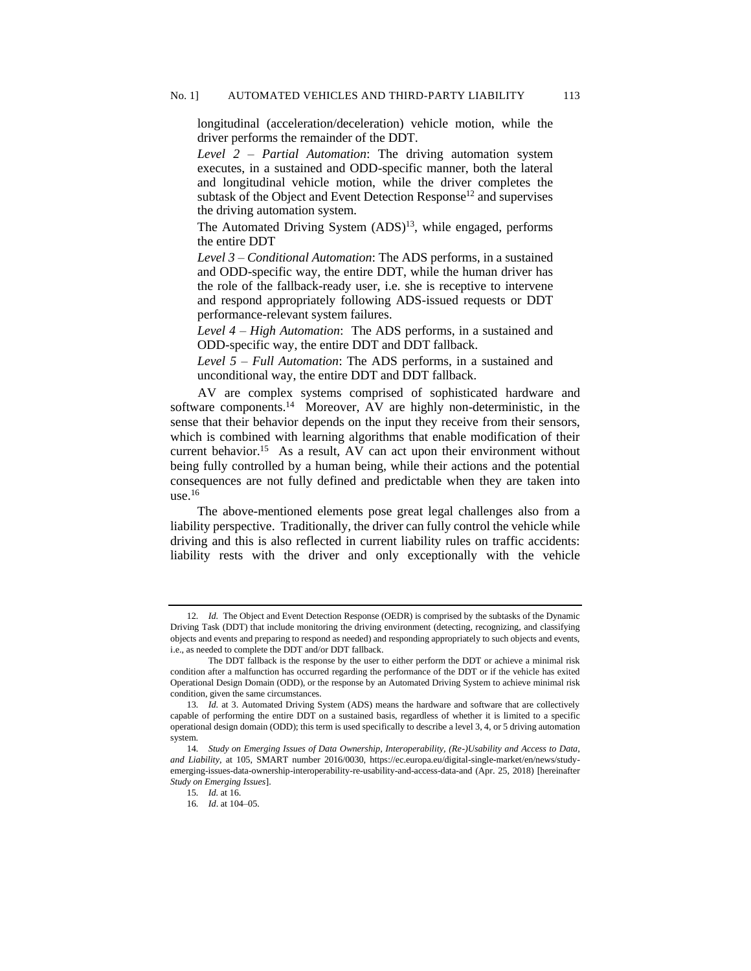longitudinal (acceleration/deceleration) vehicle motion, while the driver performs the remainder of the DDT.

*Level 2 – Partial Automation*: The driving automation system executes, in a sustained and ODD-specific manner, both the lateral and longitudinal vehicle motion, while the driver completes the subtask of the Object and Event Detection Response<sup>12</sup> and supervises the driving automation system.

The Automated Driving System (ADS)<sup>13</sup>, while engaged, performs the entire DDT

*Level 3 – Conditional Automation*: The ADS performs, in a sustained and ODD-specific way, the entire DDT, while the human driver has the role of the fallback-ready user, i.e. she is receptive to intervene and respond appropriately following ADS-issued requests or DDT performance-relevant system failures.

*Level 4 – High Automation*: The ADS performs, in a sustained and ODD-specific way, the entire DDT and DDT fallback.

*Level 5 – Full Automation*: The ADS performs, in a sustained and unconditional way, the entire DDT and DDT fallback.

AV are complex systems comprised of sophisticated hardware and software components.<sup>14</sup> Moreover, AV are highly non-deterministic, in the sense that their behavior depends on the input they receive from their sensors, which is combined with learning algorithms that enable modification of their current behavior.<sup>15</sup> As a result, AV can act upon their environment without being fully controlled by a human being, while their actions and the potential consequences are not fully defined and predictable when they are taken into  $use<sup>16</sup>$ 

The above-mentioned elements pose great legal challenges also from a liability perspective. Traditionally, the driver can fully control the vehicle while driving and this is also reflected in current liability rules on traffic accidents: liability rests with the driver and only exceptionally with the vehicle

<sup>12</sup>*. Id.* The Object and Event Detection Response (OEDR) is comprised by the subtasks of the Dynamic Driving Task (DDT) that include monitoring the driving environment (detecting, recognizing, and classifying objects and events and preparing to respond as needed) and responding appropriately to such objects and events, i.e., as needed to complete the DDT and/or DDT fallback.

The DDT fallback is the response by the user to either perform the DDT or achieve a minimal risk condition after a malfunction has occurred regarding the performance of the DDT or if the vehicle has exited Operational Design Domain (ODD), or the response by an Automated Driving System to achieve minimal risk condition, given the same circumstances.

<sup>13</sup>*. Id.* at 3. Automated Driving System (ADS) means the hardware and software that are collectively capable of performing the entire DDT on a sustained basis, regardless of whether it is limited to a specific operational design domain (ODD); this term is used specifically to describe a level 3, 4, or 5 driving automation system.

<sup>14</sup>*. Study on Emerging Issues of Data Ownership, Interoperability, (Re-)Usability and Access to Data, and Liability*, at 105, SMART number 2016/0030, https://ec.europa.eu/digital-single-market/en/news/studyemerging-issues-data-ownership-interoperability-re-usability-and-access-data-and (Apr. 25, 2018) [hereinafter *Study on Emerging Issues*].

<sup>15</sup>*. Id.* at 16.

<sup>16</sup>*. Id*. at 104–05.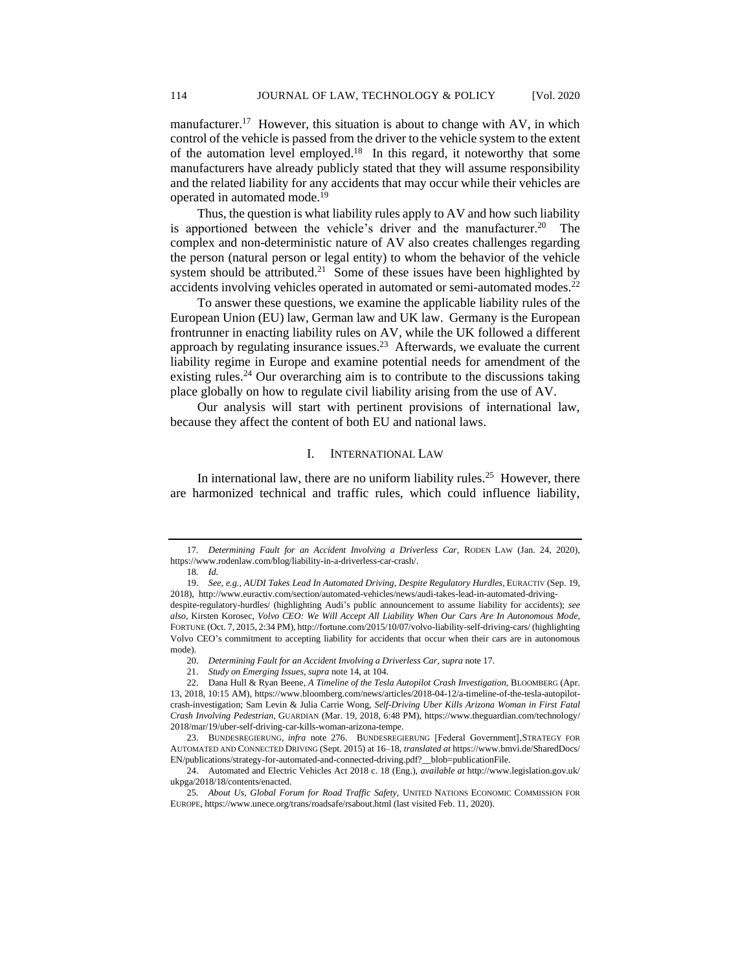manufacturer.<sup>17</sup> However, this situation is about to change with AV, in which control of the vehicle is passed from the driver to the vehicle system to the extent of the automation level employed.<sup>18</sup> In this regard, it noteworthy that some manufacturers have already publicly stated that they will assume responsibility and the related liability for any accidents that may occur while their vehicles are operated in automated mode.<sup>19</sup>

Thus, the question is what liability rules apply to AV and how such liability is apportioned between the vehicle's driver and the manufacturer.<sup>20</sup> The complex and non-deterministic nature of AV also creates challenges regarding the person (natural person or legal entity) to whom the behavior of the vehicle system should be attributed.<sup>21</sup> Some of these issues have been highlighted by accidents involving vehicles operated in automated or semi-automated modes.<sup>22</sup>

To answer these questions, we examine the applicable liability rules of the European Union (EU) law, German law and UK law. Germany is the European frontrunner in enacting liability rules on AV, while the UK followed a different approach by regulating insurance issues. $2<sup>3</sup>$  Afterwards, we evaluate the current liability regime in Europe and examine potential needs for amendment of the existing rules.<sup>24</sup> Our overarching aim is to contribute to the discussions taking place globally on how to regulate civil liability arising from the use of AV.

Our analysis will start with pertinent provisions of international law, because they affect the content of both EU and national laws.

## I. INTERNATIONAL LAW

In international law, there are no uniform liability rules.<sup>25</sup> However, there are harmonized technical and traffic rules, which could influence liability,

<sup>17</sup>*. Determining Fault for an Accident Involving a Driverless Car,* RODEN LAW (Jan. 24, 2020), https://www.rodenlaw.com/blog/liability-in-a-driverless-car-crash/.

<sup>18</sup>*. Id.*

<sup>19.</sup> *See, e.g.*, *AUDI Takes Lead In Automated Driving, Despite Regulatory Hurdles,* EURACTIV (Sep. 19, 2018), http://www.euractiv.com/section/automated-vehicles/news/audi-takes-lead-in-automated-drivingdespite-regulatory-hurdles/ (highlighting Audi's public announcement to assume liability for accidents); *see also,* Kirsten Korosec, *Volvo CEO: We Will Accept All Liability When Our Cars Are In Autonomous Mode,*  FORTUNE (Oct. 7, 2015, 2:34 PM), http://fortune.com/2015/10/07/volvo-liability-self-driving-cars/ (highlighting Volvo CEO's commitment to accepting liability for accidents that occur when their cars are in autonomous mode).

<sup>20.</sup> *Determining Fault for an Accident Involving a Driverless Car*, *supra* note 17.

<sup>21.</sup> *Study on Emerging Issues*, *supra* note 14, at 104.

<sup>22.</sup> Dana Hull & Ryan Beene, *A Timeline of the Tesla Autopilot Crash Investigation,* BLOOMBERG (Apr. 13, 2018, 10:15 AM), https://www.bloomberg.com/news/articles/2018-04-12/a-timeline-of-the-tesla-autopilotcrash-investigation; Sam Levin & Julia Carrie Wong, *Self-Driving Uber Kills Arizona Woman in First Fatal Crash Involving Pedestrian,* GUARDIAN (Mar. 19, 2018, 6:48 PM), https://www.theguardian.com/technology/ 2018/mar/19/uber-self-driving-car-kills-woman-arizona-tempe.

<sup>23.</sup> BUNDESREGIERUNG, *infra* note 276. BUNDESREGIERUNG [Federal Government], STRATEGY FOR AUTOMATED AND CONNECTED DRIVING (Sept. 2015) at 16–18, *translated at* https://www.bmvi.de/SharedDocs/ EN/publications/strategy-for-automated-and-connected-driving.pdf?\_\_blob=publicationFile.

<sup>24.</sup> Automated and Electric Vehicles Act 2018 c. 18 (Eng.), *available at* http://www.legislation.gov.uk/ ukpga/2018/18/contents/enacted.

<sup>25</sup>*. About Us, Global Forum for Road Traffic Safety,* UNITED NATIONS ECONOMIC COMMISSION FOR EUROPE, https://www.unece.org/trans/roadsafe/rsabout.html (last visited Feb. 11, 2020).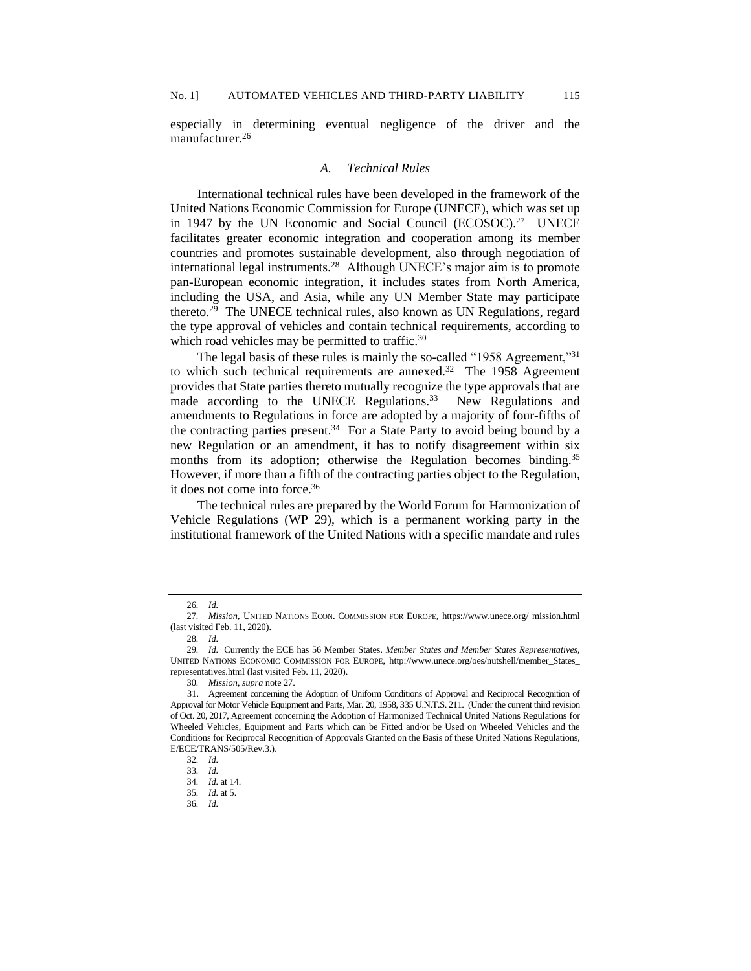especially in determining eventual negligence of the driver and the manufacturer.<sup>26</sup>

## *A. Technical Rules*

International technical rules have been developed in the framework of the United Nations Economic Commission for Europe (UNECE), which was set up in 1947 by the UN Economic and Social Council (ECOSOC).<sup>27</sup> UNECE facilitates greater economic integration and cooperation among its member countries and promotes sustainable development, also through negotiation of international legal instruments.<sup>28</sup> Although UNECE's major aim is to promote pan-European economic integration, it includes states from North America, including the USA, and Asia, while any UN Member State may participate thereto.<sup>29</sup> The UNECE technical rules, also known as UN Regulations, regard the type approval of vehicles and contain technical requirements, according to which road vehicles may be permitted to traffic.<sup>30</sup>

The legal basis of these rules is mainly the so-called "1958 Agreement,"<sup>31</sup> to which such technical requirements are annexed.<sup>32</sup> The 1958 Agreement provides that State parties thereto mutually recognize the type approvals that are made according to the UNECE Regulations.<sup>33</sup> New Regulations and amendments to Regulations in force are adopted by a majority of four-fifths of the contracting parties present. $34$  For a State Party to avoid being bound by a new Regulation or an amendment, it has to notify disagreement within six months from its adoption; otherwise the Regulation becomes binding.<sup>35</sup> However, if more than a fifth of the contracting parties object to the Regulation, it does not come into force.<sup>36</sup>

The technical rules are prepared by the World Forum for Harmonization of Vehicle Regulations (WP 29), which is a permanent working party in the institutional framework of the United Nations with a specific mandate and rules

<sup>26</sup>*. Id.*

<sup>27</sup>*. Mission*, UNITED NATIONS ECON. COMMISSION FOR EUROPE, https://www.unece.org/ mission.html (last visited Feb. 11, 2020).

<sup>28</sup>*. Id.*

<sup>29</sup>*. Id.* Currently the ECE has 56 Member States*. Member States and Member States Representatives,*  UNITED NATIONS ECONOMIC COMMISSION FOR EUROPE, http://www.unece.org/oes/nutshell/member\_States\_ representatives.html (last visited Feb. 11, 2020).

<sup>30</sup>*. Mission*, *supra* note 27.

<sup>31.</sup> Agreement concerning the Adoption of Uniform Conditions of Approval and Reciprocal Recognition of Approval for Motor Vehicle Equipment and Parts, Mar. 20, 1958, 335 U.N.T.S. 211. (Under the current third revision of Oct. 20, 2017, Agreement concerning the Adoption of Harmonized Technical United Nations Regulations for Wheeled Vehicles, Equipment and Parts which can be Fitted and/or be Used on Wheeled Vehicles and the Conditions for Reciprocal Recognition of Approvals Granted on the Basis of these United Nations Regulations, E/ECE/TRANS/505/Rev.3.).

<sup>32</sup>*. Id.*

<sup>33</sup>*. Id.*

<sup>34</sup>*. Id.* at 14.

<sup>35</sup>*. Id.* at 5.

<sup>36</sup>*. Id.*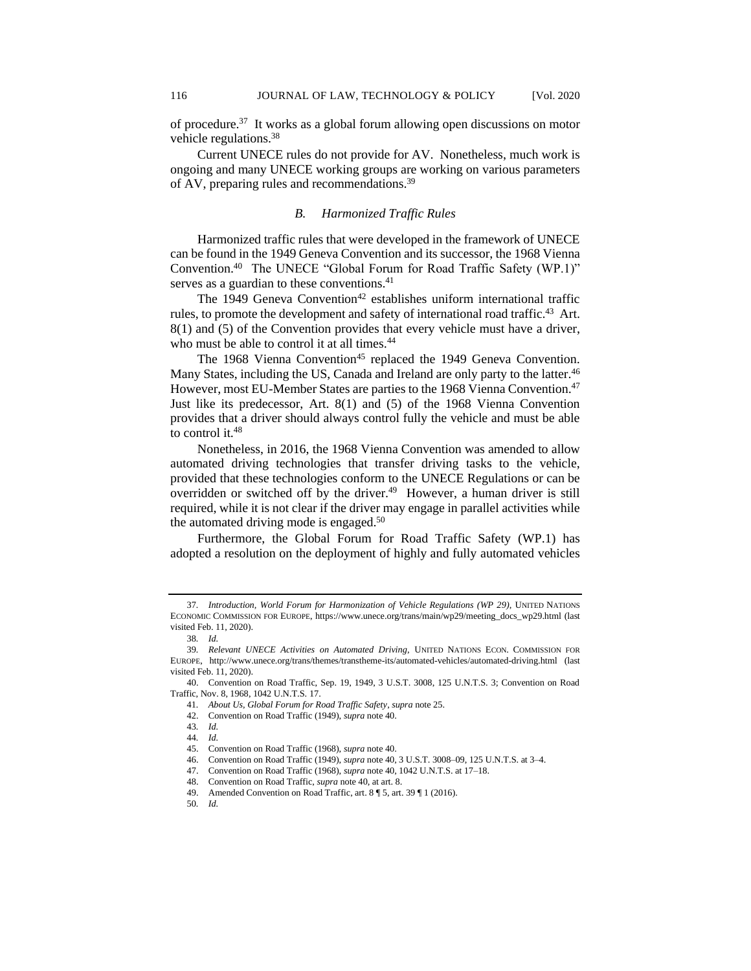of procedure.<sup>37</sup> It works as a global forum allowing open discussions on motor vehicle regulations.<sup>38</sup>

Current UNECE rules do not provide for AV. Nonetheless, much work is ongoing and many UNECE working groups are working on various parameters of AV, preparing rules and recommendations.<sup>39</sup>

## *B. Harmonized Traffic Rules*

Harmonized traffic rules that were developed in the framework of UNECE can be found in the 1949 Geneva Convention and its successor, the 1968 Vienna Convention.<sup>40</sup> The UNECE "Global Forum for Road Traffic Safety (WP.1)" serves as a guardian to these conventions.<sup>41</sup>

The 1949 Geneva Convention<sup>42</sup> establishes uniform international traffic rules, to promote the development and safety of international road traffic.<sup>43</sup> Art. 8(1) and (5) of the Convention provides that every vehicle must have a driver, who must be able to control it at all times.<sup>44</sup>

The 1968 Vienna Convention<sup>45</sup> replaced the 1949 Geneva Convention. Many States, including the US, Canada and Ireland are only party to the latter.<sup>46</sup> However, most EU-Member States are parties to the 1968 Vienna Convention.<sup>47</sup> Just like its predecessor, Art. 8(1) and (5) of the 1968 Vienna Convention provides that a driver should always control fully the vehicle and must be able to control it.<sup>48</sup>

Nonetheless, in 2016, the 1968 Vienna Convention was amended to allow automated driving technologies that transfer driving tasks to the vehicle, provided that these technologies conform to the UNECE Regulations or can be overridden or switched off by the driver.<sup>49</sup> However, a human driver is still required, while it is not clear if the driver may engage in parallel activities while the automated driving mode is engaged.<sup>50</sup>

Furthermore, the Global Forum for Road Traffic Safety (WP.1) has adopted a resolution on the deployment of highly and fully automated vehicles

<sup>37</sup>*. Introduction, World Forum for Harmonization of Vehicle Regulations (WP 29)*, UNITED NATIONS ECONOMIC COMMISSION FOR EUROPE, https://www.unece.org/trans/main/wp29/meeting\_docs\_wp29.html (last visited Feb. 11, 2020).

<sup>38</sup>*. Id.*

<sup>39</sup>*. Relevant UNECE Activities on Automated Driving*, UNITED NATIONS ECON. COMMISSION FOR EUROPE, http://www.unece.org/trans/themes/transtheme-its/automated-vehicles/automated-driving.html (last visited Feb. 11, 2020).

<sup>40.</sup> Convention on Road Traffic, Sep. 19, 1949, 3 U.S.T. 3008, 125 U.N.T.S. 3; Convention on Road Traffic, Nov. 8, 1968, 1042 U.N.T.S. 17.

<sup>41</sup>*. About Us, Global Forum for Road Traffic Safety*, *supra* note 25.

<sup>42.</sup> Convention on Road Traffic (1949), *supra* note 40.

<sup>43</sup>*. Id.*

<sup>44</sup>*. Id.*

<sup>45.</sup> Convention on Road Traffic (1968), *supra* note 40.

<sup>46.</sup> Convention on Road Traffic (1949), *supra* note 40, 3 U.S.T. 3008–09, 125 U.N.T.S. at 3–4.

<sup>47.</sup> Convention on Road Traffic (1968), *supra* note 40, 1042 U.N.T.S. at 17–18.

<sup>48.</sup> Convention on Road Traffic, *supra* note 40, at art. 8.

<sup>49.</sup> Amended Convention on Road Traffic, art. 8 ¶ 5, art. 39 ¶ 1 (2016).

<sup>50</sup>*. Id.*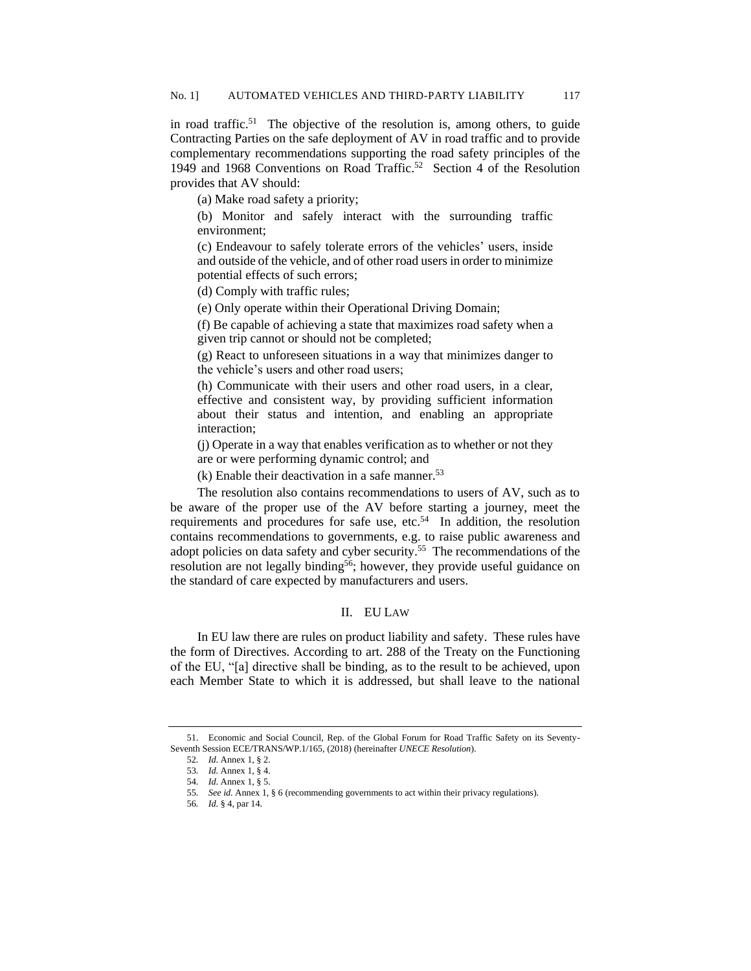in road traffic.<sup>51</sup> The objective of the resolution is, among others, to guide Contracting Parties on the safe deployment of AV in road traffic and to provide complementary recommendations supporting the road safety principles of the 1949 and 1968 Conventions on Road Traffic.<sup>52</sup> Section 4 of the Resolution provides that AV should:

(a) Make road safety a priority;

(b) Monitor and safely interact with the surrounding traffic environment;

(c) Endeavour to safely tolerate errors of the vehicles' users, inside and outside of the vehicle, and of other road users in order to minimize potential effects of such errors;

(d) Comply with traffic rules;

(e) Only operate within their Operational Driving Domain;

(f) Be capable of achieving a state that maximizes road safety when a given trip cannot or should not be completed;

(g) React to unforeseen situations in a way that minimizes danger to the vehicle's users and other road users;

(h) Communicate with their users and other road users, in a clear, effective and consistent way, by providing sufficient information about their status and intention, and enabling an appropriate interaction;

(j) Operate in a way that enables verification as to whether or not they are or were performing dynamic control; and

 $(k)$  Enable their deactivation in a safe manner.<sup>53</sup>

The resolution also contains recommendations to users of AV, such as to be aware of the proper use of the AV before starting a journey, meet the requirements and procedures for safe use, etc. $54$  In addition, the resolution contains recommendations to governments, e.g. to raise public awareness and adopt policies on data safety and cyber security.<sup>55</sup> The recommendations of the resolution are not legally binding<sup>56</sup>; however, they provide useful guidance on the standard of care expected by manufacturers and users.

## II. EU LAW

In EU law there are rules on product liability and safety. These rules have the form of Directives. According to art. 288 of the Treaty on the Functioning of the EU, "[a] directive shall be binding, as to the result to be achieved, upon each Member State to which it is addressed, but shall leave to the national

<sup>51.</sup> Economic and Social Council, Rep. of the Global Forum for Road Traffic Safety on its Seventy-Seventh Session ECE/TRANS/WP.1/165, (2018) (hereinafter *UNECE Resolution*).

<sup>52</sup>*. Id.* Annex 1, § 2.

<sup>53</sup>*. Id.* Annex 1, § 4.

<sup>54</sup>*. Id.* Annex 1, § 5.

<sup>55</sup>*. See id.* Annex 1, § 6 (recommending governments to act within their privacy regulations).

<sup>56</sup>*. Id.* § 4, par 14.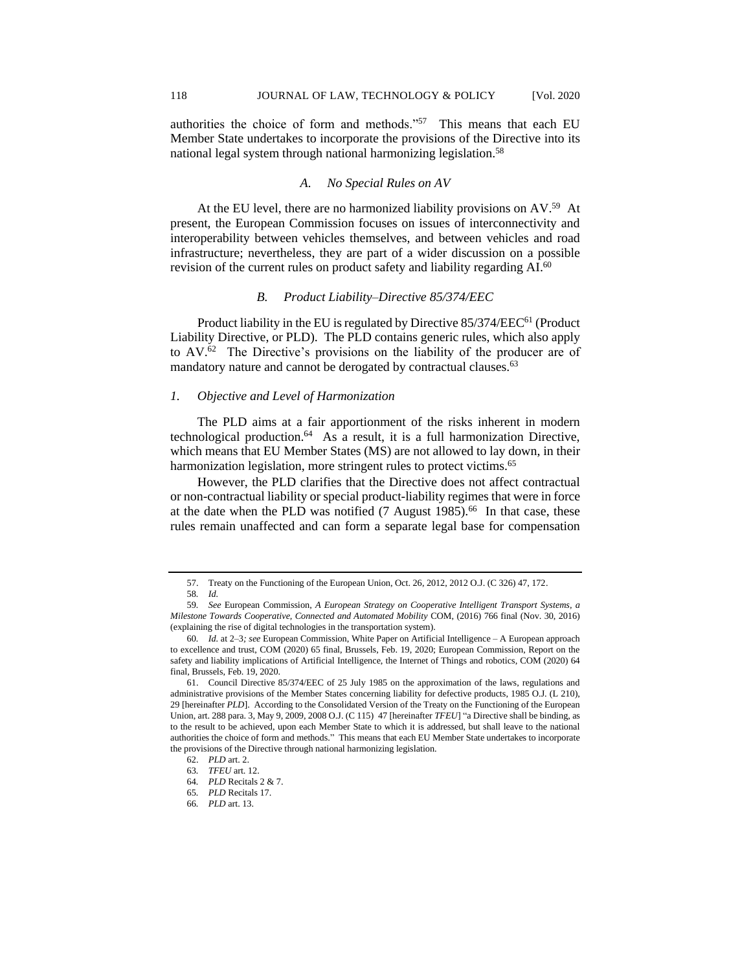authorities the choice of form and methods."<sup>57</sup> This means that each EU Member State undertakes to incorporate the provisions of the Directive into its national legal system through national harmonizing legislation.<sup>58</sup>

## <span id="page-9-0"></span>*A. No Special Rules on AV*

At the EU level, there are no harmonized liability provisions on AV.<sup>59</sup> At present, the European Commission focuses on issues of interconnectivity and interoperability between vehicles themselves, and between vehicles and road infrastructure; nevertheless, they are part of a wider discussion on a possible revision of the current rules on product safety and liability regarding AI.<sup>60</sup>

## *B. Product Liability–Directive 85/374/EEC*

Product liability in the EU is regulated by Directive 85/374/EEC<sup>61</sup> (Product Liability Directive, or PLD). The PLD contains generic rules, which also apply to AV.<sup>62</sup> The Directive's provisions on the liability of the producer are of mandatory nature and cannot be derogated by contractual clauses.<sup>63</sup>

## *1. Objective and Level of Harmonization*

The PLD aims at a fair apportionment of the risks inherent in modern technological production.<sup>64</sup> As a result, it is a full harmonization Directive, which means that EU Member States (MS) are not allowed to lay down, in their harmonization legislation, more stringent rules to protect victims.<sup>65</sup>

However, the PLD clarifies that the Directive does not affect contractual or non-contractual liability or special product-liability regimes that were in force at the date when the PLD was notified (7 August 1985).<sup>66</sup> In that case, these rules remain unaffected and can form a separate legal base for compensation

<sup>57.</sup> Treaty on the Functioning of the European Union, Oct. 26, 2012, 2012 O.J. (C 326) 47, 172.

<sup>58</sup>*. Id.*

<sup>59</sup>*. See* European Commission, *A European Strategy on Cooperative Intelligent Transport Systems, a Milestone Towards Cooperative, Connected and Automated Mobility* COM, (2016) 766 final (Nov. 30, 2016) (explaining the rise of digital technologies in the transportation system).

<sup>60</sup>*. Id.* at 2–3*; see* European Commission, White Paper on Artificial Intelligence – A European approach to excellence and trust, COM (2020) 65 final, Brussels, Feb. 19, 2020; European Commission, Report on the safety and liability implications of Artificial Intelligence, the Internet of Things and robotics, COM (2020) 64 final, Brussels, Feb. 19, 2020.

<sup>61.</sup> Council Directive 85/374/EEC of 25 July 1985 on the approximation of the laws, regulations and administrative provisions of the Member States concerning liability for defective products, 1985 O.J. (L 210), 29 [hereinafter *PLD*]. According to the Consolidated Version of the Treaty on the Functioning of the European Union, art. 288 para. 3, May 9, 2009, 2008 O.J. (C 115) 47 [hereinafter *TFEU*] "a Directive shall be binding, as to the result to be achieved, upon each Member State to which it is addressed, but shall leave to the national authorities the choice of form and methods." This means that each EU Member State undertakes to incorporate the provisions of the Directive through national harmonizing legislation.

<sup>62.</sup> *PLD* art. 2.

<sup>63</sup>*. TFEU* art. 12.

<sup>64</sup>*. PLD* Recitals 2 & 7.

<sup>65</sup>*. PLD* Recitals 17.

<sup>66</sup>*. PLD* art. 13.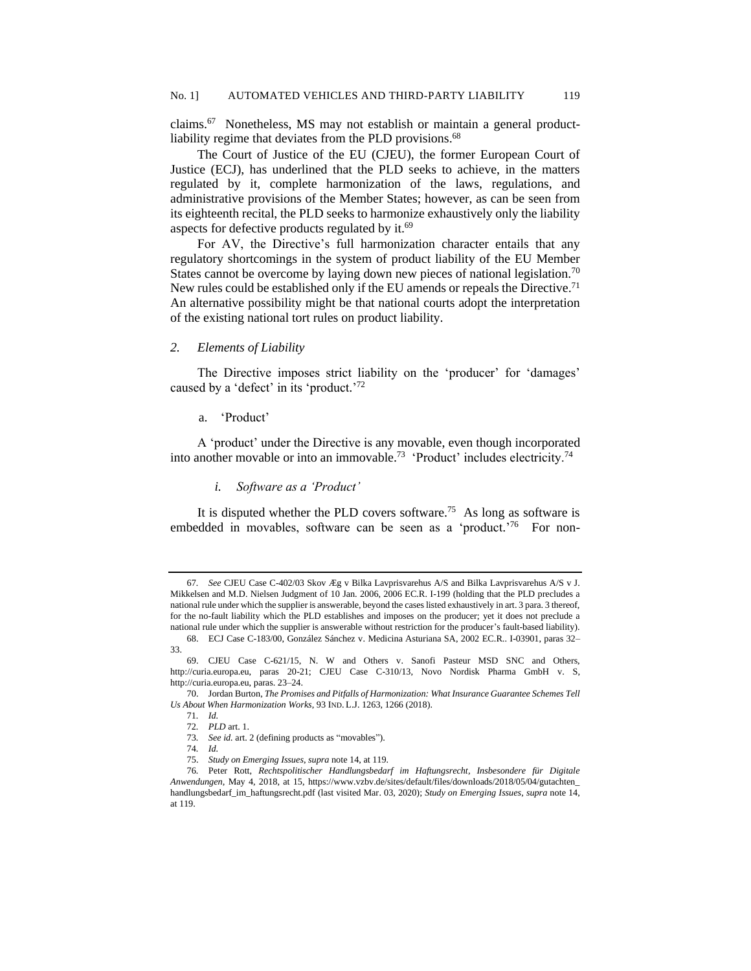claims.<sup>67</sup> Nonetheless, MS may not establish or maintain a general productliability regime that deviates from the PLD provisions.<sup>68</sup>

The Court of Justice of the EU (CJEU), the former European Court of Justice (ECJ), has underlined that the PLD seeks to achieve, in the matters regulated by it, complete harmonization of the laws, regulations, and administrative provisions of the Member States; however, as can be seen from its eighteenth recital, the PLD seeks to harmonize exhaustively only the liability aspects for defective products regulated by it.<sup>69</sup>

<span id="page-10-0"></span>For AV, the Directive's full harmonization character entails that any regulatory shortcomings in the system of product liability of the EU Member States cannot be overcome by laying down new pieces of national legislation.<sup>70</sup> New rules could be established only if the EU amends or repeals the Directive.<sup>71</sup> An alternative possibility might be that national courts adopt the interpretation of the existing national tort rules on product liability.

#### *2. Elements of Liability*

The Directive imposes strict liability on the 'producer' for 'damages' caused by a 'defect' in its 'product.'72

## a. 'Product'

A 'product' under the Directive is any movable, even though incorporated into another movable or into an immovable.<sup>73</sup> 'Product' includes electricity.<sup>74</sup>

## *i. Software as a 'Product'*

It is disputed whether the PLD covers software.<sup>75</sup> As long as software is embedded in movables, software can be seen as a 'product.'<sup>76</sup> For non-

<sup>67</sup>*. See* CJEU Case C-402/03 Skov Æg v Bilka Lavprisvarehus A/S and Bilka Lavprisvarehus A/S v J. Mikkelsen and M.D. Nielsen Judgment of 10 Jan. 2006, 2006 EC.R. I-199 (holding that the PLD precludes a national rule under which the supplier is answerable, beyond the cases listed exhaustively in art. 3 para. 3 thereof, for the no-fault liability which the PLD establishes and imposes on the producer; yet it does not preclude a national rule under which the supplier is answerable without restriction for the producer's fault-based liability).

<sup>68.</sup> ECJ Case C-183/00, González Sánchez v. Medicina Asturiana SA, 2002 EC.R.. I-03901, paras 32– 33.

<sup>69.</sup> CJEU Case C-621/15, N. W and Others v. Sanofi Pasteur MSD SNC and Others, http://curia.europa.eu, paras 20-21; CJEU Case C-310/13, Novo Nordisk Pharma GmbH v. S, http://curia.europa.eu, paras. 23–24.

<sup>70.</sup> Jordan Burton, *The Promises and Pitfalls of Harmonization: What Insurance Guarantee Schemes Tell Us About When Harmonization Works*, 93 IND. L.J. 1263, 1266 (2018).

<sup>71</sup>*. Id.*

<sup>72</sup>*. PLD* art. 1.

<sup>73</sup>*. See id.* art. 2 (defining products as "movables").

<sup>74</sup>*. Id.*

<sup>75.</sup> *Study on Emerging Issues*, *supra* note 14, at 119.

<sup>76</sup>*.* Peter Rott, *Rechtspolitischer Handlungsbedarf im Haftungsrecht, Insbesondere für Digitale Anwendungen,* May 4, 2018, at 15, https://www.vzbv.de/sites/default/files/downloads/2018/05/04/gutachten\_ handlungsbedarf\_im\_haftungsrecht.pdf (last visited Mar. 03, 2020); *Study on Emerging Issues*, *supra* note 14, at 119.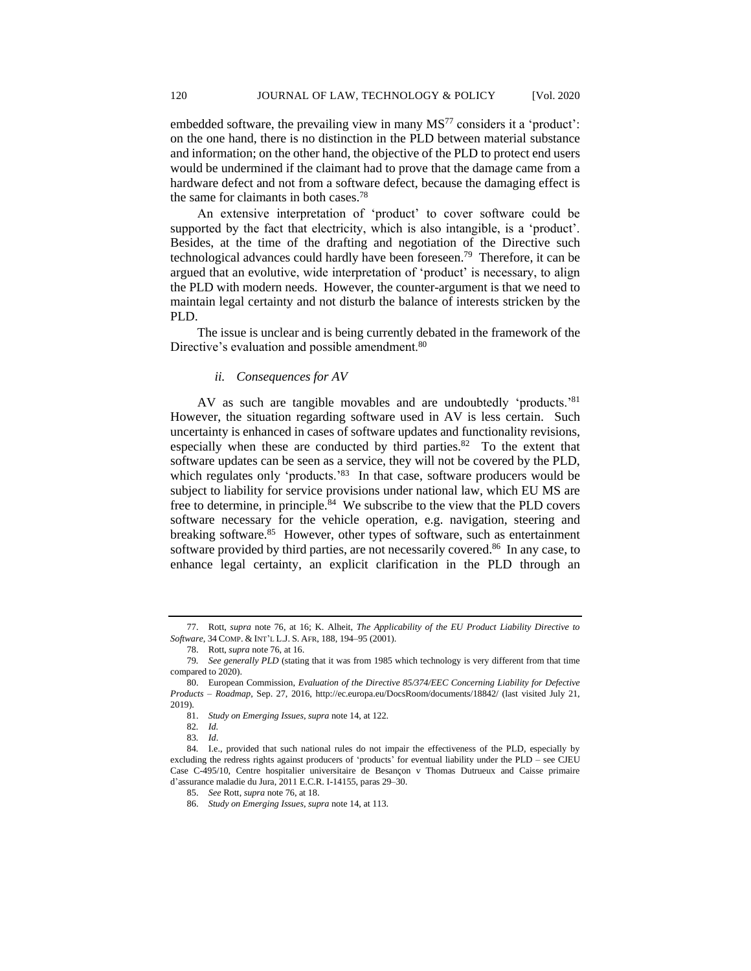embedded software, the prevailing view in many  $MS<sup>77</sup>$  considers it a 'product': on the one hand, there is no distinction in the PLD between material substance and information; on the other hand, the objective of the PLD to protect end users would be undermined if the claimant had to prove that the damage came from a hardware defect and not from a software defect, because the damaging effect is the same for claimants in both cases.<sup>78</sup>

An extensive interpretation of 'product' to cover software could be supported by the fact that electricity, which is also intangible, is a 'product'. Besides, at the time of the drafting and negotiation of the Directive such technological advances could hardly have been foreseen.<sup>79</sup> Therefore, it can be argued that an evolutive, wide interpretation of 'product' is necessary, to align the PLD with modern needs. However, the counter-argument is that we need to maintain legal certainty and not disturb the balance of interests stricken by the PLD.

The issue is unclear and is being currently debated in the framework of the Directive's evaluation and possible amendment.<sup>80</sup>

## *ii. Consequences for AV*

AV as such are tangible movables and are undoubtedly 'products.'<sup>81</sup> However, the situation regarding software used in AV is less certain. Such uncertainty is enhanced in cases of software updates and functionality revisions, especially when these are conducted by third parties. $82$  To the extent that software updates can be seen as a service, they will not be covered by the PLD, which regulates only 'products.'<sup>83</sup> In that case, software producers would be subject to liability for service provisions under national law, which EU MS are free to determine, in principle.<sup>84</sup> We subscribe to the view that the PLD covers software necessary for the vehicle operation, e.g. navigation, steering and breaking software.<sup>85</sup> However, other types of software, such as entertainment software provided by third parties, are not necessarily covered.<sup>86</sup> In any case, to enhance legal certainty, an explicit clarification in the PLD through an

<sup>77.</sup> Rott, *supra* note 76, at 16; K. Alheit, *The Applicability of the EU Product Liability Directive to Software*, 34 COMP. & INT'L L.J. S. AFR, 188, 194–95 (2001).

<sup>78.</sup> Rott, *supra* note 76, at 16.

<sup>79</sup>*. See generally PLD* (stating that it was from 1985 which technology is very different from that time compared to 2020).

<sup>80.</sup> European Commission, *Evaluation of the Directive 85/374/EEC Concerning Liability for Defective Products – Roadmap*, Sep. 27, 2016, http://ec.europa.eu/DocsRoom/documents/18842/ (last visited July 21, 2019).

<sup>81.</sup> *Study on Emerging Issues*, *supra* note 14, at 122.

<sup>82</sup>*. Id.*

<sup>83</sup>*. Id*.

<sup>84</sup>*.* I.e., provided that such national rules do not impair the effectiveness of the PLD, especially by excluding the redress rights against producers of 'products' for eventual liability under the PLD – see CJEU Case C-495/10, Centre hospitalier universitaire de Besançon v Thomas Dutrueux and Caisse primaire d'assurance maladie du Jura, 2011 E.C.R. I-14155, paras 29–30.

<sup>85.</sup> *See* Rott, *supra* note 76, at 18.

<sup>86.</sup> *Study on Emerging Issues*, *supra* note 14, at 113.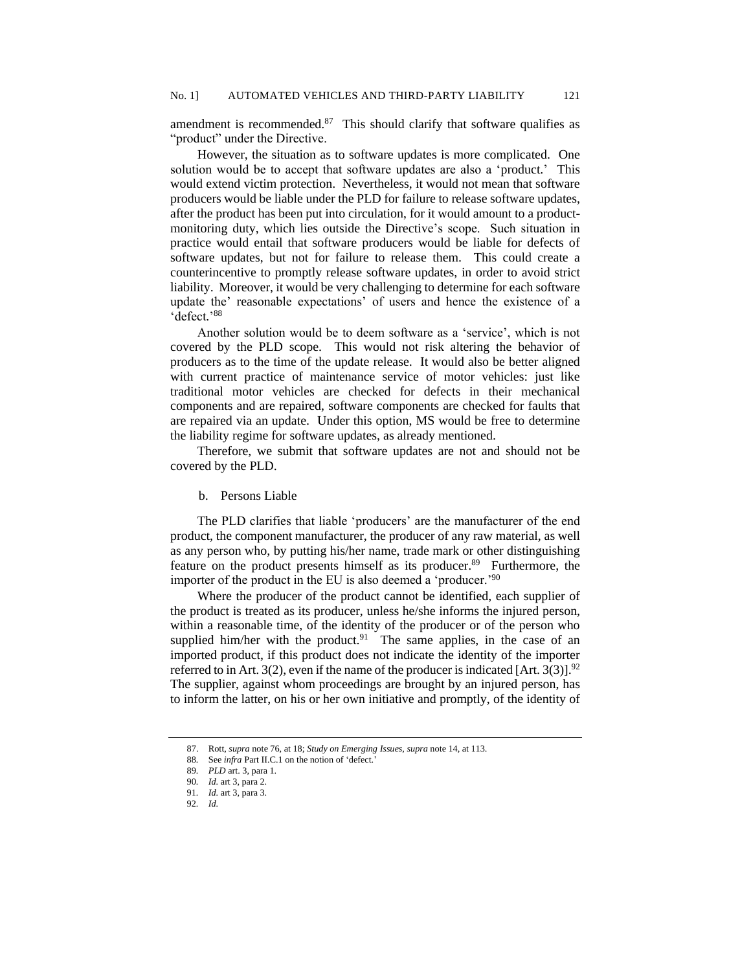amendment is recommended. $87$  This should clarify that software qualifies as "product" under the Directive.

However, the situation as to software updates is more complicated. One solution would be to accept that software updates are also a 'product.' This would extend victim protection. Nevertheless, it would not mean that software producers would be liable under the PLD for failure to release software updates, after the product has been put into circulation, for it would amount to a productmonitoring duty, which lies outside the Directive's scope. Such situation in practice would entail that software producers would be liable for defects of software updates, but not for failure to release them. This could create a counterincentive to promptly release software updates, in order to avoid strict liability. Moreover, it would be very challenging to determine for each software update the' reasonable expectations' of users and hence the existence of a 'defect.' 88

Another solution would be to deem software as a 'service', which is not covered by the PLD scope. This would not risk altering the behavior of producers as to the time of the update release. It would also be better aligned with current practice of maintenance service of motor vehicles: just like traditional motor vehicles are checked for defects in their mechanical components and are repaired, software components are checked for faults that are repaired via an update. Under this option, MS would be free to determine the liability regime for software updates, as already mentioned.

Therefore, we submit that software updates are not and should not be covered by the PLD.

b. Persons Liable

The PLD clarifies that liable 'producers' are the manufacturer of the end product, the component manufacturer, the producer of any raw material, as well as any person who, by putting his/her name, trade mark or other distinguishing feature on the product presents himself as its producer.<sup>89</sup> Furthermore, the importer of the product in the EU is also deemed a 'producer.'<sup>90</sup>

Where the producer of the product cannot be identified, each supplier of the product is treated as its producer, unless he/she informs the injured person, within a reasonable time, of the identity of the producer or of the person who supplied him/her with the product.<sup>91</sup> The same applies, in the case of an imported product, if this product does not indicate the identity of the importer referred to in Art. 3(2), even if the name of the producer is indicated [Art. 3(3)].<sup>92</sup> The supplier, against whom proceedings are brought by an injured person, has to inform the latter, on his or her own initiative and promptly, of the identity of

<sup>87.</sup> Rott, *supra* note 76, at 18; *Study on Emerging Issues*, *supra* note 14, at 113.

<sup>88</sup>*.* See *infra* Part II.C.1 on the notion of 'defect.'

<sup>89</sup>*. PLD* art. 3, para 1.

<sup>90</sup>*. Id.* art 3, para 2.

<sup>91</sup>*. Id.* art 3, para 3.

<sup>92</sup>*. Id.*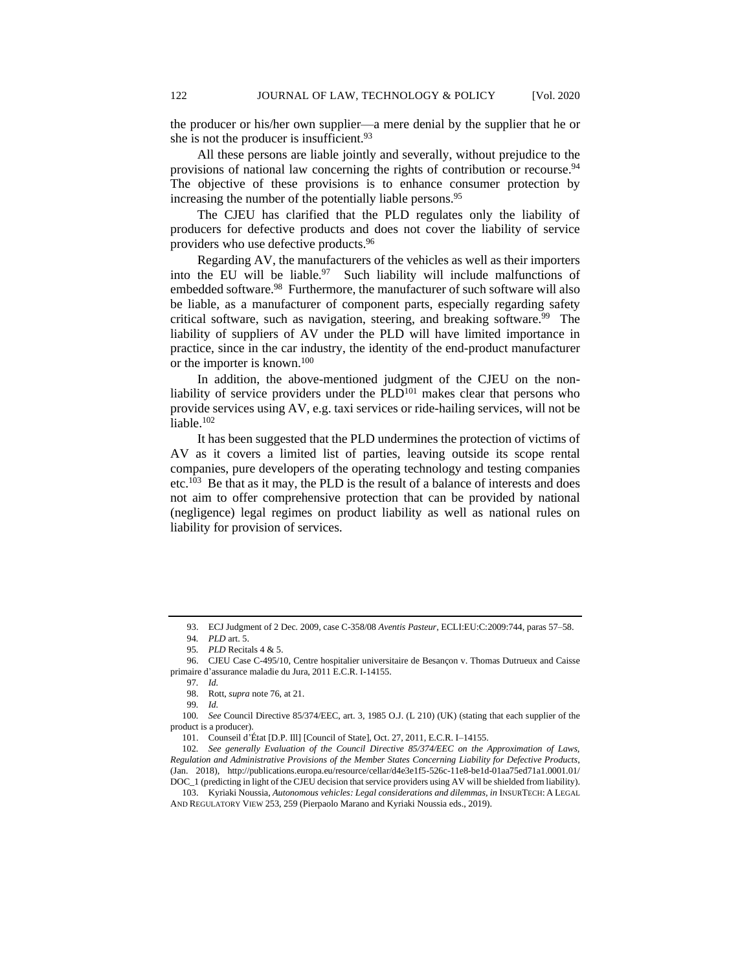the producer or his/her own supplier—a mere denial by the supplier that he or she is not the producer is insufficient.<sup>93</sup>

All these persons are liable jointly and severally, without prejudice to the provisions of national law concerning the rights of contribution or recourse.<sup>94</sup> The objective of these provisions is to enhance consumer protection by increasing the number of the potentially liable persons.<sup>95</sup>

The CJEU has clarified that the PLD regulates only the liability of producers for defective products and does not cover the liability of service providers who use defective products.<sup>96</sup>

Regarding AV, the manufacturers of the vehicles as well as their importers into the EU will be liable. $97$  Such liability will include malfunctions of embedded software.<sup>98</sup> Furthermore, the manufacturer of such software will also be liable, as a manufacturer of component parts, especially regarding safety critical software, such as navigation, steering, and breaking software.<sup>99</sup> The liability of suppliers of AV under the PLD will have limited importance in practice, since in the car industry, the identity of the end-product manufacturer or the importer is known.<sup>100</sup>

In addition, the above-mentioned judgment of the CJEU on the nonliability of service providers under the  $PLD<sup>101</sup>$  makes clear that persons who provide services using AV, e.g. taxi services or ride-hailing services, will not be liable.<sup>102</sup>

<span id="page-13-0"></span>It has been suggested that the PLD undermines the protection of victims of AV as it covers a limited list of parties, leaving outside its scope rental companies, pure developers of the operating technology and testing companies etc.<sup>103</sup> Be that as it may, the PLD is the result of a balance of interests and does not aim to offer comprehensive protection that can be provided by national (negligence) legal regimes on product liability as well as national rules on liability for provision of services.

<sup>93.</sup> ECJ Judgment of 2 Dec. 2009, case C-358/08 *Aventis Pasteur*, ECLI:EU:C:2009:744, paras 57–58.

<sup>94</sup>*. PLD* art. 5.

<sup>95</sup>*. PLD* Recitals 4 & 5.

<sup>96.</sup> CJEU Case C-495/10, Centre hospitalier universitaire de Besançon v. Thomas Dutrueux and Caisse primaire d'assurance maladie du Jura, 2011 E.C.R. I-14155.

<sup>97</sup>*. Id.*

<sup>98.</sup> Rott, *supra* note 76, at 21.

<sup>99</sup>*. Id.*

<sup>100</sup>*. See* Council Directive 85/374/EEC, art. 3, 1985 O.J. (L 210) (UK) (stating that each supplier of the product is a producer).

<sup>101.</sup> Counseil d'État [D.P. Ill] [Council of State], Oct. 27, 2011, E.C.R. I–14155.

<sup>102</sup>*. See generally Evaluation of the Council Directive 85/374/EEC on the Approximation of Laws, Regulation and Administrative Provisions of the Member States Concerning Liability for Defective Products*, (Jan. 2018), http://publications.europa.eu/resource/cellar/d4e3e1f5-526c-11e8-be1d-01aa75ed71a1.0001.01/ DOC\_1 (predicting in light of the CJEU decision that service providers using AV will be shielded from liability).

<sup>103.</sup> Kyriaki Noussia, *Autonomous vehicles: Legal considerations and dilemmas, in* INSURTECH: A LEGAL AND REGULATORY VIEW 253, 259 (Pierpaolo Marano and Kyriaki Noussia eds., 2019).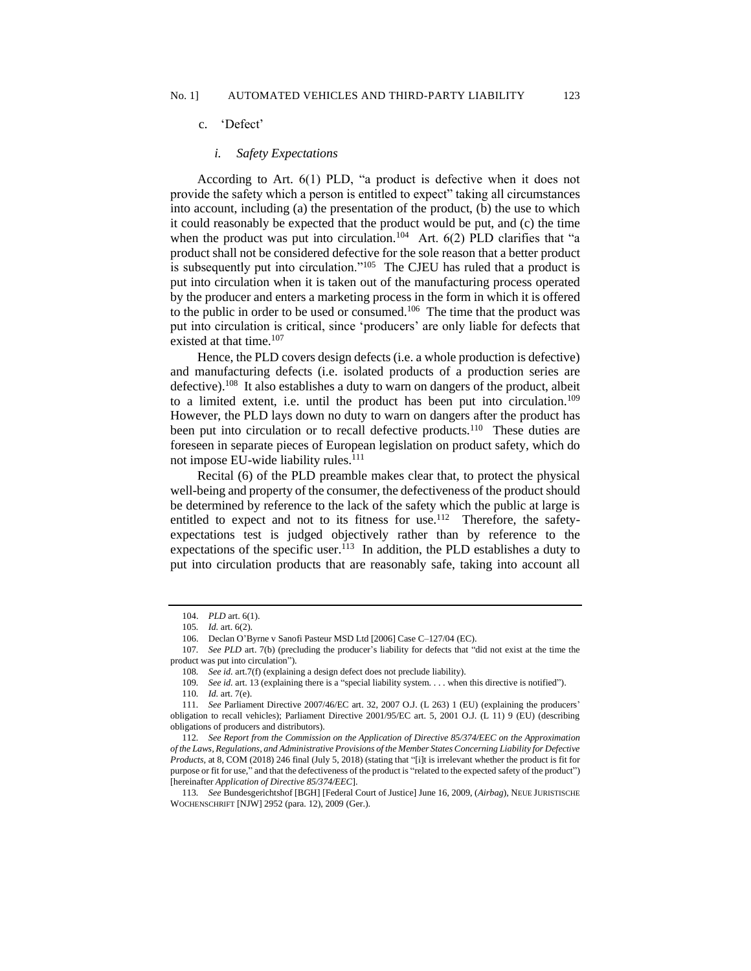#### *i. Safety Expectations*

According to Art. 6(1) PLD, "a product is defective when it does not provide the safety which a person is entitled to expect" taking all circumstances into account, including (a) the presentation of the product, (b) the use to which it could reasonably be expected that the product would be put, and (c) the time when the product was put into circulation.<sup>104</sup> Art.  $6(2)$  PLD clarifies that "a product shall not be considered defective for the sole reason that a better product is subsequently put into circulation."<sup>105</sup> The CJEU has ruled that a product is put into circulation when it is taken out of the manufacturing process operated by the producer and enters a marketing process in the form in which it is offered to the public in order to be used or consumed.<sup>106</sup> The time that the product was put into circulation is critical, since 'producers' are only liable for defects that existed at that time.<sup>107</sup>

Hence, the PLD covers design defects (i.e. a whole production is defective) and manufacturing defects (i.e. isolated products of a production series are defective).<sup>108</sup> It also establishes a duty to warn on dangers of the product, albeit to a limited extent, i.e. until the product has been put into circulation.<sup>109</sup> However, the PLD lays down no duty to warn on dangers after the product has been put into circulation or to recall defective products.<sup>110</sup> These duties are foreseen in separate pieces of European legislation on product safety, which do not impose EU-wide liability rules.<sup>111</sup>

Recital (6) of the PLD preamble makes clear that, to protect the physical well-being and property of the consumer, the defectiveness of the product should be determined by reference to the lack of the safety which the public at large is entitled to expect and not to its fitness for use.<sup>112</sup> Therefore, the safetyexpectations test is judged objectively rather than by reference to the expectations of the specific user.<sup>113</sup> In addition, the PLD establishes a duty to put into circulation products that are reasonably safe, taking into account all

<sup>104.</sup> *PLD* art. 6(1).

<sup>105</sup>*. Id.* art. 6(2).

<sup>106.</sup> Declan O'Byrne v Sanofi Pasteur MSD Ltd [2006] Case C–127/04 (EC).

<sup>107</sup>*. See PLD* art. 7(b) (precluding the producer's liability for defects that "did not exist at the time the product was put into circulation").

<sup>108</sup>*. See id.* art.7(f) (explaining a design defect does not preclude liability).

<sup>109</sup>*. See id.* art. 13 (explaining there is a "special liability system. . . . when this directive is notified").

<sup>110</sup>*. Id.* art. 7(e).

<sup>111</sup>*. See* Parliament Directive 2007/46/EC art. 32, 2007 O.J. (L 263) 1 (EU) (explaining the producers' obligation to recall vehicles); Parliament Directive 2001/95/EC art. 5, 2001 O.J. (L 11) 9 (EU) (describing obligations of producers and distributors).

<sup>112</sup>*. See Report from the Commission on the Application of Directive 85/374/EEC on the Approximation of the Laws, Regulations, and Administrative Provisions of the Member States Concerning Liability for Defective Products,* at 8, COM (2018) 246 final (July 5, 2018) (stating that "[i]t is irrelevant whether the product is fit for purpose or fit for use," and that the defectiveness of the product is "related to the expected safety of the product") [hereinafter *Application of Directive 85/374/EEC*].

<sup>113</sup>*. See* Bundesgerichtshof [BGH] [Federal Court of Justice] June 16, 2009, (*Airbag*), NEUE JURISTISCHE WOCHENSCHRIFT [NJW] 2952 (para. 12), 2009 (Ger.).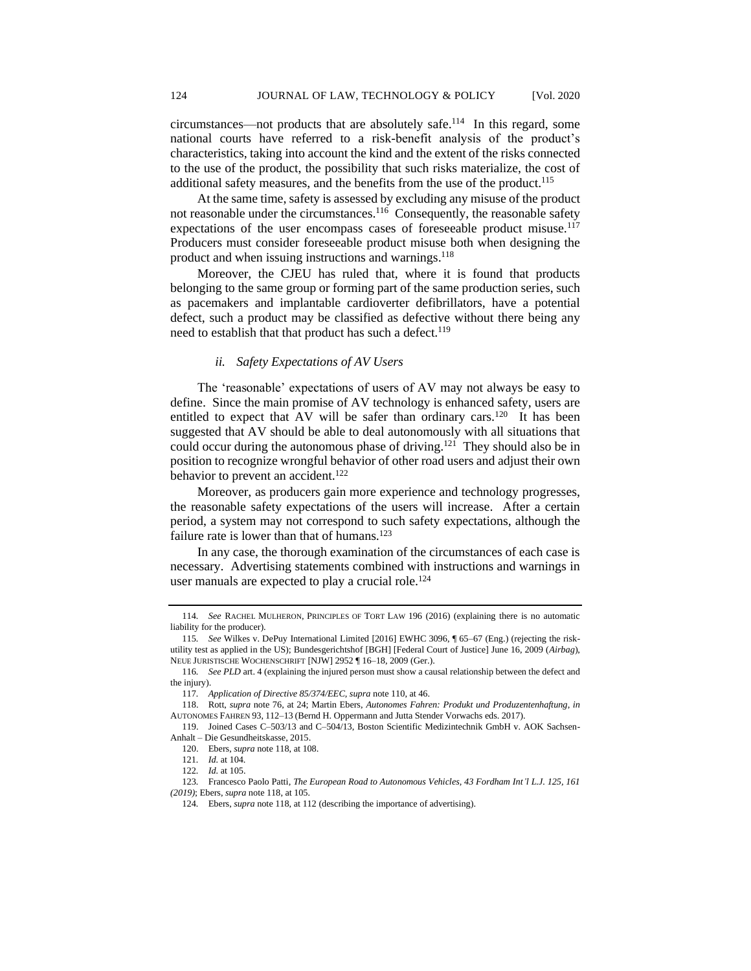circumstances—not products that are absolutely safe.<sup>114</sup> In this regard, some national courts have referred to a risk-benefit analysis of the product's characteristics, taking into account the kind and the extent of the risks connected to the use of the product, the possibility that such risks materialize, the cost of additional safety measures, and the benefits from the use of the product.<sup>115</sup>

At the same time, safety is assessed by excluding any misuse of the product not reasonable under the circumstances.<sup>116</sup> Consequently, the reasonable safety expectations of the user encompass cases of foreseeable product misuse.<sup>117</sup> Producers must consider foreseeable product misuse both when designing the product and when issuing instructions and warnings.<sup>118</sup>

Moreover, the CJEU has ruled that, where it is found that products belonging to the same group or forming part of the same production series, such as pacemakers and implantable cardioverter defibrillators, have a potential defect, such a product may be classified as defective without there being any need to establish that that product has such a defect.<sup>119</sup>

#### *ii. Safety Expectations of AV Users*

The 'reasonable' expectations of users of AV may not always be easy to define. Since the main promise of AV technology is enhanced safety, users are entitled to expect that AV will be safer than ordinary cars.<sup>120</sup> It has been suggested that AV should be able to deal autonomously with all situations that could occur during the autonomous phase of driving.<sup>121</sup> They should also be in position to recognize wrongful behavior of other road users and adjust their own behavior to prevent an accident.<sup>122</sup>

Moreover, as producers gain more experience and technology progresses, the reasonable safety expectations of the users will increase. After a certain period, a system may not correspond to such safety expectations, although the failure rate is lower than that of humans.<sup>123</sup>

<span id="page-15-0"></span>In any case, the thorough examination of the circumstances of each case is necessary. Advertising statements combined with instructions and warnings in user manuals are expected to play a crucial role.<sup>124</sup>

<sup>114</sup>*. See* RACHEL MULHERON, PRINCIPLES OF TORT LAW 196 (2016) (explaining there is no automatic liability for the producer).

<sup>115</sup>*. See* Wilkes v. DePuy International Limited [2016] EWHC 3096, ¶ 65–67 (Eng.) (rejecting the riskutility test as applied in the US); Bundesgerichtshof [BGH] [Federal Court of Justice] June 16, 2009 (*Airbag*), NEUE JURISTISCHE WOCHENSCHRIFT [NJW] 2952 ¶ 16–18, 2009 (Ger.).

<sup>116</sup>*. See PLD* art. 4 (explaining the injured person must show a causal relationship between the defect and the injury).

<sup>117</sup>*. Application of Directive 85/374/EEC, supra* note 110, at 46.

<sup>118.</sup> Rott, *supra* note 76, at 24; Martin Ebers, *Autonomes Fahren: Produkt und Produzentenhaftung*, *in* AUTONOMES FAHREN 93, 112–13 (Bernd H. Oppermann and Jutta Stender Vorwachs eds. 2017).

<sup>119.</sup> Joined Cases C–503/13 and C–504/13, Boston Scientific Medizintechnik GmbH v. AOK Sachsen-Anhalt – Die Gesundheitskasse, 2015.

<sup>120.</sup> Ebers, *supra* note 118, at 108.

<sup>121</sup>*. Id.* at 104.

<sup>122</sup>*. Id.* at 105.

<sup>123</sup>*.* Francesco Paolo Patti*, The European Road to Autonomous Vehicles, 43 Fordham Int'l L.J. 125, 161 (2019)*; Ebers, *supra* note 118, at 105*.*

<sup>124</sup>*.* Ebers, *supra* note 118, at 112 (describing the importance of advertising).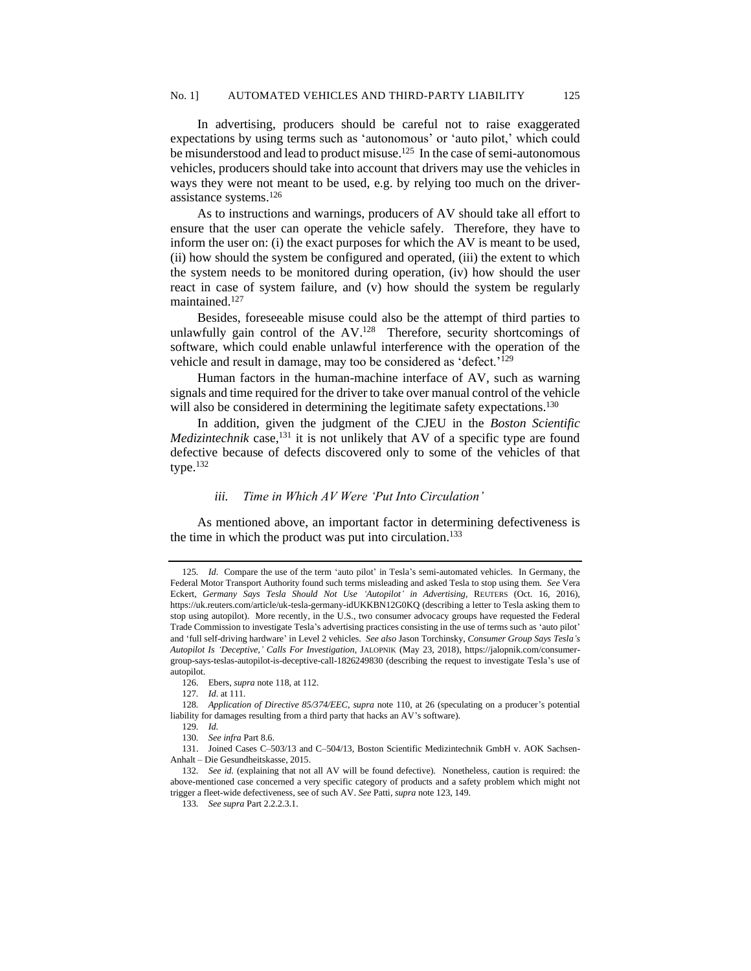In advertising, producers should be careful not to raise exaggerated expectations by using terms such as 'autonomous' or 'auto pilot,' which could be misunderstood and lead to product misuse.<sup>125</sup> In the case of semi-autonomous vehicles, producers should take into account that drivers may use the vehicles in ways they were not meant to be used, e.g. by relying too much on the driverassistance systems.<sup>126</sup>

As to instructions and warnings, producers of AV should take all effort to ensure that the user can operate the vehicle safely. Therefore, they have to inform the user on: (i) the exact purposes for which the AV is meant to be used, (ii) how should the system be configured and operated, (iii) the extent to which the system needs to be monitored during operation, (iv) how should the user react in case of system failure, and (v) how should the system be regularly maintained.<sup>127</sup>

Besides, foreseeable misuse could also be the attempt of third parties to unlawfully gain control of the AV.<sup>128</sup> Therefore, security shortcomings of software, which could enable unlawful interference with the operation of the vehicle and result in damage, may too be considered as 'defect.'<sup>129</sup>

Human factors in the human-machine interface of AV, such as warning signals and time required for the driver to take over manual control of the vehicle will also be considered in determining the legitimate safety expectations.<sup>130</sup>

In addition, given the judgment of the CJEU in the *Boston Scientific Medizintechnik* case,<sup>131</sup> it is not unlikely that AV of a specific type are found defective because of defects discovered only to some of the vehicles of that type. $132$ 

### *iii. Time in Which AV Were 'Put Into Circulation'*

As mentioned above, an important factor in determining defectiveness is the time in which the product was put into circulation.<sup>133</sup>

<sup>125</sup>*. Id*. Compare the use of the term 'auto pilot' in Tesla's semi-automated vehicles. In Germany, the Federal Motor Transport Authority found such terms misleading and asked Tesla to stop using them. *See* Vera Eckert, *Germany Says Tesla Should Not Use 'Autopilot' in Advertising*, REUTERS (Oct. 16, 2016), https://uk.reuters.com/article/uk-tesla-germany-idUKKBN12G0KQ (describing a letter to Tesla asking them to stop using autopilot). More recently, in the U.S., two consumer advocacy groups have requested the Federal Trade Commission to investigate Tesla's advertising practices consisting in the use of terms such as 'auto pilot' and 'full self-driving hardware' in Level 2 vehicles. *See also* Jason Torchinsky, *Consumer Group Says Tesla's Autopilot Is 'Deceptive,' Calls For Investigation*, JALOPNIK (May 23, 2018), https://jalopnik.com/consumergroup-says-teslas-autopilot-is-deceptive-call-1826249830 (describing the request to investigate Tesla's use of autopilot.

<sup>126.</sup> Ebers, *supra* note 118, at 112.

<sup>127</sup>*. Id*. at 111.

<sup>128</sup>*. Application of Directive 85/374/EEC, supra* note 110, at 26 (speculating on a producer's potential liability for damages resulting from a third party that hacks an AV's software).

<sup>129</sup>*. Id.*

<sup>130</sup>*. See infra* Part 8.6.

<sup>131.</sup> Joined Cases C–503/13 and C–504/13, Boston Scientific Medizintechnik GmbH v. AOK Sachsen-Anhalt – Die Gesundheitskasse, 2015.

<sup>132</sup>*. See id.* (explaining that not all AV will be found defective)*.* Nonetheless, caution is required: the above-mentioned case concerned a very specific category of products and a safety problem which might not trigger a fleet-wide defectiveness, see of such AV. *See* Patti, *supra* not[e 123,](#page-15-0) 149.

<sup>133</sup>*. See supra* Part 2.2.2.3.1.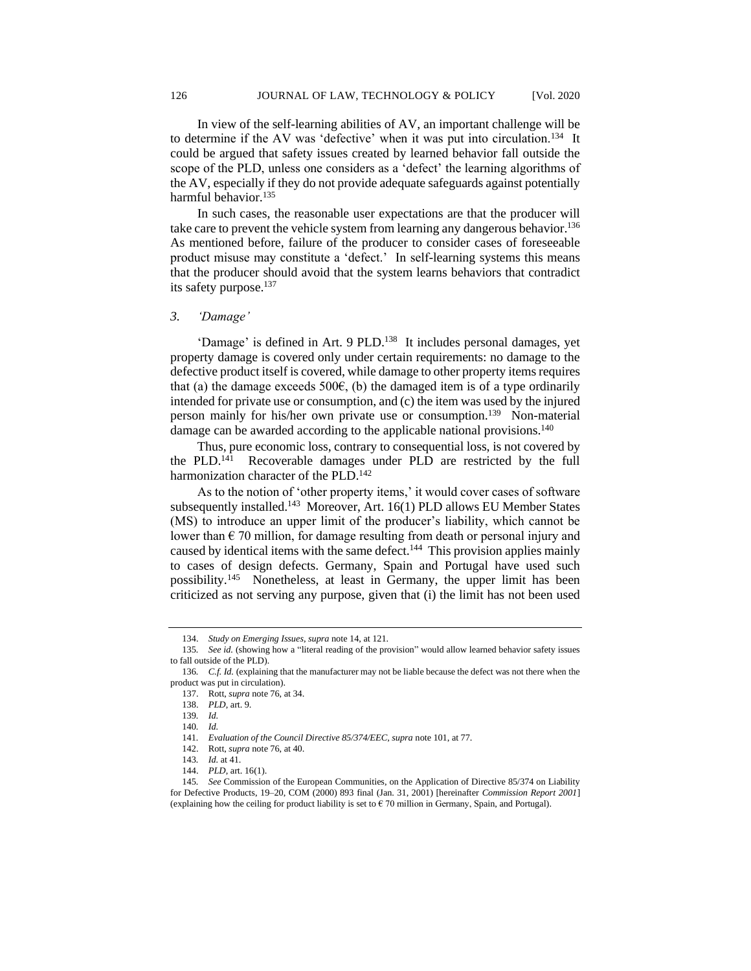In view of the self-learning abilities of AV, an important challenge will be to determine if the AV was 'defective' when it was put into circulation.<sup>134</sup> It could be argued that safety issues created by learned behavior fall outside the scope of the PLD, unless one considers as a 'defect' the learning algorithms of the AV, especially if they do not provide adequate safeguards against potentially harmful behavior.<sup>135</sup>

In such cases, the reasonable user expectations are that the producer will take care to prevent the vehicle system from learning any dangerous behavior.<sup>136</sup> As mentioned before, failure of the producer to consider cases of foreseeable product misuse may constitute a 'defect.' In self-learning systems this means that the producer should avoid that the system learns behaviors that contradict its safety purpose.<sup>137</sup>

## *3. 'Damage'*

'Damage' is defined in Art. 9 PLD.<sup>138</sup> It includes personal damages, yet property damage is covered only under certain requirements: no damage to the defective product itself is covered, while damage to other property items requires that (a) the damage exceeds 500 $\epsilon$ , (b) the damaged item is of a type ordinarily intended for private use or consumption, and (c) the item was used by the injured person mainly for his/her own private use or consumption.<sup>139</sup> Non-material damage can be awarded according to the applicable national provisions.<sup>140</sup>

Thus, pure economic loss, contrary to consequential loss, is not covered by the PLD.<sup>141</sup> Recoverable damages under PLD are restricted by the full harmonization character of the PLD.<sup>142</sup>

As to the notion of 'other property items,' it would cover cases of software subsequently installed.<sup>143</sup> Moreover, Art. 16(1) PLD allows EU Member States (MS) to introduce an upper limit of the producer's liability, which cannot be lower than  $\epsilon$  70 million, for damage resulting from death or personal injury and caused by identical items with the same defect.<sup>144</sup> This provision applies mainly to cases of design defects. Germany, Spain and Portugal have used such possibility.<sup>145</sup> Nonetheless, at least in Germany, the upper limit has been criticized as not serving any purpose, given that (i) the limit has not been used

<sup>134.</sup> *Study on Emerging Issues*, *supra* note 14, at 121.

<sup>135</sup>*. See id.* (showing how a "literal reading of the provision" would allow learned behavior safety issues to fall outside of the PLD)*.*

<sup>136.</sup> *C.f. Id.* (explaining that the manufacturer may not be liable because the defect was not there when the product was put in circulation).

<sup>137.</sup> Rott, *supra* note 76, at 34.

<sup>138.</sup> *PLD*, art. 9.

<sup>139</sup>*. Id.*

<sup>140</sup>*. Id.*

<sup>141</sup>*. Evaluation of the Council Directive 85/374/EEC, supra* note 101, at 77.

<sup>142.</sup> Rott, *supra* note 76, at 40.

<sup>143</sup>*. Id.* at 41.

<sup>144.</sup> *PLD*, art. 16(1).

<sup>145</sup>*. See* Commission of the European Communities, on the Application of Directive 85/374 on Liability for Defective Products, 19–20, COM (2000) 893 final (Jan. 31, 2001) [hereinafter *Commission Report 2001*] (explaining how the ceiling for product liability is set to  $\epsilon$  70 million in Germany, Spain, and Portugal).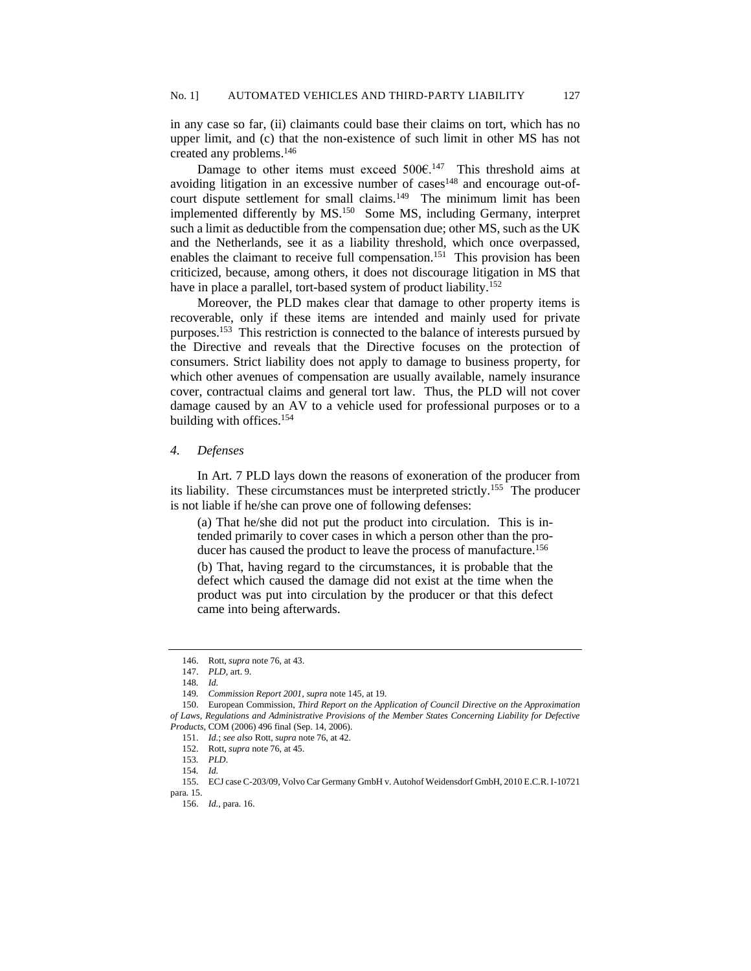in any case so far, (ii) claimants could base their claims on tort, which has no upper limit, and (c) that the non-existence of such limit in other MS has not created any problems.<sup>146</sup>

Damage to other items must exceed  $500 \text{E}^{147}$  This threshold aims at avoiding litigation in an excessive number of cases<sup>148</sup> and encourage out-ofcourt dispute settlement for small claims.<sup>149</sup> The minimum limit has been implemented differently by MS.<sup>150</sup> Some MS, including Germany, interpret such a limit as deductible from the compensation due; other MS, such as the UK and the Netherlands, see it as a liability threshold, which once overpassed, enables the claimant to receive full compensation.<sup>151</sup> This provision has been criticized, because, among others, it does not discourage litigation in MS that have in place a parallel, tort-based system of product liability.<sup>152</sup>

Moreover, the PLD makes clear that damage to other property items is recoverable, only if these items are intended and mainly used for private purposes.<sup>153</sup> This restriction is connected to the balance of interests pursued by the Directive and reveals that the Directive focuses on the protection of consumers. Strict liability does not apply to damage to business property, for which other avenues of compensation are usually available, namely insurance cover, contractual claims and general tort law. Thus, the PLD will not cover damage caused by an AV to a vehicle used for professional purposes or to a building with offices.<sup>154</sup>

#### *4. Defenses*

In Art. 7 PLD lays down the reasons of exoneration of the producer from its liability. These circumstances must be interpreted strictly.<sup>155</sup> The producer is not liable if he/she can prove one of following defenses:

(a) That he/she did not put the product into circulation. This is intended primarily to cover cases in which a person other than the producer has caused the product to leave the process of manufacture.<sup>156</sup>

(b) That, having regard to the circumstances, it is probable that the defect which caused the damage did not exist at the time when the product was put into circulation by the producer or that this defect came into being afterwards.

<sup>146.</sup> Rott, *supra* note 76, at 43.

<sup>147.</sup> *PLD*, art. 9.

<sup>148</sup>*. Id.*

<sup>149</sup>*. Commission Report 2001, supra* note 145, at 19.

<sup>150.</sup> European Commission, *Third Report on the Application of Council Directive on the Approximation of Laws, Regulations and Administrative Provisions of the Member States Concerning Liability for Defective Products*, COM (2006) 496 final (Sep. 14, 2006).

<sup>151.</sup> *Id.*; *see also* Rott, *supra* note 76, at 42.

<sup>152.</sup> Rott, *supra* note 76, at 45.

<sup>153</sup>*. PLD*.

<sup>154</sup>*. Id.*

<sup>155.</sup> ECJ case C-203/09, Volvo Car Germany GmbH v. Autohof Weidensdorf GmbH, 2010 E.C.R. I-10721 para. 15.

<sup>156.</sup> *Id.*, para. 16.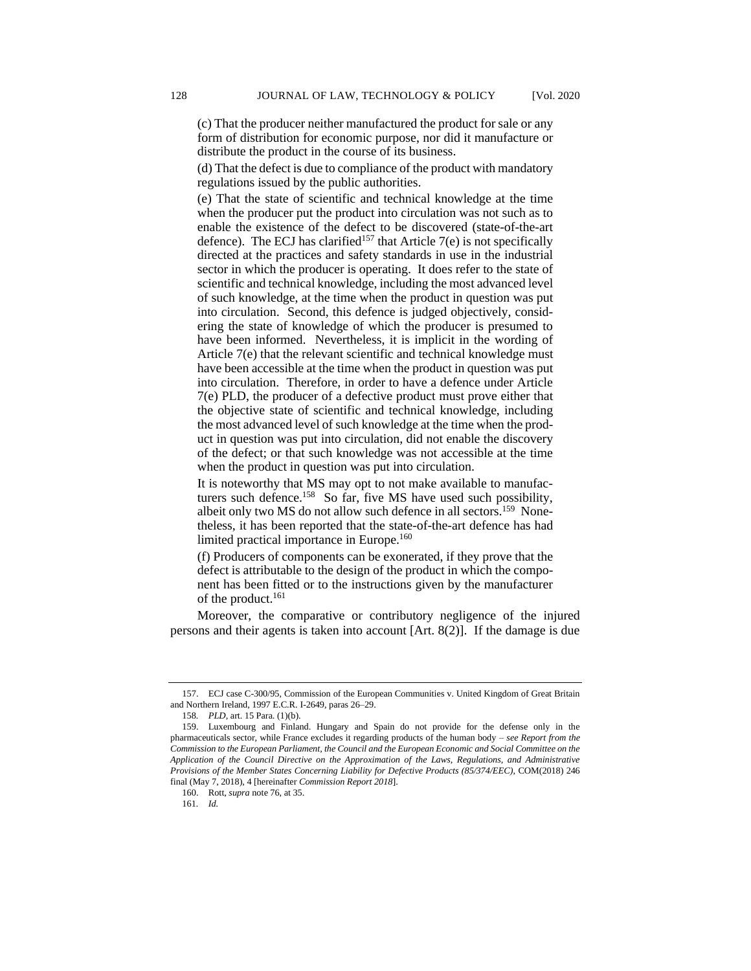(c) That the producer neither manufactured the product for sale or any form of distribution for economic purpose, nor did it manufacture or distribute the product in the course of its business.

(d) That the defect is due to compliance of the product with mandatory regulations issued by the public authorities.

(e) That the state of scientific and technical knowledge at the time when the producer put the product into circulation was not such as to enable the existence of the defect to be discovered (state-of-the-art defence). The ECJ has clarified<sup>157</sup> that Article  $7(e)$  is not specifically directed at the practices and safety standards in use in the industrial sector in which the producer is operating. It does refer to the state of scientific and technical knowledge, including the most advanced level of such knowledge, at the time when the product in question was put into circulation. Second, this defence is judged objectively, considering the state of knowledge of which the producer is presumed to have been informed. Nevertheless, it is implicit in the wording of Article 7(e) that the relevant scientific and technical knowledge must have been accessible at the time when the product in question was put into circulation. Therefore, in order to have a defence under Article 7(e) PLD, the producer of a defective product must prove either that the objective state of scientific and technical knowledge, including the most advanced level of such knowledge at the time when the product in question was put into circulation, did not enable the discovery of the defect; or that such knowledge was not accessible at the time when the product in question was put into circulation.

It is noteworthy that MS may opt to not make available to manufacturers such defence.<sup>158</sup> So far, five MS have used such possibility, albeit only two MS do not allow such defence in all sectors.<sup>159</sup> Nonetheless, it has been reported that the state-of-the-art defence has had limited practical importance in Europe.<sup>160</sup>

(f) Producers of components can be exonerated, if they prove that the defect is attributable to the design of the product in which the component has been fitted or to the instructions given by the manufacturer of the product.<sup>161</sup>

Moreover, the comparative or contributory negligence of the injured persons and their agents is taken into account [Art. 8(2)]. If the damage is due

<sup>157.</sup> ECJ case C-300/95, Commission of the European Communities v. United Kingdom of Great Britain and Northern Ireland, 1997 E.C.R. I-2649, paras 26–29.

<sup>158</sup>*. PLD,* art. 15 Para. (1)(b).

<sup>159.</sup> Luxembourg and Finland. Hungary and Spain do not provide for the defense only in the pharmaceuticals sector, while France excludes it regarding products of the human body – *see Report from the Commission to the European Parliament, the Council and the European Economic and Social Committee on the Application of the Council Directive on the Approximation of the Laws, Regulations, and Administrative Provisions of the Member States Concerning Liability for Defective Products (85/374/EEC)*, COM(2018) 246 final (May 7, 2018), 4 [hereinafter *Commission Report 2018*].

<sup>160.</sup> Rott, *supra* note 76, at 35.

<sup>161</sup>*. Id.*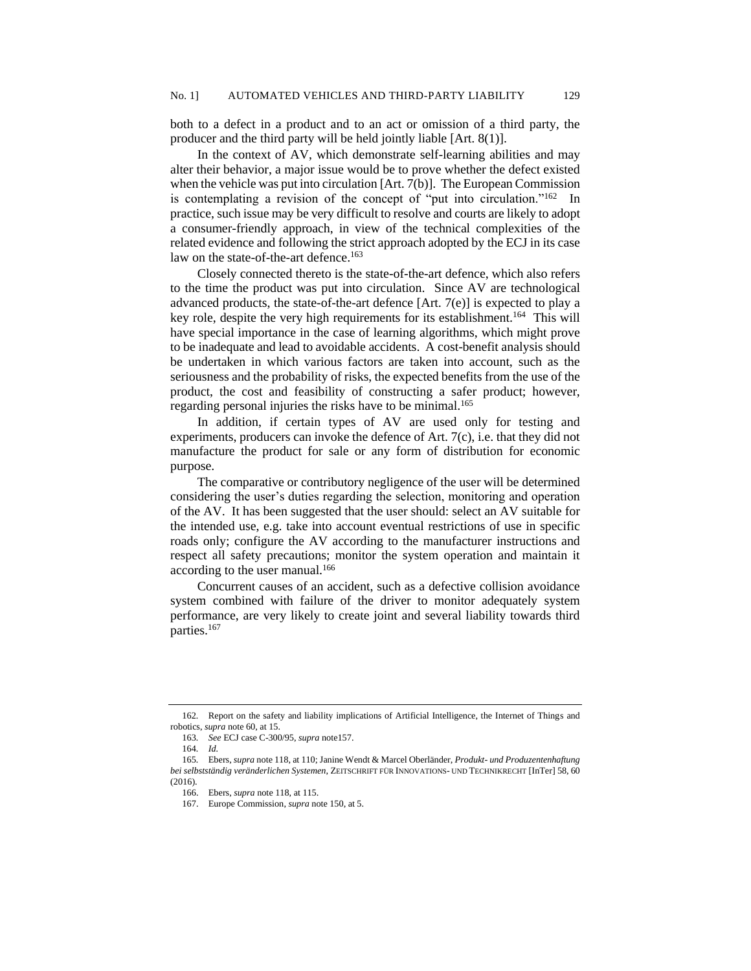both to a defect in a product and to an act or omission of a third party, the producer and the third party will be held jointly liable [Art. 8(1)].

In the context of AV, which demonstrate self-learning abilities and may alter their behavior, a major issue would be to prove whether the defect existed when the vehicle was put into circulation [Art. 7(b)]. The European Commission is contemplating a revision of the concept of "put into circulation."<sup>162</sup> In practice, such issue may be very difficult to resolve and courts are likely to adopt a consumer-friendly approach, in view of the technical complexities of the related evidence and following the strict approach adopted by the ECJ in its case law on the state-of-the-art defence.<sup>163</sup>

Closely connected thereto is the state-of-the-art defence, which also refers to the time the product was put into circulation. Since AV are technological advanced products, the state-of-the-art defence [Art. 7(e)] is expected to play a key role, despite the very high requirements for its establishment.<sup>164</sup> This will have special importance in the case of learning algorithms, which might prove to be inadequate and lead to avoidable accidents. A cost-benefit analysis should be undertaken in which various factors are taken into account, such as the seriousness and the probability of risks, the expected benefits from the use of the product, the cost and feasibility of constructing a safer product; however, regarding personal injuries the risks have to be minimal.<sup>165</sup>

In addition, if certain types of AV are used only for testing and experiments, producers can invoke the defence of Art. 7(c), i.e. that they did not manufacture the product for sale or any form of distribution for economic purpose.

The comparative or contributory negligence of the user will be determined considering the user's duties regarding the selection, monitoring and operation of the AV. It has been suggested that the user should: select an AV suitable for the intended use, e.g. take into account eventual restrictions of use in specific roads only; configure the AV according to the manufacturer instructions and respect all safety precautions; monitor the system operation and maintain it according to the user manual.<sup>166</sup>

Concurrent causes of an accident, such as a defective collision avoidance system combined with failure of the driver to monitor adequately system performance, are very likely to create joint and several liability towards third parties.<sup>167</sup>

<sup>162</sup>*.* Report on the safety and liability implications of Artificial Intelligence, the Internet of Things and robotics, *supra* not[e 60,](#page-9-0) at 15.

<sup>163</sup>*. See* ECJ case C-300/95, *supra* note157.

<sup>164</sup>*. Id.*

<sup>165</sup>*.* Ebers, *supra* note 118, at 110; Janine Wendt & Marcel Oberländer, *Produkt- und Produzentenhaftung bei selbstständig veränderlichen Systemen*, ZEITSCHRIFT FÜR INNOVATIONS- UND TECHNIKRECHT [InTer] 58, 60 (2016).

<sup>166.</sup> Ebers, *supra* note 118, at 115.

<sup>167.</sup> Europe Commission, *supra* note 150, at 5.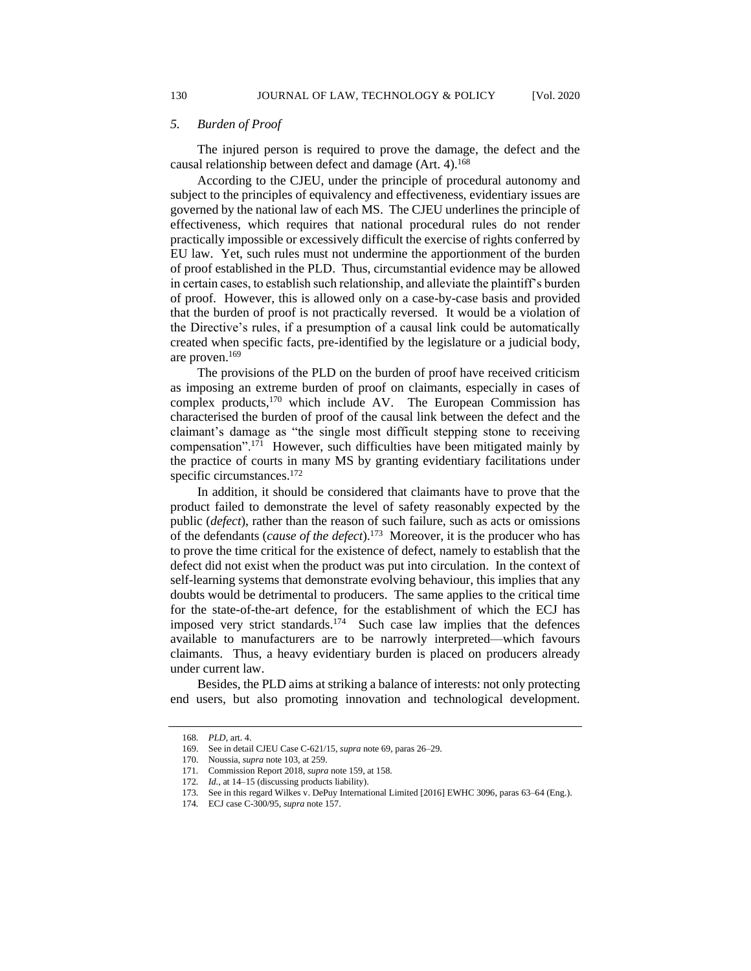## *5. Burden of Proof*

The injured person is required to prove the damage, the defect and the causal relationship between defect and damage (Art. 4).<sup>168</sup>

According to the CJEU, under the principle of procedural autonomy and subject to the principles of equivalency and effectiveness, evidentiary issues are governed by the national law of each MS. The CJEU underlines the principle of effectiveness, which requires that national procedural rules do not render practically impossible or excessively difficult the exercise of rights conferred by EU law. Yet, such rules must not undermine the apportionment of the burden of proof established in the PLD. Thus, circumstantial evidence may be allowed in certain cases, to establish such relationship, and alleviate the plaintiff's burden of proof. However, this is allowed only on a case-by-case basis and provided that the burden of proof is not practically reversed. It would be a violation of the Directive's rules, if a presumption of a causal link could be automatically created when specific facts, pre-identified by the legislature or a judicial body, are proven.<sup>169</sup>

The provisions of the PLD on the burden of proof have received criticism as imposing an extreme burden of proof on claimants, especially in cases of complex products,<sup>170</sup> which include AV. The European Commission has characterised the burden of proof of the causal link between the defect and the claimant's damage as "the single most difficult stepping stone to receiving compensation".<sup>171</sup> However, such difficulties have been mitigated mainly by the practice of courts in many MS by granting evidentiary facilitations under specific circumstances.<sup>172</sup>

In addition, it should be considered that claimants have to prove that the product failed to demonstrate the level of safety reasonably expected by the public (*defect*), rather than the reason of such failure, such as acts or omissions of the defendants (*cause of the defect*).<sup>173</sup> Moreover, it is the producer who has to prove the time critical for the existence of defect, namely to establish that the defect did not exist when the product was put into circulation. In the context of self-learning systems that demonstrate evolving behaviour, this implies that any doubts would be detrimental to producers. The same applies to the critical time for the state-of-the-art defence, for the establishment of which the ECJ has imposed very strict standards.<sup>174</sup> Such case law implies that the defences available to manufacturers are to be narrowly interpreted—which favours claimants. Thus, a heavy evidentiary burden is placed on producers already under current law.

Besides, the PLD aims at striking a balance of interests: not only protecting end users, but also promoting innovation and technological development.

<sup>168</sup>*. PLD*, art. 4.

<sup>169.</sup> See in detail CJEU Case C-621/15, *supra* not[e 69,](#page-10-0) paras 26–29.

<sup>170.</sup> Noussia, *supra* not[e 103,](#page-13-0) at 259.

<sup>171</sup>*.* Commission Report 2018, *supra* note 159, at 158*.*

<sup>172</sup>*. Id.*, at 14–15 (discussing products liability).

<sup>173</sup>*.* See in this regard Wilkes v. DePuy International Limited [2016] EWHC 3096, paras 63–64 (Eng.).

<sup>174</sup>*.* ECJ case C-300/95, *supra* note 157.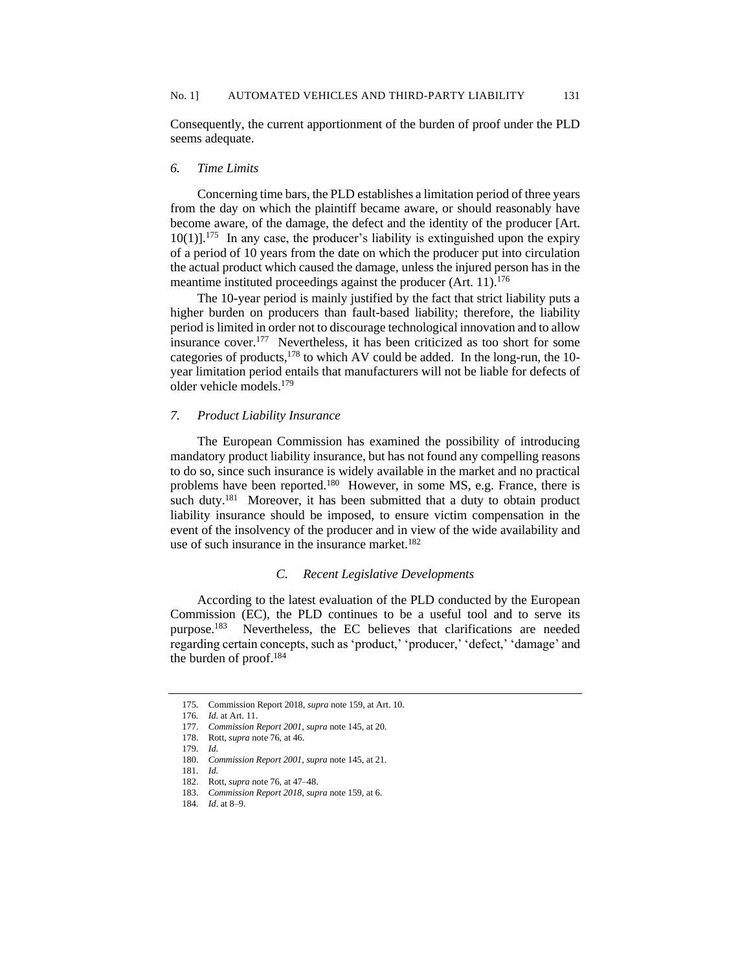Consequently, the current apportionment of the burden of proof under the PLD seems adequate.

## *6. Time Limits*

Concerning time bars, the PLD establishes a limitation period of three years from the day on which the plaintiff became aware, or should reasonably have become aware, of the damage, the defect and the identity of the producer [Art.  $10(1)$ ].<sup>175</sup> In any case, the producer's liability is extinguished upon the expiry of a period of 10 years from the date on which the producer put into circulation the actual product which caused the damage, unless the injured person has in the meantime instituted proceedings against the producer (Art. 11).<sup>176</sup>

The 10-year period is mainly justified by the fact that strict liability puts a higher burden on producers than fault-based liability; therefore, the liability period is limited in order not to discourage technological innovation and to allow insurance cover.<sup>177</sup> Nevertheless, it has been criticized as too short for some categories of products,  $178$  to which AV could be added. In the long-run, the 10year limitation period entails that manufacturers will not be liable for defects of older vehicle models.<sup>179</sup>

#### *7. Product Liability Insurance*

The European Commission has examined the possibility of introducing mandatory product liability insurance, but has not found any compelling reasons to do so, since such insurance is widely available in the market and no practical problems have been reported.<sup>180</sup> However, in some MS, e.g. France, there is such duty.<sup>181</sup> Moreover, it has been submitted that a duty to obtain product liability insurance should be imposed, to ensure victim compensation in the event of the insolvency of the producer and in view of the wide availability and use of such insurance in the insurance market.<sup>182</sup>

## *C. Recent Legislative Developments*

According to the latest evaluation of the PLD conducted by the European Commission (EC), the PLD continues to be a useful tool and to serve its purpose.<sup>183</sup> Nevertheless, the EC believes that clarifications are needed regarding certain concepts, such as 'product,' 'producer,' 'defect,' 'damage' and the burden of proof.<sup>184</sup>

<sup>175</sup>*.* Commission Report 2018, *supra* note 159, at Art. 10.

<sup>176</sup>*. Id.* at Art. 11.

<sup>177.</sup> *Commission Report 2001*, *supra* note 145, at 20.

<sup>178.</sup> Rott, *supra* note 76, at 46.

<sup>179</sup>*. Id.*

<sup>180.</sup> *Commission Report 2001*, *supra* note 145, at 21.

<sup>181</sup>*. Id.*

<sup>182.</sup> Rott, *supra* note 76, at 47–48.

<sup>183.</sup> *Commission Report 2018*, *supra* note 159, at 6.

<sup>184</sup>*. Id*. at 8–9.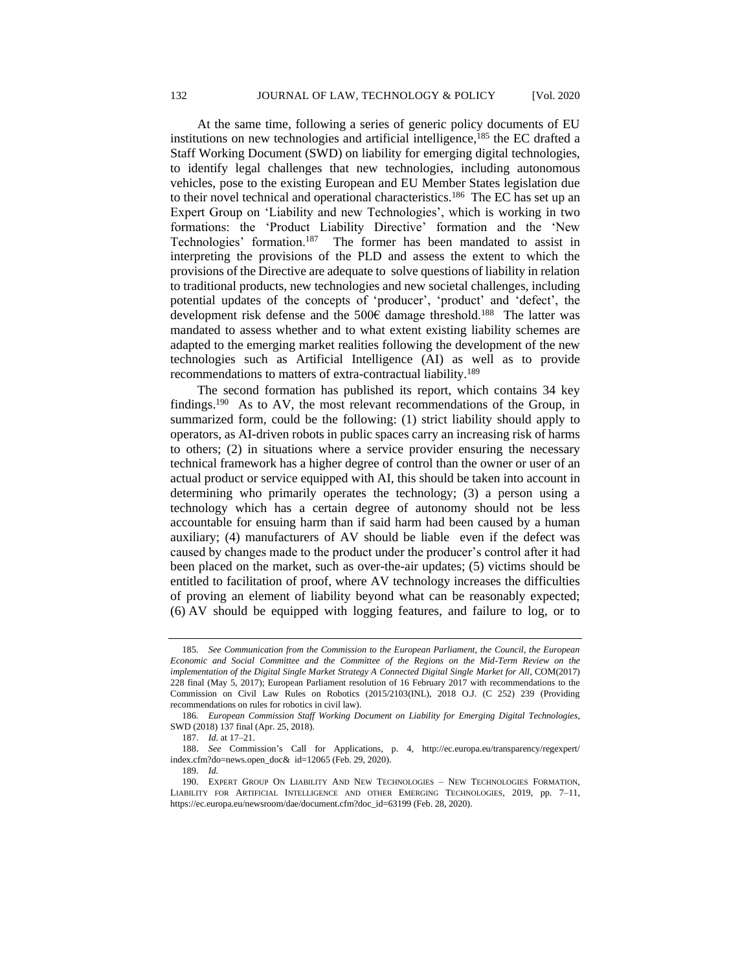At the same time, following a series of generic policy documents of EU institutions on new technologies and artificial intelligence, $185$  the EC drafted a Staff Working Document (SWD) on liability for emerging digital technologies, to identify legal challenges that new technologies, including autonomous vehicles, pose to the existing European and EU Member States legislation due to their novel technical and operational characteristics.<sup>186</sup> The EC has set up an Expert Group on 'Liability and new Technologies', which is working in two formations: the 'Product Liability Directive' formation and the 'New Technologies' formation.<sup>187</sup> The former has been mandated to assist in interpreting the provisions of the PLD and assess the extent to which the provisions of the Directive are adequate to solve questions of liability in relation to traditional products, new technologies and new societal challenges, including potential updates of the concepts of 'producer', 'product' and 'defect', the development risk defense and the 500€ damage threshold.<sup>188</sup> The latter was mandated to assess whether and to what extent existing liability schemes are adapted to the emerging market realities following the development of the new technologies such as Artificial Intelligence (AI) as well as to provide recommendations to matters of extra-contractual liability.<sup>189</sup>

The second formation has published its report, which contains 34 key findings.<sup>190</sup> As to AV, the most relevant recommendations of the Group, in summarized form, could be the following: (1) strict liability should apply to operators, as AI-driven robots in public spaces carry an increasing risk of harms to others; (2) in situations where a service provider ensuring the necessary technical framework has a higher degree of control than the owner or user of an actual product or service equipped with AI, this should be taken into account in determining who primarily operates the technology; (3) a person using a technology which has a certain degree of autonomy should not be less accountable for ensuing harm than if said harm had been caused by a human auxiliary; (4) manufacturers of AV should be liable even if the defect was caused by changes made to the product under the producer's control after it had been placed on the market, such as over-the-air updates; (5) victims should be entitled to facilitation of proof, where AV technology increases the difficulties of proving an element of liability beyond what can be reasonably expected; (6) AV should be equipped with logging features, and failure to log, or to

<sup>185</sup>*. See Communication from the Commission to the European Parliament, the Council, the European Economic and Social Committee and the Committee of the Regions on the Mid-Term Review on the implementation of the Digital Single Market Strategy A Connected Digital Single Market for All*, COM(2017) 228 final (May 5, 2017); European Parliament resolution of 16 February 2017 with recommendations to the Commission on Civil Law Rules on Robotics (2015/2103(INL), 2018 O.J. (C 252) 239 (Providing recommendations on rules for robotics in civil law).

<sup>186</sup>*. European Commission Staff Working Document on Liability for Emerging Digital Technologies*, SWD (2018) 137 final (Apr. 25, 2018).

<sup>187.</sup> *Id.* at 17–21.

<sup>188.</sup> *See* Commission's Call for Applications, p. 4, http://ec.europa.eu/transparency/regexpert/ index.cfm?do=news.open\_doc& id=12065 (Feb. 29, 2020).

<sup>189.</sup> *Id.*

<sup>190.</sup> EXPERT GROUP ON LIABILITY AND NEW TECHNOLOGIES – NEW TECHNOLOGIES FORMATION, LIABILITY FOR ARTIFICIAL INTELLIGENCE AND OTHER EMERGING TECHNOLOGIES, 2019, pp. 7–11, https://ec.europa.eu/newsroom/dae/document.cfm?doc\_id=63199 (Feb. 28, 2020).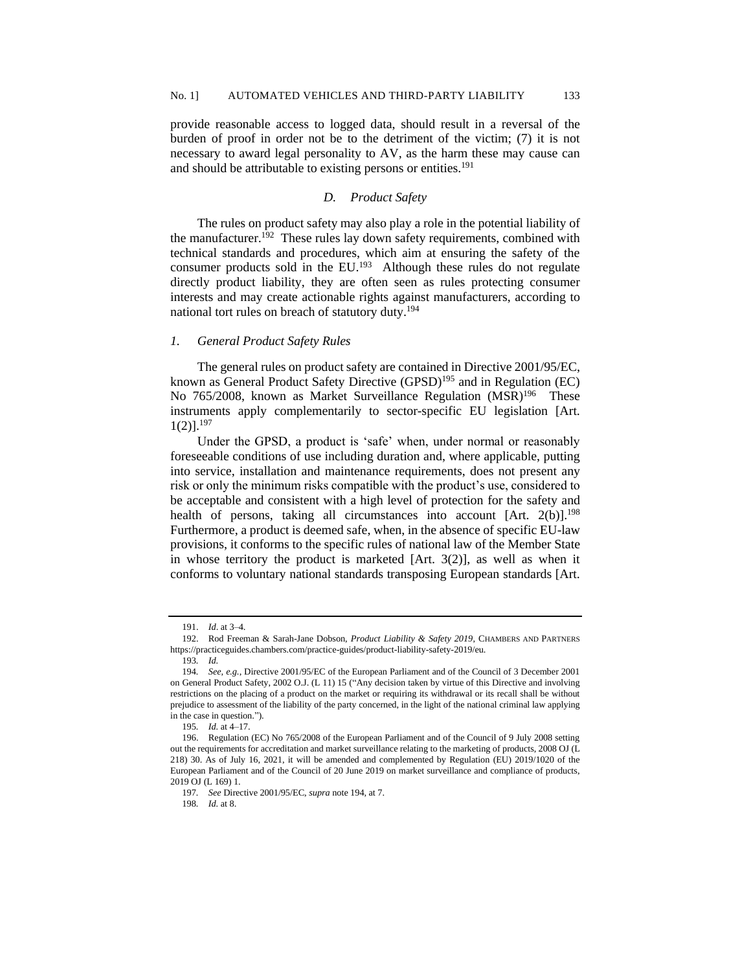provide reasonable access to logged data, should result in a reversal of the burden of proof in order not be to the detriment of the victim; (7) it is not necessary to award legal personality to AV, as the harm these may cause can and should be attributable to existing persons or entities.<sup>191</sup>

#### *D. Product Safety*

The rules on product safety may also play a role in the potential liability of the manufacturer.<sup>192</sup> These rules lay down safety requirements, combined with technical standards and procedures, which aim at ensuring the safety of the consumer products sold in the EU. $^{193}$  Although these rules do not regulate directly product liability, they are often seen as rules protecting consumer interests and may create actionable rights against manufacturers, according to national tort rules on breach of statutory duty.<sup>194</sup>

#### *1. General Product Safety Rules*

The general rules on product safety are contained in Directive 2001/95/EC, known as General Product Safety Directive (GPSD)<sup>195</sup> and in Regulation (EC) No 765/2008, known as Market Surveillance Regulation (MSR)<sup>196</sup> These instruments apply complementarily to sector-specific EU legislation [Art.  $1(2)$ ].<sup>197</sup>

Under the GPSD, a product is 'safe' when, under normal or reasonably foreseeable conditions of use including duration and, where applicable, putting into service, installation and maintenance requirements, does not present any risk or only the minimum risks compatible with the product's use, considered to be acceptable and consistent with a high level of protection for the safety and health of persons, taking all circumstances into account  $[Art. 2(b)]^{198}$ Furthermore, a product is deemed safe, when, in the absence of specific EU-law provisions, it conforms to the specific rules of national law of the Member State in whose territory the product is marketed  $[Art. 3(2)]$ , as well as when it conforms to voluntary national standards transposing European standards [Art.

<sup>191.</sup> *Id*. at 3–4.

<sup>192.</sup> Rod Freeman & Sarah-Jane Dobson, *Product Liability & Safety 2019*, CHAMBERS AND PARTNERS https://practiceguides.chambers.com/practice-guides/product-liability-safety-2019/eu.

<sup>193</sup>*. Id.*

<sup>194</sup>*. See, e.g.*, Directive 2001/95/EC of the European Parliament and of the Council of 3 December 2001 on General Product Safety, 2002 O.J. (L 11) 15 ("Any decision taken by virtue of this Directive and involving restrictions on the placing of a product on the market or requiring its withdrawal or its recall shall be without prejudice to assessment of the liability of the party concerned, in the light of the national criminal law applying in the case in question.").

<sup>195</sup>*. Id.* at 4–17.

<sup>196.</sup> Regulation (EC) No 765/2008 of the European Parliament and of the Council of 9 July 2008 setting out the requirements for accreditation and market surveillance relating to the marketing of products, 2008 OJ (L 218) 30. As of July 16, 2021, it will be amended and complemented by Regulation (EU) 2019/1020 of the European Parliament and of the Council of 20 June 2019 on market surveillance and compliance of products, 2019 OJ (L 169) 1.

<sup>197</sup>*. See* Directive 2001/95/EC, *supra* note 194*,* at 7.

<sup>198</sup>*. Id.* at 8.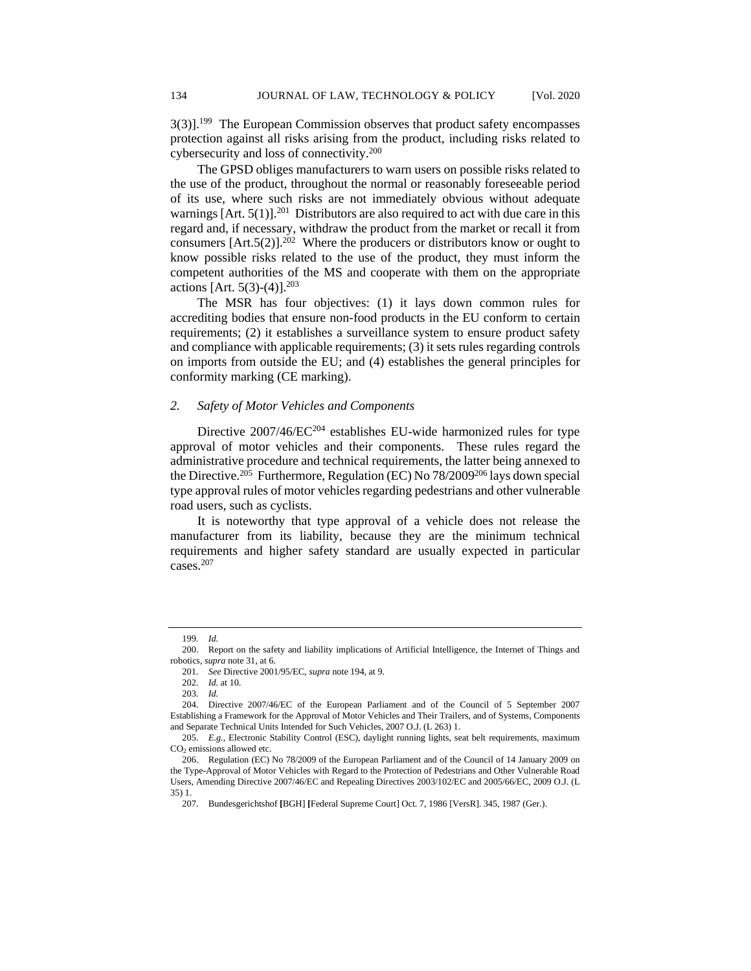3(3)].<sup>199</sup> The European Commission observes that product safety encompasses protection against all risks arising from the product, including risks related to cybersecurity and loss of connectivity.<sup>200</sup>

The GPSD obliges manufacturers to warn users on possible risks related to the use of the product, throughout the normal or reasonably foreseeable period of its use, where such risks are not immediately obvious without adequate warnings  $[Art. 5(1)]^{201}$  Distributors are also required to act with due care in this regard and, if necessary, withdraw the product from the market or recall it from consumers  $[Art.5(2)]^{202}$  Where the producers or distributors know or ought to know possible risks related to the use of the product, they must inform the competent authorities of the MS and cooperate with them on the appropriate actions [Art. 5(3)-(4)].<sup>203</sup>

The MSR has four objectives: (1) it lays down common rules for accrediting bodies that ensure non-food products in the EU conform to certain requirements; (2) it establishes a surveillance system to ensure product safety and compliance with applicable requirements; (3) it sets rules regarding controls on imports from outside the EU; and (4) establishes the general principles for conformity marking (CE marking).

## *2. Safety of Motor Vehicles and Components*

Directive 2007/46/EC<sup>204</sup> establishes EU-wide harmonized rules for type approval of motor vehicles and their components. These rules regard the administrative procedure and technical requirements, the latter being annexed to the Directive.<sup>205</sup> Furthermore, Regulation (EC) No 78/2009<sup>206</sup> lays down special type approval rules of motor vehicles regarding pedestrians and other vulnerable road users, such as cyclists.

It is noteworthy that type approval of a vehicle does not release the manufacturer from its liability, because they are the minimum technical requirements and higher safety standard are usually expected in particular cases.<sup>207</sup>

<sup>199</sup>*. Id.*

<sup>200.</sup> Report on the safety and liability implications of Artificial Intelligence, the Internet of Things and robotics, *supra* note 31, at 6.

<sup>201</sup>*. See* Directive 2001/95/EC, *supra* note 194, at 9.

<sup>202</sup>*. Id.* at 10.

<sup>203</sup>*. Id.*

<sup>204.</sup> Directive 2007/46/EC of the European Parliament and of the Council of 5 September 2007 Establishing a Framework for the Approval of Motor Vehicles and Their Trailers, and of Systems, Components and Separate Technical Units Intended for Such Vehicles, 2007 O.J. (L 263) 1.

<sup>205.</sup> *E.g.,* Electronic Stability Control (ESC), daylight running lights, seat belt requirements, maximum CO<sup>2</sup> emissions allowed etc.

<sup>206.</sup> Regulation (EC) No 78/2009 of the European Parliament and of the Council of 14 January 2009 on the Type-Approval of Motor Vehicles with Regard to the Protection of Pedestrians and Other Vulnerable Road Users, Amending Directive 2007/46/EC and Repealing Directives 2003/102/EC and 2005/66/EC, 2009 O.J. (L 35) 1.

<sup>207</sup>*.* Bundesgerichtshof **[**BGH] **[**Federal Supreme Court] Oct. 7, 1986 [VersR]. 345, 1987 (Ger.).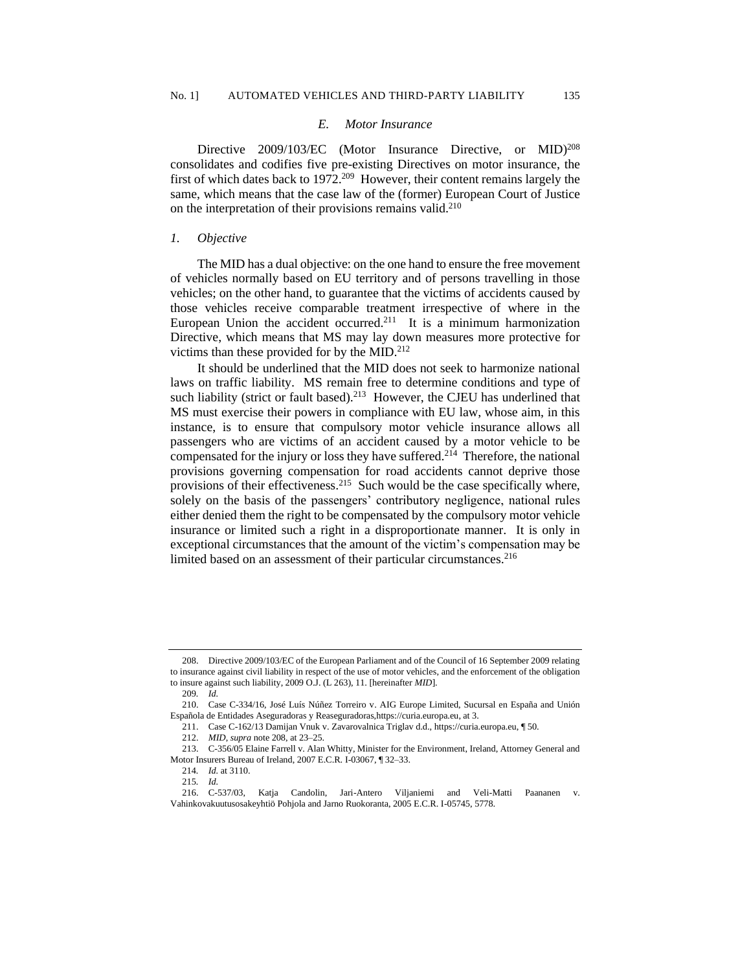#### *E. Motor Insurance*

Directive 2009/103/EC (Motor Insurance Directive, or MID)<sup>208</sup> consolidates and codifies five pre-existing Directives on motor insurance, the first of which dates back to 1972.<sup>209</sup> However, their content remains largely the same, which means that the case law of the (former) European Court of Justice on the interpretation of their provisions remains valid.<sup>210</sup>

#### *1. Objective*

The MID has a dual objective: on the one hand to ensure the free movement of vehicles normally based on EU territory and of persons travelling in those vehicles; on the other hand, to guarantee that the victims of accidents caused by those vehicles receive comparable treatment irrespective of where in the European Union the accident occurred.<sup>211</sup> It is a minimum harmonization Directive, which means that MS may lay down measures more protective for victims than these provided for by the MID.<sup>212</sup>

It should be underlined that the MID does not seek to harmonize national laws on traffic liability. MS remain free to determine conditions and type of such liability (strict or fault based). $213$  However, the CJEU has underlined that MS must exercise their powers in compliance with EU law, whose aim, in this instance, is to ensure that compulsory motor vehicle insurance allows all passengers who are victims of an accident caused by a motor vehicle to be compensated for the injury or loss they have suffered.<sup>214</sup> Therefore, the national provisions governing compensation for road accidents cannot deprive those provisions of their effectiveness.<sup>215</sup> Such would be the case specifically where, solely on the basis of the passengers' contributory negligence, national rules either denied them the right to be compensated by the compulsory motor vehicle insurance or limited such a right in a disproportionate manner. It is only in exceptional circumstances that the amount of the victim's compensation may be limited based on an assessment of their particular circumstances.<sup>216</sup>

<sup>208.</sup> Directive 2009/103/EC of the European Parliament and of the Council of 16 September 2009 relating to insurance against civil liability in respect of the use of motor vehicles, and the enforcement of the obligation to insure against such liability, 2009 O.J. (L 263), 11. [hereinafter *MID*].

<sup>209</sup>*. Id.*

<sup>210.</sup> Case C-334/16, José Luís Núñez Torreiro v. AIG Europe Limited, Sucursal en España and Unión Española de Entidades Aseguradoras y Reaseguradora[s,https://curia.europa.eu,](https://curia.europa.eu/) at 3.

<sup>211.</sup> Case C-162/13 Damijan Vnuk v. Zavarovalnica Triglav d.d., https://curia.europa.eu, [¶ 50.](https://eur-lex.europa.eu/legal-content/redirect/?urn=ecli:ECLI%3AEU%3AC%3A2014%3A2146&lang=EN&format=html&target=CourtTab&anchor=#point50)

<sup>212.</sup> *MID*, *supra* note 208, at 23–25.

<sup>213.</sup> C-356/05 Elaine Farrell v. Alan Whitty, Minister for the Environment, Ireland, Attorney General and Motor Insurers Bureau of Ireland, 2007 E.C.R. I-03067, ¶ 32–33.

<sup>214</sup>*. Id.* at 3110.

<sup>215</sup>*. Id.*

<sup>216.</sup> C-537/03, Katja Candolin, Jari-Antero Viljaniemi and Veli-Matti Paananen v. Vahinkovakuutusosakeyhtiö Pohjola and Jarno Ruokoranta, 2005 E.C.R. I-05745, 5778.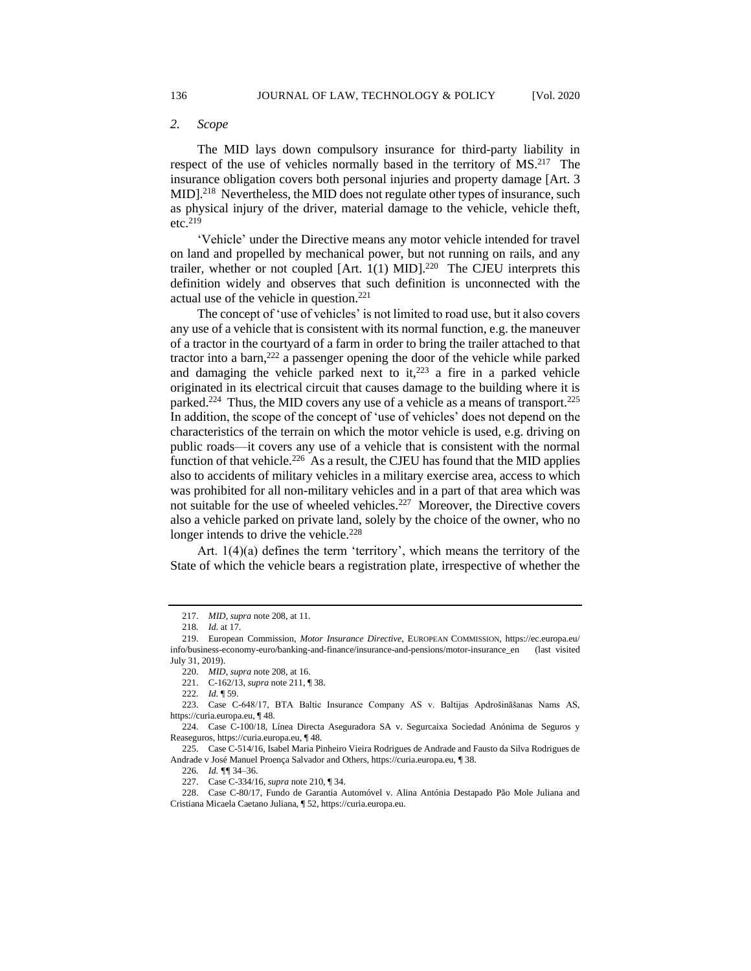The MID lays down compulsory insurance for third-party liability in respect of the use of vehicles normally based in the territory of MS.<sup>217</sup> The insurance obligation covers both personal injuries and property damage [Art. 3 MID].<sup>218</sup> Nevertheless, the MID does not regulate other types of insurance, such as physical injury of the driver, material damage to the vehicle, vehicle theft, etc.<sup>219</sup>

'Vehicle' under the Directive means any motor vehicle intended for travel on land and propelled by mechanical power, but not running on rails, and any trailer, whether or not coupled  $[Art. 1(1) MID].<sup>220</sup>$  The CJEU interprets this definition widely and observes that such definition is unconnected with the actual use of the vehicle in question.<sup>221</sup>

The concept of 'use of vehicles' is not limited to road use, but it also covers any use of a vehicle that is consistent with its normal function, e.g. the maneuver of a tractor in the courtyard of a farm in order to bring the trailer attached to that tractor into a barn,<sup>222</sup> a passenger opening the door of the vehicle while parked and damaging the vehicle parked next to it,  $223$  a fire in a parked vehicle originated in its electrical circuit that causes damage to the building where it is parked.<sup>224</sup> Thus, the MID covers any use of a vehicle as a means of transport.<sup>225</sup> In addition, the scope of the concept of 'use of vehicles' does not depend on the characteristics of the terrain on which the motor vehicle is used, e.g. driving on public roads—it covers any use of a vehicle that is consistent with the normal function of that vehicle.<sup>226</sup> As a result, the CJEU has found that the MID applies also to accidents of military vehicles in a military exercise area, access to which was prohibited for all non-military vehicles and in a part of that area which was not suitable for the use of wheeled vehicles.<sup>227</sup> Moreover, the Directive covers also a vehicle parked on private land, solely by the choice of the owner, who no longer intends to drive the vehicle.<sup>228</sup>

Art. 1(4)(a) defines the term 'territory', which means the territory of the State of which the vehicle bears a registration plate, irrespective of whether the

<sup>217.</sup> *MID*, *supra* note 208, at 11.

<sup>218</sup>*. Id.* at 17.

<sup>219.</sup> European Commission, *Motor Insurance Directive*, EUROPEAN COMMISSION, https://ec.europa.eu/ info/business-economy-euro/banking-and-finance/insurance-and-pensions/motor-insurance\_en (last visited July 31, 2019).

<sup>220.</sup> *MID*, *supra* note 208, at 16.

<sup>221.</sup> C-162/13, *supra* note 211, ¶ 38.

<sup>222</sup>*. Id.* ¶ 59.

<sup>223.</sup> Case C-648/17, BTA Baltic Insurance Company AS v. Baltijas Apdrošināšanas Nams AS, https://curia.europa.eu, ¶ 48.

<sup>224.</sup> Case C-100/18, Línea Directa Aseguradora SA v. Segurcaixa Sociedad Anónima de Seguros y Reaseguros, https://curia.europa.eu, ¶ 48.

<sup>225.</sup> Case C-514/16, Isabel Maria Pinheiro Vieira Rodrigues de Andrade and Fausto da Silva Rodrigues de Andrade v José Manuel Proença Salvador and Others, https://curia.europa.eu, ¶ 38.

<sup>226</sup>*. Id. ¶¶* 34–36.

<sup>227.</sup> Case C-334/16, *supra* note 210, ¶ 34.

<sup>228.</sup> Case C-80/17, Fundo de Garantia Automóvel v. Alina Antónia Destapado Pão Mole Juliana and Cristiana Micaela Caetano Juliana, ¶ 52, https://curia.europa.eu.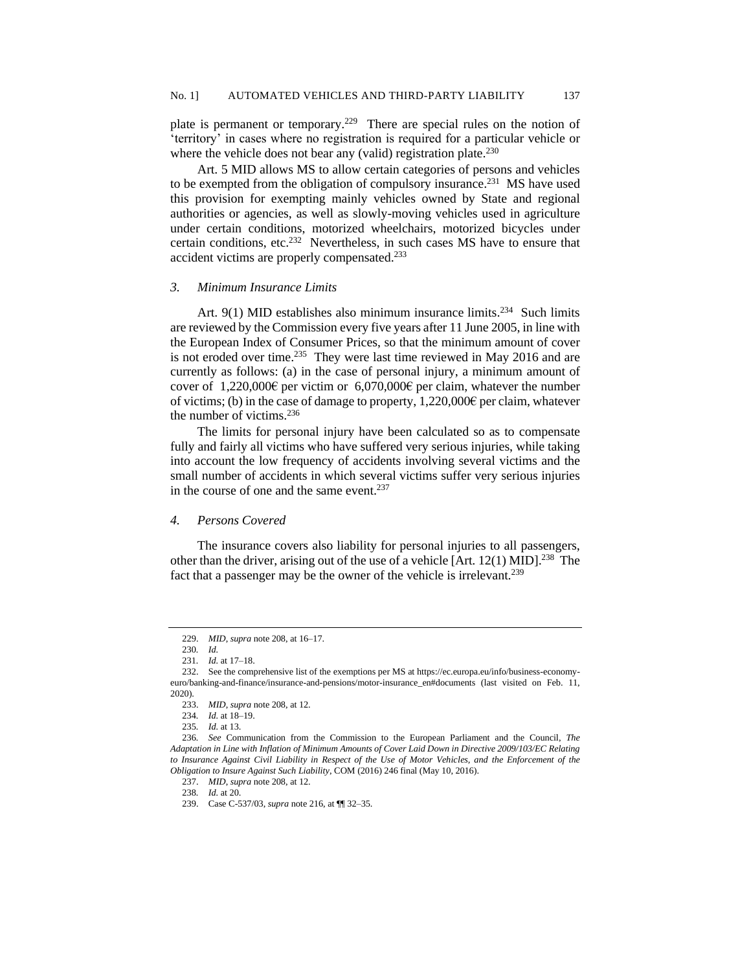plate is permanent or temporary.<sup>229</sup> There are special rules on the notion of 'territory' in cases where no registration is required for a particular vehicle or where the vehicle does not bear any (valid) registration plate.<sup>230</sup>

Art. 5 MID allows MS to allow certain categories of persons and vehicles to be exempted from the obligation of compulsory insurance.<sup>231</sup> MS have used this provision for exempting mainly vehicles owned by State and regional authorities or agencies, as well as slowly-moving vehicles used in agriculture under certain conditions, motorized wheelchairs, motorized bicycles under certain conditions, etc.<sup>232</sup> Nevertheless, in such cases MS have to ensure that accident victims are properly compensated.<sup>233</sup>

#### *3. Minimum Insurance Limits*

Art.  $9(1)$  MID establishes also minimum insurance limits.<sup>234</sup> Such limits are reviewed by the Commission every five years after 11 June 2005, in line with the European Index of Consumer Prices, so that the minimum amount of cover is not eroded over time.<sup>235</sup> They were last time reviewed in May 2016 and are currently as follows: (a) in the case of personal injury, a minimum amount of cover of 1,220,000€ per victim or 6,070,000€ per claim, whatever the number of victims; (b) in the case of damage to property,  $1,220,000\epsilon$  per claim, whatever the number of victims.<sup>236</sup>

The limits for personal injury have been calculated so as to compensate fully and fairly all victims who have suffered very serious injuries, while taking into account the low frequency of accidents involving several victims and the small number of accidents in which several victims suffer very serious injuries in the course of one and the same event.<sup>237</sup>

#### *4. Persons Covered*

The insurance covers also liability for personal injuries to all passengers, other than the driver, arising out of the use of a vehicle [Art.  $12(1)$  MID].<sup>238</sup> The fact that a passenger may be the owner of the vehicle is irrelevant.<sup>239</sup>

<sup>229.</sup> *MID*, *supra* note 208, at 16–17.

<sup>230</sup>*. Id.*

<sup>231</sup>*. Id.* at 17–18.

<sup>232.</sup> See the comprehensive list of the exemptions per MS at https://ec.europa.eu/info/business-economyeuro/banking-and-finance/insurance-and-pensions/motor-insurance\_en#documents (last visited on Feb. 11, 2020).

<sup>233.</sup> *MID*, *supra* note 208, at 12.

<sup>234</sup>*. Id.* at 18–19.

<sup>235</sup>*. Id.* at 13.

<sup>236</sup>*. See* Communication from the Commission to the European Parliament and the Council, *The Adaptation in Line with Inflation of Minimum Amounts of Cover Laid Down in Directive 2009/103/EC Relating to Insurance Against Civil Liability in Respect of the Use of Motor Vehicles, and the Enforcement of the Obligation to Insure Against Such Liability*, COM (2016) 246 final (May 10, 2016).

<sup>237.</sup> *MID*, *supra* note 208, at 12.

<sup>238</sup>*. Id.* at 20.

<sup>239.</sup> Case C-537/03, *supra* note 216, at ¶¶ 32–35.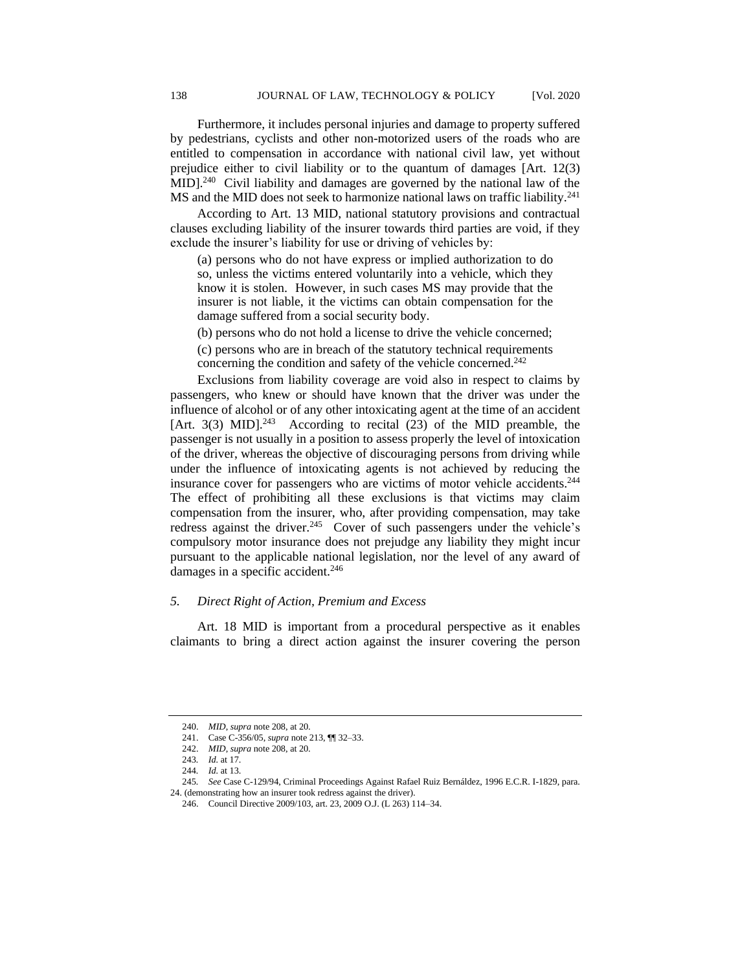Furthermore, it includes personal injuries and damage to property suffered by pedestrians, cyclists and other non-motorized users of the roads who are entitled to compensation in accordance with national civil law, yet without prejudice either to civil liability or to the quantum of damages [Art. 12(3) MID].<sup>240</sup> Civil liability and damages are governed by the national law of the MS and the MID does not seek to harmonize national laws on traffic liability.<sup>241</sup>

According to Art. 13 MID, national statutory provisions and contractual clauses excluding liability of the insurer towards third parties are void, if they exclude the insurer's liability for use or driving of vehicles by:

(a) persons who do not have express or implied authorization to do so, unless the victims entered voluntarily into a vehicle, which they know it is stolen. However, in such cases MS may provide that the insurer is not liable, it the victims can obtain compensation for the damage suffered from a social security body.

(b) persons who do not hold a license to drive the vehicle concerned;

(c) persons who are in breach of the statutory technical requirements concerning the condition and safety of the vehicle concerned.<sup>242</sup>

Exclusions from liability coverage are void also in respect to claims by passengers, who knew or should have known that the driver was under the influence of alcohol or of any other intoxicating agent at the time of an accident [Art. 3(3) MID]. $^{243}$  According to recital (23) of the MID preamble, the passenger is not usually in a position to assess properly the level of intoxication of the driver, whereas the objective of discouraging persons from driving while under the influence of intoxicating agents is not achieved by reducing the insurance cover for passengers who are victims of motor vehicle accidents.<sup>244</sup> The effect of prohibiting all these exclusions is that victims may claim compensation from the insurer, who, after providing compensation, may take redress against the driver.<sup>245</sup> Cover of such passengers under the vehicle's compulsory motor insurance does not prejudge any liability they might incur pursuant to the applicable national legislation, nor the level of any award of damages in a specific accident.<sup>246</sup>

## *5. Direct Right of Action, Premium and Excess*

Art. 18 MID is important from a procedural perspective as it enables claimants to bring a direct action against the insurer covering the person

24. (demonstrating how an insurer took redress against the driver).

<sup>240.</sup> *MID*, *supra* note 208, at 20.

<sup>241.</sup> Case C-356/05, *supra* note 213, ¶¶ 32–33.

<sup>242.</sup> *MID*, *supra* note 208, at 20.

<sup>243</sup>*. Id.* at 17.

<sup>244</sup>*. Id.* at 13.

<sup>245</sup>*. See* Case C-129/94, Criminal Proceedings Against Rafael Ruiz Bernáldez, 1996 E.C.R. I-1829, para.

<sup>246.</sup> Council Directive 2009/103, art. 23, 2009 O.J. (L 263) 114–34.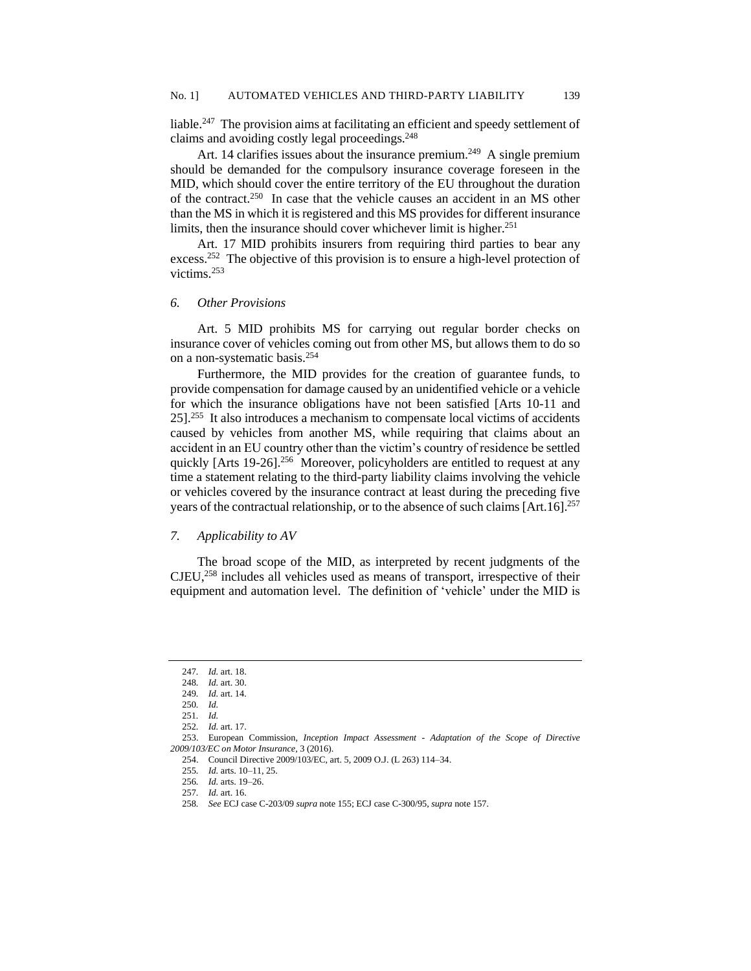liable.<sup>247</sup> The provision aims at facilitating an efficient and speedy settlement of claims and avoiding costly legal proceedings.<sup>248</sup>

Art. 14 clarifies issues about the insurance premium.<sup>249</sup> A single premium should be demanded for the compulsory insurance coverage foreseen in the MID, which should cover the entire territory of the EU throughout the duration of the contract. 250 In case that the vehicle causes an accident in an MS other than the MS in which it is registered and this MS provides for different insurance limits, then the insurance should cover whichever limit is higher.<sup>251</sup>

Art. 17 MID prohibits insurers from requiring third parties to bear any excess.<sup>252</sup> The objective of this provision is to ensure a high-level protection of victims.<sup>253</sup>

#### *6. Other Provisions*

Art. 5 MID prohibits MS for carrying out regular border checks on insurance cover of vehicles coming out from other MS, but allows them to do so on a non-systematic basis.<sup>254</sup>

Furthermore, the MID provides for the creation of guarantee funds, to provide compensation for damage caused by an unidentified vehicle or a vehicle for which the insurance obligations have not been satisfied [Arts 10-11 and 25]. 255 It also introduces a mechanism to compensate local victims of accidents caused by vehicles from another MS, while requiring that claims about an accident in an EU country other than the victim's country of residence be settled quickly [Arts 19-26]. 256 Moreover, policyholders are entitled to request at any time a statement relating to the third-party liability claims involving the vehicle or vehicles covered by the insurance contract at least during the preceding five years of the contractual relationship, or to the absence of such claims [Art.16].<sup>257</sup>

#### *7. Applicability to AV*

The broad scope of the MID, as interpreted by recent judgments of the CJEU,<sup>258</sup> includes all vehicles used as means of transport, irrespective of their equipment and automation level. The definition of 'vehicle' under the MID is

<sup>247</sup>*. Id.* art. 18.

<sup>248</sup>*. Id.* art. 30.

<sup>249</sup>*. Id.* art. 14.

<sup>250</sup>*. Id.*

<sup>251</sup>*. Id.*

<sup>252</sup>*. Id.* art. 17.

<sup>253.</sup> European Commission, *Inception Impact Assessment - Adaptation of the Scope of Directive 2009/103/EC on Motor Insurance,* 3 (2016).

<sup>254.</sup> Council Directive 2009/103/EC, art. 5, 2009 O.J. (L 263) 114–34.

<sup>255</sup>*. Id.* arts. 10–11, 25.

<sup>256</sup>*. Id.* arts. 19–26.

<sup>257</sup>*. Id.* art. 16.

<sup>258</sup>*. See* ECJ case C-203/09 *supra* note 155; ECJ case C-300/95, *supra* note 157.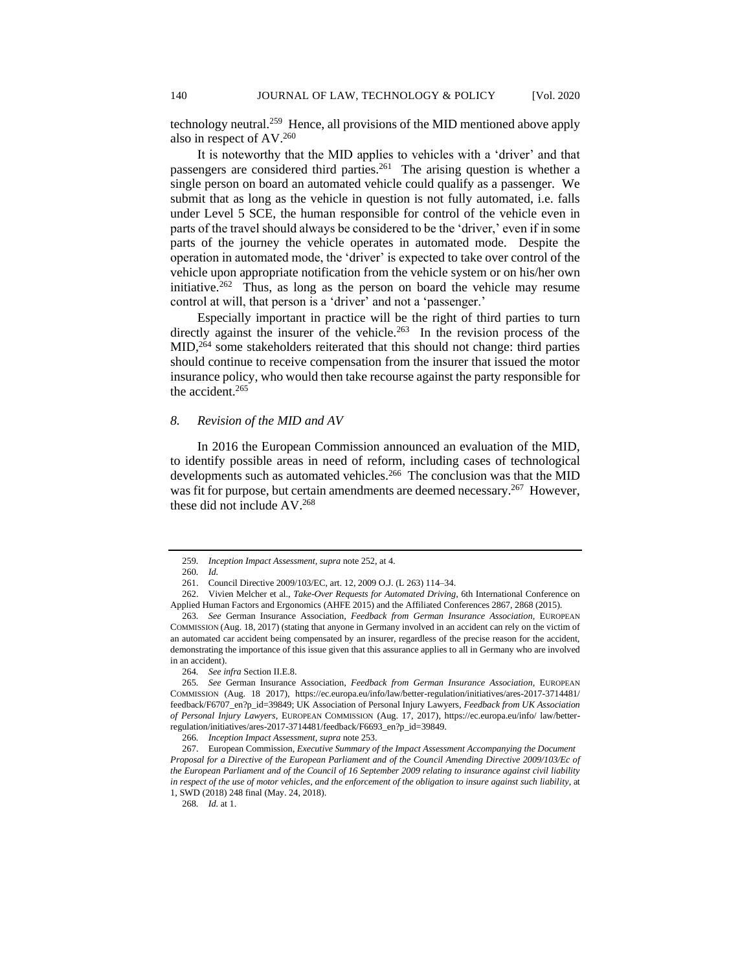technology neutral.<sup>259</sup> Hence, all provisions of the MID mentioned above apply also in respect of AV.<sup>260</sup>

It is noteworthy that the MID applies to vehicles with a 'driver' and that passengers are considered third parties.<sup>261</sup> The arising question is whether a single person on board an automated vehicle could qualify as a passenger. We submit that as long as the vehicle in question is not fully automated, i.e. falls under Level 5 SCE, the human responsible for control of the vehicle even in parts of the travel should always be considered to be the 'driver,' even if in some parts of the journey the vehicle operates in automated mode. Despite the operation in automated mode, the 'driver' is expected to take over control of the vehicle upon appropriate notification from the vehicle system or on his/her own initiative.<sup>262</sup> Thus, as long as the person on board the vehicle may resume control at will, that person is a 'driver' and not a 'passenger.'

Especially important in practice will be the right of third parties to turn directly against the insurer of the vehicle.<sup>263</sup> In the revision process of the MID,<sup>264</sup> some stakeholders reiterated that this should not change: third parties should continue to receive compensation from the insurer that issued the motor insurance policy, who would then take recourse against the party responsible for the accident.<sup>265</sup>

#### *8. Revision of the MID and AV*

In 2016 the European Commission announced an evaluation of the MID, to identify possible areas in need of reform, including cases of technological developments such as automated vehicles.<sup>266</sup> The conclusion was that the MID was fit for purpose, but certain amendments are deemed necessary.<sup>267</sup> However, these did not include AV.<sup>268</sup>

<sup>259</sup>*. Inception Impact Assessment, supra* note 252, at 4.

<sup>260</sup>*. Id.*

<sup>261.</sup> Council Directive 2009/103/EC, art. 12, 2009 O.J. (L 263) 114–34.

<sup>262.</sup> Vivien Melcher et al., *Take-Over Requests for Automated Driving*, 6th International Conference on Applied Human Factors and Ergonomics (AHFE 2015) and the Affiliated Conferences 2867, 2868 (2015).

<sup>263</sup>*. See* German Insurance Association, *Feedback from German Insurance Association*, EUROPEAN COMMISSION (Aug. 18, 2017) (stating that anyone in Germany involved in an accident can rely on the victim of an automated car accident being compensated by an insurer, regardless of the precise reason for the accident, demonstrating the importance of this issue given that this assurance applies to all in Germany who are involved in an accident).

<sup>264</sup>*. See infra* Section II.E.8.

<sup>265</sup>*. See* German Insurance Association, *Feedback from German Insurance Association*, EUROPEAN COMMISSION (Aug. 18 2017), https://ec.europa.eu/info/law/better-regulation/initiatives/ares-2017-3714481/ feedback/F6707\_en?p\_id=39849; UK Association of Personal Injury Lawyers, *Feedback from UK Association of Personal Injury Lawyers*, EUROPEAN COMMISSION (Aug. 17, 2017), https://ec.europa.eu/info/ law/betterregulation/initiatives/ares-2017-3714481/feedback/F6693\_en?p\_id=39849.

<sup>266</sup>*. Inception Impact Assessment, supra* note 253.

<sup>267.</sup> European Commission, *Executive Summary of the Impact Assessment Accompanying the Document Proposal for a Directive of the European Parliament and of the Council Amending Directive 2009/103/Ec of the European Parliament and of the Council of 16 September 2009 relating to insurance against civil liability in respect of the use of motor vehicles, and the enforcement of the obligation to insure against such liability*, at 1, SWD (2018) 248 final (May. 24, 2018).

<sup>268</sup>*. Id.* at 1.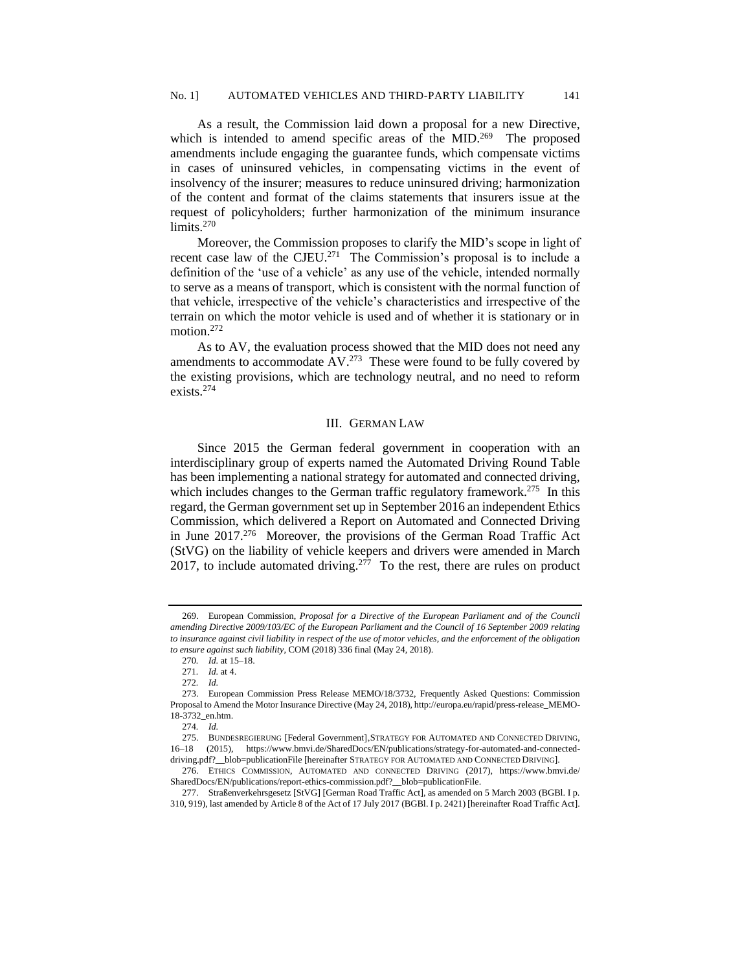As a result, the Commission laid down a proposal for a new Directive, which is intended to amend specific areas of the MID.<sup>269</sup> The proposed amendments include engaging the guarantee funds, which compensate victims in cases of uninsured vehicles, in compensating victims in the event of insolvency of the insurer; measures to reduce uninsured driving; harmonization of the content and format of the claims statements that insurers issue at the request of policyholders; further harmonization of the minimum insurance limits.<sup>270</sup>

Moreover, the Commission proposes to clarify the MID's scope in light of recent case law of the CJEU.<sup>271</sup> The Commission's proposal is to include a definition of the 'use of a vehicle' as any use of the vehicle, intended normally to serve as a means of transport, which is consistent with the normal function of that vehicle, irrespective of the vehicle's characteristics and irrespective of the terrain on which the motor vehicle is used and of whether it is stationary or in motion.<sup>272</sup>

As to AV, the evaluation process showed that the MID does not need any amendments to accommodate  $AV^{273}$  These were found to be fully covered by the existing provisions, which are technology neutral, and no need to reform exists.<sup>274</sup>

#### III. GERMAN LAW

Since 2015 the German federal government in cooperation with an interdisciplinary group of experts named the Automated Driving Round Table has been implementing a national strategy for automated and connected driving, which includes changes to the German traffic regulatory framework.<sup>275</sup> In this regard, the German government set up in September 2016 an independent Ethics Commission, which delivered a Report on Automated and Connected Driving in June 2017.<sup>276</sup> Moreover, the provisions of the German Road Traffic Act (StVG) on the liability of vehicle keepers and drivers were amended in March 2017, to include automated driving.<sup>277</sup> To the rest, there are rules on product

<sup>269.</sup> European Commission, *Proposal for a Directive of the European Parliament and of the Council amending Directive 2009/103/EC of the European Parliament and the Council of 16 September 2009 relating to insurance against civil liability in respect of the use of motor vehicles, and the enforcement of the obligation to ensure against such liability*, COM (2018) 336 final (May 24, 2018).

<sup>270</sup>*. Id.* at 15–18.

<sup>271</sup>*. Id.* at 4.

<sup>272</sup>*. Id.*

<sup>273.</sup> European Commission Press Release MEMO/18/3732, Frequently Asked Questions: Commission Proposal to Amend the Motor Insurance Directive (May 24, 2018), http://europa.eu/rapid/press-release\_MEMO-18-3732\_en.htm.

<sup>274</sup>*. Id.*

<sup>275.</sup> BUNDESREGIERUNG [Federal Government]'STRATEGY FOR AUTOMATED AND CONNECTED DRIVING, 16–18 (2015), https://www.bmvi.de/SharedDocs/EN/publications/strategy-for-automated-and-connecteddriving.pdf?\_\_blob=publicationFile [hereinafter STRATEGY FOR AUTOMATED AND CONNECTED DRIVING].

<sup>276.</sup> ETHICS COMMISSION, AUTOMATED AND CONNECTED DRIVING (2017), https://www.bmvi.de/ SharedDocs/EN/publications/report-ethics-commission.pdf?\_\_blob=publicationFile.

<sup>277.</sup> Straßenverkehrsgesetz [StVG] [German Road Traffic Act], as amended on 5 March 2003 (BGBl. I p. 310, 919), last amended by Article 8 of the Act of 17 July 2017 (BGBl. I p. 2421) [hereinafter Road Traffic Act].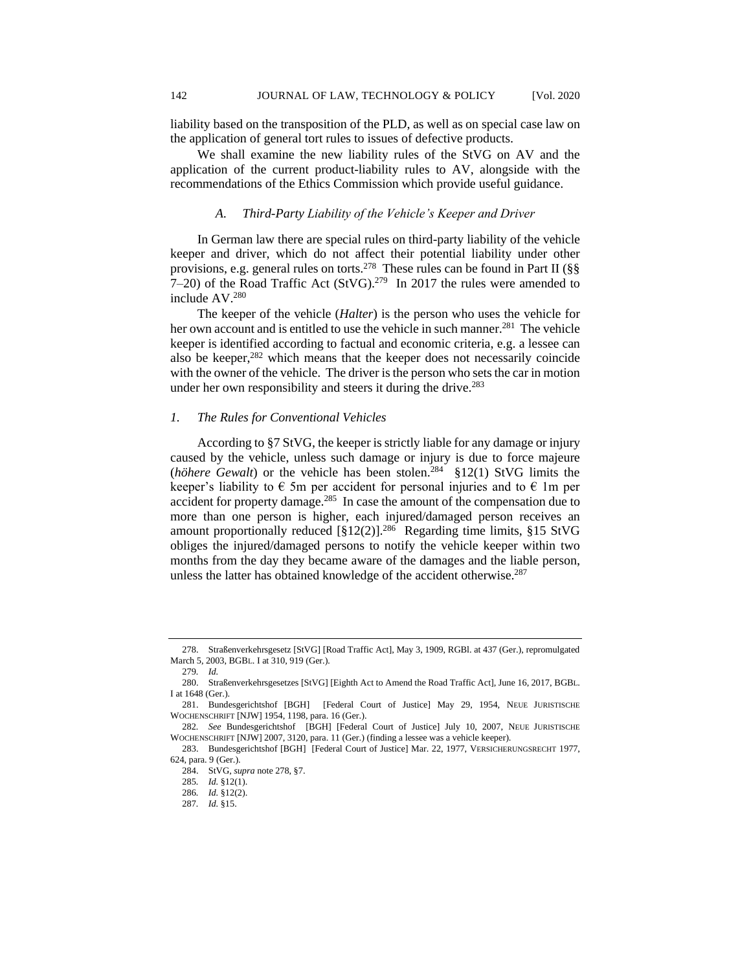liability based on the transposition of the PLD, as well as on special case law on the application of general tort rules to issues of defective products.

We shall examine the new liability rules of the StVG on AV and the application of the current product-liability rules to AV, alongside with the recommendations of the Ethics Commission which provide useful guidance.

#### *A. Third-Party Liability of the Vehicle's Keeper and Driver*

In German law there are special rules on third-party liability of the vehicle keeper and driver, which do not affect their potential liability under other provisions, e.g. general rules on torts.<sup>278</sup> These rules can be found in Part II ( $\S$ §  $7-20$ ) of the Road Traffic Act (StVG).<sup>279</sup> In 2017 the rules were amended to include AV.<sup>280</sup>

The keeper of the vehicle (*Halter*) is the person who uses the vehicle for her own account and is entitled to use the vehicle in such manner.<sup>281</sup> The vehicle keeper is identified according to factual and economic criteria, e.g. a lessee can also be keeper,<sup>282</sup> which means that the keeper does not necessarily coincide with the owner of the vehicle. The driver is the person who sets the car in motion under her own responsibility and steers it during the drive.<sup>283</sup>

#### *1. The Rules for Conventional Vehicles*

According to §7 StVG, the keeper is strictly liable for any damage or injury caused by the vehicle, unless such damage or injury is due to force majeure (*höhere Gewalt*) or the vehicle has been stolen.<sup>284</sup> §12(1) StVG limits the keeper's liability to  $\epsilon$  5m per accident for personal injuries and to  $\epsilon$  1m per accident for property damage.<sup>285</sup> In case the amount of the compensation due to more than one person is higher, each injured/damaged person receives an amount proportionally reduced  $[\S12(2)]^{286}$  Regarding time limits,  $\S15$  StVG obliges the injured/damaged persons to notify the vehicle keeper within two months from the day they became aware of the damages and the liable person, unless the latter has obtained knowledge of the accident otherwise.<sup>287</sup>

<sup>278.</sup> Straßenverkehrsgesetz [StVG] [Road Traffic Act], May 3, 1909, RGBl. at 437 (Ger.), repromulgated March 5, 2003, BGBL. I at 310, 919 (Ger.)*.*

<sup>279</sup>*. Id.*

<sup>280.</sup> Straßenverkehrsgesetzes [StVG] [Eighth Act to Amend the Road Traffic Act], June 16, 2017, BGBL. I at 1648 (Ger.).

<sup>281.</sup> Bundesgerichtshof [BGH] [Federal Court of Justice] May 29, 1954, NEUE JURISTISCHE WOCHENSCHRIFT [NJW] 1954, 1198, para. 16 (Ger.).

<sup>282</sup>*. See* Bundesgerichtshof [BGH] [Federal Court of Justice] July 10, 2007, NEUE JURISTISCHE WOCHENSCHRIFT [NJW] 2007, 3120, para. 11 (Ger.) (finding a lessee was a vehicle keeper).

<sup>283.</sup> Bundesgerichtshof [BGH] [Federal Court of Justice] Mar. 22, 1977, VERSICHERUNGSRECHT 1977, 624, para. 9 (Ger.).

<sup>284.</sup> StVG, *supra* note 278, §7.

<sup>285</sup>*. Id.* §12(1).

<sup>286</sup>*. Id.* §12(2).

<sup>287</sup>*. Id.* §15.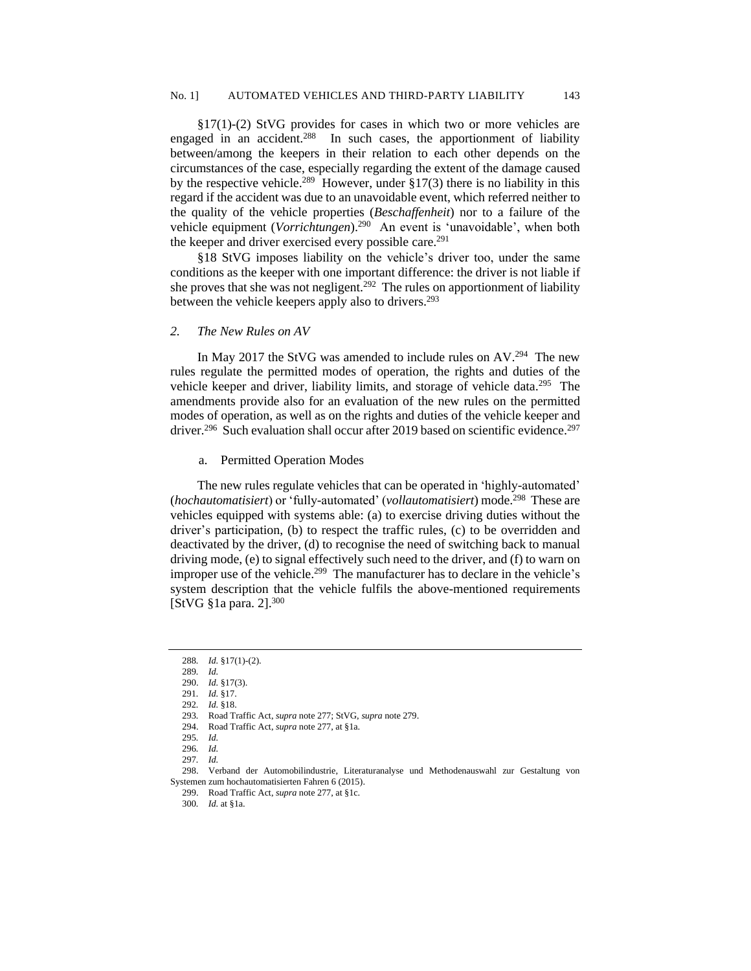§17(1)-(2) StVG provides for cases in which two or more vehicles are engaged in an accident.<sup>288</sup> In such cases, the apportionment of liability between/among the keepers in their relation to each other depends on the circumstances of the case, especially regarding the extent of the damage caused by the respective vehicle.<sup>289</sup> However, under  $\S 17(3)$  there is no liability in this regard if the accident was due to an unavoidable event, which referred neither to the quality of the vehicle properties (*Beschaffenheit*) nor to a failure of the vehicle equipment (*Vorrichtungen*).<sup>290</sup> An event is 'unavoidable', when both the keeper and driver exercised every possible care.<sup>291</sup>

§18 StVG imposes liability on the vehicle's driver too, under the same conditions as the keeper with one important difference: the driver is not liable if she proves that she was not negligent.<sup>292</sup> The rules on apportionment of liability between the vehicle keepers apply also to drivers.<sup>293</sup>

## *2. The New Rules on AV*

In May 2017 the StVG was amended to include rules on  $AV<sup>294</sup>$ . The new rules regulate the permitted modes of operation, the rights and duties of the vehicle keeper and driver, liability limits, and storage of vehicle data.<sup>295</sup> The amendments provide also for an evaluation of the new rules on the permitted modes of operation, as well as on the rights and duties of the vehicle keeper and driver.<sup>296</sup> Such evaluation shall occur after 2019 based on scientific evidence.<sup>297</sup>

a. Permitted Operation Modes

The new rules regulate vehicles that can be operated in 'highly-automated' (*hochautomatisiert*) or 'fully-automated' (*vollautomatisiert*) mode.<sup>298</sup> These are vehicles equipped with systems able: (a) to exercise driving duties without the driver's participation, (b) to respect the traffic rules, (c) to be overridden and deactivated by the driver, (d) to recognise the need of switching back to manual driving mode, (e) to signal effectively such need to the driver, and (f) to warn on improper use of the vehicle.<sup>299</sup> The manufacturer has to declare in the vehicle's system description that the vehicle fulfils the above-mentioned requirements [StVG §1a para. 2].<sup>300</sup>

<sup>288</sup>*. Id.* §17(1)-(2).

<sup>289</sup>*. Id.*

<sup>290.</sup> *Id.* §17(3).

<sup>291</sup>*. Id.* §17. 292*. Id.* §18.

<sup>293</sup>*.* Road Traffic Act, *supra* note 277; StVG, *supra* note 279.

<sup>294.</sup> Road Traffic Act, *supra* note 277, at §1a.

<sup>295</sup>*. Id.* 296*. Id.*

<sup>297</sup>*. Id.*

<sup>298.</sup> Verband der Automobilindustrie, Literaturanalyse und Methodenauswahl zur Gestaltung von Systemen zum hochautomatisierten Fahren 6 (2015).

<sup>299.</sup> Road Traffic Act, *supra* note 277, at §1c.

<sup>300</sup>*. Id.* at §1a.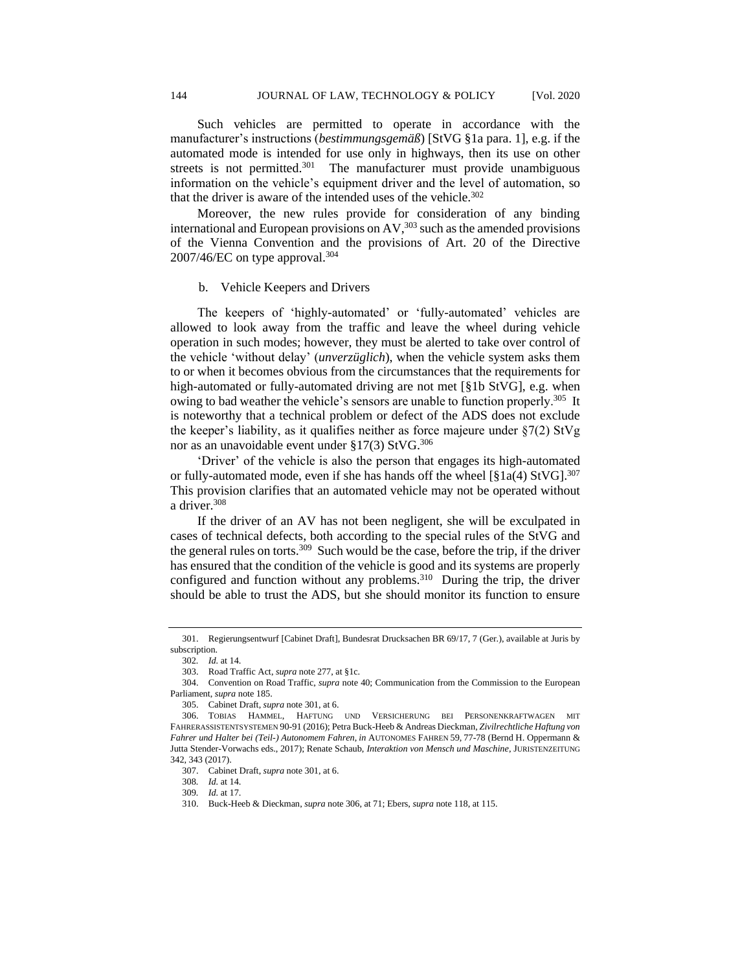Such vehicles are permitted to operate in accordance with the manufacturer's instructions (*bestimmungsgemäß*) [StVG §1a para. 1], e.g. if the automated mode is intended for use only in highways, then its use on other streets is not permitted.<sup>301</sup> The manufacturer must provide unambiguous information on the vehicle's equipment driver and the level of automation, so that the driver is aware of the intended uses of the vehicle. $302$ 

Moreover, the new rules provide for consideration of any binding international and European provisions on  $AV<sub>1</sub><sup>303</sup>$  such as the amended provisions of the Vienna Convention and the provisions of Art. 20 of the Directive 2007/46/EC on type approval.<sup>304</sup>

#### b. Vehicle Keepers and Drivers

The keepers of 'highly-automated' or 'fully-automated' vehicles are allowed to look away from the traffic and leave the wheel during vehicle operation in such modes; however, they must be alerted to take over control of the vehicle 'without delay' (*unverzüglich*), when the vehicle system asks them to or when it becomes obvious from the circumstances that the requirements for high-automated or fully-automated driving are not met [§1b StVG], e.g. when owing to bad weather the vehicle's sensors are unable to function properly.<sup>305</sup> It is noteworthy that a technical problem or defect of the ADS does not exclude the keeper's liability, as it qualifies neither as force majeure under §7(2) StVg nor as an unavoidable event under  $\S17(3)$  StVG.<sup>306</sup>

'Driver' of the vehicle is also the person that engages its high-automated or fully-automated mode, even if she has hands off the wheel  $[\$1a(4)$  StVG].<sup>307</sup> This provision clarifies that an automated vehicle may not be operated without a driver.<sup>308</sup>

If the driver of an AV has not been negligent, she will be exculpated in cases of technical defects, both according to the special rules of the StVG and the general rules on torts.<sup>309</sup> Such would be the case, before the trip, if the driver has ensured that the condition of the vehicle is good and its systems are properly configured and function without any problems.<sup>310</sup> During the trip, the driver should be able to trust the ADS, but she should monitor its function to ensure

<sup>301.</sup> Regierungsentwurf [Cabinet Draft], Bundesrat Drucksachen BR 69/17, 7 (Ger.), available at Juris by subscription.

<sup>302</sup>*. Id.* at 14.

<sup>303.</sup> Road Traffic Act, *supra* note 277, at §1c.

<sup>304.</sup> Convention on Road Traffic, *supra* note 40; Communication from the Commission to the European Parliament, *supra* note 185.

<sup>305.</sup> Cabinet Draft, *supra* note 301, at 6.

<sup>306.</sup> TOBIAS HAMMEL, HAFTUNG UND VERSICHERUNG BEI PERSONENKRAFTWAGEN MIT FAHRERASSISTENTSYSTEMEN 90-91 (2016); Petra Buck-Heeb & Andreas Dieckman, *Zivilrechtliche Haftung von Fahrer und Halter bei (Teil-) Autonomem Fahren*, *in* AUTONOMES FAHREN 59, 77-78 (Bernd H. Oppermann & Jutta Stender-Vorwachs eds., 2017); Renate Schaub, *Interaktion von Mensch und Maschine*, JURISTENZEITUNG 342, 343 (2017).

<sup>307.</sup> Cabinet Draft, *supra* note 301, at 6.

<sup>308</sup>*. Id.* at 14.

<sup>309</sup>*. Id.* at 17.

<sup>310.</sup> Buck-Heeb & Dieckman, *supra* note 306, at 71; Ebers, *supra* note 118, at 115.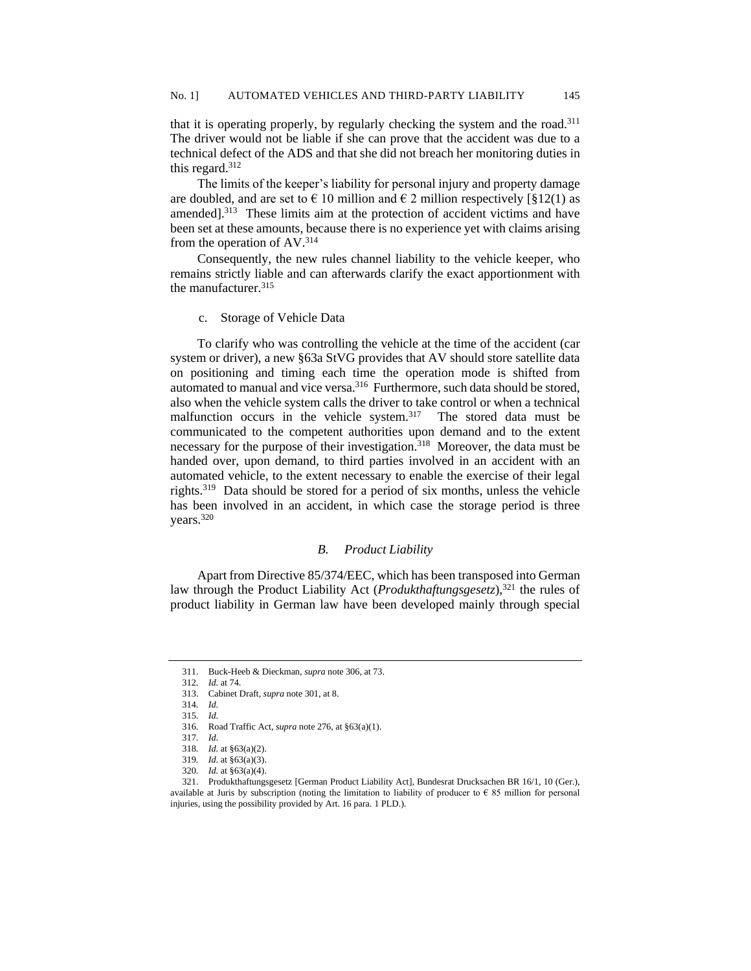that it is operating properly, by regularly checking the system and the road.<sup>311</sup> The driver would not be liable if she can prove that the accident was due to a technical defect of the ADS and that she did not breach her monitoring duties in this regard.<sup>312</sup>

The limits of the keeper's liability for personal injury and property damage are doubled, and are set to  $\epsilon$  10 million and  $\epsilon$  2 million respectively [§12(1) as amended]. $313$  These limits aim at the protection of accident victims and have been set at these amounts, because there is no experience yet with claims arising from the operation of AV.<sup>314</sup>

Consequently, the new rules channel liability to the vehicle keeper, who remains strictly liable and can afterwards clarify the exact apportionment with the manufacturer.<sup>315</sup>

c. Storage of Vehicle Data

To clarify who was controlling the vehicle at the time of the accident (car system or driver), a new §63a StVG provides that AV should store satellite data on positioning and timing each time the operation mode is shifted from automated to manual and vice versa.<sup>316</sup> Furthermore, such data should be stored, also when the vehicle system calls the driver to take control or when a technical malfunction occurs in the vehicle system.<sup>317</sup> The stored data must be communicated to the competent authorities upon demand and to the extent necessary for the purpose of their investigation.<sup>318</sup> Moreover, the data must be handed over, upon demand, to third parties involved in an accident with an automated vehicle, to the extent necessary to enable the exercise of their legal rights.<sup>319</sup> Data should be stored for a period of six months, unless the vehicle has been involved in an accident, in which case the storage period is three years.<sup>320</sup>

### *B. Product Liability*

Apart from Directive 85/374/EEC, which has been transposed into German law through the Product Liability Act (*Produkthaftungsgesetz*),<sup>321</sup> the rules of product liability in German law have been developed mainly through special

<sup>311.</sup> Buck-Heeb & Dieckman, *supra* note 306, at 73.

<sup>312</sup>*. Id.* at 74.

<sup>313.</sup> Cabinet Draft, *supra* note 301, at 8.

<sup>314</sup>*. Id.*

<sup>315</sup>*. Id.*

<sup>316.</sup> Road Traffic Act, *supra* note 276, at §63(a)(1).

<sup>317</sup>*. Id.*

<sup>318</sup>*. Id.* at §63(a)(2).

<sup>319</sup>*. Id.* at §63(a)(3).

<sup>320</sup>*. Id.* at §63(a)(4).

<sup>321.</sup> Produkthaftungsgesetz [German Product Liability Act], Bundesrat Drucksachen BR 16/1, 10 (Ger.), available at Juris by subscription (noting the limitation to liability of producer to  $\epsilon$  85 million for personal injuries, using the possibility provided by Art. 16 para. 1 PLD.).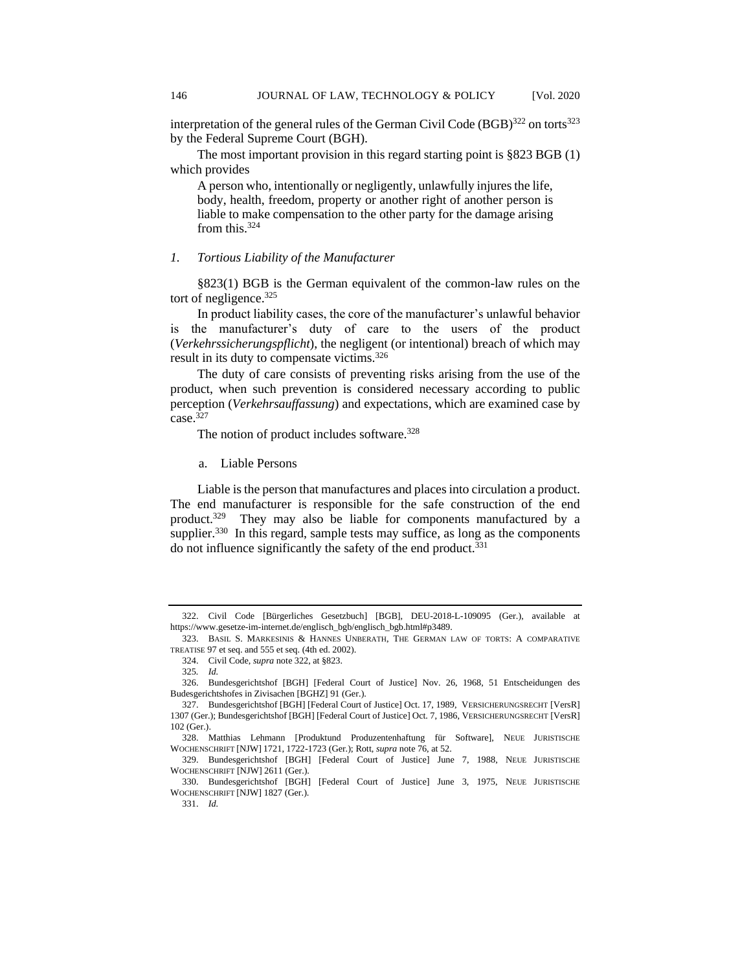interpretation of the general rules of the German Civil Code (BGB)<sup>322</sup> on torts<sup>323</sup> by the Federal Supreme Court (BGH).

The most important provision in this regard starting point is §823 BGB (1) which provides

A person who, intentionally or negligently, unlawfully injures the life, body, health, freedom, property or another right of another person is liable to make compensation to the other party for the damage arising from this.<sup>324</sup>

### *1. Tortious Liability of the Manufacturer*

§823(1) BGB is the German equivalent of the common-law rules on the tort of negligence. $325$ 

In product liability cases, the core of the manufacturer's unlawful behavior is the manufacturer's duty of care to the users of the product (*Verkehrssicherungspflicht*), the negligent (or intentional) breach of which may result in its duty to compensate victims.<sup>326</sup>

The duty of care consists of preventing risks arising from the use of the product, when such prevention is considered necessary according to public perception (*Verkehrsauffassung*) and expectations, which are examined case by case.<sup>327</sup>

The notion of product includes software.<sup>328</sup>

a. Liable Persons

Liable is the person that manufactures and places into circulation a product. The end manufacturer is responsible for the safe construction of the end product.<sup>329</sup> They may also be liable for components manufactured by a supplier.<sup>330</sup> In this regard, sample tests may suffice, as long as the components do not influence significantly the safety of the end product. $331$ 

 <sup>322.</sup> Civil Code [Bürgerliches Gesetzbuch] [BGB], DEU-2018-L-109095 (Ger.), available at https://www.gesetze-im-internet.de/englisch\_bgb/englisch\_bgb.html#p3489.

<sup>323.</sup> BASIL S. MARKESINIS & HANNES UNBERATH, THE GERMAN LAW OF TORTS: A COMPARATIVE TREATISE 97 et seq. and 555 et seq. (4th ed. 2002).

<sup>324.</sup> Civil Code, *supra* note 322, at §823.

<sup>325</sup>*. Id.*

<sup>326.</sup> Bundesgerichtshof [BGH] [Federal Court of Justice] Nov. 26, 1968, 51 Entscheidungen des Budesgerichtshofes in Zivisachen [BGHZ] 91 (Ger.).

<sup>327.</sup> Bundesgerichtshof [BGH] [Federal Court of Justice] Oct. 17, 1989, VERSICHERUNGSRECHT [VersR] 1307 (Ger.); Bundesgerichtshof [BGH] [Federal Court of Justice] Oct. 7, 1986, VERSICHERUNGSRECHT [VersR] 102 (Ger.).

<sup>328.</sup> Matthias Lehmann [Produktund Produzentenhaftung für Software], NEUE JURISTISCHE WOCHENSCHRIFT [NJW] 1721, 1722-1723 (Ger.); Rott, *supra* note 76, at 52.

<sup>329.</sup> Bundesgerichtshof [BGH] [Federal Court of Justice] June 7, 1988, NEUE JURISTISCHE WOCHENSCHRIFT [NJW] 2611 (Ger.).

<sup>330.</sup> Bundesgerichtshof [BGH] [Federal Court of Justice] June 3, 1975, NEUE JURISTISCHE WOCHENSCHRIFT [NJW] 1827 (Ger.).

<sup>331.</sup> *Id.*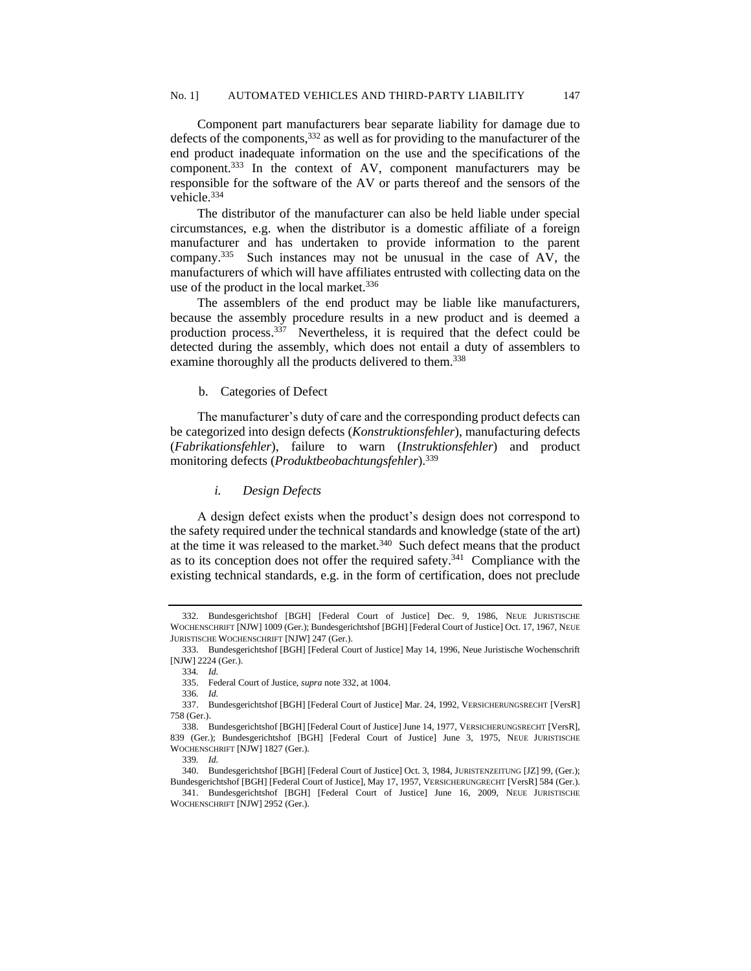Component part manufacturers bear separate liability for damage due to defects of the components,  $332$  as well as for providing to the manufacturer of the end product inadequate information on the use and the specifications of the component.<sup>333</sup> In the context of AV, component manufacturers may be responsible for the software of the AV or parts thereof and the sensors of the vehicle.<sup>334</sup>

The distributor of the manufacturer can also be held liable under special circumstances, e.g. when the distributor is a domestic affiliate of a foreign manufacturer and has undertaken to provide information to the parent company.<sup>335</sup> Such instances may not be unusual in the case of AV, the manufacturers of which will have affiliates entrusted with collecting data on the use of the product in the local market.<sup>336</sup>

The assemblers of the end product may be liable like manufacturers, because the assembly procedure results in a new product and is deemed a production process.<sup>337</sup> Nevertheless, it is required that the defect could be detected during the assembly, which does not entail a duty of assemblers to examine thoroughly all the products delivered to them.<sup>338</sup>

### b. Categories of Defect

The manufacturer's duty of care and the corresponding product defects can be categorized into design defects (*Konstruktionsfehler*), manufacturing defects (*Fabrikationsfehler*), failure to warn (*Instruktionsfehler*) and product monitoring defects (*Produktbeobachtungsfehler*).<sup>339</sup>

# *i. Design Defects*

A design defect exists when the product's design does not correspond to the safety required under the technical standards and knowledge (state of the art) at the time it was released to the market. $340$  Such defect means that the product as to its conception does not offer the required safety.<sup>341</sup> Compliance with the existing technical standards, e.g. in the form of certification, does not preclude

<sup>332.</sup> Bundesgerichtshof [BGH] [Federal Court of Justice] Dec. 9, 1986, NEUE JURISTISCHE WOCHENSCHRIFT [NJW] 1009 (Ger.); Bundesgerichtshof [BGH] [Federal Court of Justice] Oct. 17, 1967, NEUE JURISTISCHE WOCHENSCHRIFT [NJW] 247 (Ger.).

<sup>333.</sup> Bundesgerichtshof [BGH] [Federal Court of Justice] May 14, 1996, Neue Juristische Wochenschrift [NJW] 2224 (Ger.).

<sup>334</sup>*. Id.*

<sup>335.</sup> Federal Court of Justice, *supra* note 332, at 1004.

<sup>336</sup>*. Id.*

<sup>337.</sup> Bundesgerichtshof [BGH] [Federal Court of Justice] Mar. 24, 1992, VERSICHERUNGSRECHT [VersR] 758 (Ger.).

<sup>338.</sup> Bundesgerichtshof [BGH] [Federal Court of Justice] June 14, 1977, VERSICHERUNGSRECHT [VersR], 839 (Ger.); Bundesgerichtshof [BGH] [Federal Court of Justice] June 3, 1975, NEUE JURISTISCHE WOCHENSCHRIFT [NJW] 1827 (Ger.)*.*

<sup>339</sup>*. Id.*

<sup>340.</sup> Bundesgerichtshof [BGH] [Federal Court of Justice] Oct. 3, 1984, JURISTENZEITUNG [JZ] 99, (Ger.); Bundesgerichtshof [BGH] [Federal Court of Justice], May 17, 1957, VERSICHERUNGRECHT [VersR] 584 (Ger.).

<sup>341.</sup> Bundesgerichtshof [BGH] [Federal Court of Justice] June 16, 2009, NEUE JURISTISCHE WOCHENSCHRIFT [NJW] 2952 (Ger.).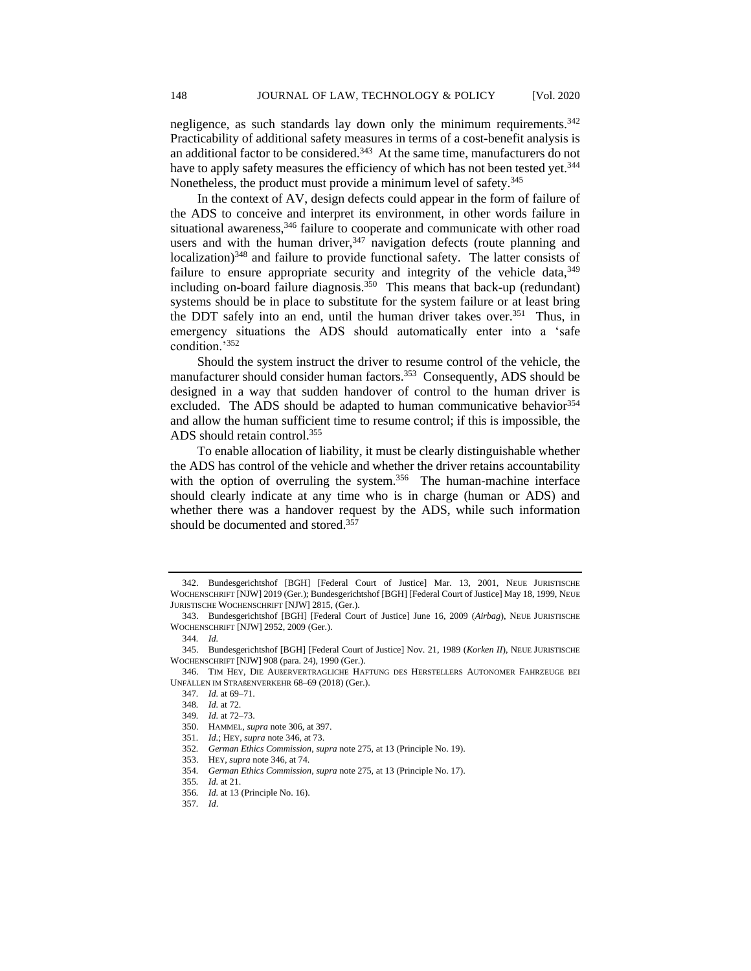negligence, as such standards lay down only the minimum requirements.<sup>342</sup> Practicability of additional safety measures in terms of a cost-benefit analysis is an additional factor to be considered.<sup>343</sup> At the same time, manufacturers do not have to apply safety measures the efficiency of which has not been tested yet.<sup>344</sup> Nonetheless, the product must provide a minimum level of safety.<sup>345</sup>

In the context of AV, design defects could appear in the form of failure of the ADS to conceive and interpret its environment, in other words failure in situational awareness,<sup>346</sup> failure to cooperate and communicate with other road users and with the human driver,  $347$  navigation defects (route planning and localization)<sup>348</sup> and failure to provide functional safety. The latter consists of failure to ensure appropriate security and integrity of the vehicle data,  $349$ including on-board failure diagnosis.<sup>350</sup> This means that back-up (redundant) systems should be in place to substitute for the system failure or at least bring the DDT safely into an end, until the human driver takes over.<sup>351</sup> Thus, in emergency situations the ADS should automatically enter into a 'safe condition.'<sup>352</sup>

Should the system instruct the driver to resume control of the vehicle, the manufacturer should consider human factors.<sup>353</sup> Consequently, ADS should be designed in a way that sudden handover of control to the human driver is excluded. The ADS should be adapted to human communicative behavior<sup>354</sup> and allow the human sufficient time to resume control; if this is impossible, the ADS should retain control.<sup>355</sup>

To enable allocation of liability, it must be clearly distinguishable whether the ADS has control of the vehicle and whether the driver retains accountability with the option of overruling the system.<sup>356</sup> The human-machine interface should clearly indicate at any time who is in charge (human or ADS) and whether there was a handover request by the ADS, while such information should be documented and stored.<sup>357</sup>

<sup>342.</sup> Bundesgerichtshof [BGH] [Federal Court of Justice] Mar. 13, 2001, NEUE JURISTISCHE WOCHENSCHRIFT [NJW] 2019 (Ger.); Bundesgerichtshof [BGH] [Federal Court of Justice] May 18, 1999, NEUE JURISTISCHE WOCHENSCHRIFT [NJW] 2815, (Ger.).

<sup>343.</sup> Bundesgerichtshof [BGH] [Federal Court of Justice] June 16, 2009 (*Airbag*), NEUE JURISTISCHE WOCHENSCHRIFT [NJW] 2952, 2009 (Ger.).

<sup>344</sup>*. Id.*

<sup>345.</sup> Bundesgerichtshof [BGH] [Federal Court of Justice] Nov. 21, 1989 (*Korken II*), NEUE JURISTISCHE WOCHENSCHRIFT [NJW] 908 (para. 24), 1990 (Ger.).

<sup>346.</sup> TIM HEY, DIE AUßERVERTRAGLICHE HAFTUNG DES HERSTELLERS AUTONOMER FAHRZEUGE BEI UNFÄLLEN IM STRAßENVERKEHR 68–69 (2018) (Ger.).

<sup>347</sup>*. Id.* at 69–71.

<sup>348</sup>*. Id.* at 72.

<sup>349</sup>*. Id.* at 72–73.

<sup>350.</sup> HAMMEL, *supra* note 306, at 397.

<sup>351</sup>*. Id.*; HEY, *supra* note 346, at 73.

<sup>352</sup>*. German Ethics Commission*, *supra* note 275, at 13 (Principle No. 19).

<sup>353.</sup> HEY, *supra* note 346, at 74.

<sup>354</sup>*. German Ethics Commission*, *supra* note 275, at 13 (Principle No. 17).

<sup>355</sup>*. Id.* at 21.

<sup>356</sup>*. Id.* at 13 (Principle No. 16).

<sup>357</sup>*. Id*.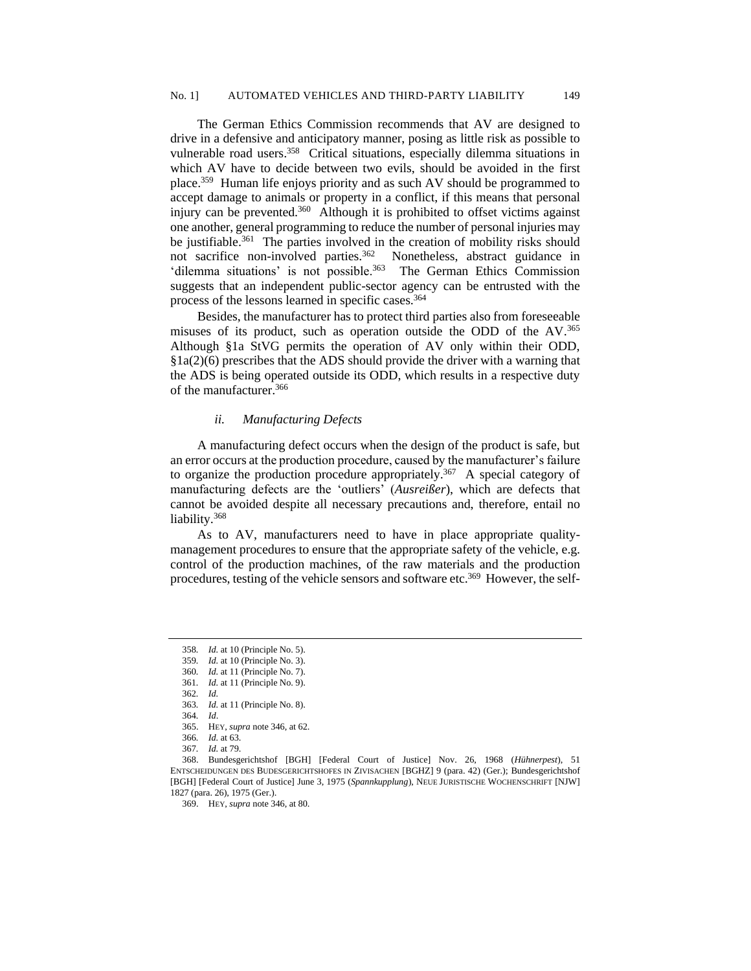The German Ethics Commission recommends that AV are designed to drive in a defensive and anticipatory manner, posing as little risk as possible to vulnerable road users.<sup>358</sup> Critical situations, especially dilemma situations in which AV have to decide between two evils, should be avoided in the first place.<sup>359</sup> Human life enjoys priority and as such AV should be programmed to accept damage to animals or property in a conflict, if this means that personal injury can be prevented.<sup>360</sup> Although it is prohibited to offset victims against one another, general programming to reduce the number of personal injuries may be justifiable.<sup>361</sup> The parties involved in the creation of mobility risks should not sacrifice non-involved parties.<sup>362</sup> Nonetheless, abstract guidance in 'dilemma situations' is not possible.<sup>363</sup> The German Ethics Commission suggests that an independent public-sector agency can be entrusted with the process of the lessons learned in specific cases.<sup>364</sup>

Besides, the manufacturer has to protect third parties also from foreseeable misuses of its product, such as operation outside the ODD of the AV.<sup>365</sup> Although §1a StVG permits the operation of AV only within their ODD, §1a(2)(6) prescribes that the ADS should provide the driver with a warning that the ADS is being operated outside its ODD, which results in a respective duty of the manufacturer.<sup>366</sup>

### *ii. Manufacturing Defects*

A manufacturing defect occurs when the design of the product is safe, but an error occurs at the production procedure, caused by the manufacturer's failure to organize the production procedure appropriately.<sup>367</sup> A special category of manufacturing defects are the 'outliers' (*Ausreißer*), which are defects that cannot be avoided despite all necessary precautions and, therefore, entail no liability.<sup>368</sup>

As to AV, manufacturers need to have in place appropriate qualitymanagement procedures to ensure that the appropriate safety of the vehicle, e.g. control of the production machines, of the raw materials and the production procedures, testing of the vehicle sensors and software etc.<sup>369</sup> However, the self-

<sup>358</sup>*. Id.* at 10 (Principle No. 5). 359*. Id.* at 10 (Principle No. 3).

<sup>360</sup>*. Id.* at 11 (Principle No. 7).

<sup>361</sup>*. Id.* at 11 (Principle No. 9).

<sup>362</sup>*. Id.*

<sup>363</sup>*. Id.* at 11 (Principle No. 8). 364*. Id*.

<sup>365.</sup> HEY, *supra* note 346, at 62.

<sup>366</sup>*. Id.* at 63.

<sup>367</sup>*. Id.* at 79.

<sup>368.</sup> Bundesgerichtshof [BGH] [Federal Court of Justice] Nov. 26, 1968 (*Hühnerpest*), 51 ENTSCHEIDUNGEN DES BUDESGERICHTSHOFES IN ZIVISACHEN [BGHZ] 9 (para. 42) (Ger.); Bundesgerichtshof [BGH] [Federal Court of Justice] June 3, 1975 (*Spannkupplung*), NEUE JURISTISCHE WOCHENSCHRIFT [NJW] 1827 (para. 26), 1975 (Ger.).

<sup>369.</sup> HEY, *supra* note 346, at 80.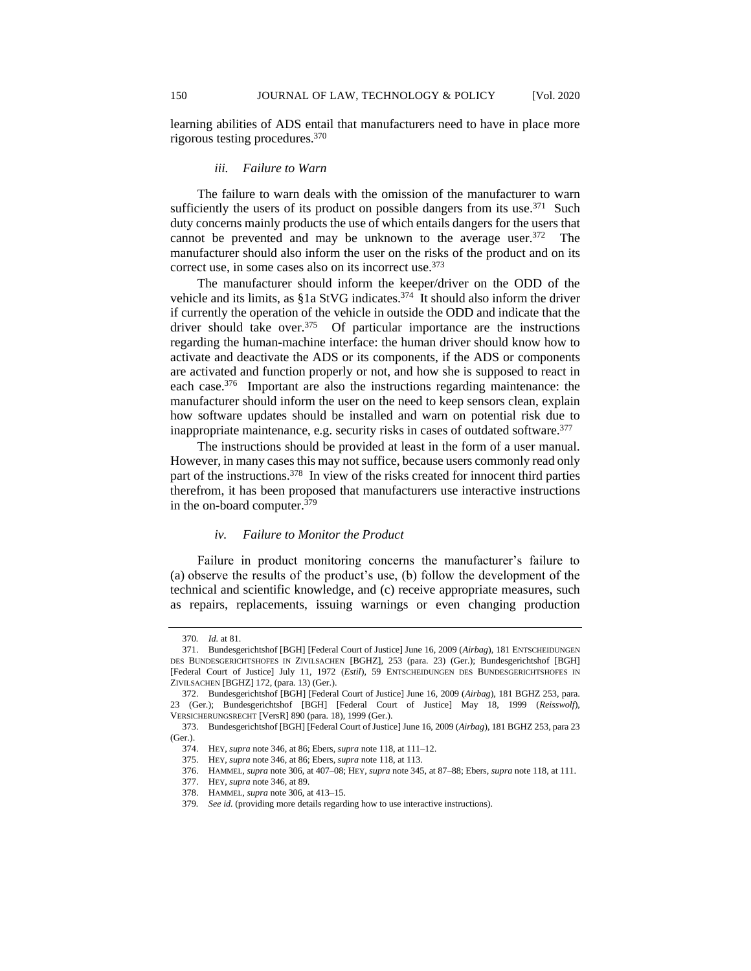learning abilities of ADS entail that manufacturers need to have in place more rigorous testing procedures.<sup>370</sup>

# *iii. Failure to Warn*

The failure to warn deals with the omission of the manufacturer to warn sufficiently the users of its product on possible dangers from its use. $371$  Such duty concerns mainly products the use of which entails dangers for the users that cannot be prevented and may be unknown to the average user. $372$  The manufacturer should also inform the user on the risks of the product and on its correct use, in some cases also on its incorrect use.<sup>373</sup>

The manufacturer should inform the keeper/driver on the ODD of the vehicle and its limits, as  $§1a$  StVG indicates.<sup>374</sup> It should also inform the driver if currently the operation of the vehicle in outside the ODD and indicate that the driver should take over.<sup>375</sup> Of particular importance are the instructions regarding the human-machine interface: the human driver should know how to activate and deactivate the ADS or its components, if the ADS or components are activated and function properly or not, and how she is supposed to react in each case.<sup>376</sup> Important are also the instructions regarding maintenance: the manufacturer should inform the user on the need to keep sensors clean, explain how software updates should be installed and warn on potential risk due to inappropriate maintenance, e.g. security risks in cases of outdated software.<sup>377</sup>

The instructions should be provided at least in the form of a user manual. However, in many cases this may not suffice, because users commonly read only part of the instructions.<sup>378</sup> In view of the risks created for innocent third parties therefrom, it has been proposed that manufacturers use interactive instructions in the on-board computer.<sup>379</sup>

# *iv. Failure to Monitor the Product*

Failure in product monitoring concerns the manufacturer's failure to (a) observe the results of the product's use, (b) follow the development of the technical and scientific knowledge, and (c) receive appropriate measures, such as repairs, replacements, issuing warnings or even changing production

<sup>370</sup>*. Id.* at 81.

<sup>371.</sup> Bundesgerichtshof [BGH] [Federal Court of Justice] June 16, 2009 (*Airbag*), 181 ENTSCHEIDUNGEN DES BUNDESGERICHTSHOFES IN ZIVILSACHEN [BGHZ], 253 (para. 23) (Ger.); Bundesgerichtshof [BGH] [Federal Court of Justice] July 11, 1972 (*Estil*), 59 ENTSCHEIDUNGEN DES BUNDESGERICHTSHOFES IN ZIVILSACHEN [BGHZ] 172, (para. 13) (Ger.).

<sup>372.</sup> Bundesgerichtshof [BGH] [Federal Court of Justice] June 16, 2009 (*Airbag*), 181 BGHZ 253, para. 23 (Ger.); Bundesgerichtshof [BGH] [Federal Court of Justice] May 18, 1999 (*Reisswolf*), VERSICHERUNGSRECHT [VersR] 890 (para. 18), 1999 (Ger.).

<sup>373.</sup> Bundesgerichtshof [BGH] [Federal Court of Justice] June 16, 2009 (*Airbag*), 181 BGHZ 253, para 23 (Ger.).

<sup>374.</sup> HEY, *supra* note 346, at 86; Ebers, *supra* note 118, at 111–12.

<sup>375.</sup> HEY, *supra* note 346, at 86; Ebers, *supra* note 118, at 113.

<sup>376.</sup> HAMMEL, *supra* note 306, at 407–08; HEY, *supra* note 345, at 87–88; Ebers, *supra* note 118, at 111.

<sup>377.</sup> HEY, *supra* note 346, at 89.

<sup>378.</sup> HAMMEL, *supra* note 306, at 413–15.

<sup>379</sup>*. See id.* (providing more details regarding how to use interactive instructions).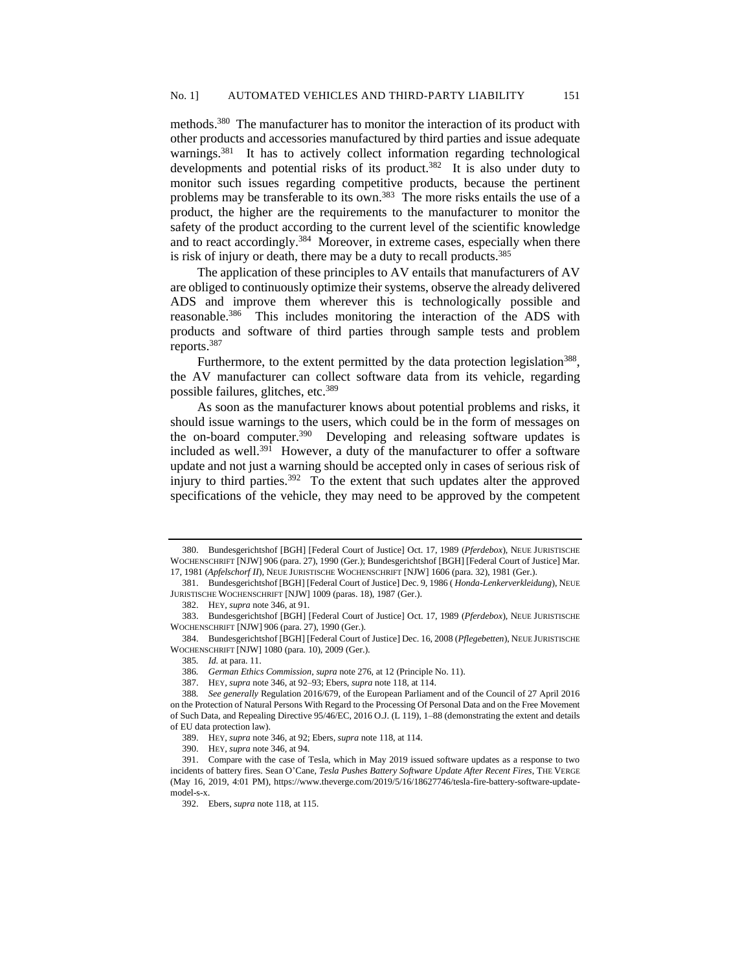methods.<sup>380</sup> The manufacturer has to monitor the interaction of its product with other products and accessories manufactured by third parties and issue adequate warnings.<sup>381</sup> It has to actively collect information regarding technological developments and potential risks of its product.<sup>382</sup> It is also under duty to monitor such issues regarding competitive products, because the pertinent problems may be transferable to its own.<sup>383</sup> The more risks entails the use of a product, the higher are the requirements to the manufacturer to monitor the safety of the product according to the current level of the scientific knowledge and to react accordingly.<sup>384</sup> Moreover, in extreme cases, especially when there is risk of injury or death, there may be a duty to recall products.<sup>385</sup>

The application of these principles to AV entails that manufacturers of AV are obliged to continuously optimize their systems, observe the already delivered ADS and improve them wherever this is technologically possible and reasonable.<sup>386</sup> This includes monitoring the interaction of the ADS with products and software of third parties through sample tests and problem reports.<sup>387</sup>

Furthermore, to the extent permitted by the data protection legislation<sup>388</sup>, the AV manufacturer can collect software data from its vehicle, regarding possible failures, glitches, etc.<sup>389</sup>

As soon as the manufacturer knows about potential problems and risks, it should issue warnings to the users, which could be in the form of messages on the on-board computer.<sup>390</sup> Developing and releasing software updates is included as well.<sup>391</sup> However, a duty of the manufacturer to offer a software update and not just a warning should be accepted only in cases of serious risk of injury to third parties.<sup>392</sup> To the extent that such updates alter the approved specifications of the vehicle, they may need to be approved by the competent

<sup>380.</sup> Bundesgerichtshof [BGH] [Federal Court of Justice] Oct. 17, 1989 (*Pferdebox*), NEUE JURISTISCHE WOCHENSCHRIFT [NJW] 906 (para. 27), 1990 (Ger.); Bundesgerichtshof [BGH] [Federal Court of Justice] Mar. 17, 1981 (*Apfelschorf II*), NEUE JURISTISCHE WOCHENSCHRIFT [NJW] 1606 (para. 32), 1981 (Ger.).

<sup>381.</sup> Bundesgerichtshof [BGH] [Federal Court of Justice] Dec. 9, 1986 ( *Honda-Lenkerverkleidung*), NEUE JURISTISCHE WOCHENSCHRIFT [NJW] 1009 (paras. 18), 1987 (Ger.).

<sup>382.</sup> HEY, *supra* note 346, at 91.

<sup>383.</sup> Bundesgerichtshof [BGH] [Federal Court of Justice] Oct. 17, 1989 (*Pferdebox*), NEUE JURISTISCHE WOCHENSCHRIFT [NJW] 906 (para. 27), 1990 (Ger.).

<sup>384.</sup> Bundesgerichtshof [BGH] [Federal Court of Justice] Dec. 16, 2008 (*Pflegebetten*), NEUE JURISTISCHE WOCHENSCHRIFT [NJW] 1080 (para. 10), 2009 (Ger.).

<sup>385</sup>*. Id.* at para. 11.

<sup>386</sup>*. German Ethics Commission*, *supra* note 276, at 12 (Principle No. 11).

<sup>387.</sup> HEY, *supra* note 346, at 92–93; Ebers, *supra* note 118, at 114.

<sup>388</sup>*. See generally* Regulation 2016/679, of the European Parliament and of the Council of 27 April 2016 on the Protection of Natural Persons With Regard to the Processing Of Personal Data and on the Free Movement of Such Data, and Repealing Directive 95/46/EC, 2016 O.J. (L 119), 1–88 (demonstrating the extent and details of EU data protection law).

<sup>389.</sup> HEY, *supra* note 346, at 92; Ebers, *supra* note 118, at 114.

<sup>390.</sup> HEY, *supra* note 346, at 94.

<sup>391.</sup> Compare with the case of Tesla, which in May 2019 issued software updates as a response to two incidents of battery fires. Sean O'Cane, *Tesla Pushes Battery Software Update After Recent Fires*, THE VERGE (May 16, 2019, 4:01 PM), https://www.theverge.com/2019/5/16/18627746/tesla-fire-battery-software-updatemodel-s-x.

<sup>392.</sup> Ebers, *supra* note 118, at 115.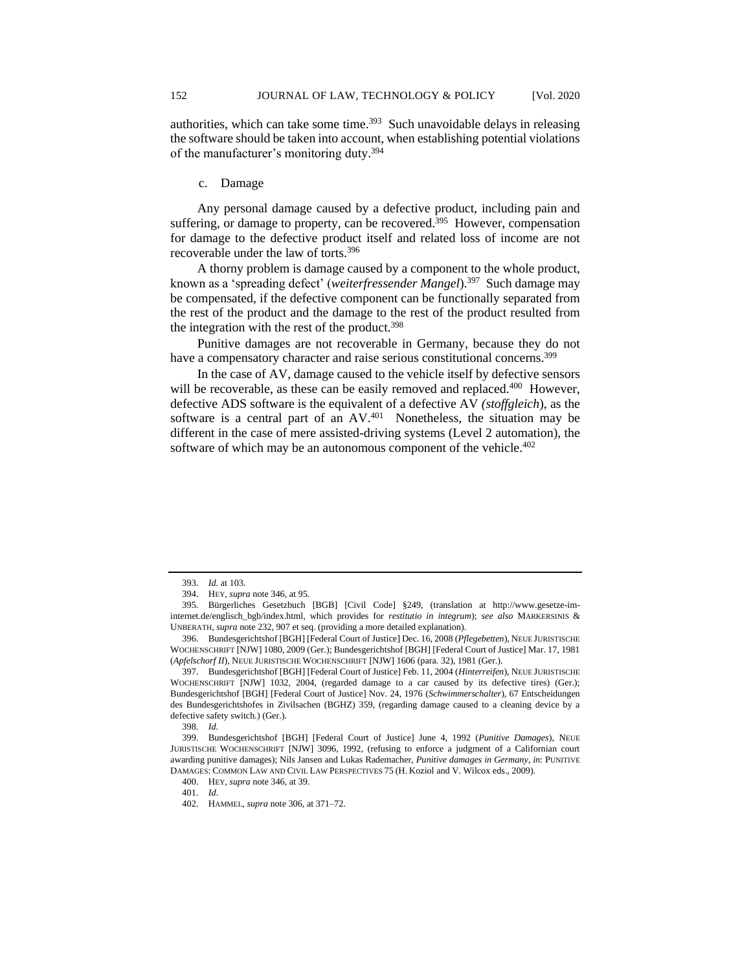authorities, which can take some time.<sup>393</sup> Such unavoidable delays in releasing the software should be taken into account, when establishing potential violations of the manufacturer's monitoring duty.<sup>394</sup>

### c. Damage

Any personal damage caused by a defective product, including pain and suffering, or damage to property, can be recovered.<sup>395</sup> However, compensation for damage to the defective product itself and related loss of income are not recoverable under the law of torts.<sup>396</sup>

A thorny problem is damage caused by a component to the whole product, known as a 'spreading defect' (*weiterfressender Mangel*).<sup>397</sup> Such damage may be compensated, if the defective component can be functionally separated from the rest of the product and the damage to the rest of the product resulted from the integration with the rest of the product.<sup>398</sup>

Punitive damages are not recoverable in Germany, because they do not have a compensatory character and raise serious constitutional concerns.<sup>399</sup>

In the case of AV, damage caused to the vehicle itself by defective sensors will be recoverable, as these can be easily removed and replaced.<sup>400</sup> However, defective ADS software is the equivalent of a defective AV *(stoffgleich*), as the software is a central part of an AV.<sup>401</sup> Nonetheless, the situation may be different in the case of mere assisted-driving systems (Level 2 automation), the software of which may be an autonomous component of the vehicle.<sup>402</sup>

<sup>393</sup>*. Id.* at 103.

<sup>394.</sup> HEY, *supra* note 346, at 95.

<sup>395</sup>*.* Bürgerliches Gesetzbuch [BGB] [Civil Code] §249, (translation at http://www.gesetze-iminternet.de/englisch\_bgb/index.html, which provides for *restitutio in integrum*); *see also* MARKERSINIS & UNBERATH, *supra* note 232, 907 et seq. (providing a more detailed explanation).

<sup>396.</sup> Bundesgerichtshof [BGH] [Federal Court of Justice] Dec. 16, 2008 (*Pflegebetten*), NEUE JURISTISCHE WOCHENSCHRIFT [NJW] 1080, 2009 (Ger.); Bundesgerichtshof [BGH] [Federal Court of Justice] Mar. 17, 1981 (*Apfelschorf II*), NEUE JURISTISCHE WOCHENSCHRIFT [NJW] 1606 (para. 32), 1981 (Ger.).

<sup>397.</sup> Bundesgerichtshof [BGH] [Federal Court of Justice] Feb. 11, 2004 (*Hinterreifen*), NEUE JURISTISCHE WOCHENSCHRIFT [NJW] 1032, 2004, (regarded damage to a car caused by its defective tires) (Ger.); Bundesgerichtshof [BGH] [Federal Court of Justice] Nov. 24, 1976 (*Schwimmerschalter*), 67 Entscheidungen des Bundesgerichtshofes in Zivilsachen (BGHZ) 359, (regarding damage caused to a cleaning device by a defective safety switch.) (Ger.).

<sup>398</sup>*. Id.*

<sup>399.</sup> Bundesgerichtshof [BGH] [Federal Court of Justice] June 4, 1992 (*Punitive Damages*), NEUE JURISTISCHE WOCHENSCHRIFT [NJW] 3096, 1992, (refusing to enforce a judgment of a Californian court awarding punitive damages); Nils Jansen and Lukas Rademacher, *Punitive damages in Germany*, *in*: PUNITIVE DAMAGES: COMMON LAW AND CIVIL LAW PERSPECTIVES 75 (H. Koziol and V. Wilcox eds., 2009).

<sup>400.</sup> HEY, *supra* note 346, at 39.

<sup>401</sup>*. Id*.

<sup>402.</sup> HAMMEL, *supra* note 306, at 371–72.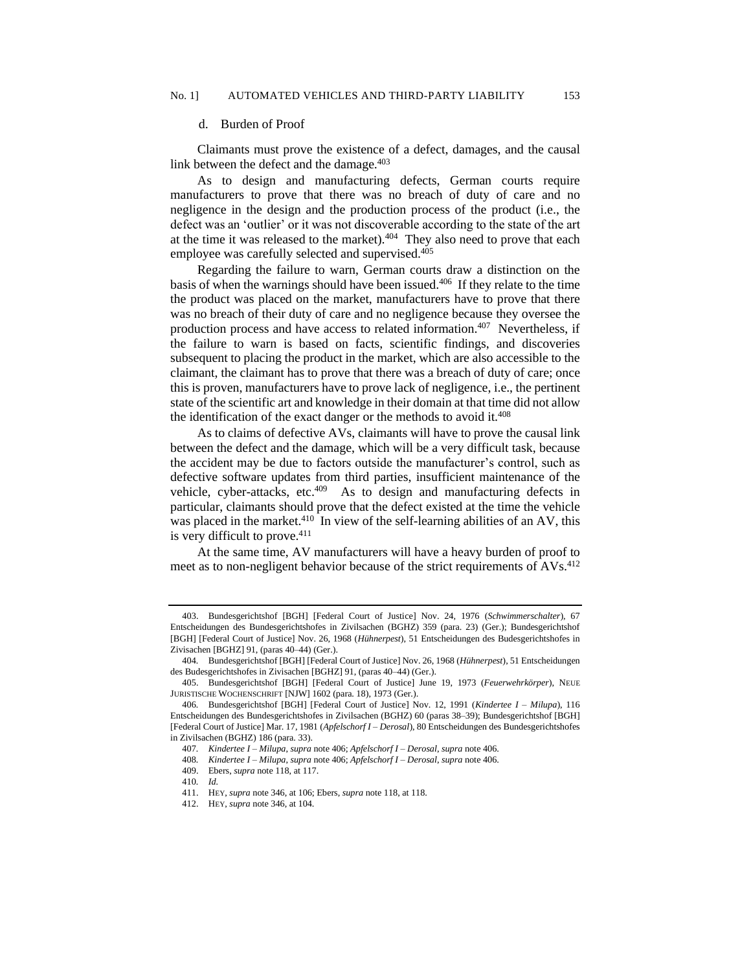#### d. Burden of Proof

Claimants must prove the existence of a defect, damages, and the causal link between the defect and the damage. $403$ 

As to design and manufacturing defects, German courts require manufacturers to prove that there was no breach of duty of care and no negligence in the design and the production process of the product (i.e., the defect was an 'outlier' or it was not discoverable according to the state of the art at the time it was released to the market). $404$  They also need to prove that each employee was carefully selected and supervised.<sup>405</sup>

Regarding the failure to warn, German courts draw a distinction on the basis of when the warnings should have been issued.<sup>406</sup> If they relate to the time the product was placed on the market, manufacturers have to prove that there was no breach of their duty of care and no negligence because they oversee the production process and have access to related information.<sup>407</sup> Nevertheless, if the failure to warn is based on facts, scientific findings, and discoveries subsequent to placing the product in the market, which are also accessible to the claimant, the claimant has to prove that there was a breach of duty of care; once this is proven, manufacturers have to prove lack of negligence, i.e., the pertinent state of the scientific art and knowledge in their domain at that time did not allow the identification of the exact danger or the methods to avoid it.<sup>408</sup>

As to claims of defective AVs, claimants will have to prove the causal link between the defect and the damage, which will be a very difficult task, because the accident may be due to factors outside the manufacturer's control, such as defective software updates from third parties, insufficient maintenance of the vehicle, cyber-attacks, etc.<sup>409</sup> As to design and manufacturing defects in particular, claimants should prove that the defect existed at the time the vehicle was placed in the market.<sup>410</sup> In view of the self-learning abilities of an AV, this is very difficult to prove.<sup>411</sup>

At the same time, AV manufacturers will have a heavy burden of proof to meet as to non-negligent behavior because of the strict requirements of AVs.<sup>412</sup>

<sup>403.</sup> Bundesgerichtshof [BGH] [Federal Court of Justice] Nov. 24, 1976 (*Schwimmerschalter*), 67 Entscheidungen des Bundesgerichtshofes in Zivilsachen (BGHZ) 359 (para. 23) (Ger.); Bundesgerichtshof [BGH] [Federal Court of Justice] Nov. 26, 1968 (*Hühnerpest*), 51 Entscheidungen des Budesgerichtshofes in Zivisachen [BGHZ] 91, (paras 40–44) (Ger.).

<sup>404</sup>*.* Bundesgerichtshof [BGH] [Federal Court of Justice] Nov. 26, 1968 (*Hühnerpest*), 51 Entscheidungen des Budesgerichtshofes in Zivisachen [BGHZ] 91, (paras 40–44) (Ger.).

<sup>405.</sup> Bundesgerichtshof [BGH] [Federal Court of Justice] June 19, 1973 (*Feuerwehrkörper*), NEUE JURISTISCHE WOCHENSCHRIFT [NJW] 1602 (para. 18), 1973 (Ger.).

<sup>406</sup>*.* Bundesgerichtshof [BGH] [Federal Court of Justice] Nov. 12, 1991 (*Kindertee I – Milupa*), 116 Entscheidungen des Bundesgerichtshofes in Zivilsachen (BGHZ) 60 (paras 38–39); Bundesgerichtshof [BGH] [Federal Court of Justice] Mar. 17, 1981 (*Apfelschorf I – Derosal*), 80 Entscheidungen des Bundesgerichtshofes in Zivilsachen (BGHZ) 186 (para. 33).

<sup>407</sup>*. Kindertee I – Milupa*, *supra* note 406; *Apfelschorf I – Derosal*, *supra* note 406.

<sup>408</sup>*. Kindertee I – Milupa*, *supra* note 406; *Apfelschorf I – Derosal*, *supra* note 406.

<sup>409.</sup> Ebers, *supra* note 118, at 117.

<sup>410</sup>*. Id.*

<sup>411.</sup> HEY, *supra* note 346, at 106; Ebers, *supra* note 118, at 118.

<sup>412.</sup> HEY, *supra* note 346, at 104.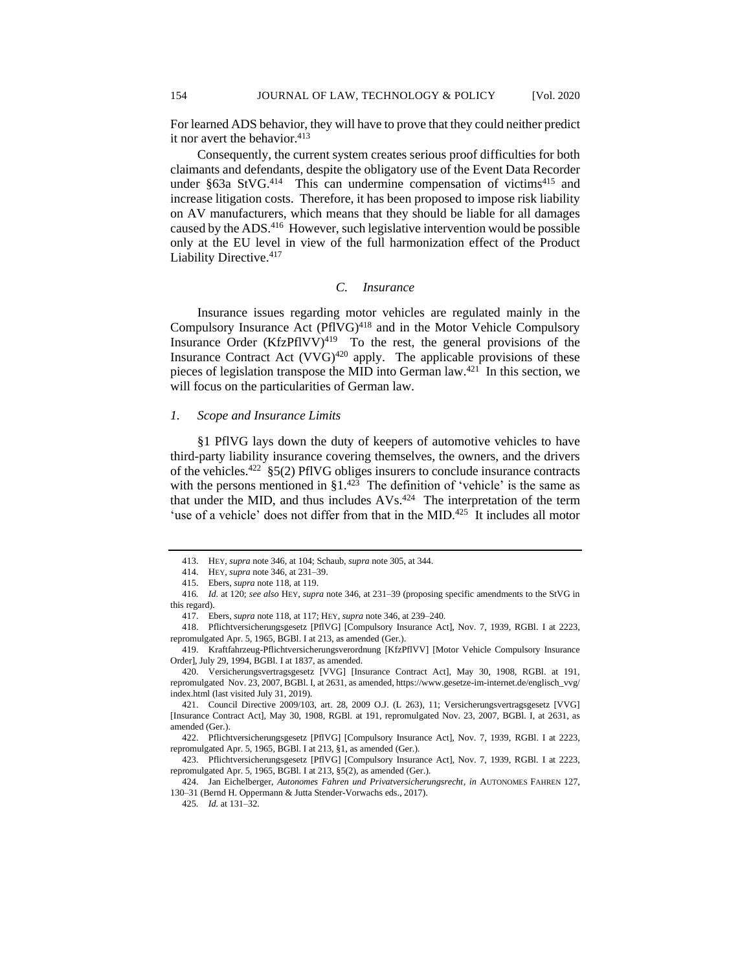For learned ADS behavior, they will have to prove that they could neither predict it nor avert the behavior.<sup>413</sup>

Consequently, the current system creates serious proof difficulties for both claimants and defendants, despite the obligatory use of the Event Data Recorder under §63a StVG.<sup>414</sup> This can undermine compensation of victims<sup>415</sup> and increase litigation costs. Therefore, it has been proposed to impose risk liability on AV manufacturers, which means that they should be liable for all damages caused by the ADS.<sup>416</sup> However, such legislative intervention would be possible only at the EU level in view of the full harmonization effect of the Product Liability Directive.<sup>417</sup>

# *C. Insurance*

Insurance issues regarding motor vehicles are regulated mainly in the Compulsory Insurance Act  $(PIVG)^{418}$  and in the Motor Vehicle Compulsory Insurance Order  $(KfzPfIVV)^{419}$  To the rest, the general provisions of the Insurance Contract Act  $(VVG)^{420}$  apply. The applicable provisions of these pieces of legislation transpose the MID into German  $law<sup>.421</sup>$  In this section, we will focus on the particularities of German law.

### *1. Scope and Insurance Limits*

§1 PflVG lays down the duty of keepers of automotive vehicles to have third-party liability insurance covering themselves, the owners, and the drivers of the vehicles.<sup>422</sup> §5(2) PflVG obliges insurers to conclude insurance contracts with the persons mentioned in  $\S1^{423}$  The definition of 'vehicle' is the same as that under the MID, and thus includes  $AVs$ .<sup>424</sup> The interpretation of the term 'use of a vehicle' does not differ from that in the MID.<sup>425</sup> It includes all motor

424. Jan Eichelberger, *Autonomes Fahren und Privatversicherungsrecht*, *in* AUTONOMES FAHREN 127, 130–31 (Bernd H. Oppermann & Jutta Stender-Vorwachs eds., 2017).

<sup>413.</sup> HEY, *supra* note 346, at 104; Schaub, *supra* note 305, at 344.

<sup>414.</sup> HEY, *supra* note 346, at 231–39.

<sup>415.</sup> Ebers, *supra* note 118, at 119.

<sup>416</sup>*. Id.* at 120; *see also* HEY, *supra* note 346, at 231–39 (proposing specific amendments to the StVG in this regard).

<sup>417.</sup> Ebers, *supra* note 118, at 117; HEY, *supra* note 346, at 239–240.

<sup>418.</sup> Pflichtversicherungsgesetz [PflVG] [Compulsory Insurance Act], Nov. 7, 1939, RGBl. I at 2223, repromulgated Apr. 5, 1965, BGBl. I at 213, as amended (Ger.).

<sup>419.</sup> Kraftfahrzeug-Pflichtversicherungsverordnung [KfzPflVV] [Motor Vehicle Compulsory Insurance Order], July 29, 1994, BGBl. I at 1837, as amended.

<sup>420.</sup> Versicherungsvertragsgesetz [VVG] [Insurance Contract Act], May 30, 1908, RGBl. at 191, repromulgated Nov. 23, 2007, BGBl. I, at 2631, as amended, https://www.gesetze-im-internet.de/englisch\_vvg/ index.html (last visited July 31, 2019).

<sup>421.</sup> Council Directive 2009/103, art. 28, 2009 O.J. (L 263), 11; Versicherungsvertragsgesetz [VVG] [Insurance Contract Act], May 30, 1908, RGBl. at 191, repromulgated Nov. 23, 2007, BGBl. I, at 2631, as amended (Ger.).

<sup>422.</sup> Pflichtversicherungsgesetz [PflVG] [Compulsory Insurance Act], Nov. 7, 1939, RGBl. I at 2223, repromulgated Apr. 5, 1965, BGBl. I at 213, §1, as amended (Ger.).

<sup>423.</sup> Pflichtversicherungsgesetz [PflVG] [Compulsory Insurance Act], Nov. 7, 1939, RGBl. I at 2223, repromulgated Apr. 5, 1965, BGBl. I at 213, §5(2), as amended (Ger.).

<sup>425</sup>*. Id.* at 131–32.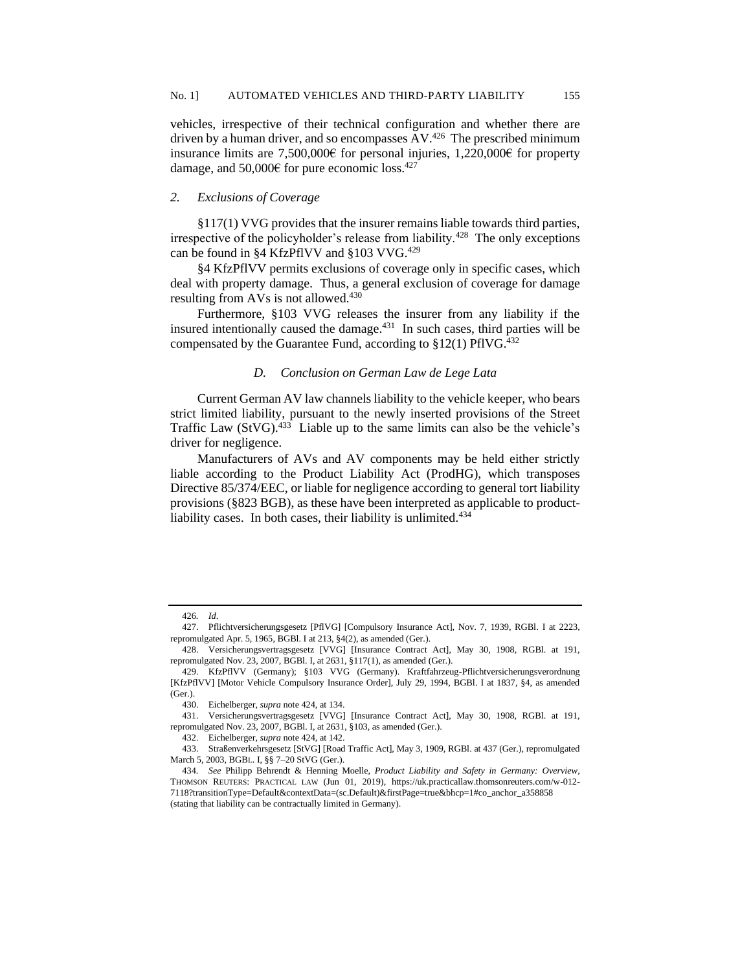vehicles, irrespective of their technical configuration and whether there are driven by a human driver, and so encompasses AV.<sup>426</sup> The prescribed minimum insurance limits are 7,500,000€ for personal injuries, 1,220,000€ for property damage, and 50,000€ for pure economic loss.<sup>427</sup>

# *2. Exclusions of Coverage*

§117(1) VVG provides that the insurer remains liable towards third parties, irrespective of the policyholder's release from liability.<sup>428</sup> The only exceptions can be found in §4 KfzPflVV and §103 VVG.<sup>429</sup>

§4 KfzPflVV permits exclusions of coverage only in specific cases, which deal with property damage. Thus, a general exclusion of coverage for damage resulting from AVs is not allowed.<sup>430</sup>

Furthermore, §103 VVG releases the insurer from any liability if the insured intentionally caused the damage.<sup>431</sup> In such cases, third parties will be compensated by the Guarantee Fund, according to  $$12(1)$  PflVG.<sup>432</sup>

### *D. Conclusion on German Law de Lege Lata*

Current German AV law channels liability to the vehicle keeper, who bears strict limited liability, pursuant to the newly inserted provisions of the Street Traffic Law  $(StVG)$ .<sup>433</sup> Liable up to the same limits can also be the vehicle's driver for negligence.

Manufacturers of AVs and AV components may be held either strictly liable according to the Product Liability Act (ProdHG), which transposes Directive 85/374/EEC, or liable for negligence according to general tort liability provisions (§823 BGB), as these have been interpreted as applicable to productliability cases. In both cases, their liability is unlimited.<sup>434</sup>

<sup>426</sup>*. Id*.

<sup>427.</sup> Pflichtversicherungsgesetz [PflVG] [Compulsory Insurance Act], Nov. 7, 1939, RGBl. I at 2223, repromulgated Apr. 5, 1965, BGBl. I at 213, §4(2), as amended (Ger.).

<sup>428.</sup> Versicherungsvertragsgesetz [VVG] [Insurance Contract Act], May 30, 1908, RGBl. at 191, repromulgated Nov. 23, 2007, BGBl. I, at 2631, §117(1), as amended (Ger.).

<sup>429.</sup> KfzPflVV (Germany); §103 VVG (Germany). Kraftfahrzeug-Pflichtversicherungsverordnung [KfzPflVV] [Motor Vehicle Compulsory Insurance Order], July 29, 1994, BGBl. I at 1837, §4, as amended (Ger.).

<sup>430.</sup> Eichelberger, *supra* note 424, at 134.

<sup>431.</sup> Versicherungsvertragsgesetz [VVG] [Insurance Contract Act], May 30, 1908, RGBl. at 191, repromulgated Nov. 23, 2007, BGBl. I, at 2631, §103, as amended (Ger.).

<sup>432.</sup> Eichelberger, *supra* note 424, at 142.

<sup>433.</sup> Straßenverkehrsgesetz [StVG] [Road Traffic Act], May 3, 1909, RGBl. at 437 (Ger.), repromulgated March 5, 2003, BGBL. I, §§ 7–20 StVG (Ger.).

<sup>434</sup>*. See* Philipp Behrendt & Henning Moelle, *Product Liability and Safety in Germany: Overview*, THOMSON REUTERS: PRACTICAL LAW (Jun 01, 2019), https://uk.practicallaw.thomsonreuters.com/w-012- 7118?transitionType=Default&contextData=(sc.Default)&firstPage=true&bhcp=1#co\_anchor\_a358858 (stating that liability can be contractually limited in Germany).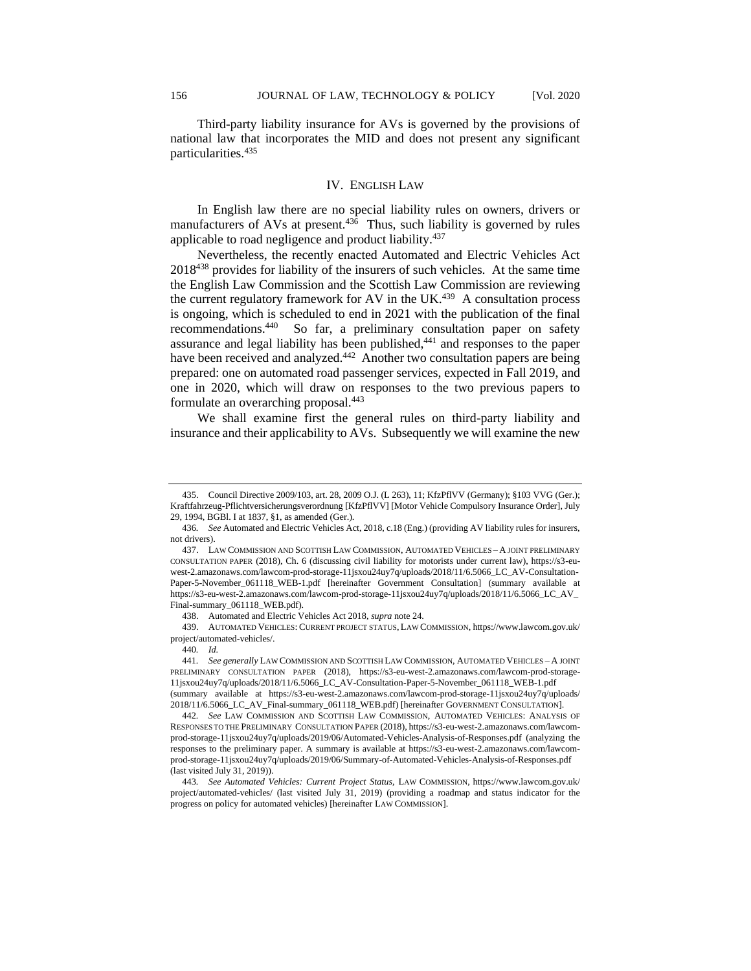Third-party liability insurance for AVs is governed by the provisions of national law that incorporates the MID and does not present any significant particularities.<sup>435</sup>

# IV. ENGLISH LAW

In English law there are no special liability rules on owners, drivers or manufacturers of AVs at present.<sup>436</sup> Thus, such liability is governed by rules applicable to road negligence and product liability.<sup>437</sup>

Nevertheless, the recently enacted Automated and Electric Vehicles Act 2018<sup>438</sup> provides for liability of the insurers of such vehicles. At the same time the English Law Commission and the Scottish Law Commission are reviewing the current regulatory framework for AV in the UK. $439$  A consultation process is ongoing, which is scheduled to end in 2021 with the publication of the final recommendations.<sup>440</sup> So far, a preliminary consultation paper on safety assurance and legal liability has been published,<sup>441</sup> and responses to the paper have been received and analyzed.<sup>442</sup> Another two consultation papers are being prepared: one on automated road passenger services, expected in Fall 2019, and one in 2020, which will draw on responses to the two previous papers to formulate an overarching proposal.<sup>443</sup>

We shall examine first the general rules on third-party liability and insurance and their applicability to AVs. Subsequently we will examine the new

439. AUTOMATED VEHICLES: CURRENT PROJECT STATUS, LAW COMMISSION, https://www.lawcom.gov.uk/ project/automated-vehicles/.

<sup>435.</sup> Council Directive 2009/103, art. 28, 2009 O.J. (L 263), 11; KfzPflVV (Germany); §103 VVG (Ger.); Kraftfahrzeug-Pflichtversicherungsverordnung [KfzPflVV] [Motor Vehicle Compulsory Insurance Order], July 29, 1994, BGBl. I at 1837, §1, as amended (Ger.).

<sup>436</sup>*. See* Automated and Electric Vehicles Act, 2018, c.18 (Eng.) (providing AV liability rules for insurers, not drivers).

<sup>437.</sup> LAW COMMISSION AND SCOTTISH LAW COMMISSION, AUTOMATED VEHICLES – A JOINT PRELIMINARY CONSULTATION PAPER (2018), Ch. 6 (discussing civil liability for motorists under current law), https://s3-euwest-2.amazonaws.com/lawcom-prod-storage-11jsxou24uy7q/uploads/2018/11/6.5066\_LC\_AV-Consultation-Paper-5-November\_061118\_WEB-1.pdf [hereinafter Government Consultation] (summary available at https://s3-eu-west-2.amazonaws.com/lawcom-prod-storage-11jsxou24uy7q/uploads/2018/11/6.5066\_LC\_AV\_ Final-summary\_061118\_WEB.pdf).

<sup>438.</sup> Automated and Electric Vehicles Act 2018, *supra* note 24.

<sup>440</sup>*. Id.*

<sup>441</sup>*. See generally* LAW COMMISSION AND SCOTTISH LAW COMMISSION, AUTOMATED VEHICLES – A JOINT PRELIMINARY CONSULTATION PAPER (2018), https://s3-eu-west-2.amazonaws.com/lawcom-prod-storage-11jsxou24uy7q/uploads/2018/11/6.5066\_LC\_AV-Consultation-Paper-5-November\_061118\_WEB-1.pdf (summary available at https://s3-eu-west-2.amazonaws.com/lawcom-prod-storage-11jsxou24uy7q/uploads/ 2018/11/6.5066\_LC\_AV\_Final-summary\_061118\_WEB.pdf) [hereinafter GOVERNMENT CONSULTATION].

<sup>442</sup>*. See* LAW COMMISSION AND SCOTTISH LAW COMMISSION, AUTOMATED VEHICLES: ANALYSIS OF RESPONSES TO THE PRELIMINARY CONSULTATION PAPER (2018), https://s3-eu-west-2.amazonaws.com/lawcomprod-storage-11jsxou24uy7q/uploads/2019/06/Automated-Vehicles-Analysis-of-Responses.pdf (analyzing the responses to the preliminary paper. A summary is available at https://s3-eu-west-2.amazonaws.com/lawcomprod-storage-11jsxou24uy7q/uploads/2019/06/Summary-of-Automated-Vehicles-Analysis-of-Responses.pdf (last visited July 31, 2019)).

<sup>443</sup>*. See Automated Vehicles: Current Project Status,* LAW COMMISSION, https://www.lawcom.gov.uk/ project/automated-vehicles/ (last visited July 31, 2019) (providing a roadmap and status indicator for the progress on policy for automated vehicles) [hereinafter LAW COMMISSION].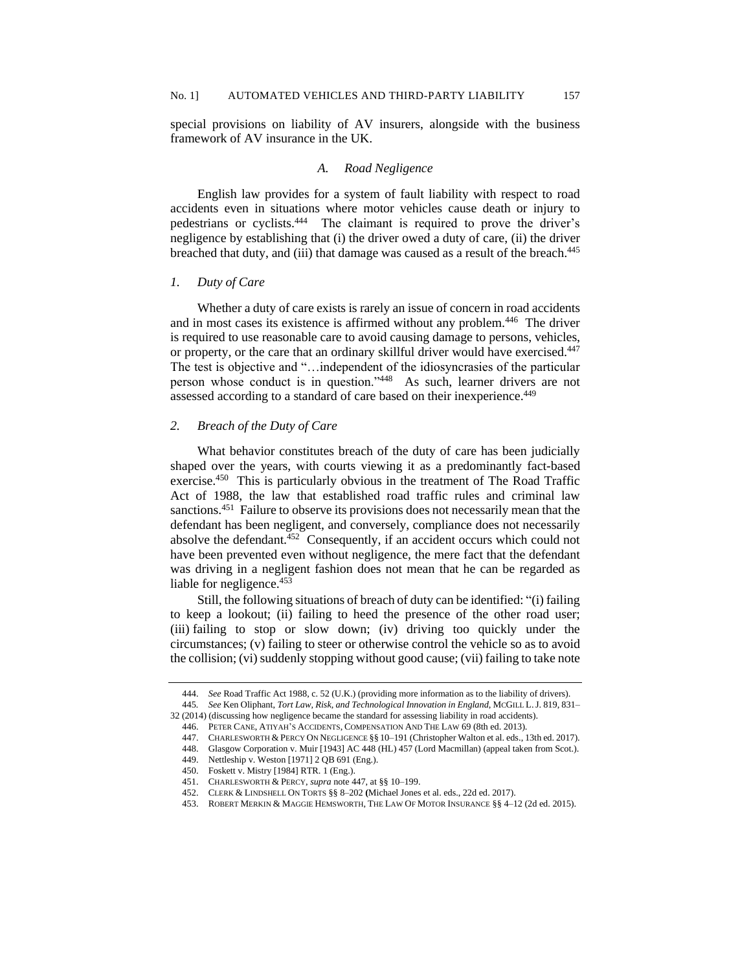special provisions on liability of AV insurers, alongside with the business framework of AV insurance in the UK.

# *A. Road Negligence*

English law provides for a system of fault liability with respect to road accidents even in situations where motor vehicles cause death or injury to pedestrians or cyclists.<sup>444</sup> The claimant is required to prove the driver's negligence by establishing that (i) the driver owed a duty of care, (ii) the driver breached that duty, and (iii) that damage was caused as a result of the breach.<sup>445</sup>

# *1. Duty of Care*

Whether a duty of care exists is rarely an issue of concern in road accidents and in most cases its existence is affirmed without any problem.<sup>446</sup> The driver is required to use reasonable care to avoid causing damage to persons, vehicles, or property, or the care that an ordinary skillful driver would have exercised.<sup>447</sup> The test is objective and "…independent of the idiosyncrasies of the particular person whose conduct is in question."<sup>448</sup> As such, learner drivers are not assessed according to a standard of care based on their inexperience.<sup>449</sup>

### *2. Breach of the Duty of Care*

What behavior constitutes breach of the duty of care has been judicially shaped over the years, with courts viewing it as a predominantly fact-based exercise.<sup>450</sup> This is particularly obvious in the treatment of The Road Traffic Act of 1988, the law that established road traffic rules and criminal law sanctions.<sup>451</sup> Failure to observe its provisions does not necessarily mean that the defendant has been negligent, and conversely, compliance does not necessarily absolve the defendant. $452$  Consequently, if an accident occurs which could not have been prevented even without negligence, the mere fact that the defendant was driving in a negligent fashion does not mean that he can be regarded as liable for negligence.<sup>453</sup>

Still, the following situations of breach of duty can be identified: "(i) failing to keep a lookout; (ii) failing to heed the presence of the other road user; (iii) failing to stop or slow down; (iv) driving too quickly under the circumstances; (v) failing to steer or otherwise control the vehicle so as to avoid the collision; (vi) suddenly stopping without good cause; (vii) failing to take note

453. ROBERT MERKIN & MAGGIE HEMSWORTH, THE LAW OF MOTOR INSURANCE §§ 4–12 (2d ed. 2015).

<sup>444.</sup> *See* Road Traffic Act 1988, c. 52 (U.K.) (providing more information as to the liability of drivers).

<sup>445</sup>*. See* Ken Oliphant, *Tort Law, Risk, and Technological Innovation in England*, MCGILL L.J. 819, 831–

<sup>32 (2014) (</sup>discussing how negligence became the standard for assessing liability in road accidents).

<sup>446.</sup> PETER CANE, ATIYAH'S ACCIDENTS, COMPENSATION AND THE LAW 69 (8th ed. 2013).

<sup>447.</sup> CHARLESWORTH & PERCY ON NEGLIGENCE §§ 10–191 (Christopher Walton et al. eds., 13th ed. 2017). 448. Glasgow Corporation v. Muir [1943] AC 448 (HL) 457 (Lord Macmillan) (appeal taken from Scot.).

<sup>449.</sup> Nettleship v. Weston [1971] 2 QB 691 (Eng.).

<sup>450.</sup> Foskett v. Mistry [1984] RTR. 1 (Eng.).

<sup>451.</sup> CHARLESWORTH & PERCY, *supra* note 447, at §§ 10–199.

<sup>452.</sup> CLERK & LINDSHELL ON TORTS §§ 8–202 **(**Michael Jones et al. eds., 22d ed. 2017).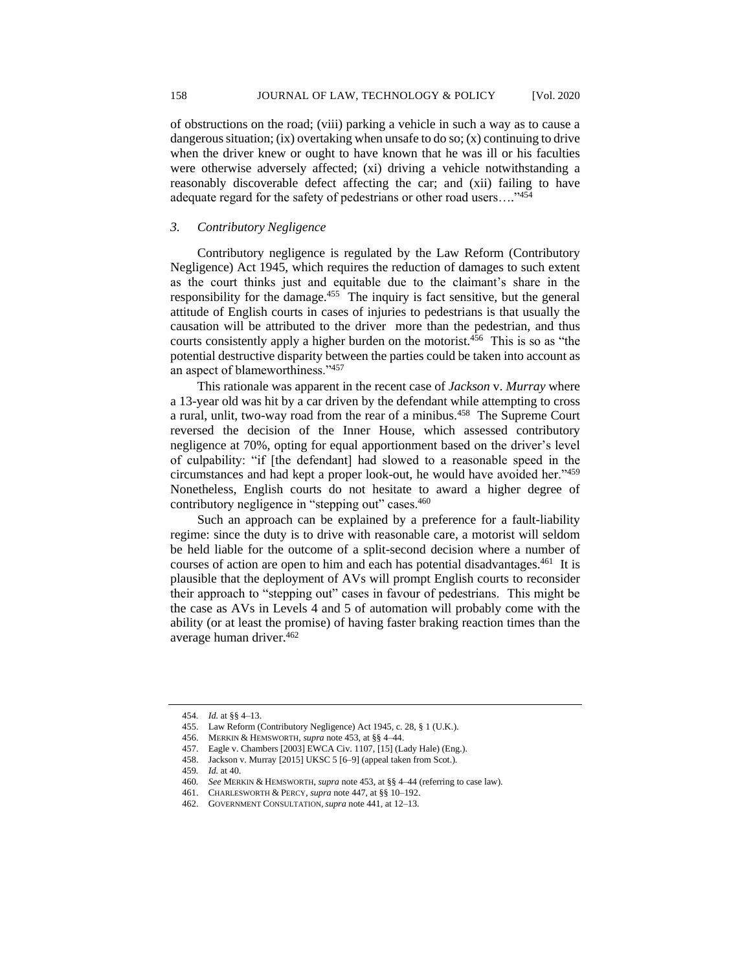of obstructions on the road; (viii) parking a vehicle in such a way as to cause a dangerous situation; (ix) overtaking when unsafe to do so; (x) continuing to drive when the driver knew or ought to have known that he was ill or his faculties were otherwise adversely affected; (xi) driving a vehicle notwithstanding a reasonably discoverable defect affecting the car; and (xii) failing to have adequate regard for the safety of pedestrians or other road users...."454

# *3. Contributory Negligence*

Contributory negligence is regulated by the Law Reform (Contributory Negligence) Act 1945, which requires the reduction of damages to such extent as the court thinks just and equitable due to the claimant's share in the responsibility for the damage.<sup>455</sup> The inquiry is fact sensitive, but the general attitude of English courts in cases of injuries to pedestrians is that usually the causation will be attributed to the driver more than the pedestrian, and thus courts consistently apply a higher burden on the motorist.<sup>456</sup> This is so as "the potential destructive disparity between the parties could be taken into account as an aspect of blameworthiness."<sup>457</sup>

This rationale was apparent in the recent case of *Jackson* v. *Murray* where a 13-year old was hit by a car driven by the defendant while attempting to cross a rural, unlit, two-way road from the rear of a minibus.<sup>458</sup> The Supreme Court reversed the decision of the Inner House, which assessed contributory negligence at 70%, opting for equal apportionment based on the driver's level of culpability: "if [the defendant] had slowed to a reasonable speed in the circumstances and had kept a proper look-out, he would have avoided her."<sup>459</sup> Nonetheless, English courts do not hesitate to award a higher degree of contributory negligence in "stepping out" cases.<sup>460</sup>

Such an approach can be explained by a preference for a fault-liability regime: since the duty is to drive with reasonable care, a motorist will seldom be held liable for the outcome of a split-second decision where a number of courses of action are open to him and each has potential disadvantages.<sup>461</sup> It is plausible that the deployment of AVs will prompt English courts to reconsider their approach to "stepping out" cases in favour of pedestrians. This might be the case as AVs in Levels 4 and 5 of automation will probably come with the ability (or at least the promise) of having faster braking reaction times than the average human driver.<sup>462</sup>

<sup>454</sup>*. Id.* at §§ 4–13.

<sup>455.</sup> Law Reform (Contributory Negligence) Act 1945, c. 28, § 1 (U.K.).

<sup>456.</sup> MERKIN & HEMSWORTH, *supra* note 453, at §§ 4–44.

<sup>457.</sup> Eagle v. Chambers [2003] EWCA Civ. 1107, [15] (Lady Hale) (Eng.).

<sup>458.</sup> Jackson v. Murray [2015] UKSC 5 [6–9] (appeal taken from Scot.).

<sup>459</sup>*. Id.* at 40.

<sup>460</sup>*. See* MERKIN & HEMSWORTH, *supra* note 453, at §§ 4–44 (referring to case law).

<sup>461.</sup> CHARLESWORTH & PERCY, *supra* note 447, at §§ 10–192.

<sup>462.</sup> GOVERNMENT CONSULTATION,*supra* note 441, at 12–13.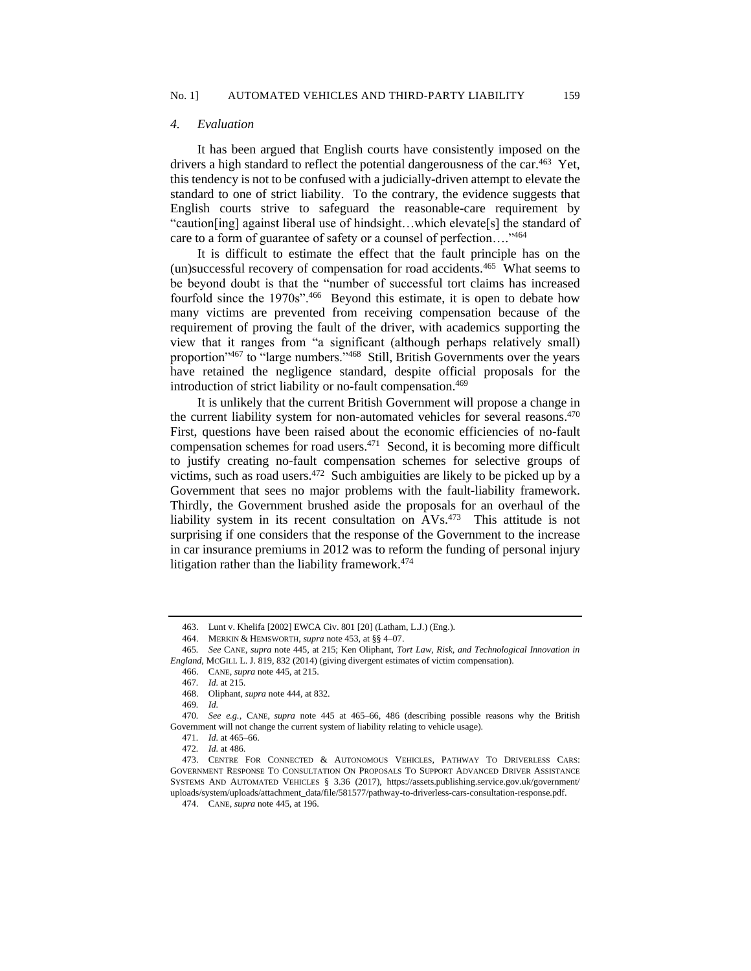### *4. Evaluation*

It has been argued that English courts have consistently imposed on the drivers a high standard to reflect the potential dangerousness of the car.<sup>463</sup> Yet, this tendency is not to be confused with a judicially-driven attempt to elevate the standard to one of strict liability. To the contrary, the evidence suggests that English courts strive to safeguard the reasonable-care requirement by "caution[ing] against liberal use of hindsight…which elevate[s] the standard of care to a form of guarantee of safety or a counsel of perfection...."464

It is difficult to estimate the effect that the fault principle has on the (un)successful recovery of compensation for road accidents.<sup>465</sup> What seems to be beyond doubt is that the "number of successful tort claims has increased fourfold since the 1970s".<sup>466</sup> Beyond this estimate, it is open to debate how many victims are prevented from receiving compensation because of the requirement of proving the fault of the driver, with academics supporting the view that it ranges from "a significant (although perhaps relatively small) proportion<sup>,467</sup> to "large numbers."<sup>468</sup> Still, British Governments over the years have retained the negligence standard, despite official proposals for the introduction of strict liability or no-fault compensation.<sup>469</sup>

It is unlikely that the current British Government will propose a change in the current liability system for non-automated vehicles for several reasons. 470 First, questions have been raised about the economic efficiencies of no-fault compensation schemes for road users.<sup>471</sup> Second, it is becoming more difficult to justify creating no-fault compensation schemes for selective groups of victims, such as road users. $472$  Such ambiguities are likely to be picked up by a Government that sees no major problems with the fault-liability framework. Thirdly, the Government brushed aside the proposals for an overhaul of the liability system in its recent consultation on AVs.<sup>473</sup> This attitude is not surprising if one considers that the response of the Government to the increase in car insurance premiums in 2012 was to reform the funding of personal injury litigation rather than the liability framework.<sup>474</sup>

469*. Id.*

470*. See e.g.*, CANE, *supra* note 445 at 465–66, 486 (describing possible reasons why the British Government will not change the current system of liability relating to vehicle usage).

<sup>463.</sup> Lunt v. Khelifa [2002] EWCA Civ. 801 [20] (Latham, L.J.) (Eng.).

<sup>464.</sup> MERKIN & HEMSWORTH, *supra* note 453, at §§ 4–07.

<sup>465</sup>*. See* CANE, *supra* note 445, at 215; Ken Oliphant, *Tort Law, Risk, and Technological Innovation in England*, MCGILL L. J. 819, 832 (2014) (giving divergent estimates of victim compensation).

<sup>466.</sup> CANE, *supra* note 445, at 215.

<sup>467</sup>*. Id.* at 215.

<sup>468.</sup> Oliphant, *supra* note 444, at 832.

<sup>471</sup>*. Id.* at 465–66.

<sup>472</sup>*. Id.* at 486.

<sup>473.</sup> CENTRE FOR CONNECTED & AUTONOMOUS VEHICLES, PATHWAY TO DRIVERLESS CARS: GOVERNMENT RESPONSE TO CONSULTATION ON PROPOSALS TO SUPPORT ADVANCED DRIVER ASSISTANCE SYSTEMS AND AUTOMATED VEHICLES § 3.36 (2017), https://assets.publishing.service.gov.uk/government/ uploads/system/uploads/attachment\_data/file/581577/pathway-to-driverless-cars-consultation-response.pdf.

<sup>474.</sup> CANE, *supra* note 445, at 196.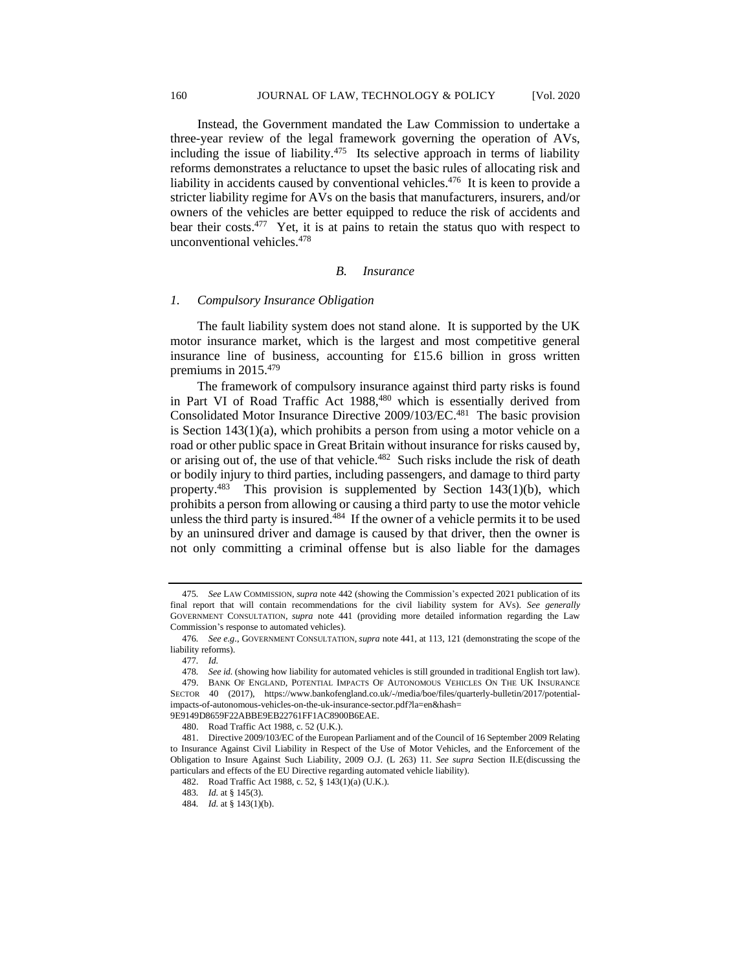Instead, the Government mandated the Law Commission to undertake a three-year review of the legal framework governing the operation of AVs, including the issue of liability. $475$  Its selective approach in terms of liability reforms demonstrates a reluctance to upset the basic rules of allocating risk and liability in accidents caused by conventional vehicles.<sup>476</sup> It is keen to provide a stricter liability regime for AVs on the basis that manufacturers, insurers, and/or owners of the vehicles are better equipped to reduce the risk of accidents and bear their costs.<sup>477</sup> Yet, it is at pains to retain the status quo with respect to unconventional vehicles.<sup>478</sup>

#### *B. Insurance*

#### *1. Compulsory Insurance Obligation*

The fault liability system does not stand alone. It is supported by the UK motor insurance market, which is the largest and most competitive general insurance line of business, accounting for £15.6 billion in gross written premiums in 2015.<sup>479</sup>

The framework of compulsory insurance against third party risks is found in Part VI of Road Traffic Act 1988,<sup>480</sup> which is essentially derived from Consolidated Motor Insurance Directive 2009/103/EC.<sup>481</sup> The basic provision is Section 143(1)(a), which prohibits a person from using a motor vehicle on a road or other public space in Great Britain without insurance for risks caused by, or arising out of, the use of that vehicle.<sup>482</sup> Such risks include the risk of death or bodily injury to third parties, including passengers, and damage to third party property.<sup>483</sup> This provision is supplemented by Section 143(1)(b), which prohibits a person from allowing or causing a third party to use the motor vehicle unless the third party is insured. $484$  If the owner of a vehicle permits it to be used by an uninsured driver and damage is caused by that driver, then the owner is not only committing a criminal offense but is also liable for the damages

<sup>475</sup>*. See* LAW COMMISSION, *supra* note 442 (showing the Commission's expected 2021 publication of its final report that will contain recommendations for the civil liability system for AVs). *See generally*  GOVERNMENT CONSULTATION, *supra* note 441 (providing more detailed information regarding the Law Commission's response to automated vehicles).

<sup>476</sup>*. See e.g.*, GOVERNMENT CONSULTATION, *supra* note 441, at 113, 121 (demonstrating the scope of the liability reforms).

<sup>477</sup>*. Id.*

<sup>478</sup>*. See id.* (showing how liability for automated vehicles is still grounded in traditional English tort law)*.*

<sup>479.</sup> BANK OF ENGLAND, POTENTIAL IMPACTS OF AUTONOMOUS VEHICLES ON THE UK INSURANCE SECTOR 40 (2017), https://www.bankofengland.co.uk/-/media/boe/files/quarterly-bulletin/2017/potentialimpacts-of-autonomous-vehicles-on-the-uk-insurance-sector.pdf?la=en&hash= 9E9149D8659F22ABBE9EB22761FF1AC8900B6EAE.

<sup>480.</sup> Road Traffic Act 1988, c. 52 (U.K.).

<sup>481.</sup> Directive 2009/103/EC of the European Parliament and of the Council of 16 September 2009 Relating to Insurance Against Civil Liability in Respect of the Use of Motor Vehicles, and the Enforcement of the Obligation to Insure Against Such Liability, 2009 O.J. (L 263) 11. *See supra* Section II.E(discussing the particulars and effects of the EU Directive regarding automated vehicle liability).

<sup>482.</sup> Road Traffic Act 1988, c. 52, § 143(1)(a) (U.K.).

<sup>483</sup>*. Id.* at § 145(3).

<sup>484</sup>*. Id.* at § 143(1)(b).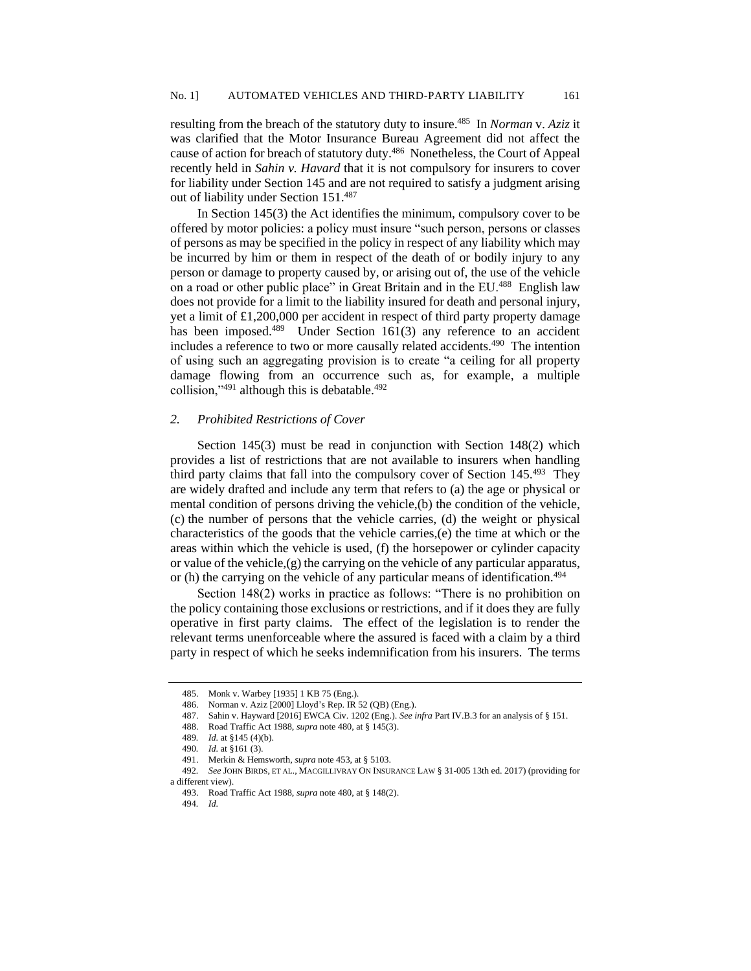resulting from the breach of the statutory duty to insure.<sup>485</sup> In *Norman v. Aziz* it was clarified that the Motor Insurance Bureau Agreement did not affect the cause of action for breach of statutory duty.<sup>486</sup> Nonetheless, the Court of Appeal recently held in *Sahin v. Havard* that it is not compulsory for insurers to cover for liability under Section 145 and are not required to satisfy a judgment arising out of liability under Section 151.<sup>487</sup>

In Section 145(3) the Act identifies the minimum, compulsory cover to be offered by motor policies: a policy must insure "such person, persons or classes of persons as may be specified in the policy in respect of any liability which may be incurred by him or them in respect of the death of or bodily injury to any person or damage to property caused by, or arising out of, the use of the vehicle on a road or other public place" in Great Britain and in the EU.<sup>488</sup> English law does not provide for a limit to the liability insured for death and personal injury, yet a limit of £1,200,000 per accident in respect of third party property damage has been imposed.<sup>489</sup> Under Section 161(3) any reference to an accident includes a reference to two or more causally related accidents.<sup>490</sup> The intention of using such an aggregating provision is to create "a ceiling for all property damage flowing from an occurrence such as, for example, a multiple collision," $491$  although this is debatable. $492$ 

#### *2. Prohibited Restrictions of Cover*

Section 145(3) must be read in conjunction with Section 148(2) which provides a list of restrictions that are not available to insurers when handling third party claims that fall into the compulsory cover of Section 145.<sup>493</sup> They are widely drafted and include any term that refers to (a) the age or physical or mental condition of persons driving the vehicle,(b) the condition of the vehicle, (c) the number of persons that the vehicle carries, (d) the weight or physical characteristics of the goods that the vehicle carries,(e) the time at which or the areas within which the vehicle is used, (f) the horsepower or cylinder capacity or value of the vehicle, $(g)$  the carrying on the vehicle of any particular apparatus, or (h) the carrying on the vehicle of any particular means of identification.<sup>494</sup>

Section 148(2) works in practice as follows: "There is no prohibition on the policy containing those exclusions or restrictions, and if it does they are fully operative in first party claims. The effect of the legislation is to render the relevant terms unenforceable where the assured is faced with a claim by a third party in respect of which he seeks indemnification from his insurers. The terms

<sup>485.</sup> Monk v. Warbey [1935] 1 KB 75 (Eng.).

<sup>486.</sup> Norman v. Aziz [2000] Lloyd's Rep. IR 52 (QB) (Eng.).

<sup>487.</sup> Sahin v. Hayward [2016] EWCA Civ. 1202 (Eng.). *See infra* Part IV.B.3 for an analysis of § 151.

<sup>488.</sup> Road Traffic Act 1988, *supra* note 480, at § 145(3).

<sup>489</sup>*. Id.* at §145 (4)(b).

<sup>490</sup>*. Id.* at §161 (3).

<sup>491.</sup> Merkin & Hemsworth, *supra* note 453, at § 5103.

<sup>492</sup>*. See* JOHN BIRDS, ET AL., MACGILLIVRAY ON INSURANCE LAW § 31-005 13th ed. 2017) (providing for a different view).

<sup>493.</sup> Road Traffic Act 1988, *supra* note 480, at § 148(2).

<sup>494</sup>*. Id.*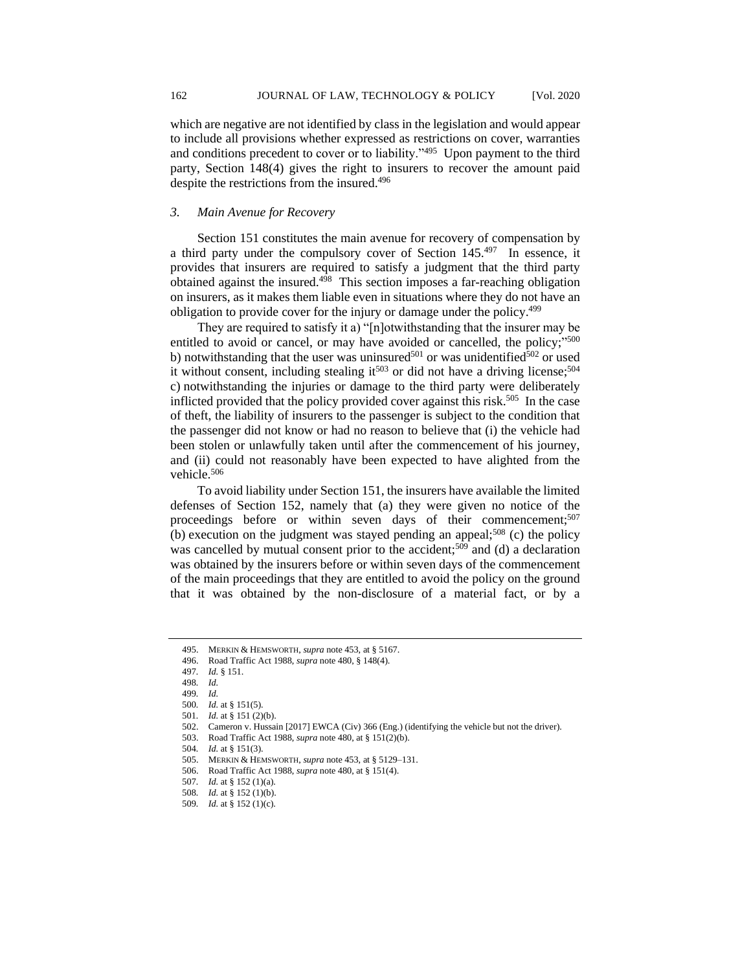which are negative are not identified by class in the legislation and would appear to include all provisions whether expressed as restrictions on cover, warranties and conditions precedent to cover or to liability."<sup>495</sup> Upon payment to the third party, Section 148(4) gives the right to insurers to recover the amount paid despite the restrictions from the insured.<sup>496</sup>

### *3. Main Avenue for Recovery*

Section 151 constitutes the main avenue for recovery of compensation by a third party under the compulsory cover of Section 145.<sup>497</sup> In essence, it provides that insurers are required to satisfy a judgment that the third party obtained against the insured.<sup>498</sup> This section imposes a far-reaching obligation on insurers, as it makes them liable even in situations where they do not have an obligation to provide cover for the injury or damage under the policy.<sup>499</sup>

They are required to satisfy it a) "[n]otwithstanding that the insurer may be entitled to avoid or cancel, or may have avoided or cancelled, the policy;"<sup>500</sup> b) notwithstanding that the user was uninsured<sup>501</sup> or was unidentified<sup>502</sup> or used it without consent, including stealing it<sup>503</sup> or did not have a driving license;<sup>504</sup> c) notwithstanding the injuries or damage to the third party were deliberately inflicted provided that the policy provided cover against this risk.<sup>505</sup> In the case of theft, the liability of insurers to the passenger is subject to the condition that the passenger did not know or had no reason to believe that (i) the vehicle had been stolen or unlawfully taken until after the commencement of his journey, and (ii) could not reasonably have been expected to have alighted from the vehicle.<sup>506</sup>

To avoid liability under Section 151, the insurers have available the limited defenses of Section 152, namely that (a) they were given no notice of the proceedings before or within seven days of their commencement;<sup>507</sup> (b) execution on the judgment was stayed pending an appeal;<sup>508</sup> (c) the policy was cancelled by mutual consent prior to the accident;<sup>509</sup> and (d) a declaration was obtained by the insurers before or within seven days of the commencement of the main proceedings that they are entitled to avoid the policy on the ground that it was obtained by the non-disclosure of a material fact, or by a

<sup>495.</sup> MERKIN & HEMSWORTH, *supra* note 453, at § 5167.

<sup>496.</sup> Road Traffic Act 1988, *supra* note 480, § 148(4).

<sup>497</sup>*. Id.* § 151.

<sup>498</sup>*. Id.* 499*. Id.*

<sup>500</sup>*. Id.* at § 151(5).

<sup>501</sup>*. Id.* at § 151 (2)(b).

<sup>502.</sup> Cameron v. Hussain [2017] EWCA (Civ) 366 (Eng.) (identifying the vehicle but not the driver).

<sup>503.</sup> Road Traffic Act 1988, *supra* note 480, at § 151(2)(b).

<sup>504</sup>*. Id.* at § 151(3).

<sup>505.</sup> MERKIN & HEMSWORTH, *supra* note 453, at § 5129–131.

<sup>506.</sup> Road Traffic Act 1988, *supra* note 480, at § 151(4).

<sup>507</sup>*. Id.* at § 152 (1)(a).

<sup>508</sup>*. Id.* at § 152 (1)(b).

<sup>509</sup>*. Id.* at § 152 (1)(c).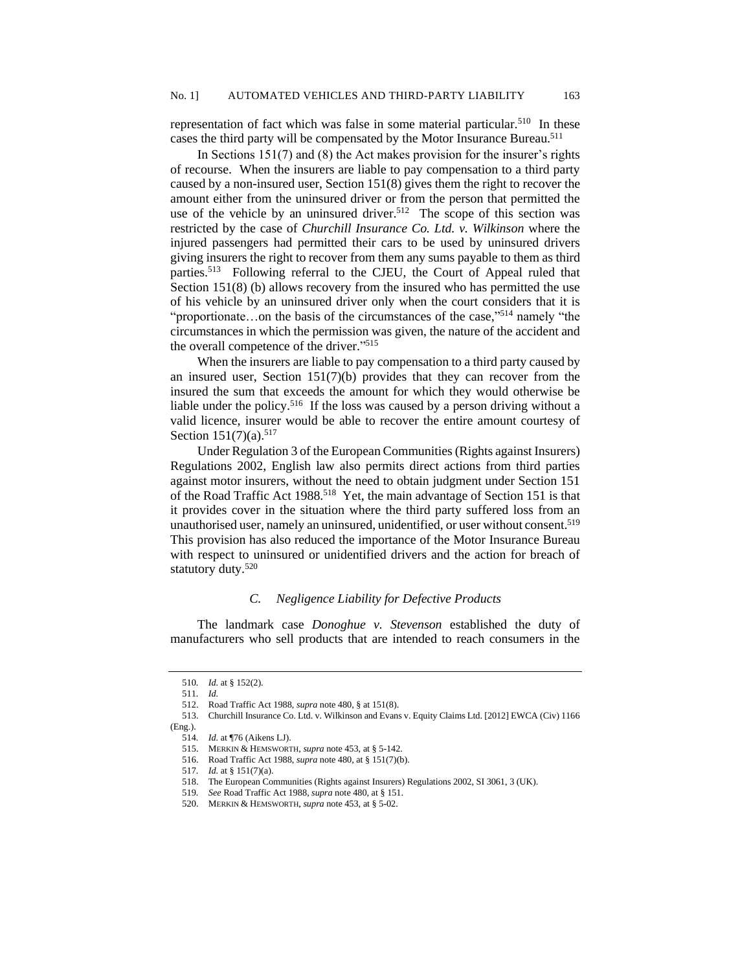representation of fact which was false in some material particular.<sup>510</sup> In these cases the third party will be compensated by the Motor Insurance Bureau.<sup>511</sup>

In Sections 151(7) and (8) the Act makes provision for the insurer's rights of recourse. When the insurers are liable to pay compensation to a third party caused by a non-insured user, Section 151(8) gives them the right to recover the amount either from the uninsured driver or from the person that permitted the use of the vehicle by an uninsured driver.<sup>512</sup> The scope of this section was restricted by the case of *Churchill Insurance Co. Ltd. v. Wilkinson* where the injured passengers had permitted their cars to be used by uninsured drivers giving insurers the right to recover from them any sums payable to them as third parties.<sup>513</sup> Following referral to the CJEU, the Court of Appeal ruled that Section 151(8) (b) allows recovery from the insured who has permitted the use of his vehicle by an uninsured driver only when the court considers that it is "proportionate...on the basis of the circumstances of the case,"<sup>514</sup> namely "the circumstances in which the permission was given, the nature of the accident and the overall competence of the driver." 515

When the insurers are liable to pay compensation to a third party caused by an insured user, Section 151(7)(b) provides that they can recover from the insured the sum that exceeds the amount for which they would otherwise be liable under the policy.<sup>516</sup> If the loss was caused by a person driving without a valid licence, insurer would be able to recover the entire amount courtesy of Section  $151(7)(a)$ .<sup>517</sup>

Under Regulation 3 of the European Communities (Rights against Insurers) Regulations 2002, English law also permits direct actions from third parties against motor insurers, without the need to obtain judgment under Section 151 of the Road Traffic Act 1988. 518 Yet, the main advantage of Section 151 is that it provides cover in the situation where the third party suffered loss from an unauthorised user, namely an uninsured, unidentified, or user without consent.<sup>519</sup> This provision has also reduced the importance of the Motor Insurance Bureau with respect to uninsured or unidentified drivers and the action for breach of statutory duty.<sup>520</sup>

# *C. Negligence Liability for Defective Products*

The landmark case *Donoghue v. Stevenson* established the duty of manufacturers who sell products that are intended to reach consumers in the

<sup>510</sup>*. Id.* at § 152(2).

<sup>511</sup>*. Id.*

<sup>512.</sup> Road Traffic Act 1988, *supra* note 480, § at 151(8).

<sup>513.</sup> Churchill Insurance Co. Ltd. v. Wilkinson and Evans v. Equity Claims Ltd. [2012] EWCA (Civ) 1166 (Eng.).

<sup>514</sup>*. Id.* at ¶76 (Aikens LJ).

<sup>515.</sup> MERKIN & HEMSWORTH, *supra* note 453, at § 5-142.

<sup>516.</sup> Road Traffic Act 1988, *supra* note 480, at § 151(7)(b).

<sup>517</sup>*. Id.* at § 151(7)(a).

<sup>518.</sup> The European Communities (Rights against Insurers) Regulations 2002, SI 3061, 3 (UK).

<sup>519</sup>*. See* Road Traffic Act 1988, *supra* note 480, at § 151.

<sup>520.</sup> MERKIN & HEMSWORTH, *supra* note 453, at § 5-02.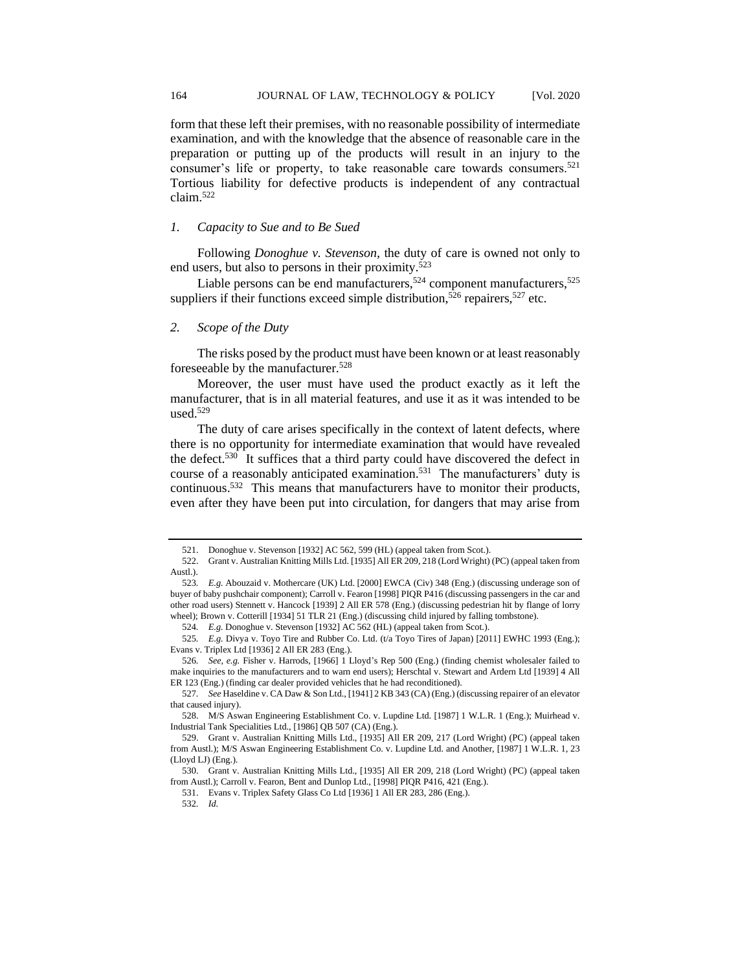form that these left their premises, with no reasonable possibility of intermediate examination, and with the knowledge that the absence of reasonable care in the preparation or putting up of the products will result in an injury to the consumer's life or property, to take reasonable care towards consumers.<sup>521</sup> Tortious liability for defective products is independent of any contractual claim.<sup>522</sup>

### *1. Capacity to Sue and to Be Sued*

Following *Donoghue v. Stevenson,* the duty of care is owned not only to end users, but also to persons in their proximity.<sup>523</sup>

Liable persons can be end manufacturers,  $524$  component manufacturers,  $525$ suppliers if their functions exceed simple distribution,<sup>526</sup> repairers,<sup>527</sup> etc.

#### *2. Scope of the Duty*

The risks posed by the product must have been known or at least reasonably foreseeable by the manufacturer.<sup>528</sup>

Moreover, the user must have used the product exactly as it left the manufacturer, that is in all material features, and use it as it was intended to be  $used.<sup>529</sup>$ 

The duty of care arises specifically in the context of latent defects, where there is no opportunity for intermediate examination that would have revealed the defect.<sup>530</sup> It suffices that a third party could have discovered the defect in course of a reasonably anticipated examination.<sup>531</sup> The manufacturers' duty is continuous.<sup>532</sup> This means that manufacturers have to monitor their products, even after they have been put into circulation, for dangers that may arise from

<sup>521.</sup> Donoghue v. Stevenson [1932] AC 562, 599 (HL) (appeal taken from Scot.).

<sup>522.</sup> Grant v. Australian Knitting Mills Ltd. [1935] All ER 209, 218 (Lord Wright) (PC) (appeal taken from Austl.).

<sup>523</sup>*. E.g.* Abouzaid v. Mothercare (UK) Ltd. [2000] EWCA (Civ) 348 (Eng.) (discussing underage son of buyer of baby pushchair component); Carroll v. Fearon [1998] PIQR P416 (discussing passengers in the car and other road users) Stennett v. Hancock [1939] 2 All ER 578 (Eng.) (discussing pedestrian hit by flange of lorry wheel); Brown v. Cotterill [1934] 51 TLR 21 (Eng.) (discussing child injured by falling tombstone).

<sup>524</sup>*. E.g.* Donoghue v. Stevenson [1932] AC 562 (HL) (appeal taken from Scot.).

<sup>525</sup>*. E.g.* Divya v. Toyo Tire and Rubber Co. Ltd. (t/a Toyo Tires of Japan) [2011] EWHC 1993 (Eng.); Evans v. Triplex Ltd [1936] 2 All ER 283 (Eng.).

<sup>526</sup>*. See, e.g.* Fisher v. Harrods, [1966] 1 Lloyd's Rep 500 (Eng.) (finding chemist wholesaler failed to make inquiries to the manufacturers and to warn end users); Herschtal v. Stewart and Ardern Ltd [1939] 4 All ER 123 (Eng.) (finding car dealer provided vehicles that he had reconditioned).

<sup>527</sup>*. See* Haseldine v. CA Daw & Son Ltd., [1941] 2 KB 343 (CA) (Eng.) (discussing repairer of an elevator that caused injury).

<sup>528.</sup> M/S Aswan Engineering Establishment Co. v. Lupdine Ltd. [1987] 1 W.L.R. 1 (Eng.); Muirhead v. Industrial Tank Specialities Ltd., [1986] QB 507 (CA) (Eng.).

<sup>529.</sup> Grant v. Australian Knitting Mills Ltd., [1935] All ER 209, 217 (Lord Wright) (PC) (appeal taken from Austl.); M/S Aswan Engineering Establishment Co. v. Lupdine Ltd. and Another, [1987] 1 W.L.R. 1, 23 (Lloyd LJ) (Eng.).

<sup>530.</sup> Grant v. Australian Knitting Mills Ltd., [1935] All ER 209, 218 (Lord Wright) (PC) (appeal taken from Austl.); Carroll v. Fearon, Bent and Dunlop Ltd., [1998] PIQR P416, 421 (Eng.).

<sup>531.</sup> Evans v. Triplex Safety Glass Co Ltd [1936] 1 All ER 283, 286 (Eng.)*.*

<sup>532</sup>*. Id.*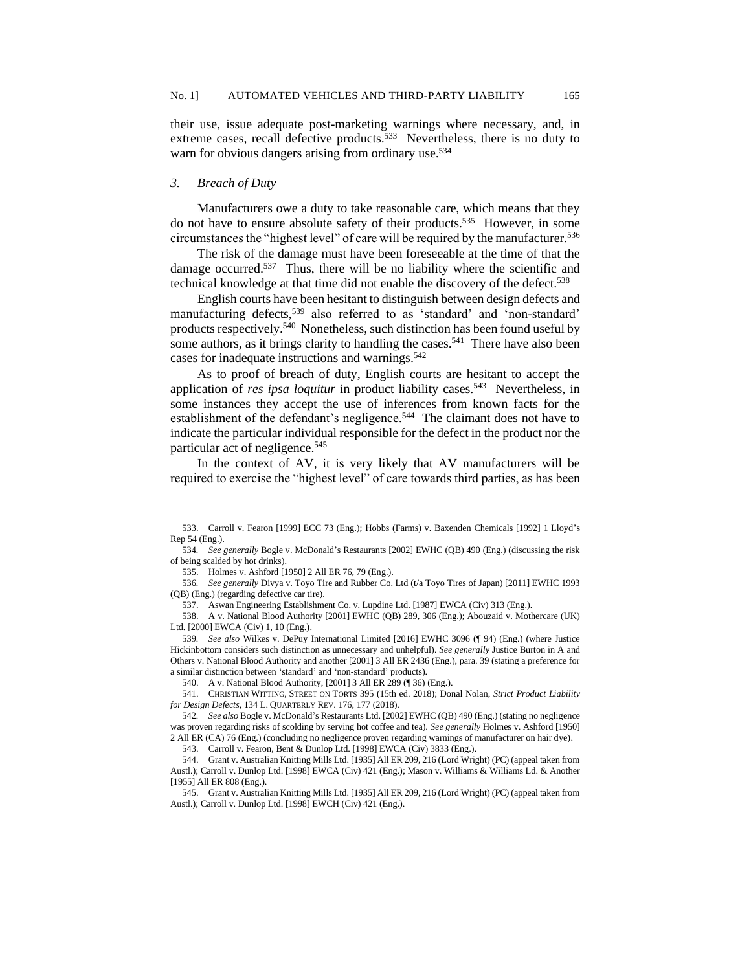their use, issue adequate post-marketing warnings where necessary, and, in extreme cases, recall defective products.<sup>533</sup> Nevertheless, there is no duty to warn for obvious dangers arising from ordinary use.<sup>534</sup>

#### *3. Breach of Duty*

Manufacturers owe a duty to take reasonable care, which means that they do not have to ensure absolute safety of their products.<sup>535</sup> However, in some circumstances the "highest level" of care will be required by the manufacturer.<sup>536</sup>

The risk of the damage must have been foreseeable at the time of that the damage occurred.<sup>537</sup> Thus, there will be no liability where the scientific and technical knowledge at that time did not enable the discovery of the defect.<sup>538</sup>

English courts have been hesitant to distinguish between design defects and manufacturing defects,<sup>539</sup> also referred to as 'standard' and 'non-standard' products respectively.<sup>540</sup> Nonetheless, such distinction has been found useful by some authors, as it brings clarity to handling the cases.<sup>541</sup> There have also been cases for inadequate instructions and warnings.<sup>542</sup>

As to proof of breach of duty, English courts are hesitant to accept the application of *res ipsa loquitur* in product liability cases.<sup>543</sup> Nevertheless, in some instances they accept the use of inferences from known facts for the establishment of the defendant's negligence.<sup>544</sup> The claimant does not have to indicate the particular individual responsible for the defect in the product nor the particular act of negligence.<sup>545</sup>

In the context of AV, it is very likely that AV manufacturers will be required to exercise the "highest level" of care towards third parties, as has been

540. A v. National Blood Authority, [2001] 3 All ER 289 (¶ 36) (Eng.).

<sup>533.</sup> Carroll v. Fearon [1999] ECC 73 (Eng.); Hobbs (Farms) v. Baxenden Chemicals [1992] 1 Lloyd's Rep 54 (Eng.).

<sup>534</sup>*. See generally* Bogle v. McDonald's Restaurants [2002] EWHC (QB) 490 (Eng.) (discussing the risk of being scalded by hot drinks).

<sup>535.</sup> Holmes v. Ashford [1950] 2 All ER 76, 79 (Eng.).

<sup>536</sup>*. See generally* Divya v. Toyo Tire and Rubber Co. Ltd (t/a Toyo Tires of Japan) [2011] EWHC 1993 (QB) (Eng.) (regarding defective car tire).

<sup>537.</sup> Aswan Engineering Establishment Co. v. Lupdine Ltd. [1987] EWCA (Civ) 313 (Eng.).

<sup>538.</sup> A v. National Blood Authority [2001] EWHC (QB) 289, 306 (Eng.); Abouzaid v. Mothercare (UK) Ltd. [2000] EWCA (Civ) 1, 10 (Eng.).

<sup>539</sup>*. See also* Wilkes v. DePuy International Limited [2016] EWHC 3096 (¶ 94) (Eng.) (where Justice Hickinbottom considers such distinction as unnecessary and unhelpful). *See generally* Justice Burton in A and Others v. National Blood Authority and another [2001] 3 All ER 2436 (Eng.), para. 39 (stating a preference for a similar distinction between 'standard' and 'non-standard' products).

<sup>541.</sup> CHRISTIAN WITTING, STREET ON TORTS 395 (15th ed. 2018); Donal Nolan, *Strict Product Liability for Design Defects*, 134 L. QUARTERLY REV. 176, 177 (2018).

<sup>542</sup>*. See also* Bogle v. McDonald's Restaurants Ltd. [2002] EWHC (QB) 490 (Eng.) (stating no negligence was proven regarding risks of scolding by serving hot coffee and tea). *See generally* Holmes v. Ashford [1950] 2 All ER (CA) 76 (Eng.) (concluding no negligence proven regarding warnings of manufacturer on hair dye).

<sup>543.</sup> Carroll v. Fearon, Bent & Dunlop Ltd. [1998] EWCA (Civ) 3833 (Eng.).

<sup>544.</sup> Grant v. Australian Knitting Mills Ltd. [1935] All ER 209, 216 (Lord Wright) (PC) (appeal taken from Austl.); Carroll v. Dunlop Ltd. [1998] EWCA (Civ) 421 (Eng.); Mason v. Williams & Williams Ld. & Another [1955] All ER 808 (Eng.).

<sup>545.</sup> Grant v. Australian Knitting Mills Ltd. [1935] All ER 209, 216 (Lord Wright) (PC) (appeal taken from Austl.); Carroll v. Dunlop Ltd. [1998] EWCH (Civ) 421 (Eng.).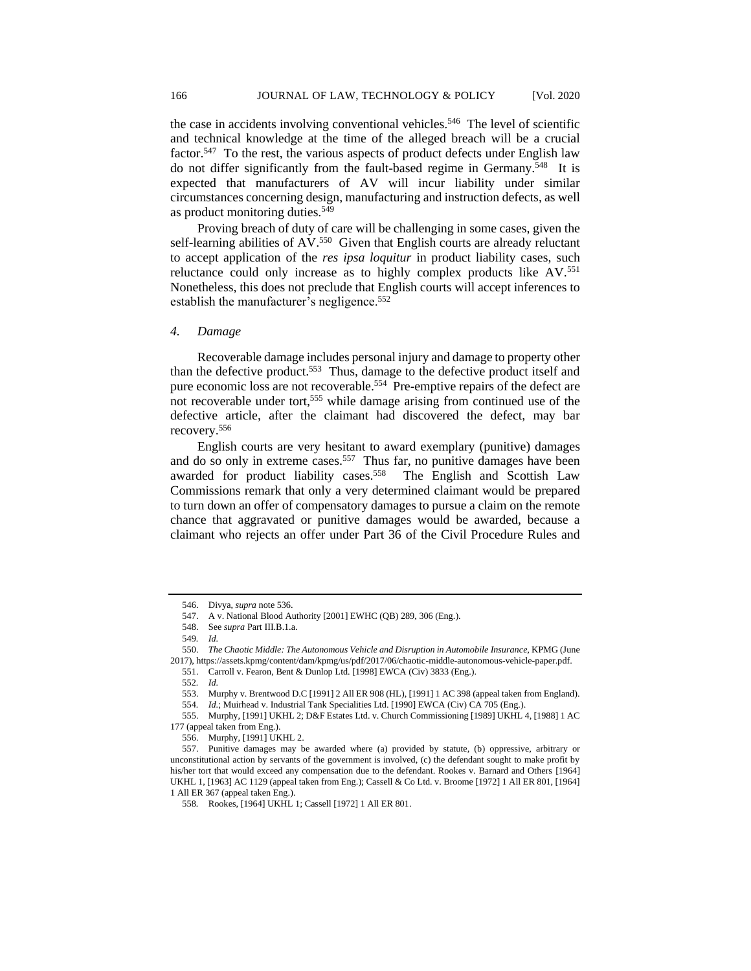the case in accidents involving conventional vehicles.<sup>546</sup> The level of scientific and technical knowledge at the time of the alleged breach will be a crucial factor.<sup>547</sup> To the rest, the various aspects of product defects under English law do not differ significantly from the fault-based regime in Germany.<sup>548</sup> It is expected that manufacturers of AV will incur liability under similar circumstances concerning design, manufacturing and instruction defects, as well as product monitoring duties.<sup>549</sup>

Proving breach of duty of care will be challenging in some cases, given the self-learning abilities of AV.<sup>550</sup> Given that English courts are already reluctant to accept application of the *res ipsa loquitur* in product liability cases, such reluctance could only increase as to highly complex products like AV.<sup>551</sup> Nonetheless, this does not preclude that English courts will accept inferences to establish the manufacturer's negligence.<sup>552</sup>

# *4. Damage*

Recoverable damage includes personal injury and damage to property other than the defective product.<sup>553</sup> Thus, damage to the defective product itself and pure economic loss are not recoverable.<sup>554</sup> Pre-emptive repairs of the defect are not recoverable under tort,<sup>555</sup> while damage arising from continued use of the defective article, after the claimant had discovered the defect, may bar recovery.<sup>556</sup>

English courts are very hesitant to award exemplary (punitive) damages and do so only in extreme cases.<sup>557</sup> Thus far, no punitive damages have been awarded for product liability cases.<sup>558</sup> The English and Scottish Law Commissions remark that only a very determined claimant would be prepared to turn down an offer of compensatory damages to pursue a claim on the remote chance that aggravated or punitive damages would be awarded, because a claimant who rejects an offer under Part 36 of the Civil Procedure Rules and

<sup>546.</sup> Divya, *supra* note 536.

<sup>547.</sup> A v. National Blood Authority [2001] EWHC (QB) 289, 306 (Eng.).

<sup>548.</sup> See *supra* Part III.B.1.a.

<sup>549</sup>*. Id.*

<sup>550.</sup> *The Chaotic Middle: The Autonomous Vehicle and Disruption in Automobile Insurance*, KPMG (June 2017), https://assets.kpmg/content/dam/kpmg/us/pdf/2017/06/chaotic-middle-autonomous-vehicle-paper.pdf.

<sup>551.</sup> Carroll v. Fearon, Bent & Dunlop Ltd. [1998] EWCA (Civ) 3833 (Eng.).

<sup>552</sup>*. Id.*

<sup>553.</sup> Murphy v. Brentwood D.C [1991] 2 All ER 908 (HL), [1991] 1 AC 398 (appeal taken from England).

<sup>554</sup>*. Id.*; Muirhead v. Industrial Tank Specialities Ltd. [1990] EWCA (Civ) CA 705 (Eng.).

<sup>555.</sup> Murphy, [1991] UKHL 2; D&F Estates Ltd. v. Church Commissioning [1989] UKHL 4, [1988] 1 AC 177 (appeal taken from Eng.).

<sup>556.</sup> Murphy, [1991] UKHL 2.

<sup>557.</sup> Punitive damages may be awarded where (a) provided by statute, (b) oppressive, arbitrary or unconstitutional action by servants of the government is involved, (c) the defendant sought to make profit by his/her tort that would exceed any compensation due to the defendant. Rookes v. Barnard and Others [1964] UKHL 1, [1963] AC 1129 (appeal taken from Eng.); Cassell & Co Ltd. v. Broome [1972] 1 All ER 801, [1964] 1 All ER 367 (appeal taken Eng.).

<sup>558</sup>*.* Rookes, [1964] UKHL 1; Cassell [1972] 1 All ER 801.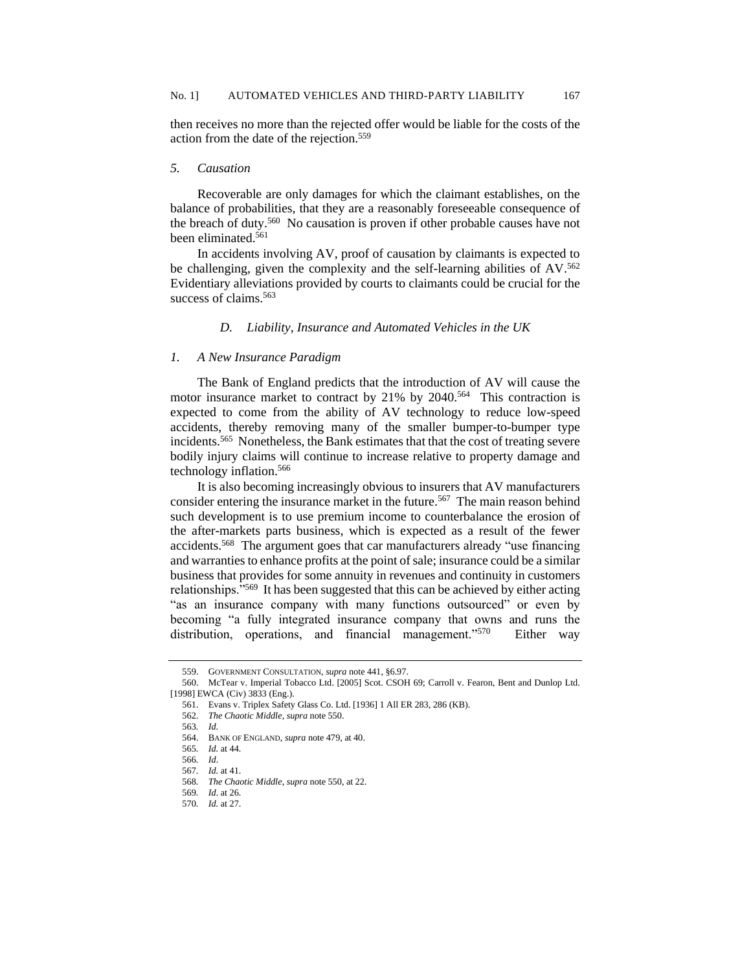then receives no more than the rejected offer would be liable for the costs of the action from the date of the rejection.<sup>559</sup>

### *5. Causation*

Recoverable are only damages for which the claimant establishes, on the balance of probabilities, that they are a reasonably foreseeable consequence of the breach of duty.<sup>560</sup> No causation is proven if other probable causes have not been eliminated.<sup>561</sup>

In accidents involving AV, proof of causation by claimants is expected to be challenging, given the complexity and the self-learning abilities of  $AV_{0.562}$ Evidentiary alleviations provided by courts to claimants could be crucial for the success of claims.<sup>563</sup>

#### *D. Liability, Insurance and Automated Vehicles in the UK*

### *1. A New Insurance Paradigm*

The Bank of England predicts that the introduction of AV will cause the motor insurance market to contract by 21% by 2040.<sup>564</sup> This contraction is expected to come from the ability of AV technology to reduce low-speed accidents, thereby removing many of the smaller bumper-to-bumper type incidents.<sup>565</sup> Nonetheless, the Bank estimates that that the cost of treating severe bodily injury claims will continue to increase relative to property damage and technology inflation.<sup>566</sup>

It is also becoming increasingly obvious to insurers that AV manufacturers consider entering the insurance market in the future.<sup>567</sup> The main reason behind such development is to use premium income to counterbalance the erosion of the after-markets parts business, which is expected as a result of the fewer accidents.<sup>568</sup> The argument goes that car manufacturers already "use financing and warranties to enhance profits at the point of sale; insurance could be a similar business that provides for some annuity in revenues and continuity in customers relationships."<sup>569</sup> It has been suggested that this can be achieved by either acting "as an insurance company with many functions outsourced" or even by becoming "a fully integrated insurance company that owns and runs the distribution, operations, and financial management."<sup>570</sup> Either way

<sup>559.</sup> GOVERNMENT CONSULTATION, *supra* note 441, §6.97.

<sup>560.</sup> McTear v. Imperial Tobacco Ltd. [2005] Scot. CSOH 69; Carroll v. Fearon, Bent and Dunlop Ltd. [1998] EWCA (Civ) 3833 (Eng.).

<sup>561.</sup> Evans v. Triplex Safety Glass Co. Ltd. [1936] 1 All ER 283, 286 (KB).

<sup>562</sup>*. The Chaotic Middle*, *supra* note 550.

<sup>563</sup>*. Id.*

<sup>564.</sup> BANK OF ENGLAND, *supra* note 479, at 40.

<sup>565</sup>*. Id.* at 44.

<sup>566</sup>*. Id*.

<sup>567</sup>*. Id.* at 41.

<sup>568</sup>*. The Chaotic Middle*, *supra* note 550, at 22.

<sup>569</sup>*. Id*. at 26.

<sup>570</sup>*. Id.* at 27.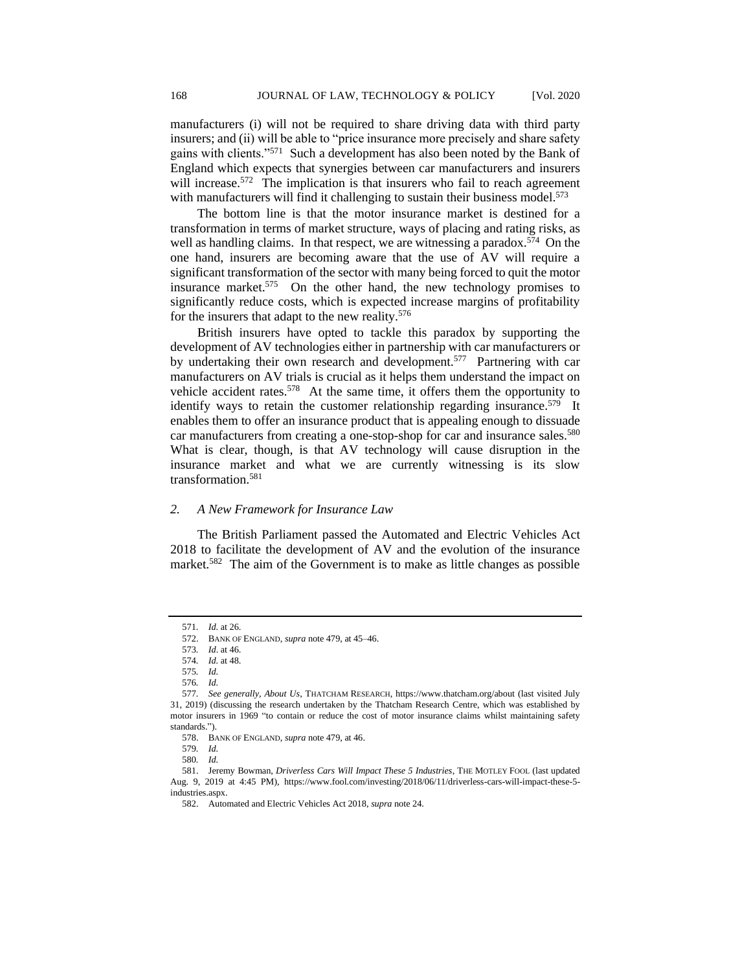manufacturers (i) will not be required to share driving data with third party insurers; and (ii) will be able to "price insurance more precisely and share safety gains with clients."<sup>571</sup> Such a development has also been noted by the Bank of England which expects that synergies between car manufacturers and insurers will increase.<sup>572</sup> The implication is that insurers who fail to reach agreement with manufacturers will find it challenging to sustain their business model.<sup>573</sup>

The bottom line is that the motor insurance market is destined for a transformation in terms of market structure, ways of placing and rating risks, as well as handling claims. In that respect, we are witnessing a paradox.<sup>574</sup> On the one hand, insurers are becoming aware that the use of AV will require a significant transformation of the sector with many being forced to quit the motor insurance market.<sup>575</sup> On the other hand, the new technology promises to significantly reduce costs, which is expected increase margins of profitability for the insurers that adapt to the new reality.<sup>576</sup>

British insurers have opted to tackle this paradox by supporting the development of AV technologies either in partnership with car manufacturers or by undertaking their own research and development.<sup>577</sup> Partnering with car manufacturers on AV trials is crucial as it helps them understand the impact on vehicle accident rates.<sup>578</sup> At the same time, it offers them the opportunity to identify ways to retain the customer relationship regarding insurance.<sup>579</sup> It enables them to offer an insurance product that is appealing enough to dissuade car manufacturers from creating a one-stop-shop for car and insurance sales.<sup>580</sup> What is clear, though, is that AV technology will cause disruption in the insurance market and what we are currently witnessing is its slow transformation.<sup>581</sup>

### *2. A New Framework for Insurance Law*

The British Parliament passed the Automated and Electric Vehicles Act 2018 to facilitate the development of AV and the evolution of the insurance market.<sup>582</sup> The aim of the Government is to make as little changes as possible

<sup>571</sup>*. Id.* at 26.

<sup>572.</sup> BANK OF ENGLAND, *supra* note 479, at 45–46.

<sup>573</sup>*. Id*. at 46.

<sup>574</sup>*. Id.* at 48.

<sup>575</sup>*. Id.*

<sup>576</sup>*. Id.*

<sup>577</sup>*. See generally, About Us*, THATCHAM RESEARCH, https://www.thatcham.org/about (last visited July 31, 2019) (discussing the research undertaken by the Thatcham Research Centre, which was established by motor insurers in 1969 "to contain or reduce the cost of motor insurance claims whilst maintaining safety standards.").

<sup>578.</sup> BANK OF ENGLAND, *supra* note 479, at 46.

<sup>579</sup>*. Id.*

<sup>580</sup>*. Id.*

<sup>581.</sup> Jeremy Bowman, *Driverless Cars Will Impact These 5 Industries*, THE MOTLEY FOOL (last updated Aug. 9, 2019 at 4:45 PM), https://www.fool.com/investing/2018/06/11/driverless-cars-will-impact-these-5 industries.aspx.

<sup>582.</sup> Automated and Electric Vehicles Act 2018, *supra* note 24.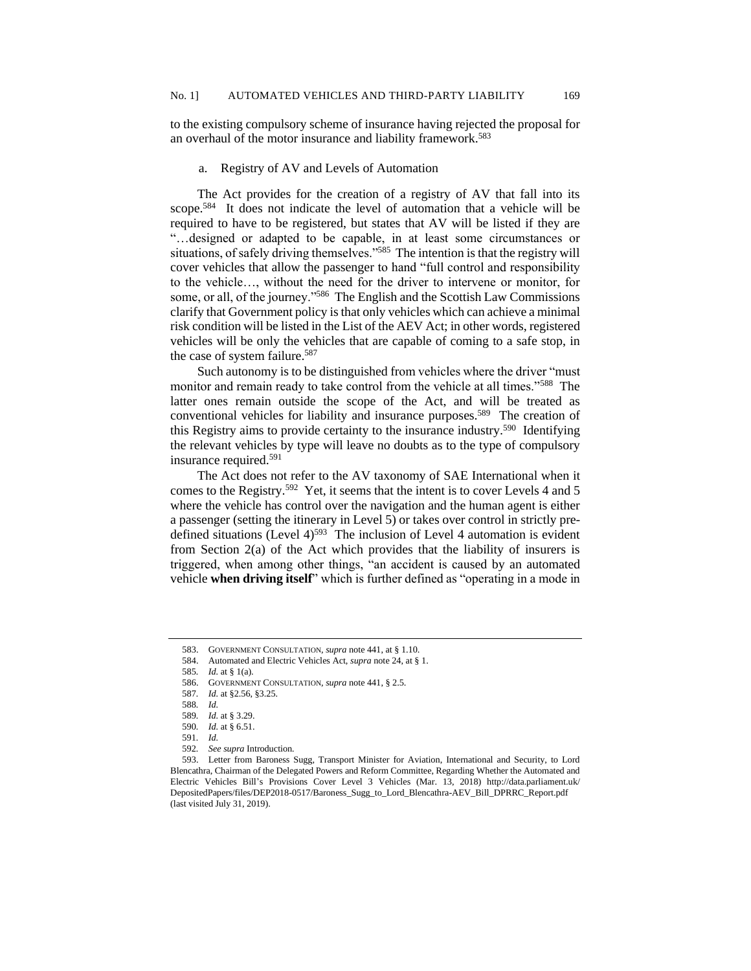to the existing compulsory scheme of insurance having rejected the proposal for an overhaul of the motor insurance and liability framework.<sup>583</sup>

# a. Registry of AV and Levels of Automation

The Act provides for the creation of a registry of AV that fall into its scope.<sup>584</sup> It does not indicate the level of automation that a vehicle will be required to have to be registered, but states that AV will be listed if they are "…designed or adapted to be capable, in at least some circumstances or situations, of safely driving themselves."<sup>585</sup> The intention is that the registry will cover vehicles that allow the passenger to hand "full control and responsibility to the vehicle…, without the need for the driver to intervene or monitor, for some, or all, of the journey."<sup>586</sup> The English and the Scottish Law Commissions clarify that Government policy is that only vehicles which can achieve a minimal risk condition will be listed in the List of the AEV Act; in other words, registered vehicles will be only the vehicles that are capable of coming to a safe stop, in the case of system failure.<sup>587</sup>

Such autonomy is to be distinguished from vehicles where the driver "must monitor and remain ready to take control from the vehicle at all times."<sup>588</sup> The latter ones remain outside the scope of the Act, and will be treated as conventional vehicles for liability and insurance purposes.<sup>589</sup> The creation of this Registry aims to provide certainty to the insurance industry.<sup>590</sup> Identifying the relevant vehicles by type will leave no doubts as to the type of compulsory insurance required.<sup>591</sup>

The Act does not refer to the AV taxonomy of SAE International when it comes to the Registry.<sup>592</sup> Yet, it seems that the intent is to cover Levels 4 and 5 where the vehicle has control over the navigation and the human agent is either a passenger (setting the itinerary in Level 5) or takes over control in strictly predefined situations (Level  $4$ )<sup>593</sup> The inclusion of Level 4 automation is evident from Section 2(a) of the Act which provides that the liability of insurers is triggered, when among other things, "an accident is caused by an automated vehicle **when driving itself**" which is further defined as "operating in a mode in

592*. See supra* Introduction*.*

<sup>583.</sup> GOVERNMENT CONSULTATION, *supra* note 441, at § 1.10.

<sup>584.</sup> Automated and Electric Vehicles Act, *supra* note 24, at § 1.

<sup>585</sup>*. Id.* at § 1(a).

<sup>586.</sup> GOVERNMENT CONSULTATION, *supra* note 441, § 2.5.

<sup>587</sup>*. Id.* at §2.56, §3.25.

<sup>588</sup>*. Id.*

<sup>589</sup>*. Id.* at § 3.29.

<sup>590</sup>*. Id.* at § 6.51.

<sup>591</sup>*. Id.*

<sup>593.</sup> Letter from Baroness Sugg, Transport Minister for Aviation, International and Security, to Lord Blencathra, Chairman of the Delegated Powers and Reform Committee, Regarding Whether the Automated and Electric Vehicles Bill's Provisions Cover Level 3 Vehicles (Mar. 13, 2018) http://data.parliament.uk/ DepositedPapers/files/DEP2018-0517/Baroness\_Sugg\_to\_Lord\_Blencathra-AEV\_Bill\_DPRRC\_Report.pdf (last visited July 31, 2019).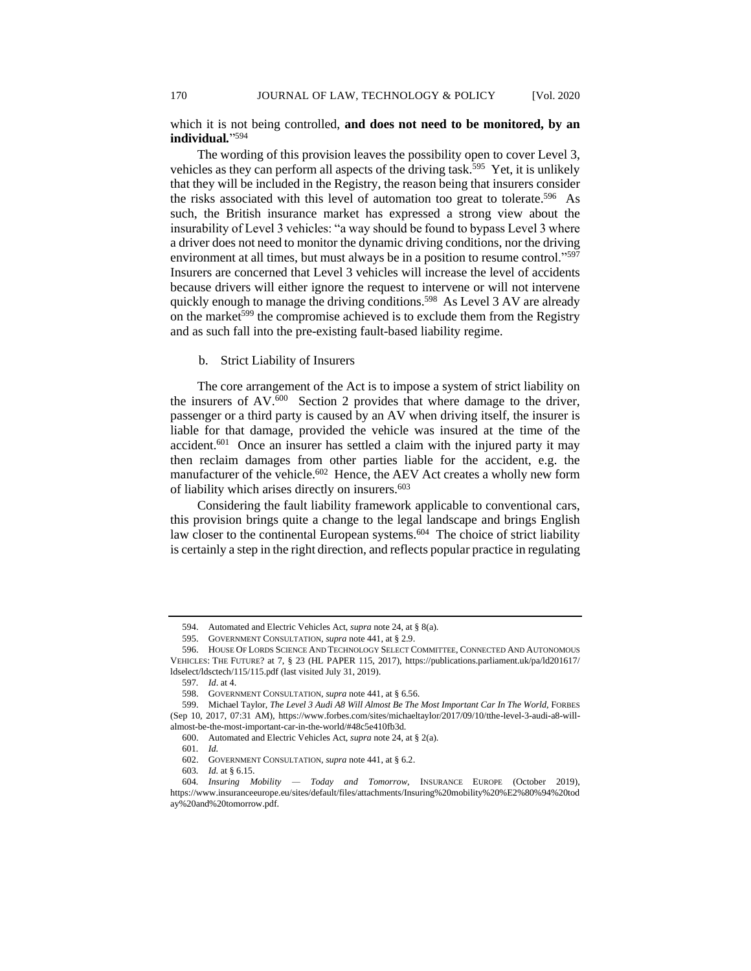which it is not being controlled, **and does not need to be monitored, by an individual***.*" 594

The wording of this provision leaves the possibility open to cover Level 3, vehicles as they can perform all aspects of the driving task.<sup>595</sup> Yet, it is unlikely that they will be included in the Registry, the reason being that insurers consider the risks associated with this level of automation too great to tolerate.<sup>596</sup> As such, the British insurance market has expressed a strong view about the insurability of Level 3 vehicles: "a way should be found to bypass Level 3 where a driver does not need to monitor the dynamic driving conditions, nor the driving environment at all times, but must always be in a position to resume control."<sup>597</sup> Insurers are concerned that Level 3 vehicles will increase the level of accidents because drivers will either ignore the request to intervene or will not intervene quickly enough to manage the driving conditions.<sup>598</sup> As Level 3 AV are already on the market<sup>599</sup> the compromise achieved is to exclude them from the Registry and as such fall into the pre-existing fault-based liability regime.

b. Strict Liability of Insurers

The core arrangement of the Act is to impose a system of strict liability on the insurers of  $AV<sub>.600</sub>$  Section 2 provides that where damage to the driver, passenger or a third party is caused by an AV when driving itself, the insurer is liable for that damage, provided the vehicle was insured at the time of the accident.<sup>601</sup> Once an insurer has settled a claim with the injured party it may then reclaim damages from other parties liable for the accident, e.g. the manufacturer of the vehicle.<sup>602</sup> Hence, the AEV Act creates a wholly new form of liability which arises directly on insurers.<sup>603</sup>

Considering the fault liability framework applicable to conventional cars, this provision brings quite a change to the legal landscape and brings English law closer to the continental European systems.<sup>604</sup> The choice of strict liability is certainly a step in the right direction, and reflects popular practice in regulating

<sup>594.</sup> Automated and Electric Vehicles Act, *supra* note 24, at § 8(a).

<sup>595.</sup> GOVERNMENT CONSULTATION, *supra* note 441, at § 2.9.

<sup>596.</sup> HOUSE OF LORDS SCIENCE AND TECHNOLOGY SELECT COMMITTEE, CONNECTED AND AUTONOMOUS VEHICLES: THE FUTURE? at 7, § 23 (HL PAPER 115, 2017), https://publications.parliament.uk/pa/ld201617/ ldselect/ldsctech/115/115.pdf (last visited July 31, 2019).

<sup>597</sup>*. Id*. at 4.

<sup>598.</sup> GOVERNMENT CONSULTATION, *supra* note 441, at § 6.56.

<sup>599.</sup> Michael Taylor, *The Level 3 Audi A8 Will Almost Be The Most Important Car In The World*, FORBES (Sep 10, 2017, 07:31 AM), https://www.forbes.com/sites/michaeltaylor/2017/09/10/tthe-level-3-audi-a8-willalmost-be-the-most-important-car-in-the-world/#48c5e410fb3d.

<sup>600.</sup> Automated and Electric Vehicles Act, *supra* note 24, at § 2(a).

<sup>601</sup>*. Id.*

<sup>602.</sup> GOVERNMENT CONSULTATION, *supra* note 441, at § 6.2.

<sup>603</sup>*. Id.* at § 6.15.

<sup>604</sup>*. Insuring Mobility — Today and Tomorrow*, INSURANCE EUROPE (October 2019), https://www.insuranceeurope.eu/sites/default/files/attachments/Insuring%20mobility%20%E2%80%94%20tod ay%20and%20tomorrow.pdf.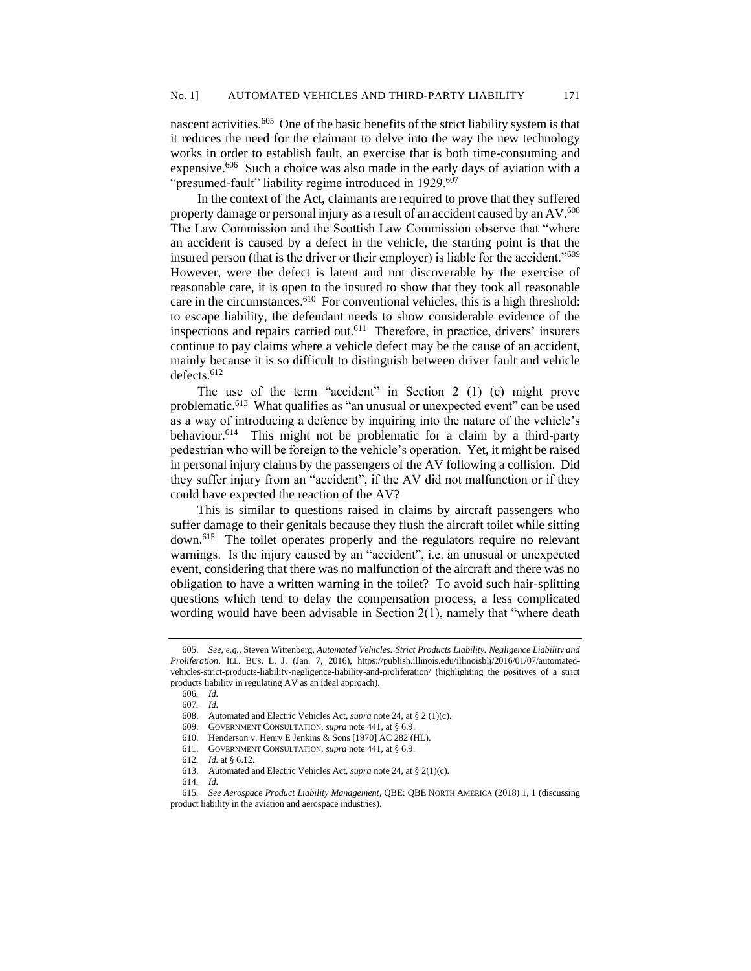nascent activities.<sup>605</sup> One of the basic benefits of the strict liability system is that it reduces the need for the claimant to delve into the way the new technology works in order to establish fault, an exercise that is both time-consuming and expensive.<sup>606</sup> Such a choice was also made in the early days of aviation with a "presumed-fault" liability regime introduced in 1929.<sup>607</sup>

In the context of the Act, claimants are required to prove that they suffered property damage or personal injury as a result of an accident caused by an AV. $^{608}$ The Law Commission and the Scottish Law Commission observe that "where an accident is caused by a defect in the vehicle, the starting point is that the insured person (that is the driver or their employer) is liable for the accident."<sup>609</sup> However, were the defect is latent and not discoverable by the exercise of reasonable care, it is open to the insured to show that they took all reasonable care in the circumstances.<sup>610</sup> For conventional vehicles, this is a high threshold: to escape liability, the defendant needs to show considerable evidence of the inspections and repairs carried out.<sup>611</sup> Therefore, in practice, drivers' insurers continue to pay claims where a vehicle defect may be the cause of an accident, mainly because it is so difficult to distinguish between driver fault and vehicle defects.<sup>612</sup>

The use of the term "accident" in Section 2 (1) (c) might prove problematic.<sup>613</sup> What qualifies as "an unusual or unexpected event" can be used as a way of introducing a defence by inquiring into the nature of the vehicle's behaviour.<sup>614</sup> This might not be problematic for a claim by a third-party pedestrian who will be foreign to the vehicle's operation. Yet, it might be raised in personal injury claims by the passengers of the AV following a collision. Did they suffer injury from an "accident", if the AV did not malfunction or if they could have expected the reaction of the AV?

This is similar to questions raised in claims by aircraft passengers who suffer damage to their genitals because they flush the aircraft toilet while sitting down.<sup>615</sup> The toilet operates properly and the regulators require no relevant warnings. Is the injury caused by an "accident", i.e. an unusual or unexpected event, considering that there was no malfunction of the aircraft and there was no obligation to have a written warning in the toilet? To avoid such hair-splitting questions which tend to delay the compensation process, a less complicated wording would have been advisable in Section 2(1), namely that "where death

<sup>605.</sup> *See, e.g.*, Steven Wittenberg*, Automated Vehicles: Strict Products Liability. Negligence Liability and Proliferation,* ILL. BUS. L. J. (Jan. 7, 2016), https://publish.illinois.edu/illinoisblj/2016/01/07/automatedvehicles-strict-products-liability-negligence-liability-and-proliferation/ (highlighting the positives of a strict products liability in regulating AV as an ideal approach).

<sup>606</sup>*. Id.*

<sup>607</sup>*. Id.*

<sup>608.</sup> Automated and Electric Vehicles Act, *supra* note 24, at § 2 (1)(c).

<sup>609.</sup> GOVERNMENT CONSULTATION, *supra* note 441, at § 6.9.

<sup>610.</sup> Henderson v. Henry E Jenkins & Sons [1970] AC 282 (HL).

<sup>611.</sup> GOVERNMENT CONSULTATION, *supra* note 441, at § 6.9.

<sup>612</sup>*. Id.* at § 6.12.

<sup>613.</sup> Automated and Electric Vehicles Act, *supra* note 24, at § 2(1)(c).

<sup>614</sup>*. Id.*

<sup>615</sup>*. See Aerospace Product Liability Management*, QBE: QBE NORTH AMERICA (2018) 1, 1 (discussing product liability in the aviation and aerospace industries).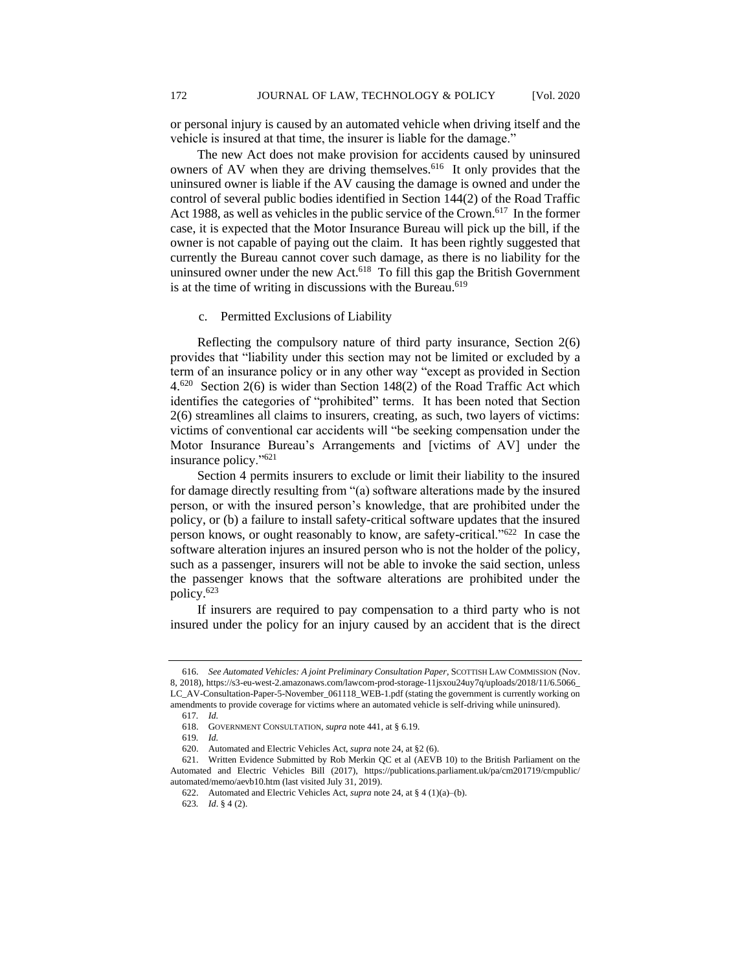or personal injury is caused by an automated vehicle when driving itself and the vehicle is insured at that time, the insurer is liable for the damage."

The new Act does not make provision for accidents caused by uninsured owners of AV when they are driving themselves.<sup>616</sup> It only provides that the uninsured owner is liable if the AV causing the damage is owned and under the control of several public bodies identified in Section 144(2) of the Road Traffic Act 1988, as well as vehicles in the public service of the Crown.<sup>617</sup> In the former case, it is expected that the Motor Insurance Bureau will pick up the bill, if the owner is not capable of paying out the claim. It has been rightly suggested that currently the Bureau cannot cover such damage, as there is no liability for the uninsured owner under the new Act.<sup>618</sup> To fill this gap the British Government is at the time of writing in discussions with the Bureau.<sup>619</sup>

### c. Permitted Exclusions of Liability

Reflecting the compulsory nature of third party insurance, Section 2(6) provides that "liability under this section may not be limited or excluded by a term of an insurance policy or in any other way "except as provided in Section 4.<sup>620</sup> Section 2(6) is wider than Section 148(2) of the Road Traffic Act which identifies the categories of "prohibited" terms. It has been noted that Section 2(6) streamlines all claims to insurers, creating, as such, two layers of victims: victims of conventional car accidents will "be seeking compensation under the Motor Insurance Bureau's Arrangements and [victims of AV] under the insurance policy."<sup>621</sup>

Section 4 permits insurers to exclude or limit their liability to the insured for damage directly resulting from "(a) software alterations made by the insured person, or with the insured person's knowledge, that are prohibited under the policy, or (b) a failure to install safety-critical software updates that the insured person knows, or ought reasonably to know, are safety-critical."<sup>622</sup> In case the software alteration injures an insured person who is not the holder of the policy, such as a passenger, insurers will not be able to invoke the said section, unless the passenger knows that the software alterations are prohibited under the policy.<sup>623</sup>

If insurers are required to pay compensation to a third party who is not insured under the policy for an injury caused by an accident that is the direct

<sup>616.</sup> *See Automated Vehicles: A joint Preliminary Consultation Paper*, SCOTTISH LAW COMMISSION (Nov. 8, 2018), https://s3-eu-west-2.amazonaws.com/lawcom-prod-storage-11jsxou24uy7q/uploads/2018/11/6.5066\_ LC\_AV-Consultation-Paper-5-November\_061118\_WEB-1.pdf (stating the government is currently working on amendments to provide coverage for victims where an automated vehicle is self-driving while uninsured).

<sup>617</sup>*. Id.*

<sup>618.</sup> GOVERNMENT CONSULTATION, *supra* note 441, at § 6.19.

<sup>619</sup>*. Id.*

<sup>620.</sup> Automated and Electric Vehicles Act, *supra* note 24, at §2 (6).

<sup>621.</sup> Written Evidence Submitted by Rob Merkin QC et al (AEVB 10) to the British Parliament on the Automated and Electric Vehicles Bill (2017), https://publications.parliament.uk/pa/cm201719/cmpublic/ automated/memo/aevb10.htm (last visited July 31, 2019).

<sup>622.</sup> Automated and Electric Vehicles Act, *supra* note 24, at § 4 (1)(a)–(b).

<sup>623</sup>*. Id*. § 4 (2).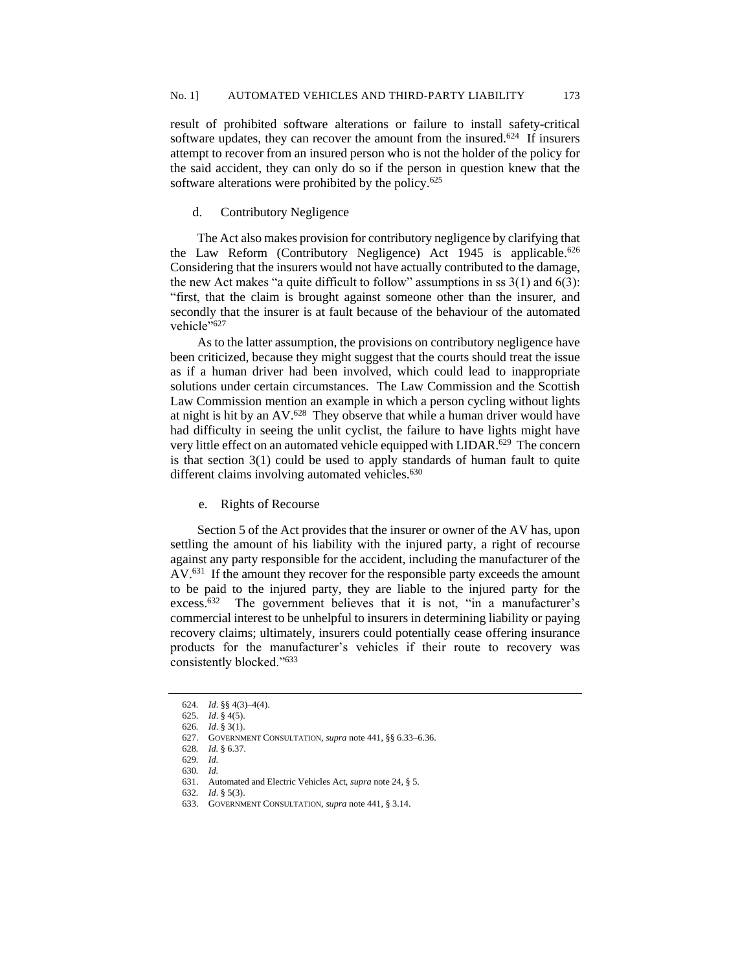result of prohibited software alterations or failure to install safety-critical software updates, they can recover the amount from the insured.<sup>624</sup> If insurers attempt to recover from an insured person who is not the holder of the policy for the said accident, they can only do so if the person in question knew that the software alterations were prohibited by the policy.<sup>625</sup>

### d. Contributory Negligence

The Act also makes provision for contributory negligence by clarifying that the Law Reform (Contributory Negligence) Act 1945 is applicable.<sup>626</sup> Considering that the insurers would not have actually contributed to the damage, the new Act makes "a quite difficult to follow" assumptions in ss  $3(1)$  and  $6(3)$ : "first, that the claim is brought against someone other than the insurer, and secondly that the insurer is at fault because of the behaviour of the automated vehicle"627

As to the latter assumption, the provisions on contributory negligence have been criticized, because they might suggest that the courts should treat the issue as if a human driver had been involved, which could lead to inappropriate solutions under certain circumstances. The Law Commission and the Scottish Law Commission mention an example in which a person cycling without lights at night is hit by an  $AV$ .<sup>628</sup> They observe that while a human driver would have had difficulty in seeing the unlit cyclist, the failure to have lights might have very little effect on an automated vehicle equipped with LIDAR.<sup>629</sup> The concern is that section 3(1) could be used to apply standards of human fault to quite different claims involving automated vehicles.<sup>630</sup>

e. Rights of Recourse

Section 5 of the Act provides that the insurer or owner of the AV has, upon settling the amount of his liability with the injured party, a right of recourse against any party responsible for the accident, including the manufacturer of the AV.<sup>631</sup> If the amount they recover for the responsible party exceeds the amount to be paid to the injured party, they are liable to the injured party for the excess.<sup>632</sup> The government believes that it is not, "in a manufacturer's commercial interest to be unhelpful to insurers in determining liability or paying recovery claims; ultimately, insurers could potentially cease offering insurance products for the manufacturer's vehicles if their route to recovery was consistently blocked."<sup>633</sup>

<sup>624</sup>*. Id*. §§ 4(3)–4(4).

<sup>625</sup>*. Id*. § 4(5).

<sup>626</sup>*. Id*. § 3(1).

<sup>627.</sup> GOVERNMENT CONSULTATION, *supra* note 441, §§ 6.33–6.36.

<sup>628</sup>*. Id.* § 6.37.

<sup>629</sup>*. Id.*

<sup>630</sup>*. Id.*

<sup>631.</sup> Automated and Electric Vehicles Act, *supra* note 24, § 5.

<sup>632</sup>*. Id*. § 5(3).

<sup>633.</sup> GOVERNMENT CONSULTATION, *supra* note 441, § 3.14.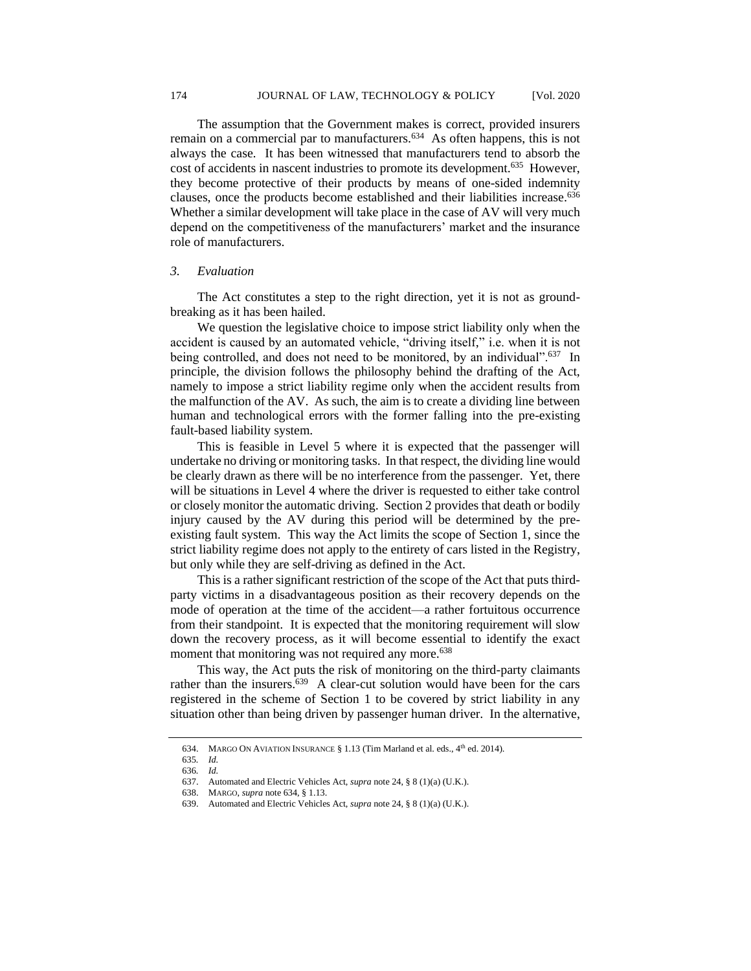The assumption that the Government makes is correct, provided insurers remain on a commercial par to manufacturers.<sup>634</sup> As often happens, this is not always the case. It has been witnessed that manufacturers tend to absorb the cost of accidents in nascent industries to promote its development.<sup>635</sup> However, they become protective of their products by means of one-sided indemnity clauses, once the products become established and their liabilities increase.<sup>636</sup> Whether a similar development will take place in the case of AV will very much depend on the competitiveness of the manufacturers' market and the insurance role of manufacturers.

### *3. Evaluation*

The Act constitutes a step to the right direction, yet it is not as groundbreaking as it has been hailed.

We question the legislative choice to impose strict liability only when the accident is caused by an automated vehicle, "driving itself," i.e. when it is not being controlled, and does not need to be monitored, by an individual".<sup>637</sup> In principle, the division follows the philosophy behind the drafting of the Act, namely to impose a strict liability regime only when the accident results from the malfunction of the AV. As such, the aim is to create a dividing line between human and technological errors with the former falling into the pre-existing fault-based liability system.

This is feasible in Level 5 where it is expected that the passenger will undertake no driving or monitoring tasks. In that respect, the dividing line would be clearly drawn as there will be no interference from the passenger. Yet, there will be situations in Level 4 where the driver is requested to either take control or closely monitor the automatic driving. Section 2 provides that death or bodily injury caused by the AV during this period will be determined by the preexisting fault system. This way the Act limits the scope of Section 1, since the strict liability regime does not apply to the entirety of cars listed in the Registry, but only while they are self-driving as defined in the Act.

This is a rather significant restriction of the scope of the Act that puts thirdparty victims in a disadvantageous position as their recovery depends on the mode of operation at the time of the accident—a rather fortuitous occurrence from their standpoint. It is expected that the monitoring requirement will slow down the recovery process, as it will become essential to identify the exact moment that monitoring was not required any more.<sup>638</sup>

This way, the Act puts the risk of monitoring on the third-party claimants rather than the insurers.<sup>639</sup> A clear-cut solution would have been for the cars registered in the scheme of Section 1 to be covered by strict liability in any situation other than being driven by passenger human driver. In the alternative,

<sup>634.</sup> MARGO ON AVIATION INSURANCE § 1.13 (Tim Marland et al. eds., 4<sup>th</sup> ed. 2014).

<sup>635</sup>*. Id.*

<sup>636</sup>*. Id.*

<sup>637.</sup> Automated and Electric Vehicles Act, *supra* note 24, § 8 (1)(a) (U.K.).

<sup>638.</sup> MARGO, *supra* note 634, § 1.13.

<sup>639.</sup> Automated and Electric Vehicles Act, *supra* note 24, § 8 (1)(a) (U.K.).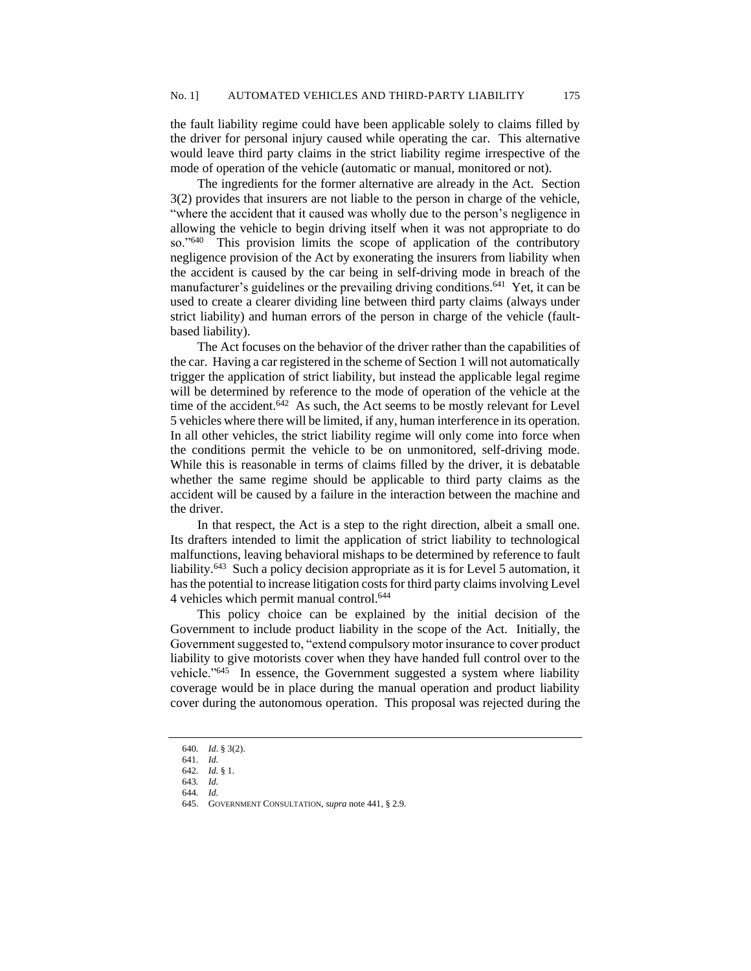the fault liability regime could have been applicable solely to claims filled by the driver for personal injury caused while operating the car. This alternative would leave third party claims in the strict liability regime irrespective of the mode of operation of the vehicle (automatic or manual, monitored or not).

The ingredients for the former alternative are already in the Act. Section 3(2) provides that insurers are not liable to the person in charge of the vehicle, "where the accident that it caused was wholly due to the person's negligence in allowing the vehicle to begin driving itself when it was not appropriate to do so."<sup>640</sup> This provision limits the scope of application of the contributory negligence provision of the Act by exonerating the insurers from liability when the accident is caused by the car being in self-driving mode in breach of the manufacturer's guidelines or the prevailing driving conditions.<sup>641</sup> Yet, it can be used to create a clearer dividing line between third party claims (always under strict liability) and human errors of the person in charge of the vehicle (faultbased liability).

The Act focuses on the behavior of the driver rather than the capabilities of the car. Having a car registered in the scheme of Section 1 will not automatically trigger the application of strict liability, but instead the applicable legal regime will be determined by reference to the mode of operation of the vehicle at the time of the accident. $642$  As such, the Act seems to be mostly relevant for Level 5 vehicles where there will be limited, if any, human interference in its operation. In all other vehicles, the strict liability regime will only come into force when the conditions permit the vehicle to be on unmonitored, self-driving mode. While this is reasonable in terms of claims filled by the driver, it is debatable whether the same regime should be applicable to third party claims as the accident will be caused by a failure in the interaction between the machine and the driver.

In that respect, the Act is a step to the right direction, albeit a small one. Its drafters intended to limit the application of strict liability to technological malfunctions, leaving behavioral mishaps to be determined by reference to fault liability.<sup>643</sup> Such a policy decision appropriate as it is for Level 5 automation, it has the potential to increase litigation costs for third party claims involving Level 4 vehicles which permit manual control.<sup>644</sup>

This policy choice can be explained by the initial decision of the Government to include product liability in the scope of the Act. Initially, the Government suggested to, "extend compulsory motor insurance to cover product liability to give motorists cover when they have handed full control over to the vehicle."<sup>645</sup> In essence, the Government suggested a system where liability coverage would be in place during the manual operation and product liability cover during the autonomous operation. This proposal was rejected during the

<sup>640</sup>*. Id*. § 3(2).

<sup>641</sup>*. Id.*

<sup>642</sup>*. Id.* § 1.

<sup>643</sup>*. Id.* 644*. Id.*

<sup>645.</sup> GOVERNMENT CONSULTATION, *supra* note 441, § 2.9.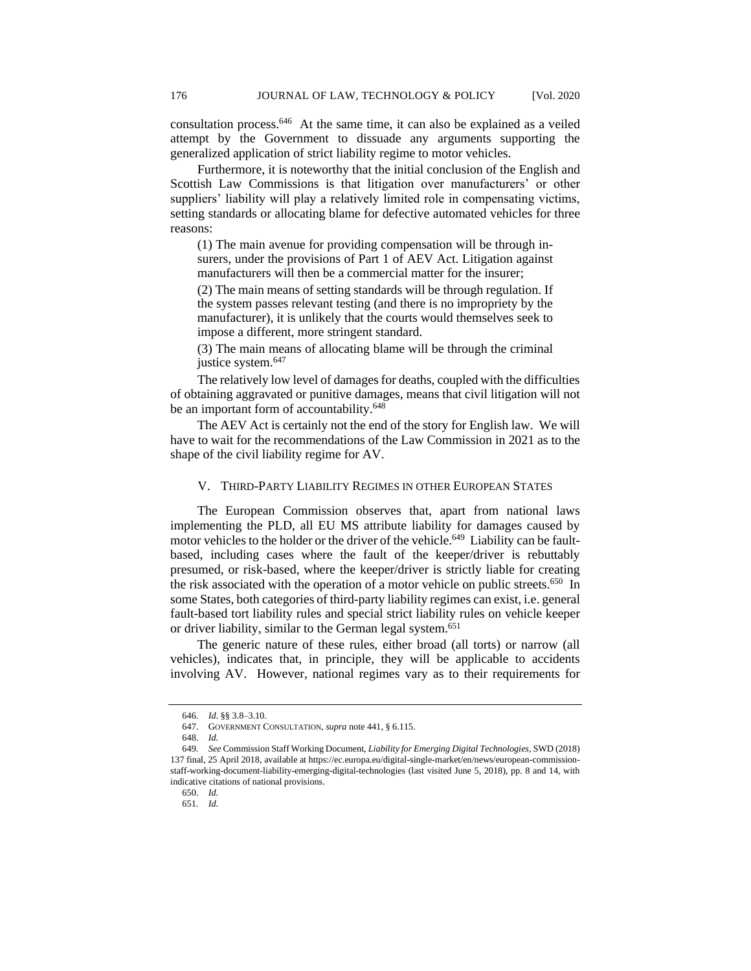consultation process.<sup>646</sup> At the same time, it can also be explained as a veiled attempt by the Government to dissuade any arguments supporting the generalized application of strict liability regime to motor vehicles.

Furthermore, it is noteworthy that the initial conclusion of the English and Scottish Law Commissions is that litigation over manufacturers' or other suppliers' liability will play a relatively limited role in compensating victims, setting standards or allocating blame for defective automated vehicles for three reasons:

(1) The main avenue for providing compensation will be through insurers, under the provisions of Part 1 of AEV Act. Litigation against manufacturers will then be a commercial matter for the insurer;

(2) The main means of setting standards will be through regulation. If the system passes relevant testing (and there is no impropriety by the manufacturer), it is unlikely that the courts would themselves seek to impose a different, more stringent standard.

(3) The main means of allocating blame will be through the criminal justice system.<sup>647</sup>

The relatively low level of damages for deaths, coupled with the difficulties of obtaining aggravated or punitive damages, means that civil litigation will not be an important form of accountability.<sup>648</sup>

The AEV Act is certainly not the end of the story for English law. We will have to wait for the recommendations of the Law Commission in 2021 as to the shape of the civil liability regime for AV.

# V. THIRD-PARTY LIABILITY REGIMES IN OTHER EUROPEAN STATES

The European Commission observes that, apart from national laws implementing the PLD, all EU MS attribute liability for damages caused by motor vehicles to the holder or the driver of the vehicle.<sup>649</sup> Liability can be faultbased, including cases where the fault of the keeper/driver is rebuttably presumed, or risk-based, where the keeper/driver is strictly liable for creating the risk associated with the operation of a motor vehicle on public streets.<sup>650</sup> In some States, both categories of third-party liability regimes can exist, i.e. general fault-based tort liability rules and special strict liability rules on vehicle keeper or driver liability, similar to the German legal system.<sup>651</sup>

The generic nature of these rules, either broad (all torts) or narrow (all vehicles), indicates that, in principle, they will be applicable to accidents involving AV. However, national regimes vary as to their requirements for

<sup>646</sup>*. Id*. §§ 3.8–3.10.

<sup>647.</sup> GOVERNMENT CONSULTATION, *supra* note 441, § 6.115.

<sup>648.</sup> *Id.*

<sup>649</sup>*. See* Commission Staff Working Document, *Liability for Emerging Digital Technologies*, SWD (2018) 137 final, 25 April 2018, available at https://ec.europa.eu/digital-single-market/en/news/european-commissionstaff-working-document-liability-emerging-digital-technologies (last visited June 5, 2018), pp. 8 and 14, with indicative citations of national provisions.

<sup>650</sup>*. Id.*

<sup>651</sup>*. Id.*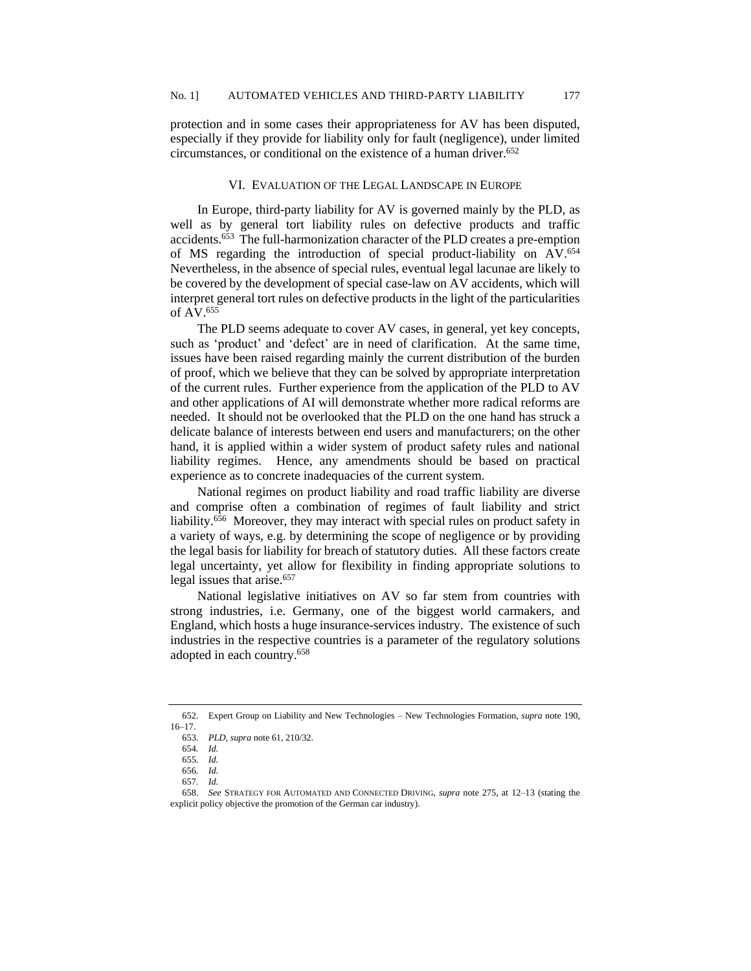protection and in some cases their appropriateness for AV has been disputed, especially if they provide for liability only for fault (negligence), under limited circumstances, or conditional on the existence of a human driver.<sup>652</sup>

# VI. EVALUATION OF THE LEGAL LANDSCAPE IN EUROPE

In Europe, third-party liability for AV is governed mainly by the PLD, as well as by general tort liability rules on defective products and traffic accidents.<sup>653</sup> The full-harmonization character of the PLD creates a pre-emption of MS regarding the introduction of special product-liability on AV.<sup>654</sup> Nevertheless, in the absence of special rules, eventual legal lacunae are likely to be covered by the development of special case-law on AV accidents, which will interpret general tort rules on defective products in the light of the particularities of AV.<sup>655</sup>

The PLD seems adequate to cover AV cases, in general, yet key concepts, such as 'product' and 'defect' are in need of clarification. At the same time, issues have been raised regarding mainly the current distribution of the burden of proof, which we believe that they can be solved by appropriate interpretation of the current rules. Further experience from the application of the PLD to AV and other applications of AI will demonstrate whether more radical reforms are needed. It should not be overlooked that the PLD on the one hand has struck a delicate balance of interests between end users and manufacturers; on the other hand, it is applied within a wider system of product safety rules and national liability regimes. Hence, any amendments should be based on practical experience as to concrete inadequacies of the current system.

National regimes on product liability and road traffic liability are diverse and comprise often a combination of regimes of fault liability and strict liability.<sup>656</sup> Moreover, they may interact with special rules on product safety in a variety of ways, e.g. by determining the scope of negligence or by providing the legal basis for liability for breach of statutory duties. All these factors create legal uncertainty, yet allow for flexibility in finding appropriate solutions to legal issues that arise. 657

National legislative initiatives on AV so far stem from countries with strong industries, i.e. Germany, one of the biggest world carmakers, and England, which hosts a huge insurance-services industry. The existence of such industries in the respective countries is a parameter of the regulatory solutions adopted in each country.<sup>658</sup>

<sup>652.</sup> Expert Group on Liability and New Technologies – New Technologies Formation, *supra* note [190,](#page-23-0) 16–17.

<sup>653.</sup> *PLD*, *supra* note 61, 210/32.

<sup>654</sup>*. Id.*

<sup>655</sup>*. Id.* 656*. Id.*

<sup>657</sup>*. Id.*

<sup>658.</sup> *See* STRATEGY FOR AUTOMATED AND CONNECTED DRIVING, *supra* note 275, at 12–13 (stating the explicit policy objective the promotion of the German car industry).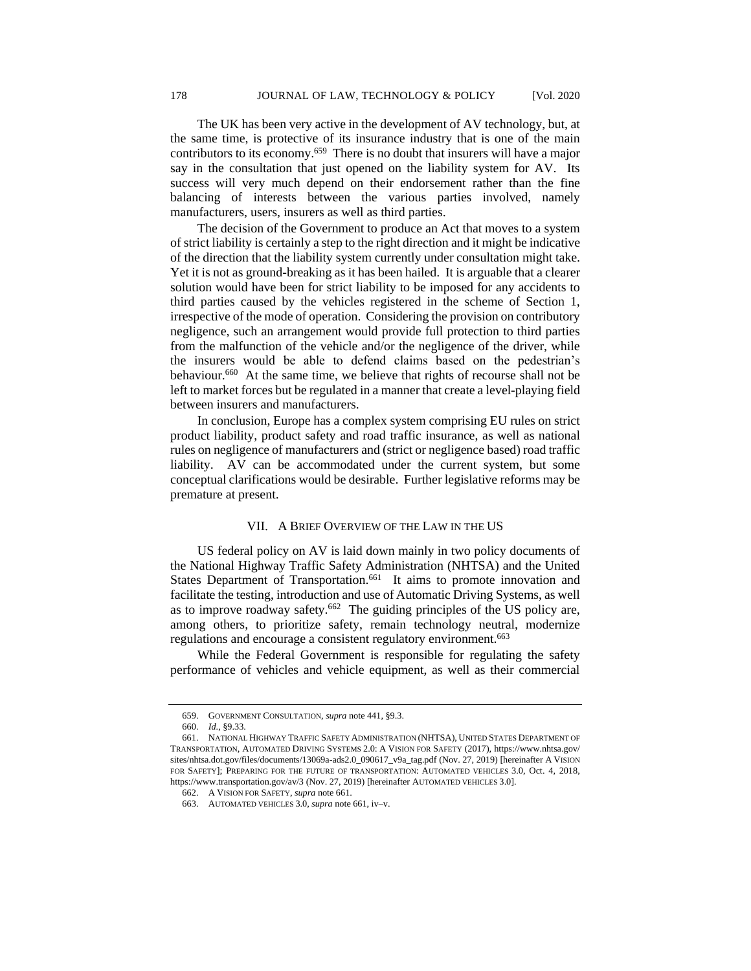The UK has been very active in the development of AV technology, but, at the same time, is protective of its insurance industry that is one of the main contributors to its economy.<sup>659</sup> There is no doubt that insurers will have a major say in the consultation that just opened on the liability system for AV. Its success will very much depend on their endorsement rather than the fine balancing of interests between the various parties involved, namely manufacturers, users, insurers as well as third parties.

The decision of the Government to produce an Act that moves to a system of strict liability is certainly a step to the right direction and it might be indicative of the direction that the liability system currently under consultation might take. Yet it is not as ground-breaking as it has been hailed. It is arguable that a clearer solution would have been for strict liability to be imposed for any accidents to third parties caused by the vehicles registered in the scheme of Section 1, irrespective of the mode of operation. Considering the provision on contributory negligence, such an arrangement would provide full protection to third parties from the malfunction of the vehicle and/or the negligence of the driver, while the insurers would be able to defend claims based on the pedestrian's behaviour.<sup>660</sup> At the same time, we believe that rights of recourse shall not be left to market forces but be regulated in a manner that create a level-playing field between insurers and manufacturers.

In conclusion, Europe has a complex system comprising EU rules on strict product liability, product safety and road traffic insurance, as well as national rules on negligence of manufacturers and (strict or negligence based) road traffic liability. AV can be accommodated under the current system, but some conceptual clarifications would be desirable. Further legislative reforms may be premature at present.

# VII. A BRIEF OVERVIEW OF THE LAW IN THE US

US federal policy on AV is laid down mainly in two policy documents of the National Highway Traffic Safety Administration (NHTSA) and the United States Department of Transportation.<sup>661</sup> It aims to promote innovation and facilitate the testing, introduction and use of Automatic Driving Systems, as well as to improve roadway safety.<sup>662</sup> The guiding principles of the US policy are, among others, to prioritize safety, remain technology neutral, modernize regulations and encourage a consistent regulatory environment.<sup>663</sup>

While the Federal Government is responsible for regulating the safety performance of vehicles and vehicle equipment, as well as their commercial

<sup>659.</sup> GOVERNMENT CONSULTATION, *supra* note 441, §9.3.

<sup>660.</sup> *Id.*, §9.33.

<sup>661.</sup> NATIONAL HIGHWAY TRAFFIC SAFETY ADMINISTRATION (NHTSA), UNITED STATES DEPARTMENT OF TRANSPORTATION, AUTOMATED DRIVING SYSTEMS 2.0: A VISION FOR SAFETY (2017), https://www.nhtsa.gov/ sites/nhtsa.dot.gov/files/documents/13069a-ads2.0\_090617\_v9a\_tag.pdf (Nov. 27, 2019) [hereinafter A VISION FOR SAFETY]; PREPARING FOR THE FUTURE OF TRANSPORTATION: AUTOMATED VEHICLES 3.0, Oct. 4, 2018, https://www.transportation.gov/av/3 (Nov. 27, 2019) [hereinafter AUTOMATED VEHICLES 3.0].

<sup>662.</sup> A VISION FOR SAFETY, *supra* note 661.

<sup>663.</sup> AUTOMATED VEHICLES 3.0, *supra* note 661, iv–v.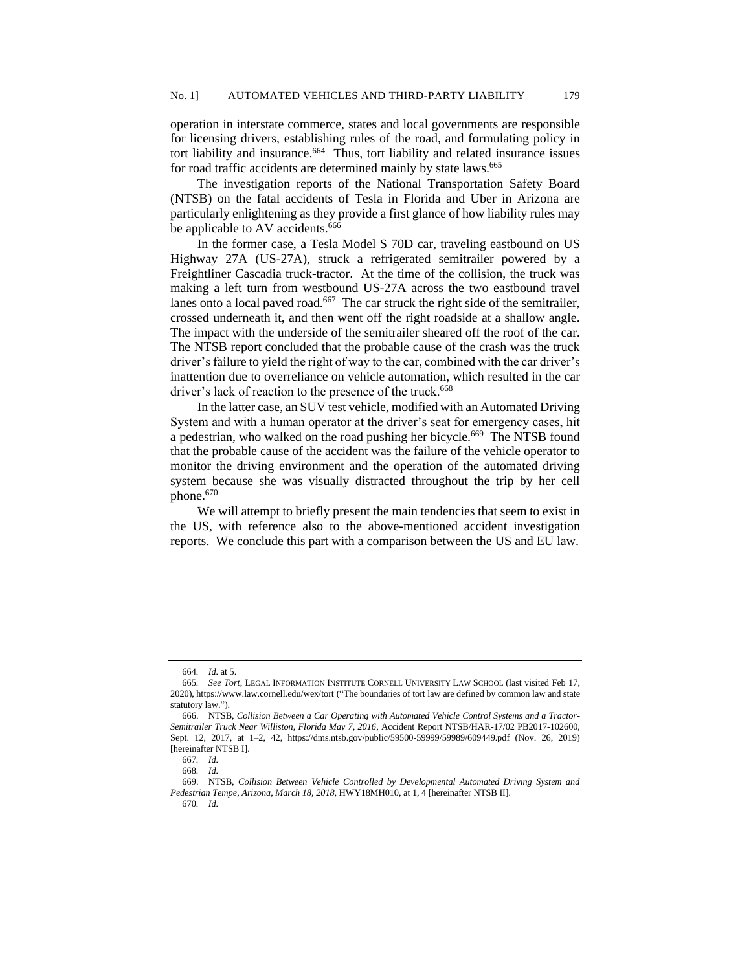operation in interstate commerce, states and local governments are responsible for licensing drivers, establishing rules of the road, and formulating policy in tort liability and insurance.<sup>664</sup> Thus, tort liability and related insurance issues for road traffic accidents are determined mainly by state laws.<sup>665</sup>

The investigation reports of the National Transportation Safety Board (NTSB) on the fatal accidents of Tesla in Florida and Uber in Arizona are particularly enlightening as they provide a first glance of how liability rules may be applicable to AV accidents.<sup>666</sup>

In the former case, a Tesla Model S 70D car, traveling eastbound on US Highway 27A (US-27A), struck a refrigerated semitrailer powered by a Freightliner Cascadia truck-tractor. At the time of the collision, the truck was making a left turn from westbound US-27A across the two eastbound travel lanes onto a local paved road.<sup>667</sup> The car struck the right side of the semitrailer, crossed underneath it, and then went off the right roadside at a shallow angle. The impact with the underside of the semitrailer sheared off the roof of the car. The NTSB report concluded that the probable cause of the crash was the truck driver's failure to yield the right of way to the car, combined with the car driver's inattention due to overreliance on vehicle automation, which resulted in the car driver's lack of reaction to the presence of the truck.<sup>668</sup>

In the latter case, an SUV test vehicle, modified with an Automated Driving System and with a human operator at the driver's seat for emergency cases, hit a pedestrian, who walked on the road pushing her bicycle.<sup>669</sup> The NTSB found that the probable cause of the accident was the failure of the vehicle operator to monitor the driving environment and the operation of the automated driving system because she was visually distracted throughout the trip by her cell phone.<sup>670</sup>

We will attempt to briefly present the main tendencies that seem to exist in the US, with reference also to the above-mentioned accident investigation reports. We conclude this part with a comparison between the US and EU law.

<sup>664</sup>*. Id.* at 5.

<sup>665</sup>*. See Tort*, LEGAL INFORMATION INSTITUTE CORNELL UNIVERSITY LAW SCHOOL (last visited Feb 17, 2020), https://www.law.cornell.edu/wex/tort ("The boundaries of tort law are defined by common law and state statutory law.")

<sup>666.</sup> NTSB, *Collision Between a Car Operating with Automated Vehicle Control Systems and a Tractor-Semitrailer Truck Near Williston, Florida May 7, 2016*, Accident Report NTSB/HAR-17/02 PB2017-102600, Sept. 12, 2017, at 1–2, 42, https://dms.ntsb.gov/public/59500-59999/59989/609449.pdf (Nov. 26, 2019) [hereinafter NTSB I].

<sup>667</sup>*. Id.*

<sup>668</sup>*. Id.*

<sup>669.</sup> NTSB, *Collision Between Vehicle Controlled by Developmental Automated Driving System and Pedestrian Tempe, Arizona, March 18, 2018*, HWY18MH010, at 1, 4 [hereinafter NTSB II]*.*

<sup>670</sup>*. Id.*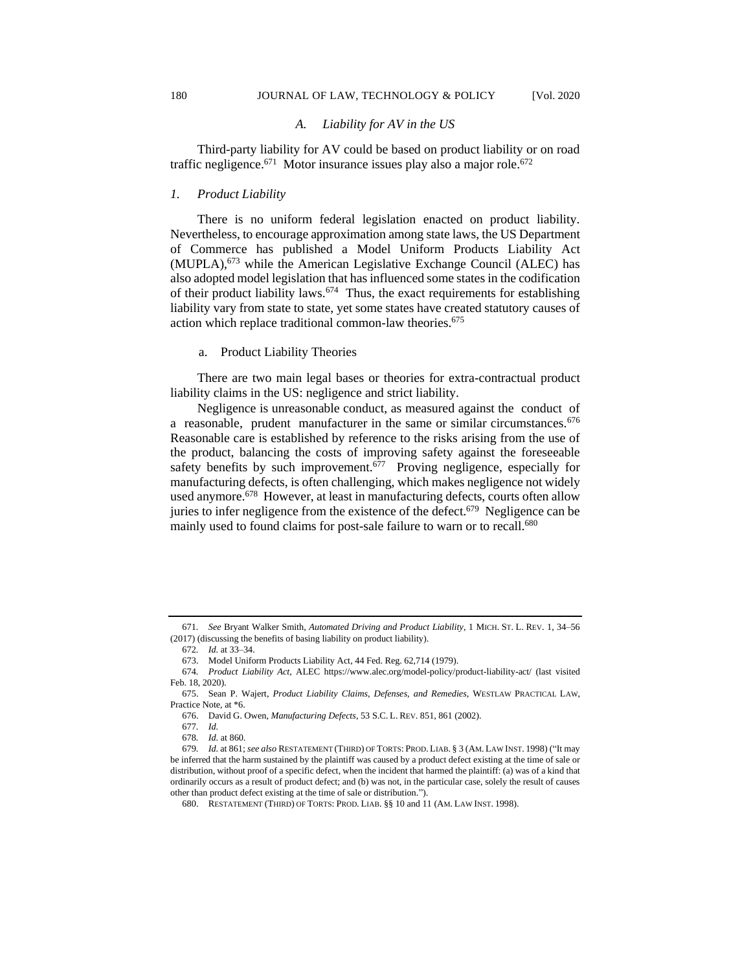#### *A. Liability for AV in the US*

Third-party liability for AV could be based on product liability or on road traffic negligence.<sup>671</sup> Motor insurance issues play also a major role.<sup>672</sup>

### *1. Product Liability*

There is no uniform federal legislation enacted on product liability. Nevertheless, to encourage approximation among state laws, the US Department of Commerce has published a Model Uniform Products Liability Act (MUPLA),<sup>673</sup> while the American Legislative Exchange Council (ALEC) has also adopted model legislation that has influenced some states in the codification of their product liability laws.<sup>674</sup> Thus, the exact requirements for establishing liability vary from state to state, yet some states have created statutory causes of action which replace traditional common-law theories.<sup>675</sup>

#### a. Product Liability Theories

There are two main legal bases or theories for extra-contractual product liability claims in the US: negligence and strict liability.

Negligence is unreasonable conduct, as measured against the conduct of a reasonable, prudent manufacturer in the same or similar circumstances.<sup>676</sup> Reasonable care is established by reference to the risks arising from the use of the product, balancing the costs of improving safety against the foreseeable safety benefits by such improvement.<sup>677</sup> Proving negligence, especially for manufacturing defects, is often challenging, which makes negligence not widely used anymore.<sup>678</sup> However, at least in manufacturing defects, courts often allow juries to infer negligence from the existence of the defect. $679$  Negligence can be mainly used to found claims for post-sale failure to warn or to recall.<sup>680</sup>

<sup>671</sup>*. See* Bryant Walker Smith, *Automated Driving and Product Liability*, 1 MICH. ST. L. REV. 1, 34–56 (2017) (discussing the benefits of basing liability on product liability).

<sup>672</sup>*. Id.* at 33–34.

<sup>673.</sup> Model Uniform Products Liability Act, 44 Fed. Reg. 62,714 (1979).

<sup>674</sup>*. Product Liability Act*, ALEC https://www.alec.org/model-policy/product-liability-act/ (last visited Feb. 18, 2020).

<sup>675.</sup> Sean P. Wajert, *Product Liability Claims, Defenses, and Remedies*, WESTLAW PRACTICAL LAW, Practice Note, at \*6.

<sup>676.</sup> David G. Owen, *Manufacturing Defects*, 53 S.C. L. REV. 851, 861 (2002).

<sup>677</sup>*. Id.*

<sup>678</sup>*. Id.* at 860.

<sup>679</sup>*. Id.* at 861; *see also* RESTATEMENT (THIRD) OF TORTS: PROD. LIAB. § 3 (AM. LAW INST. 1998) ("It may be inferred that the harm sustained by the plaintiff was caused by a product defect existing at the time of sale or distribution, without proof of a specific defect, when the incident that harmed the plaintiff: (a) was of a kind that ordinarily occurs as a result of product defect; and (b) was not, in the particular case, solely the result of causes other than product defect existing at the time of sale or distribution.").

<sup>680.</sup> RESTATEMENT (THIRD) OF TORTS: PROD. LIAB. §§ 10 and 11 (AM. LAW INST. 1998).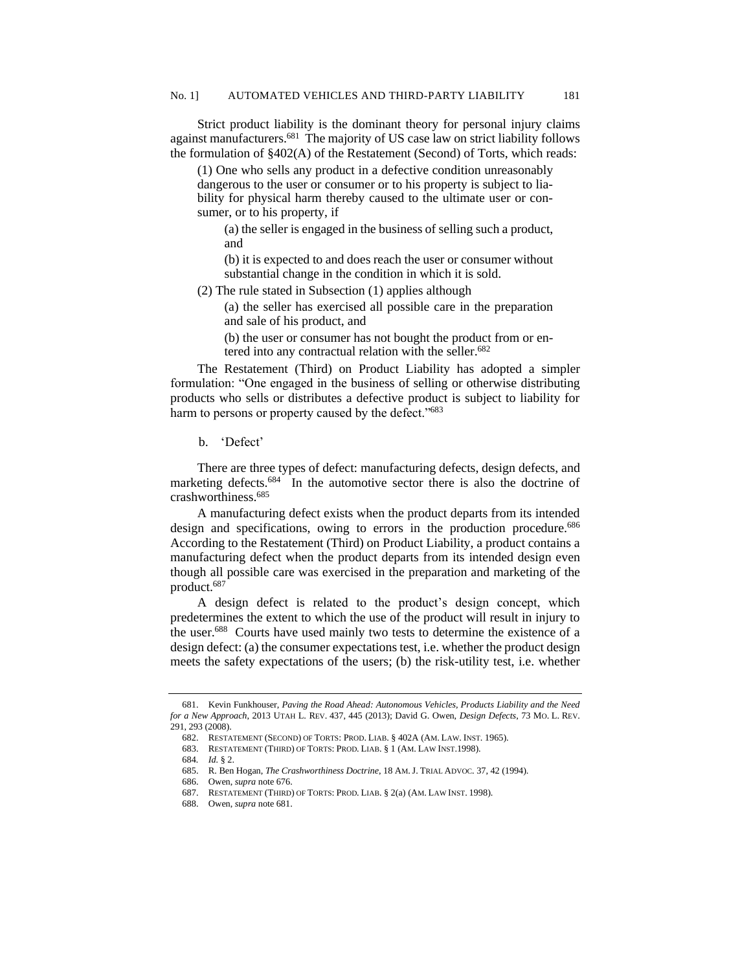Strict product liability is the dominant theory for personal injury claims against manufacturers.<sup>681</sup> The majority of US case law on strict liability follows the formulation of §402(A) of the Restatement (Second) of Torts, which reads:

(1) One who sells any product in a defective condition unreasonably dangerous to the user or consumer or to his property is subject to liability for physical harm thereby caused to the ultimate user or consumer, or to his property, if

(a) the seller is engaged in the business of selling such a product, and

(b) it is expected to and does reach the user or consumer without substantial change in the condition in which it is sold.

(2) The rule stated in Subsection (1) applies although

(a) the seller has exercised all possible care in the preparation and sale of his product, and

(b) the user or consumer has not bought the product from or entered into any contractual relation with the seller.<sup>682</sup>

The Restatement (Third) on Product Liability has adopted a simpler formulation: "One engaged in the business of selling or otherwise distributing products who sells or distributes a defective product is subject to liability for harm to persons or property caused by the defect."683

b. 'Defect'

There are three types of defect: manufacturing defects, design defects, and marketing defects.<sup>684</sup> In the automotive sector there is also the doctrine of crashworthiness.<sup>685</sup>

A manufacturing defect exists when the product departs from its intended design and specifications, owing to errors in the production procedure.<sup>686</sup> According to the Restatement (Third) on Product Liability, a product contains a manufacturing defect when the product departs from its intended design even though all possible care was exercised in the preparation and marketing of the product. 687

A design defect is related to the product's design concept, which predetermines the extent to which the use of the product will result in injury to the user.<sup>688</sup> Courts have used mainly two tests to determine the existence of a design defect: (a) the consumer expectations test, i.e. whether the product design meets the safety expectations of the users; (b) the risk-utility test, i.e. whether

<sup>681.</sup> Kevin Funkhouser, *Paving the Road Ahead: Autonomous Vehicles, Products Liability and the Need for a New Approach*, 2013 UTAH L. REV. 437, 445 (2013); David G. Owen, *Design Defects*, 73 MO. L. REV. 291, 293 (2008).

<sup>682.</sup> RESTATEMENT (SECOND) OF TORTS: PROD. LIAB. § 402A (AM. LAW. INST. 1965).

<sup>683.</sup> RESTATEMENT (THIRD) OF TORTS: PROD. LIAB. § 1 (AM. LAW INST.1998).

<sup>684</sup>*. Id.* § 2.

<sup>685.</sup> R. Ben Hogan, *The Crashworthiness Doctrine*, 18 AM.J. TRIAL ADVOC. 37, 42 (1994).

<sup>686.</sup> Owen, *supra* note 676.

<sup>687.</sup> RESTATEMENT (THIRD) OF TORTS: PROD. LIAB. § 2(a) (AM. LAW INST. 1998).

<sup>688.</sup> Owen, *supra* note 681.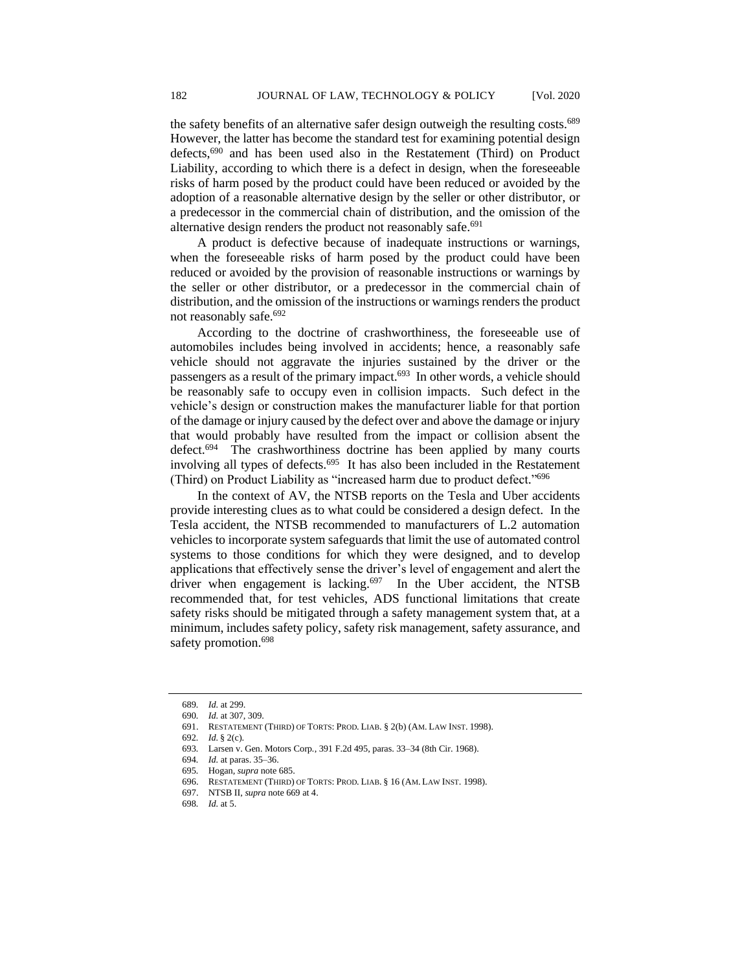the safety benefits of an alternative safer design outweigh the resulting costs.<sup>689</sup> However, the latter has become the standard test for examining potential design defects,<sup>690</sup> and has been used also in the Restatement (Third) on Product Liability, according to which there is a defect in design, when the foreseeable risks of harm posed by the product could have been reduced or avoided by the adoption of a reasonable alternative design by the seller or other distributor, or a predecessor in the commercial chain of distribution, and the omission of the alternative design renders the product not reasonably safe. 691

A product is defective because of inadequate instructions or warnings, when the foreseeable risks of harm posed by the product could have been reduced or avoided by the provision of reasonable instructions or warnings by the seller or other distributor, or a predecessor in the commercial chain of distribution, and the omission of the instructions or warnings renders the product not reasonably safe.<sup>692</sup>

According to the doctrine of crashworthiness, the foreseeable use of automobiles includes being involved in accidents; hence, a reasonably safe vehicle should not aggravate the injuries sustained by the driver or the passengers as a result of the primary impact.<sup>693</sup> In other words, a vehicle should be reasonably safe to occupy even in collision impacts. Such defect in the vehicle's design or construction makes the manufacturer liable for that portion of the damage or injury caused by the defect over and above the damage or injury that would probably have resulted from the impact or collision absent the defect.<sup>694</sup> The crashworthiness doctrine has been applied by many courts involving all types of defects.<sup>695</sup> It has also been included in the Restatement (Third) on Product Liability as "increased harm due to product defect." 696

In the context of AV, the NTSB reports on the Tesla and Uber accidents provide interesting clues as to what could be considered a design defect. In the Tesla accident, the NTSB recommended to manufacturers of L.2 automation vehicles to incorporate system safeguards that limit the use of automated control systems to those conditions for which they were designed, and to develop applications that effectively sense the driver's level of engagement and alert the driver when engagement is lacking.<sup>697</sup> In the Uber accident, the NTSB recommended that, for test vehicles, ADS functional limitations that create safety risks should be mitigated through a safety management system that, at a minimum, includes safety policy, safety risk management, safety assurance, and safety promotion.<sup>698</sup>

<sup>689</sup>*. Id.* at 299.

<sup>690</sup>*. Id.* at 307, 309.

<sup>691.</sup> RESTATEMENT (THIRD) OF TORTS: PROD. LIAB. § 2(b) (AM. LAW INST. 1998).

<sup>692</sup>*. Id.* § 2(c).

<sup>693</sup>*.* Larsen v. Gen. Motors Corp*.*, 391 F.2d 495, paras. 33–34 (8th Cir. 1968).

<sup>694</sup>*. Id.* at paras. 35–36.

<sup>695</sup>*.* Hogan*, supra* note 685.

<sup>696.</sup> RESTATEMENT (THIRD) OF TORTS: PROD. LIAB. § 16 (AM. LAW INST. 1998).

<sup>697.</sup> NTSB II, *supra* note 669 at 4.

<sup>698</sup>*. Id.* at 5.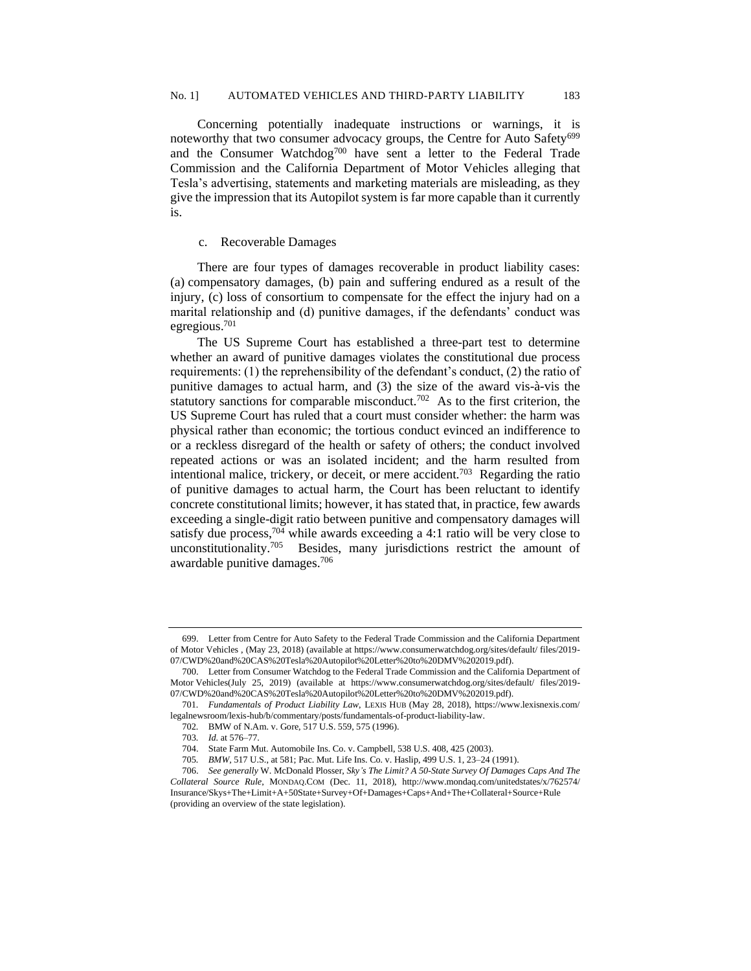Concerning potentially inadequate instructions or warnings, it is noteworthy that two consumer advocacy groups, the Centre for Auto Safety<sup>699</sup> and the Consumer Watchdog<sup>700</sup> have sent a letter to the Federal Trade Commission and the California Department of Motor Vehicles alleging that Tesla's advertising, statements and marketing materials are misleading, as they give the impression that its Autopilot system is far more capable than it currently is.

#### c. Recoverable Damages

There are four types of damages recoverable in product liability cases: (a) compensatory damages, (b) pain and suffering endured as a result of the injury, (c) loss of consortium to compensate for the effect the injury had on a marital relationship and (d) punitive damages, if the defendants' conduct was egregious.<sup>701</sup>

The US Supreme Court has established a three-part test to determine whether an award of punitive damages violates the constitutional due process requirements: (1) the reprehensibility of the defendant's conduct, (2) the ratio of punitive damages to actual harm, and (3) the size of the award vis-à-vis the statutory sanctions for comparable misconduct.<sup>702</sup> As to the first criterion, the US Supreme Court has ruled that a court must consider whether: the harm was physical rather than economic; the tortious conduct evinced an indifference to or a reckless disregard of the health or safety of others; the conduct involved repeated actions or was an isolated incident; and the harm resulted from intentional malice, trickery, or deceit, or mere accident.<sup>703</sup> Regarding the ratio of punitive damages to actual harm, the Court has been reluctant to identify concrete constitutional limits; however, it has stated that, in practice, few awards exceeding a single-digit ratio between punitive and compensatory damages will satisfy due process,<sup>704</sup> while awards exceeding a 4:1 ratio will be very close to unconstitutionality.<sup>705</sup> Besides, many jurisdictions restrict the amount of awardable punitive damages.<sup>706</sup>

<sup>699.</sup> Letter from Centre for Auto Safety to the Federal Trade Commission and the California Department of Motor Vehicles , (May 23, 2018) (available at https://www.consumerwatchdog.org/sites/default/ files/2019- 07/CWD%20and%20CAS%20Tesla%20Autopilot%20Letter%20to%20DMV%202019.pdf).

<sup>700.</sup> Letter from Consumer Watchdog to the Federal Trade Commission and the California Department of Motor Vehicles(July 25, 2019) (available at https://www.consumerwatchdog.org/sites/default/ files/2019- 07/CWD%20and%20CAS%20Tesla%20Autopilot%20Letter%20to%20DMV%202019.pdf).

<sup>701</sup>*. Fundamentals of Product Liability Law*, LEXIS HUB (May 28, 2018), https://www.lexisnexis.com/ legalnewsroom/lexis-hub/b/commentary/posts/fundamentals-of-product-liability-law.

<sup>702</sup>*.* BMW of N.Am. v. Gore*,* 517 U.S. 559, 575 (1996).

<sup>703</sup>*. Id.* at 576–77.

<sup>704.</sup> State Farm Mut. Automobile Ins. Co. v. Campbell, 538 U.S. 408, 425 (2003).

<sup>705</sup>*. BMW,* 517 U.S., at 581; Pac. Mut. Life Ins. Co. v. Haslip, 499 U.S. 1, 23–24 (1991).

<sup>706.</sup> *See generally* W. McDonald Plosser, *Sky's The Limit? A 50-State Survey Of Damages Caps And The Collateral Source Rule*, MONDAQ.COM (Dec. 11, 2018), http://www.mondaq.com/unitedstates/x/762574/ Insurance/Skys+The+Limit+A+50State+Survey+Of+Damages+Caps+And+The+Collateral+Source+Rule (providing an overview of the state legislation).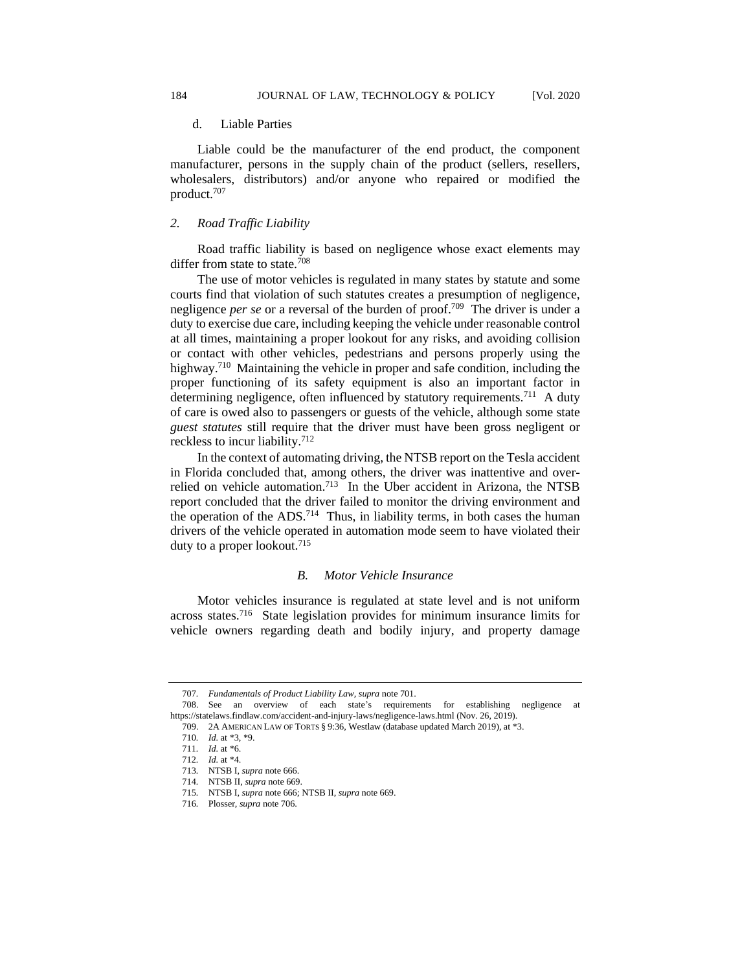#### d. Liable Parties

Liable could be the manufacturer of the end product, the component manufacturer, persons in the supply chain of the product (sellers, resellers, wholesalers, distributors) and/or anyone who repaired or modified the product.<sup>707</sup>

#### *2. Road Traffic Liability*

Road traffic liability is based on negligence whose exact elements may differ from state to state.<sup>708</sup>

The use of motor vehicles is regulated in many states by statute and some courts find that violation of such statutes creates a presumption of negligence, negligence *per se* or a reversal of the burden of proof.<sup>709</sup> The driver is under a duty to exercise due care, including keeping the vehicle under reasonable control at all times, maintaining a proper lookout for any risks, and avoiding collision or contact with other vehicles, pedestrians and persons properly using the highway.<sup>710</sup> Maintaining the vehicle in proper and safe condition, including the proper functioning of its safety equipment is also an important factor in determining negligence, often influenced by statutory requirements.<sup>711</sup> A duty of care is owed also to passengers or guests of the vehicle, although some state *guest statutes* still require that the driver must have been gross negligent or reckless to incur liability.<sup>712</sup>

In the context of automating driving, the NTSB report on the Tesla accident in Florida concluded that, among others, the driver was inattentive and overrelied on vehicle automation.<sup>713</sup> In the Uber accident in Arizona, the NTSB report concluded that the driver failed to monitor the driving environment and the operation of the ADS.<sup>714</sup> Thus, in liability terms, in both cases the human drivers of the vehicle operated in automation mode seem to have violated their duty to a proper lookout.<sup>715</sup>

#### *B. Motor Vehicle Insurance*

Motor vehicles insurance is regulated at state level and is not uniform across states.<sup>716</sup> State legislation provides for minimum insurance limits for vehicle owners regarding death and bodily injury, and property damage

<sup>707</sup>*. Fundamentals of Product Liability Law, supra* note 701.

<sup>708.</sup> See an overview of each state's requirements for establishing negligence at https://statelaws.findlaw.com/accident-and-injury-laws/negligence-laws.html (Nov. 26, 2019).

<sup>709.</sup> 2A AMERICAN LAW OF TORTS § 9:36, Westlaw (database updated March 2019), at \*3.

<sup>710</sup>*. Id.* at \*3, \*9.

<sup>711</sup>*. Id.* at \*6.

<sup>712</sup>*. Id.* at \*4.

<sup>713</sup>*.* NTSB I, *supra* note 666.

<sup>714</sup>*.* NTSB II, *supra* note 669.

<sup>715</sup>*.* NTSB I, *supra* note 666; NTSB II, *supra* note 669.

<sup>716</sup>*.* Plosser*, supra* note 706.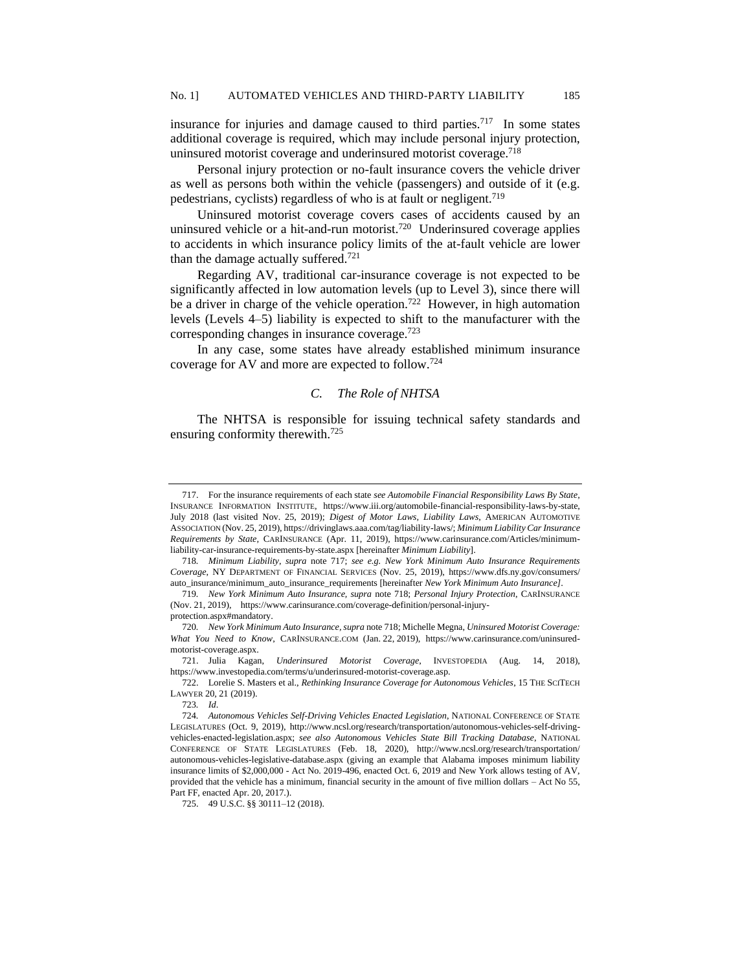insurance for injuries and damage caused to third parties.<sup>717</sup> In some states additional coverage is required, which may include personal injury protection, uninsured motorist coverage and underinsured motorist coverage.<sup>718</sup>

Personal injury protection or no-fault insurance covers the vehicle driver as well as persons both within the vehicle (passengers) and outside of it (e.g. pedestrians, cyclists) regardless of who is at fault or negligent.<sup>719</sup>

Uninsured motorist coverage covers cases of accidents caused by an uninsured vehicle or a hit-and-run motorist.<sup>720</sup> Underinsured coverage applies to accidents in which insurance policy limits of the at-fault vehicle are lower than the damage actually suffered. 721

Regarding AV, traditional car-insurance coverage is not expected to be significantly affected in low automation levels (up to Level 3), since there will be a driver in charge of the vehicle operation.<sup>722</sup> However, in high automation levels (Levels 4–5) liability is expected to shift to the manufacturer with the corresponding changes in insurance coverage.<sup>723</sup>

In any case, some states have already established minimum insurance coverage for AV and more are expected to follow.<sup>724</sup>

# *C. The Role of NHTSA*

The NHTSA is responsible for issuing technical safety standards and ensuring conformity therewith.<sup>725</sup>

protection.aspx#mandatory.

<sup>717.</sup> For the insurance requirements of each state *see Automobile Financial Responsibility Laws By State*, INSURANCE INFORMATION INSTITUTE, https://www.iii.org/automobile-financial-responsibility-laws-by-state, July 2018 (last visited Nov. 25, 2019); *Digest of Motor Laws, Liability Laws*, AMERICAN AUTOMOTIVE ASSOCIATION (Nov. 25, 2019), https://drivinglaws.aaa.com/tag/liability-laws/; *Minimum Liability Car Insurance Requirements by State,* CARINSURANCE (Apr. 11, 2019), https://www.carinsurance.com/Articles/minimumliability-car-insurance-requirements-by-state.aspx [hereinafter *Minimum Liability*].

<sup>718</sup>*. Minimum Liability*, *supra* note 717; *see e.g. New York Minimum Auto Insurance Requirements Coverage*, NY DEPARTMENT OF FINANCIAL SERVICES (Nov. 25, 2019), https://www.dfs.ny.gov/consumers/ auto\_insurance/minimum\_auto\_insurance\_requirements [hereinafter *New York Minimum Auto Insurance]*.

<sup>719</sup>*. New York Minimum Auto Insurance, supra* note 718; *Personal Injury Protection*, CARINSURANCE (Nov. 21, 2019), https://www.carinsurance.com/coverage-definition/personal-injury-

<sup>720</sup>*. New York Minimum Auto Insurance, supra* note 718; Michelle Megna, *Uninsured Motorist Coverage: What You Need to Know*, CARINSURANCE.COM (Jan. 22, 2019), https://www.carinsurance.com/uninsuredmotorist-coverage.aspx.

<sup>721.</sup> Julia Kagan, *Underinsured Motorist Coverage*, INVESTOPEDIA (Aug. 14, 2018), https://www.investopedia.com/terms/u/underinsured-motorist-coverage.asp.

<sup>722.</sup> Lorelie S. Masters et al., *Rethinking Insurance Coverage for Autonomous Vehicles*, 15 THE SCITECH LAWYER 20, 21 (2019).

<sup>723</sup>*. Id*.

<sup>724</sup>*. Autonomous Vehicles Self-Driving Vehicles Enacted Legislation*, NATIONAL CONFERENCE OF STATE LEGISLATURES (Oct. 9, 2019), http://www.ncsl.org/research/transportation/autonomous-vehicles-self-drivingvehicles-enacted-legislation.aspx; *see also Autonomous Vehicles State Bill Tracking Database*, NATIONAL CONFERENCE OF STATE LEGISLATURES (Feb. 18, 2020), http://www.ncsl.org/research/transportation/ autonomous-vehicles-legislative-database.aspx (giving an example that Alabama imposes minimum liability insurance limits of \$2,000,000 - Act No. 2019-496, enacted Oct. 6, 2019 and New York allows testing of AV, provided that the vehicle has a minimum, financial security in the amount of five million dollars – Act No 55, Part FF, enacted Apr. 20, 2017.).

<sup>725.</sup> 49 U.S.C. §§ 30111–12 (2018).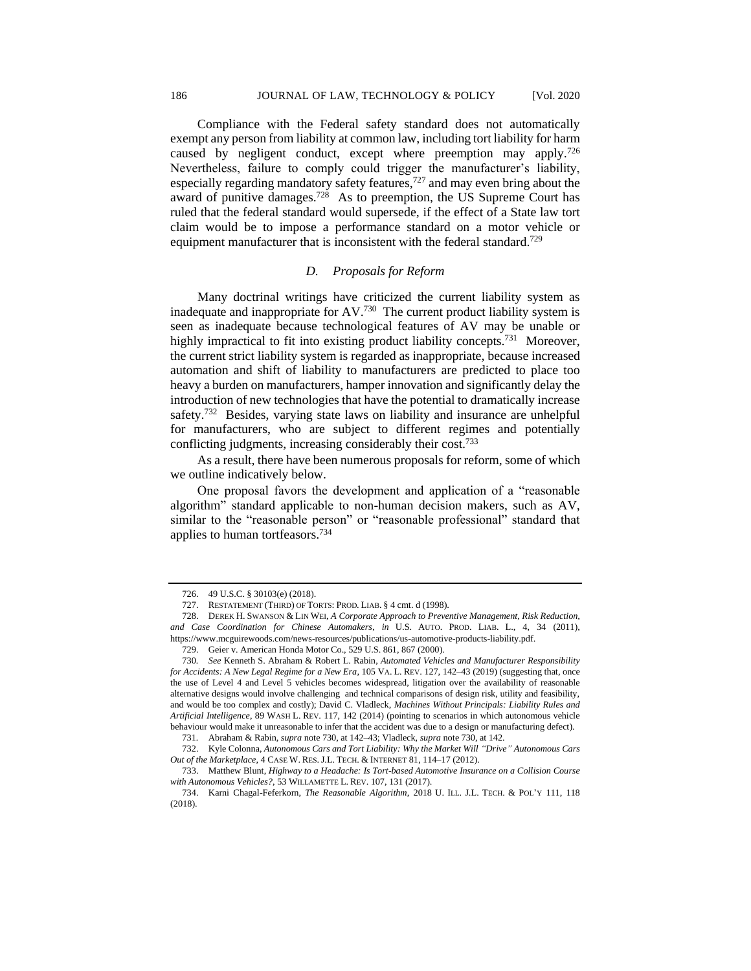Compliance with the Federal safety standard does not automatically exempt any person from liability at common law, including tort liability for harm caused by negligent conduct, except where preemption may apply.<sup>726</sup> Nevertheless, failure to comply could trigger the manufacturer's liability, especially regarding mandatory safety features, $727$  and may even bring about the award of punitive damages.<sup>728</sup> As to preemption, the US Supreme Court has ruled that the federal standard would supersede, if the effect of a State law tort claim would be to impose a performance standard on a motor vehicle or equipment manufacturer that is inconsistent with the federal standard.<sup>729</sup>

# *D. Proposals for Reform*

Many doctrinal writings have criticized the current liability system as inadequate and inappropriate for AV.<sup>730</sup> The current product liability system is seen as inadequate because technological features of AV may be unable or highly impractical to fit into existing product liability concepts.<sup>731</sup> Moreover, the current strict liability system is regarded as inappropriate, because increased automation and shift of liability to manufacturers are predicted to place too heavy a burden on manufacturers, hamper innovation and significantly delay the introduction of new technologies that have the potential to dramatically increase safety.<sup>732</sup> Besides, varying state laws on liability and insurance are unhelpful for manufacturers, who are subject to different regimes and potentially conflicting judgments, increasing considerably their cost.<sup>733</sup>

As a result, there have been numerous proposals for reform, some of which we outline indicatively below.

One proposal favors the development and application of a "reasonable algorithm" standard applicable to non-human decision makers, such as AV, similar to the "reasonable person" or "reasonable professional" standard that applies to human tortfeasors.<sup>734</sup>

<sup>726.</sup> 49 U.S.C. § 30103(e) (2018).

<sup>727.</sup> RESTATEMENT (THIRD) OF TORTS: PROD. LIAB. § 4 cmt. d (1998).

<sup>728.</sup> DEREK H. SWANSON & LIN WEI, *A Corporate Approach to Preventive Management, Risk Reduction, and Case Coordination for Chinese Automakers*, *in* U.S. AUTO. PROD. LIAB. L., 4, 34 (2011), https://www.mcguirewoods.com/news-resources/publications/us-automotive-products-liability.pdf.

<sup>729.</sup> Geier v. American Honda Motor Co., 529 U.S. 861, 867 (2000).

<sup>730</sup>*. See* Kenneth S. Abraham & Robert L. Rabin, *Automated Vehicles and Manufacturer Responsibility for Accidents: A New Legal Regime for a New Era*, 105 VA. L. REV. 127, 142–43 (2019) (suggesting that, once the use of Level 4 and Level 5 vehicles becomes widespread, litigation over the availability of reasonable alternative designs would involve challenging and technical comparisons of design risk, utility and feasibility, and would be too complex and costly); David C. Vladleck, *Machines Without Principals: Liability Rules and Artificial Intelligence*, 89 WASH L. REV. 117, 142 (2014) (pointing to scenarios in which autonomous vehicle behaviour would make it unreasonable to infer that the accident was due to a design or manufacturing defect).

<sup>731</sup>*.* Abraham & Rabin, *supra* note 730, at 142–43; Vladleck, *supra* note 730, at 142.

<sup>732.</sup> Kyle Colonna, *Autonomous Cars and Tort Liability: Why the Market Will "Drive" Autonomous Cars Out of the Marketplace*, 4 CASE W. RES.J.L. TECH. & INTERNET 81, 114–17 (2012).

<sup>733.</sup> Matthew Blunt, *Highway to a Headache: Is Tort-based Automotive Insurance on a Collision Course with Autonomous Vehicles?*, 53 WILLAMETTE L. REV. 107, 131 (2017).

<sup>734.</sup> Karni Chagal-Feferkorn, *The Reasonable Algorithm*, 2018 U. ILL. J.L. TECH. & POL'Y 111, 118 (2018).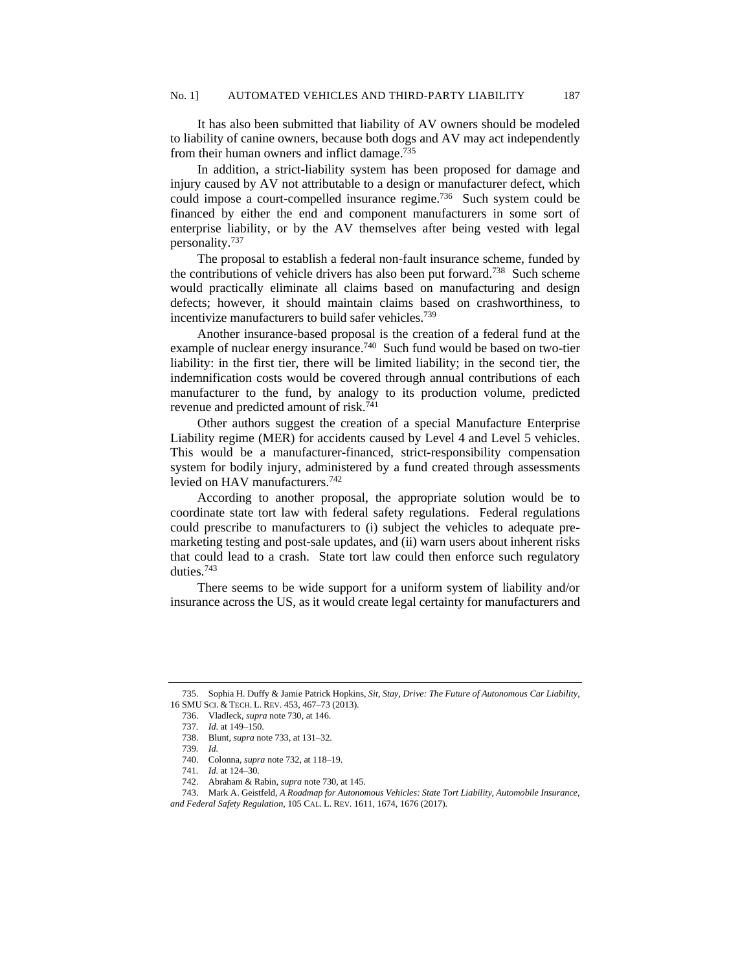It has also been submitted that liability of AV owners should be modeled to liability of canine owners, because both dogs and AV may act independently from their human owners and inflict damage.<sup>735</sup>

In addition, a strict-liability system has been proposed for damage and injury caused by AV not attributable to a design or manufacturer defect, which could impose a court-compelled insurance regime.<sup>736</sup> Such system could be financed by either the end and component manufacturers in some sort of enterprise liability, or by the AV themselves after being vested with legal personality.<sup>737</sup>

The proposal to establish a federal non-fault insurance scheme, funded by the contributions of vehicle drivers has also been put forward.<sup>738</sup> Such scheme would practically eliminate all claims based on manufacturing and design defects; however, it should maintain claims based on crashworthiness, to incentivize manufacturers to build safer vehicles.<sup>739</sup>

Another insurance-based proposal is the creation of a federal fund at the example of nuclear energy insurance.<sup>740</sup> Such fund would be based on two-tier liability: in the first tier, there will be limited liability; in the second tier, the indemnification costs would be covered through annual contributions of each manufacturer to the fund, by analogy to its production volume, predicted revenue and predicted amount of risk.<sup>741</sup>

Other authors suggest the creation of a special Manufacture Enterprise Liability regime (MER) for accidents caused by Level 4 and Level 5 vehicles. This would be a manufacturer-financed, strict-responsibility compensation system for bodily injury, administered by a fund created through assessments levied on HAV manufacturers.<sup>742</sup>

According to another proposal, the appropriate solution would be to coordinate state tort law with federal safety regulations. Federal regulations could prescribe to manufacturers to (i) subject the vehicles to adequate premarketing testing and post-sale updates, and (ii) warn users about inherent risks that could lead to a crash. State tort law could then enforce such regulatory duties.<sup>743</sup>

There seems to be wide support for a uniform system of liability and/or insurance across the US, as it would create legal certainty for manufacturers and

<sup>735.</sup> Sophia H. Duffy & Jamie Patrick Hopkins, *Sit, Stay, Drive: The Future of Autonomous Car Liability*, 16 SMU SCI. & TECH. L. REV. 453, 467–73 (2013).

<sup>736.</sup> Vladleck, *supra* note 730, at 146.

<sup>737</sup>*. Id.* at 149–150.

<sup>738.</sup> Blunt, *supra* note 733, at 131–32.

<sup>739</sup>*. Id.*

<sup>740.</sup> Colonna, *supra* note 732, at 118–19.

<sup>741</sup>*. Id.* at 124–30.

<sup>742.</sup> Abraham & Rabin, *supra* note 730, at 145.

<sup>743.</sup> Mark A. Geistfeld, *A Roadmap for Autonomous Vehicles: State Tort Liability, Automobile Insurance, and Federal Safety Regulation*, 105 CAL. L. REV. 1611, 1674, 1676 (2017).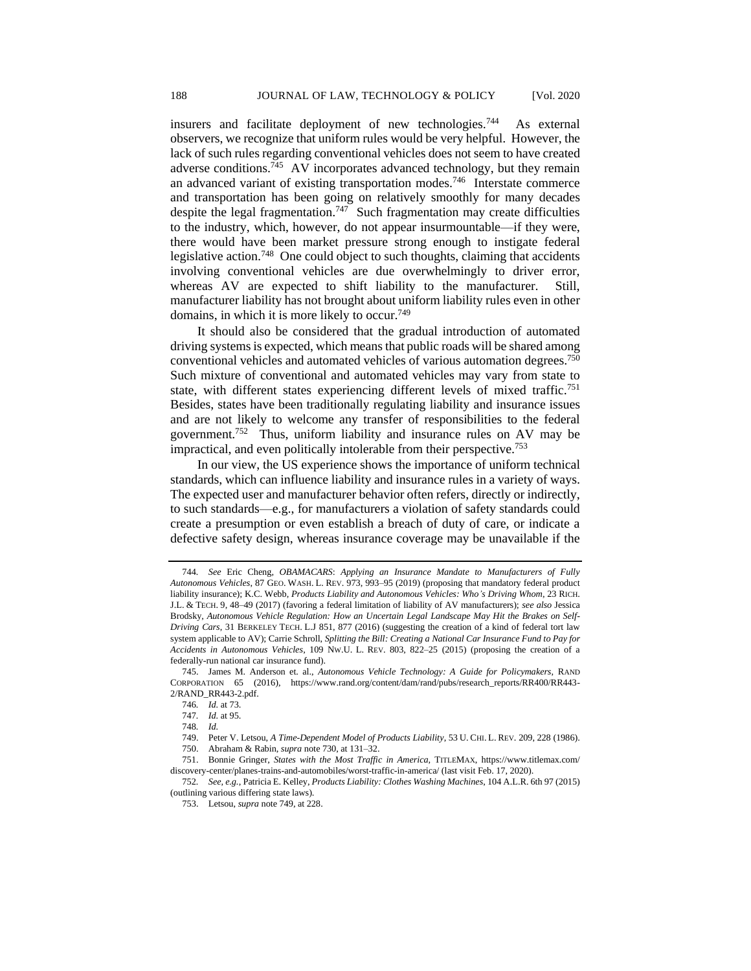insurers and facilitate deployment of new technologies.<sup>744</sup> As external observers, we recognize that uniform rules would be very helpful. However, the lack of such rules regarding conventional vehicles does not seem to have created adverse conditions.<sup>745</sup> AV incorporates advanced technology, but they remain an advanced variant of existing transportation modes.<sup>746</sup> Interstate commerce and transportation has been going on relatively smoothly for many decades despite the legal fragmentation.<sup>747</sup> Such fragmentation may create difficulties to the industry, which, however, do not appear insurmountable—if they were, there would have been market pressure strong enough to instigate federal legislative action.<sup>748</sup> One could object to such thoughts, claiming that accidents involving conventional vehicles are due overwhelmingly to driver error, whereas AV are expected to shift liability to the manufacturer. Still, manufacturer liability has not brought about uniform liability rules even in other domains, in which it is more likely to occur.<sup>749</sup>

It should also be considered that the gradual introduction of automated driving systems is expected, which means that public roads will be shared among conventional vehicles and automated vehicles of various automation degrees.<sup>750</sup> Such mixture of conventional and automated vehicles may vary from state to state, with different states experiencing different levels of mixed traffic.<sup>751</sup> Besides, states have been traditionally regulating liability and insurance issues and are not likely to welcome any transfer of responsibilities to the federal government.<sup>752</sup> Thus, uniform liability and insurance rules on AV may be impractical, and even politically intolerable from their perspective.<sup>753</sup>

In our view, the US experience shows the importance of uniform technical standards, which can influence liability and insurance rules in a variety of ways. The expected user and manufacturer behavior often refers, directly or indirectly, to such standards—e.g., for manufacturers a violation of safety standards could create a presumption or even establish a breach of duty of care, or indicate a defective safety design, whereas insurance coverage may be unavailable if the

<sup>744</sup>*. See* Eric Cheng, *OBAMACARS*: *Applying an Insurance Mandate to Manufacturers of Fully Autonomous Vehicles*, 87 GEO. WASH. L. REV. 973, 993–95 (2019) (proposing that mandatory federal product liability insurance); K.C. Webb, *Products Liability and Autonomous Vehicles: Who's Driving Whom*, 23 RICH. J.L. & TECH. 9, 48–49 (2017) (favoring a federal limitation of liability of AV manufacturers); *see also* Jessica Brodsky, *Autonomous Vehicle Regulation: How an Uncertain Legal Landscape May Hit the Brakes on Self-Driving Cars*, 31 BERKELEY TECH. L.J 851, 877 (2016) (suggesting the creation of a kind of federal tort law system applicable to AV); Carrie Schroll, *Splitting the Bill: Creating a National Car Insurance Fund to Pay for Accidents in Autonomous Vehicles*, 109 NW.U. L. REV. 803, 822–25 (2015) (proposing the creation of a federally-run national car insurance fund).

<sup>745.</sup> James M. Anderson et. al., *Autonomous Vehicle Technology: A Guide for Policymakers,* RAND CORPORATION 65 (2016), https://www.rand.org/content/dam/rand/pubs/research\_reports/RR400/RR443- 2/RAND\_RR443-2.pdf.

<sup>746</sup>*. Id.* at 73.

<sup>747</sup>*. Id.* at 95.

<sup>748</sup>*. Id.*

<sup>749.</sup> Peter V. Letsou, *A Time-Dependent Model of Products Liability*, 53 U. CHI. L. REV. 209, 228 (1986). 750. Abraham & Rabin, *supra* note 730, at 131–32.

<sup>751.</sup> Bonnie Gringer, *States with the Most Traffic in America,* TITLEMAX, https://www.titlemax.com/ discovery-center/planes-trains-and-automobiles/worst-traffic-in-america/ (last visit Feb. 17, 2020).

<sup>752</sup>*. See, e.g.*, Patricia E. Kelley, *Products Liability: Clothes Washing Machines*, 104 A.L.R. 6th 97 (2015) (outlining various differing state laws).

<sup>753.</sup> Letsou, *supra* note 749, at 228.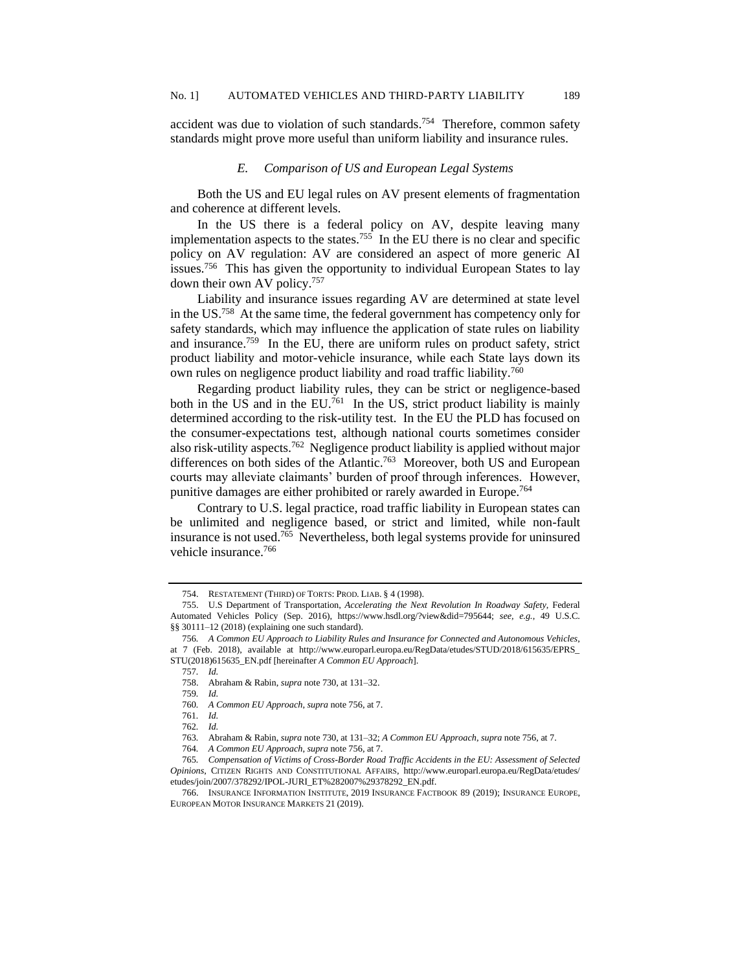accident was due to violation of such standards.<sup>754</sup> Therefore, common safety standards might prove more useful than uniform liability and insurance rules.

## *E. Comparison of US and European Legal Systems*

Both the US and EU legal rules on AV present elements of fragmentation and coherence at different levels.

In the US there is a federal policy on AV, despite leaving many implementation aspects to the states.<sup>755</sup> In the EU there is no clear and specific policy on AV regulation: AV are considered an aspect of more generic AI issues.<sup>756</sup> This has given the opportunity to individual European States to lay down their own AV policy.<sup>757</sup>

Liability and insurance issues regarding AV are determined at state level in the US.<sup>758</sup> At the same time, the federal government has competency only for safety standards, which may influence the application of state rules on liability and insurance.<sup>759</sup> In the EU, there are uniform rules on product safety, strict product liability and motor-vehicle insurance, while each State lays down its own rules on negligence product liability and road traffic liability.<sup>760</sup>

Regarding product liability rules, they can be strict or negligence-based both in the US and in the EU.<sup>761</sup> In the US, strict product liability is mainly determined according to the risk-utility test. In the EU the PLD has focused on the consumer-expectations test, although national courts sometimes consider also risk-utility aspects.<sup>762</sup> Negligence product liability is applied without major differences on both sides of the Atlantic.<sup>763</sup> Moreover, both US and European courts may alleviate claimants' burden of proof through inferences. However, punitive damages are either prohibited or rarely awarded in Europe.<sup>764</sup>

Contrary to U.S. legal practice, road traffic liability in European states can be unlimited and negligence based, or strict and limited, while non-fault insurance is not used.<sup>765</sup> Nevertheless, both legal systems provide for uninsured vehicle insurance.<sup>766</sup>

757*. Id.*

761*. Id.*

<sup>754.</sup> RESTATEMENT (THIRD) OF TORTS: PROD. LIAB. § 4 (1998).

<sup>755.</sup> U.S Department of Transportation, *Accelerating the Next Revolution In Roadway Safety*, Federal Automated Vehicles Policy (Sep. 2016), https://www.hsdl.org/?view&did=795644; *see, e.g.*, 49 U.S.C. §§ 30111–12 (2018) (explaining one such standard).

<sup>756</sup>*. A Common EU Approach to Liability Rules and Insurance for Connected and Autonomous Vehicles*, at 7 (Feb. 2018), available at http://www.europarl.europa.eu/RegData/etudes/STUD/2018/615635/EPRS\_ STU(2018)615635\_EN.pdf [hereinafter *A Common EU Approach*].

<sup>758.</sup> Abraham & Rabin, *supra* note 730, at 131–32.

<sup>759</sup>*. Id.*

<sup>760</sup>*. A Common EU Approach*, *supra* note 756, at 7.

<sup>762</sup>*. Id.*

<sup>763</sup>*.* Abraham & Rabin, *supra* note 730, at 131–32; *A Common EU Approach*, *supra* note 756, at 7.

<sup>764</sup>*. A Common EU Approach*, *supra* note 756, at 7.

<sup>765</sup>*. Compensation of Victims of Cross-Border Road Traffic Accidents in the EU: Assessment of Selected Opinions*, CITIZEN RIGHTS AND CONSTITUTIONAL AFFAIRS, http://www.europarl.europa.eu/RegData/etudes/ etudes/join/2007/378292/IPOL-JURI\_ET%282007%29378292\_EN.pdf.

<sup>766.</sup> INSURANCE INFORMATION INSTITUTE, 2019 INSURANCE FACTBOOK 89 (2019); INSURANCE EUROPE, EUROPEAN MOTOR INSURANCE MARKETS 21 (2019).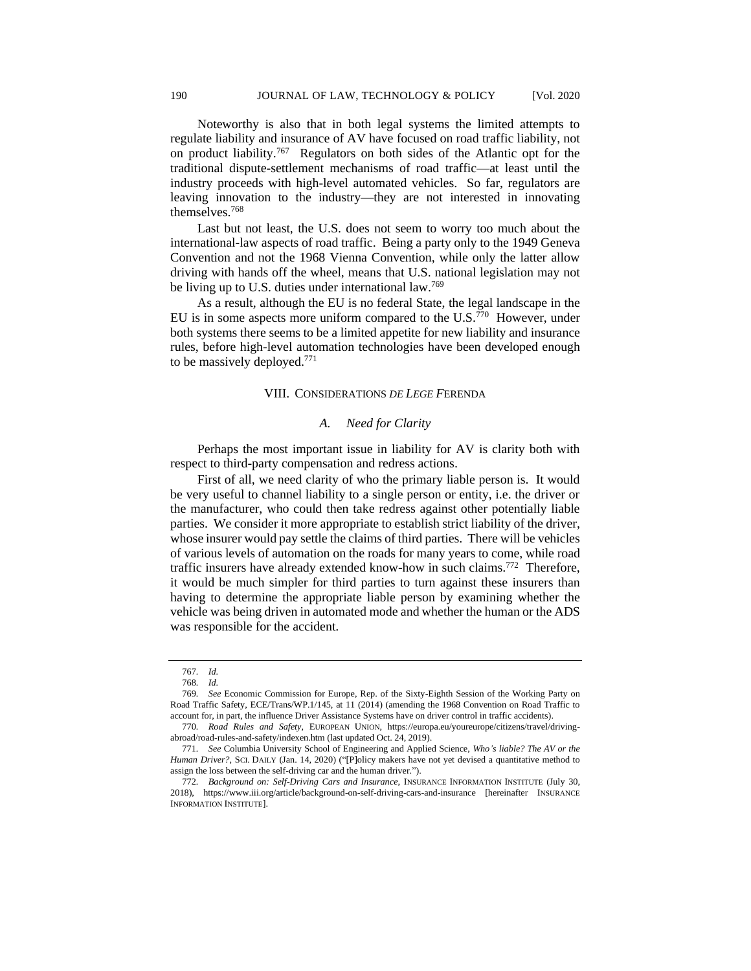Noteworthy is also that in both legal systems the limited attempts to regulate liability and insurance of AV have focused on road traffic liability, not on product liability.<sup>767</sup> Regulators on both sides of the Atlantic opt for the traditional dispute-settlement mechanisms of road traffic—at least until the industry proceeds with high-level automated vehicles. So far, regulators are leaving innovation to the industry—they are not interested in innovating themselves.<sup>768</sup>

Last but not least, the U.S. does not seem to worry too much about the international-law aspects of road traffic. Being a party only to the 1949 Geneva Convention and not the 1968 Vienna Convention, while only the latter allow driving with hands off the wheel, means that U.S. national legislation may not be living up to U.S. duties under international law.<sup>769</sup>

As a result, although the EU is no federal State, the legal landscape in the EU is in some aspects more uniform compared to the  $U.S.<sup>770</sup>$  However, under both systems there seems to be a limited appetite for new liability and insurance rules, before high-level automation technologies have been developed enough to be massively deployed.<sup>771</sup>

#### VIII. CONSIDERATIONS *DE LEGE F*ERENDA

### *A. Need for Clarity*

Perhaps the most important issue in liability for AV is clarity both with respect to third-party compensation and redress actions.

First of all, we need clarity of who the primary liable person is. It would be very useful to channel liability to a single person or entity, i.e. the driver or the manufacturer, who could then take redress against other potentially liable parties. We consider it more appropriate to establish strict liability of the driver, whose insurer would pay settle the claims of third parties. There will be vehicles of various levels of automation on the roads for many years to come, while road traffic insurers have already extended know-how in such claims.<sup>772</sup> Therefore, it would be much simpler for third parties to turn against these insurers than having to determine the appropriate liable person by examining whether the vehicle was being driven in automated mode and whether the human or the ADS was responsible for the accident.

<sup>767</sup>*. Id.*

<sup>768</sup>*. Id.*

<sup>769</sup>*. See* Economic Commission for Europe, Rep. of the Sixty-Eighth Session of the Working Party on Road Traffic Safety, ECE/Trans/WP.1/145, at 11 (2014) (amending the 1968 Convention on Road Traffic to account for, in part, the influence Driver Assistance Systems have on driver control in traffic accidents).

<sup>770</sup>*. Road Rules and Safety,* EUROPEAN UNION, https://europa.eu/youreurope/citizens/travel/drivingabroad/road-rules-and-safety/indexen.htm (last updated Oct. 24, 2019).

<sup>771</sup>*. See* Columbia University School of Engineering and Applied Science, *Who's liable? The AV or the Human Driver?,* SCI. DAILY (Jan. 14, 2020) ("[P]olicy makers have not yet devised a quantitative method to assign the loss between the self-driving car and the human driver.").

<sup>772</sup>*. Background on: Self-Driving Cars and Insurance*, INSURANCE INFORMATION INSTITUTE (July 30, 2018), https://www.iii.org/article/background-on-self-driving-cars-and-insurance [hereinafter INSURANCE INFORMATION INSTITUTE].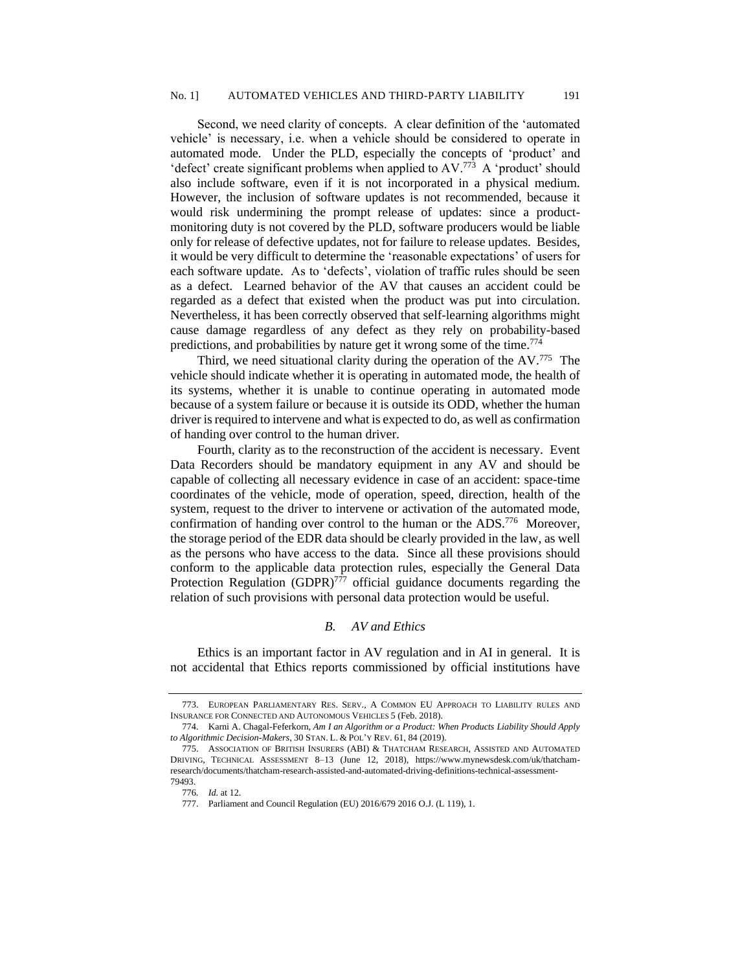Second, we need clarity of concepts. A clear definition of the 'automated vehicle' is necessary, i.e. when a vehicle should be considered to operate in automated mode. Under the PLD, especially the concepts of 'product' and 'defect' create significant problems when applied to AV.<sup>773</sup> A 'product' should also include software, even if it is not incorporated in a physical medium. However, the inclusion of software updates is not recommended, because it would risk undermining the prompt release of updates: since a productmonitoring duty is not covered by the PLD, software producers would be liable only for release of defective updates, not for failure to release updates. Besides, it would be very difficult to determine the 'reasonable expectations' of users for each software update. As to 'defects', violation of traffic rules should be seen as a defect. Learned behavior of the AV that causes an accident could be regarded as a defect that existed when the product was put into circulation. Nevertheless, it has been correctly observed that self-learning algorithms might cause damage regardless of any defect as they rely on probability-based predictions, and probabilities by nature get it wrong some of the time.<sup>774</sup>

Third, we need situational clarity during the operation of the AV.<sup>775</sup> The vehicle should indicate whether it is operating in automated mode, the health of its systems, whether it is unable to continue operating in automated mode because of a system failure or because it is outside its ODD, whether the human driver is required to intervene and what is expected to do, as well as confirmation of handing over control to the human driver.

Fourth, clarity as to the reconstruction of the accident is necessary. Event Data Recorders should be mandatory equipment in any AV and should be capable of collecting all necessary evidence in case of an accident: space-time coordinates of the vehicle, mode of operation, speed, direction, health of the system, request to the driver to intervene or activation of the automated mode, confirmation of handing over control to the human or the ADS.<sup>776</sup> Moreover, the storage period of the EDR data should be clearly provided in the law, as well as the persons who have access to the data. Since all these provisions should conform to the applicable data protection rules, especially the General Data Protection Regulation (GDPR)<sup>777</sup> official guidance documents regarding the relation of such provisions with personal data protection would be useful.

# *B. AV and Ethics*

Ethics is an important factor in AV regulation and in AI in general. It is not accidental that Ethics reports commissioned by official institutions have

<sup>773.</sup> EUROPEAN PARLIAMENTARY RES. SERV., A COMMON EU APPROACH TO LIABILITY RULES AND INSURANCE FOR CONNECTED AND AUTONOMOUS VEHICLES 5 (Feb. 2018).

<sup>774.</sup> Karni A. Chagal-Feferkorn, *Am I an Algorithm or a Product: When Products Liability Should Apply to Algorithmic Decision-Makers*, 30 STAN. L. & POL'Y REV. 61, 84 (2019).

<sup>775.</sup> ASSOCIATION OF BRITISH INSURERS (ABI) & THATCHAM RESEARCH, ASSISTED AND AUTOMATED DRIVING, TECHNICAL ASSESSMENT 8–13 (June 12, 2018), https://www.mynewsdesk.com/uk/thatchamresearch/documents/thatcham-research-assisted-and-automated-driving-definitions-technical-assessment-79493.

<sup>776</sup>*. Id.* at 12.

<sup>777.</sup> Parliament and Council Regulation (EU) 2016/679 2016 O.J. (L 119), 1.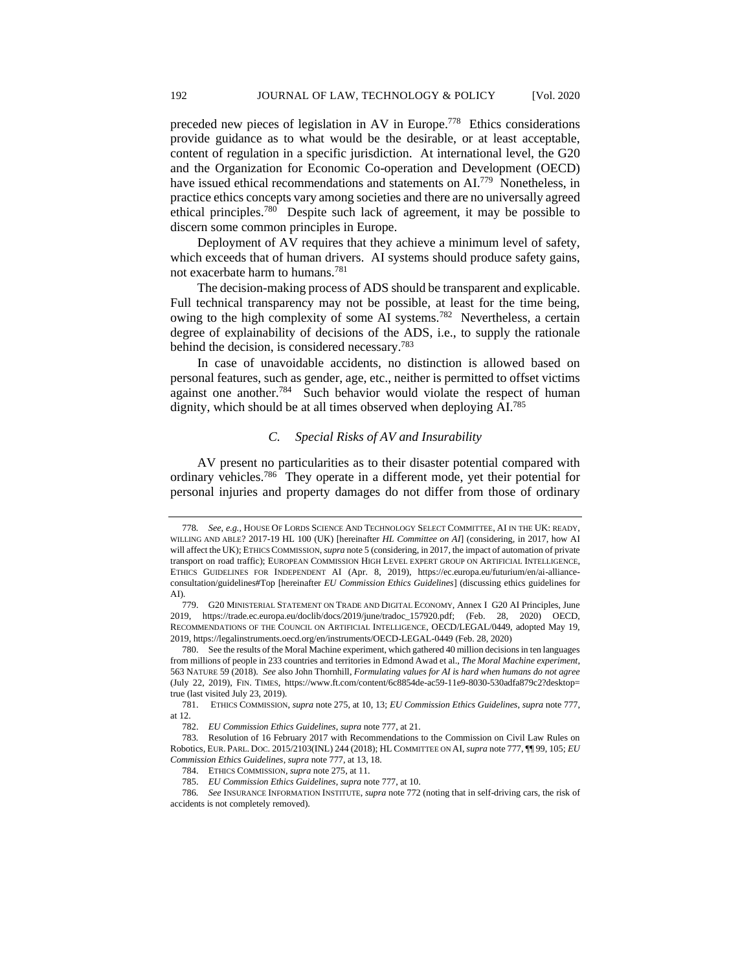preceded new pieces of legislation in AV in Europe.<sup>778</sup> Ethics considerations provide guidance as to what would be the desirable, or at least acceptable, content of regulation in a specific jurisdiction. At international level, the G20 and the Organization for Economic Co-operation and Development (OECD) have issued ethical recommendations and statements on AI.<sup>779</sup> Nonetheless, in practice ethics concepts vary among societies and there are no universally agreed ethical principles.<sup>780</sup> Despite such lack of agreement, it may be possible to discern some common principles in Europe.

Deployment of AV requires that they achieve a minimum level of safety, which exceeds that of human drivers. AI systems should produce safety gains, not exacerbate harm to humans.<sup>781</sup>

The decision-making process of ADS should be transparent and explicable. Full technical transparency may not be possible, at least for the time being, owing to the high complexity of some AI systems.<sup>782</sup> Nevertheless, a certain degree of explainability of decisions of the ADS, i.e., to supply the rationale behind the decision, is considered necessary.<sup>783</sup>

In case of unavoidable accidents, no distinction is allowed based on personal features, such as gender, age, etc., neither is permitted to offset victims against one another.<sup>784</sup> Such behavior would violate the respect of human dignity, which should be at all times observed when deploying AI.<sup>785</sup>

# *C. Special Risks of AV and Insurability*

AV present no particularities as to their disaster potential compared with ordinary vehicles.<sup>786</sup> They operate in a different mode, yet their potential for personal injuries and property damages do not differ from those of ordinary

<sup>778</sup>*. See*, *e.g.*, HOUSE OF LORDS SCIENCE AND TECHNOLOGY SELECT COMMITTEE, AI IN THE UK: READY, WILLING AND ABLE? 2017-19 HL 100 (UK) [hereinafter *HL Committee on AI*] (considering, in 2017, how AI will affect the UK); ETHICS COMMISSION, *supra* note 5 (considering, in 2017, the impact of automation of private transport on road traffic); EUROPEAN COMMISSION HIGH LEVEL EXPERT GROUP ON ARTIFICIAL INTELLIGENCE, ETHICS GUIDELINES FOR INDEPENDENT AI (Apr. 8, 2019), https://ec.europa.eu/futurium/en/ai-allianceconsultation/guidelines#Top [hereinafter *EU Commission Ethics Guidelines*] (discussing ethics guidelines for AI).

<sup>779.</sup> G20 MINISTERIAL STATEMENT ON TRADE AND DIGITAL ECONOMY, Annex I G20 AI Principles, June 2019, https://trade.ec.europa.eu/doclib/docs/2019/june/tradoc\_157920.pdf; (Feb. 28, 2020) OECD, RECOMMENDATIONS OF THE COUNCIL ON ARTIFICIAL INTELLIGENCE, OECD/LEGAL/0449, adopted May 19, 2019, https://legalinstruments.oecd.org/en/instruments/OECD-LEGAL-0449 (Feb. 28, 2020)

<sup>780.</sup> See the results of the Moral Machine experiment, which gathered 40 million decisions in ten languages from millions of people in 233 countries and territories in Edmond Awad et al., *The Moral Machine experiment*, 563 NATURE 59 (2018). *See* also John Thornhill, *Formulating values for AI is hard when humans do not agree*  (July 22, 2019), FIN. TIMES, https://www.ft.com/content/6c8854de-ac59-11e9-8030-530adfa879c2?desktop= true (last visited July 23, 2019).

<sup>781.</sup> ETHICS COMMISSION, *supra* note 275, at 10, 13; *EU Commission Ethics Guidelines*, *supra* note 777, at 12.

<sup>782.</sup> *EU Commission Ethics Guidelines*, *supra* note 777, at 21.

<sup>783</sup>*.* Resolution of 16 February 2017 with Recommendations to the Commission on Civil Law Rules on Robotics, EUR. PARL. DOC. 2015/2103(INL) 244 (2018); HL COMMITTEE ON AI, *supra* note 777, ¶¶ 99, 105; *EU Commission Ethics Guidelines*, *supra* note 777, at 13, 18.

<sup>784.</sup> ETHICS COMMISSION, *supra* note 275, at 11.

<sup>785.</sup> *EU Commission Ethics Guidelines*, *supra* note 777, at 10.

<sup>786</sup>*. See* INSURANCE INFORMATION INSTITUTE, *supra* note 772 (noting that in self-driving cars, the risk of accidents is not completely removed).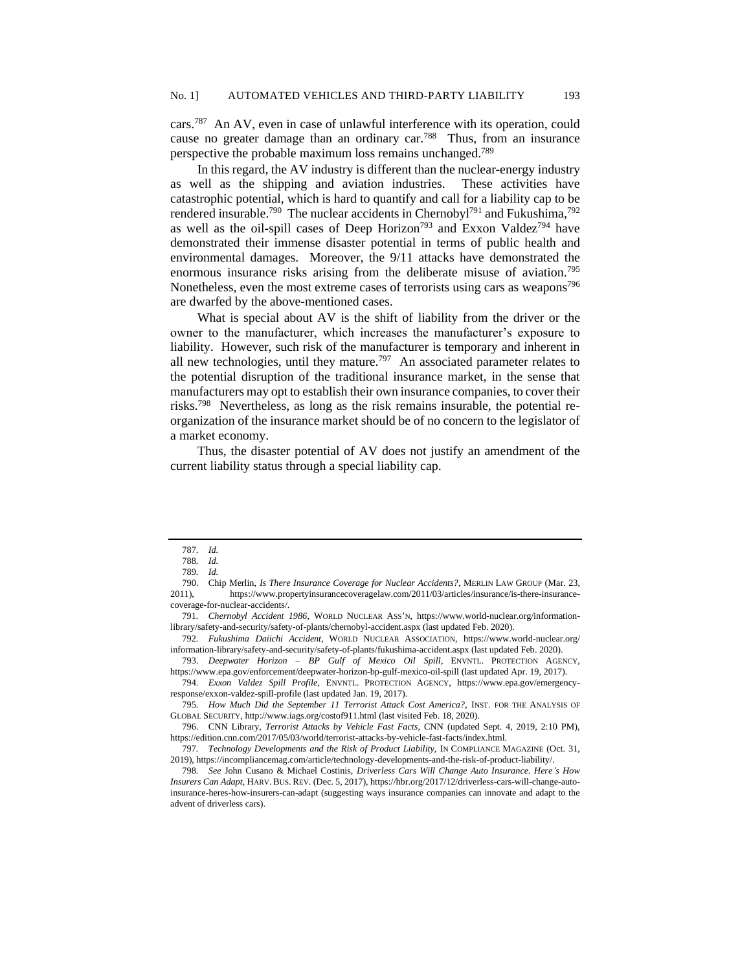cars.<sup>787</sup> An AV, even in case of unlawful interference with its operation, could cause no greater damage than an ordinary car.<sup>788</sup> Thus, from an insurance perspective the probable maximum loss remains unchanged.<sup>789</sup>

In this regard, the AV industry is different than the nuclear-energy industry as well as the shipping and aviation industries. These activities have catastrophic potential, which is hard to quantify and call for a liability cap to be rendered insurable.<sup>790</sup> The nuclear accidents in Chernobyl<sup>791</sup> and Fukushima,<sup>792</sup> as well as the oil-spill cases of Deep Horizon<sup>793</sup> and Exxon Valdez<sup>794</sup> have demonstrated their immense disaster potential in terms of public health and environmental damages. Moreover, the 9/11 attacks have demonstrated the enormous insurance risks arising from the deliberate misuse of aviation.<sup>795</sup> Nonetheless, even the most extreme cases of terrorists using cars as weapons<sup>796</sup> are dwarfed by the above-mentioned cases.

What is special about AV is the shift of liability from the driver or the owner to the manufacturer, which increases the manufacturer's exposure to liability. However, such risk of the manufacturer is temporary and inherent in all new technologies, until they mature.<sup>797</sup> An associated parameter relates to the potential disruption of the traditional insurance market, in the sense that manufacturers may opt to establish their own insurance companies, to cover their risks.<sup>798</sup> Nevertheless, as long as the risk remains insurable, the potential reorganization of the insurance market should be of no concern to the legislator of a market economy.

Thus, the disaster potential of AV does not justify an amendment of the current liability status through a special liability cap.

793. *Deepwater Horizon – BP Gulf of Mexico Oil Spill*, ENVNTL. PROTECTION AGENCY, https://www.epa.gov/enforcement/deepwater-horizon-bp-gulf-mexico-oil-spill (last updated Apr. 19, 2017).

<sup>787</sup>*. Id.*

<sup>788</sup>*. Id.*

<sup>789</sup>*. Id.*

<sup>790.</sup> Chip Merlin, *Is There Insurance Coverage for Nuclear Accidents?*, MERLIN LAW GROUP (Mar. 23, 2011), https://www.propertyinsurancecoveragelaw.com/2011/03/articles/insurance/is-there-insurancecoverage-for-nuclear-accidents/.

<sup>791</sup>*. Chernobyl Accident 1986*, WORLD NUCLEAR ASS'N, https://www.world-nuclear.org/informationlibrary/safety-and-security/safety-of-plants/chernobyl-accident.aspx (last updated Feb. 2020).

<sup>792</sup>*. Fukushima Daiichi Accident*, WORLD NUCLEAR ASSOCIATION, https://www.world-nuclear.org/ information-library/safety-and-security/safety-of-plants/fukushima-accident.aspx (last updated Feb. 2020).

<sup>794</sup>*. Exxon Valdez Spill Profile*, ENVNTL. PROTECTION AGENCY, https://www.epa.gov/emergencyresponse/exxon-valdez-spill-profile (last updated Jan. 19, 2017).

<sup>795</sup>*. How Much Did the September 11 Terrorist Attack Cost America?*, INST. FOR THE ANALYSIS OF GLOBAL SECURITY, http://www.iags.org/costof911.html (last visited Feb. 18, 2020).

<sup>796.</sup> CNN Library, *Terrorist Attacks by Vehicle Fast Facts*, CNN (updated Sept. 4, 2019, 2:10 PM), https://edition.cnn.com/2017/05/03/world/terrorist-attacks-by-vehicle-fast-facts/index.html.

<sup>797</sup>*. Technology Developments and the Risk of Product Liability,* IN COMPLIANCE MAGAZINE (Oct. 31, 2019), https://incompliancemag.com/article/technology-developments-and-the-risk-of-product-liability/.

<sup>798</sup>*. See* John Cusano & Michael Costinis, *Driverless Cars Will Change Auto Insurance. Here's How Insurers Can Adapt*, HARV. BUS. REV. (Dec. 5, 2017), https://hbr.org/2017/12/driverless-cars-will-change-autoinsurance-heres-how-insurers-can-adapt (suggesting ways insurance companies can innovate and adapt to the advent of driverless cars).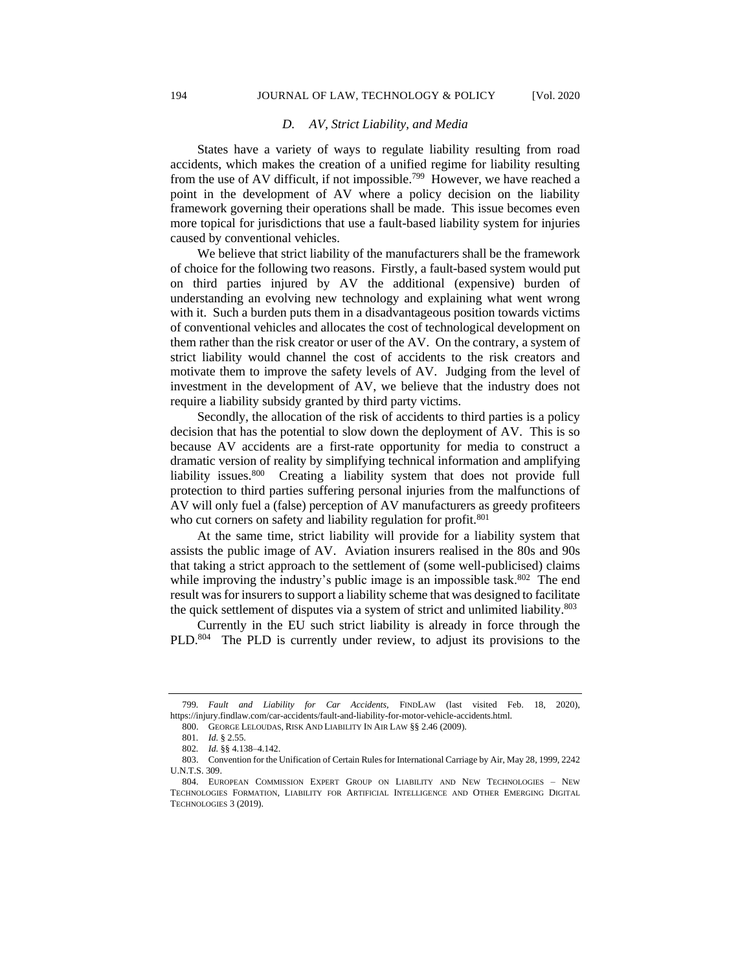#### *D. AV, Strict Liability, and Media*

States have a variety of ways to regulate liability resulting from road accidents, which makes the creation of a unified regime for liability resulting from the use of AV difficult, if not impossible.<sup>799</sup> However, we have reached a point in the development of AV where a policy decision on the liability framework governing their operations shall be made. This issue becomes even more topical for jurisdictions that use a fault-based liability system for injuries caused by conventional vehicles.

We believe that strict liability of the manufacturers shall be the framework of choice for the following two reasons. Firstly, a fault-based system would put on third parties injured by AV the additional (expensive) burden of understanding an evolving new technology and explaining what went wrong with it. Such a burden puts them in a disadvantageous position towards victims of conventional vehicles and allocates the cost of technological development on them rather than the risk creator or user of the AV. On the contrary, a system of strict liability would channel the cost of accidents to the risk creators and motivate them to improve the safety levels of AV. Judging from the level of investment in the development of AV, we believe that the industry does not require a liability subsidy granted by third party victims.

Secondly, the allocation of the risk of accidents to third parties is a policy decision that has the potential to slow down the deployment of AV. This is so because AV accidents are a first-rate opportunity for media to construct a dramatic version of reality by simplifying technical information and amplifying liability issues.<sup>800</sup> Creating a liability system that does not provide full protection to third parties suffering personal injuries from the malfunctions of AV will only fuel a (false) perception of AV manufacturers as greedy profiteers who cut corners on safety and liability regulation for profit.<sup>801</sup>

At the same time, strict liability will provide for a liability system that assists the public image of AV. Aviation insurers realised in the 80s and 90s that taking a strict approach to the settlement of (some well-publicised) claims while improving the industry's public image is an impossible task.<sup>802</sup> The end result was for insurers to support a liability scheme that was designed to facilitate the quick settlement of disputes via a system of strict and unlimited liability.<sup>803</sup>

Currently in the EU such strict liability is already in force through the PLD.<sup>804</sup> The PLD is currently under review, to adjust its provisions to the

<sup>799</sup>*. Fault and Liability for Car Accidents,* FINDLAW (last visited Feb. 18, 2020), https://injury.findlaw.com/car-accidents/fault-and-liability-for-motor-vehicle-accidents.html.

<sup>800.</sup> GEORGE LELOUDAS, RISK AND LIABILITY IN AIR LAW §§ 2.46 (2009).

<sup>801</sup>*. Id.* § 2.55.

<sup>802</sup>*. Id.* §§ 4.138–4.142.

<sup>803.</sup> Convention for the Unification of Certain Rules for International Carriage by Air, May 28, 1999, 2242 U.N.T.S. 309.

<sup>804.</sup> EUROPEAN COMMISSION EXPERT GROUP ON LIABILITY AND NEW TECHNOLOGIES – NEW TECHNOLOGIES FORMATION, LIABILITY FOR ARTIFICIAL INTELLIGENCE AND OTHER EMERGING DIGITAL TECHNOLOGIES 3 (2019).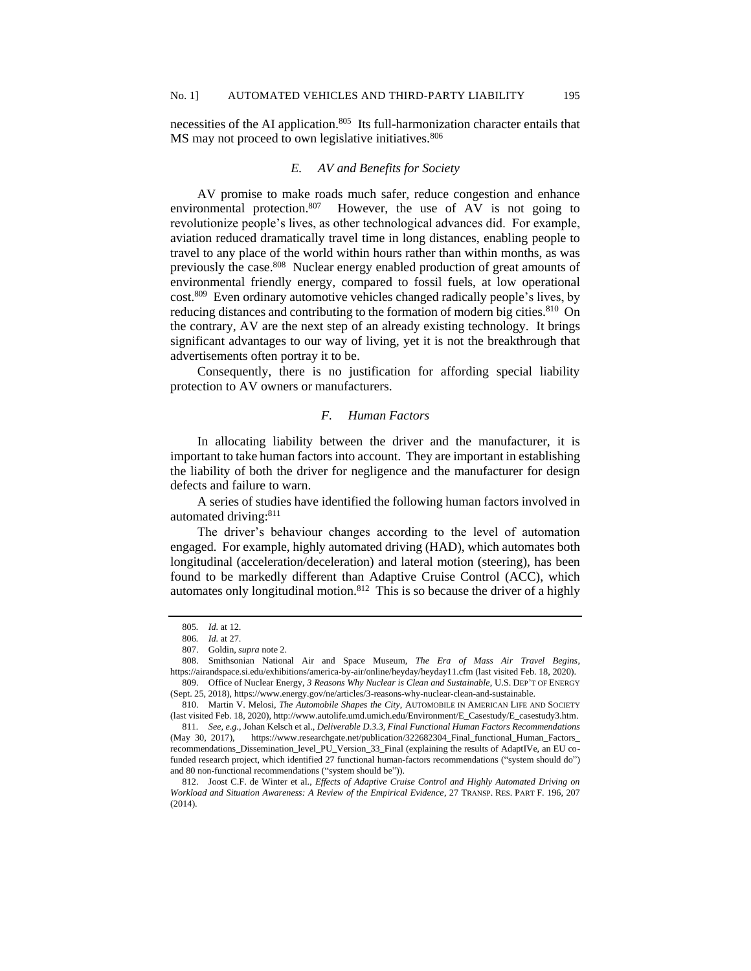necessities of the AI application.<sup>805</sup> Its full-harmonization character entails that MS may not proceed to own legislative initiatives.<sup>806</sup>

## *E. AV and Benefits for Society*

AV promise to make roads much safer, reduce congestion and enhance environmental protection.<sup>807</sup> However, the use of AV is not going to revolutionize people's lives, as other technological advances did. For example, aviation reduced dramatically travel time in long distances, enabling people to travel to any place of the world within hours rather than within months, as was previously the case.<sup>808</sup> Nuclear energy enabled production of great amounts of environmental friendly energy, compared to fossil fuels, at low operational cost.<sup>809</sup> Even ordinary automotive vehicles changed radically people's lives, by reducing distances and contributing to the formation of modern big cities.<sup>810</sup> On the contrary, AV are the next step of an already existing technology. It brings significant advantages to our way of living, yet it is not the breakthrough that advertisements often portray it to be.

Consequently, there is no justification for affording special liability protection to AV owners or manufacturers.

### *F. Human Factors*

In allocating liability between the driver and the manufacturer, it is important to take human factors into account. They are important in establishing the liability of both the driver for negligence and the manufacturer for design defects and failure to warn.

A series of studies have identified the following human factors involved in automated driving:<sup>811</sup>

The driver's behaviour changes according to the level of automation engaged. For example, highly automated driving (HAD), which automates both longitudinal (acceleration/deceleration) and lateral motion (steering), has been found to be markedly different than Adaptive Cruise Control (ACC), which automates only longitudinal motion.<sup>812</sup> This is so because the driver of a highly

<sup>805</sup>*. Id.* at 12.

<sup>806</sup>*. Id.* at 27.

<sup>807.</sup> Goldin, *supra* note 2.

<sup>808.</sup> Smithsonian National Air and Space Museum, *The Era of Mass Air Travel Begins*, https://airandspace.si.edu/exhibitions/america-by-air/online/heyday/heyday11.cfm (last visited Feb. 18, 2020). 809. Office of Nuclear Energy, *3 Reasons Why Nuclear is Clean and Sustainable*, U.S. DEP'T OF ENERGY

<sup>(</sup>Sept. 25, 2018), https://www.energy.gov/ne/articles/3-reasons-why-nuclear-clean-and-sustainable.

<sup>810.</sup> Martin V. Melosi, *The Automobile Shapes the City*, AUTOMOBILE IN AMERICAN LIFE AND SOCIETY (last visited Feb. 18, 2020), http://www.autolife.umd.umich.edu/Environment/E\_Casestudy/E\_casestudy3.htm.

<sup>811</sup>*. See, e.g.*, Johan Kelsch et al., *Deliverable D.3.3, Final Functional Human Factors Recommendations* (May 30, 2017), https://www.researchgate.net/publication/322682304\_Final\_functional\_Human\_Factors\_ recommendations\_Dissemination\_level\_PU\_Version\_33\_Final (explaining the results of AdaptIVe, an EU cofunded research project, which identified 27 functional human-factors recommendations ("system should do") and 80 non-functional recommendations ("system should be")).

<sup>812.</sup> Joost C.F. de Winter et al., *Effects of Adaptive Cruise Control and Highly Automated Driving on Workload and Situation Awareness: A Review of the Empirical Evidence*, 27 TRANSP. RES. PART F. 196, 207 (2014).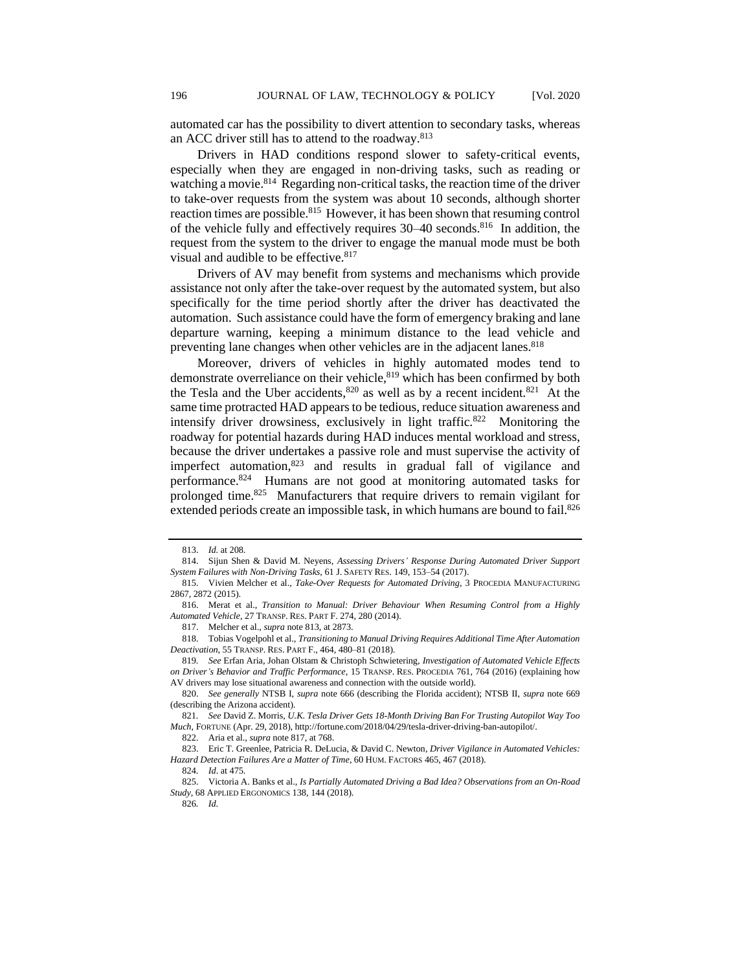automated car has the possibility to divert attention to secondary tasks, whereas an ACC driver still has to attend to the roadway.<sup>813</sup>

Drivers in HAD conditions respond slower to safety-critical events, especially when they are engaged in non-driving tasks, such as reading or watching a movie.<sup>814</sup> Regarding non-critical tasks, the reaction time of the driver to take-over requests from the system was about 10 seconds, although shorter reaction times are possible.<sup>815</sup> However, it has been shown that resuming control of the vehicle fully and effectively requires 30–40 seconds.<sup>816</sup> In addition, the request from the system to the driver to engage the manual mode must be both visual and audible to be effective. 817

Drivers of AV may benefit from systems and mechanisms which provide assistance not only after the take-over request by the automated system, but also specifically for the time period shortly after the driver has deactivated the automation. Such assistance could have the form of emergency braking and lane departure warning, keeping a minimum distance to the lead vehicle and preventing lane changes when other vehicles are in the adjacent lanes.<sup>818</sup>

Moreover, drivers of vehicles in highly automated modes tend to demonstrate overreliance on their vehicle, <sup>819</sup> which has been confirmed by both the Tesla and the Uber accidents,  $820$  as well as by a recent incident.  $821$  At the same time protracted HAD appears to be tedious, reduce situation awareness and intensify driver drowsiness, exclusively in light traffic.<sup>822</sup> Monitoring the roadway for potential hazards during HAD induces mental workload and stress, because the driver undertakes a passive role and must supervise the activity of imperfect automation,<sup>823</sup> and results in gradual fall of vigilance and performance.<sup>824</sup> Humans are not good at monitoring automated tasks for prolonged time.<sup>825</sup> Manufacturers that require drivers to remain vigilant for extended periods create an impossible task, in which humans are bound to fail.<sup>826</sup>

<sup>813.</sup> *Id.* at 208.

<sup>814.</sup> Sijun Shen & David M. Neyens, *Assessing Drivers' Response During Automated Driver Support System Failures with Non-Driving Tasks*, 61 J. SAFETY RES. 149, 153–54 (2017).

<sup>815.</sup> Vivien Melcher et al., *Take-Over Requests for Automated Driving*, 3 PROCEDIA MANUFACTURING 2867, 2872 (2015).

<sup>816.</sup> Merat et al., *Transition to Manual: Driver Behaviour When Resuming Control from a Highly Automated Vehicle*, 27 TRANSP. RES. PART F. 274, 280 (2014).

<sup>817.</sup> Melcher et al., *supra* note 813, at 2873.

<sup>818.</sup> Tobias Vogelpohl et al., *Transitioning to Manual Driving Requires Additional Time After Automation Deactivation*, 55 TRANSP. RES. PART F., 464, 480–81 (2018).

<sup>819</sup>*. See* Erfan Aria, Johan Olstam & Christoph Schwietering, *Investigation of Automated Vehicle Effects on Driver's Behavior and Traffic Performance*, 15 TRANSP. RES. PROCEDIA 761, 764 (2016) (explaining how AV drivers may lose situational awareness and connection with the outside world).

<sup>820.</sup> *See generally* NTSB I, *supra* note 666 (describing the Florida accident); NTSB II, *supra* note 669 (describing the Arizona accident).

<sup>821</sup>*. See* David Z. Morris, *U.K. Tesla Driver Gets 18-Month Driving Ban For Trusting Autopilot Way Too Much*, FORTUNE (Apr. 29, 2018), http://fortune.com/2018/04/29/tesla-driver-driving-ban-autopilot/.

<sup>822.</sup> Aria et al., *supra* note 817, at 768.

<sup>823.</sup> Eric T. Greenlee, Patricia R. DeLucia, & David C. Newton*, Driver Vigilance in Automated Vehicles: Hazard Detection Failures Are a Matter of Time*, 60 HUM. FACTORS 465, 467 (2018).

<sup>824</sup>*. Id*. at 475*.*

<sup>825.</sup> Victoria A. Banks et al., *Is Partially Automated Driving a Bad Idea? Observations from an On-Road Study*, 68 APPLIED ERGONOMICS 138, 144 (2018).

<sup>826</sup>*. Id.*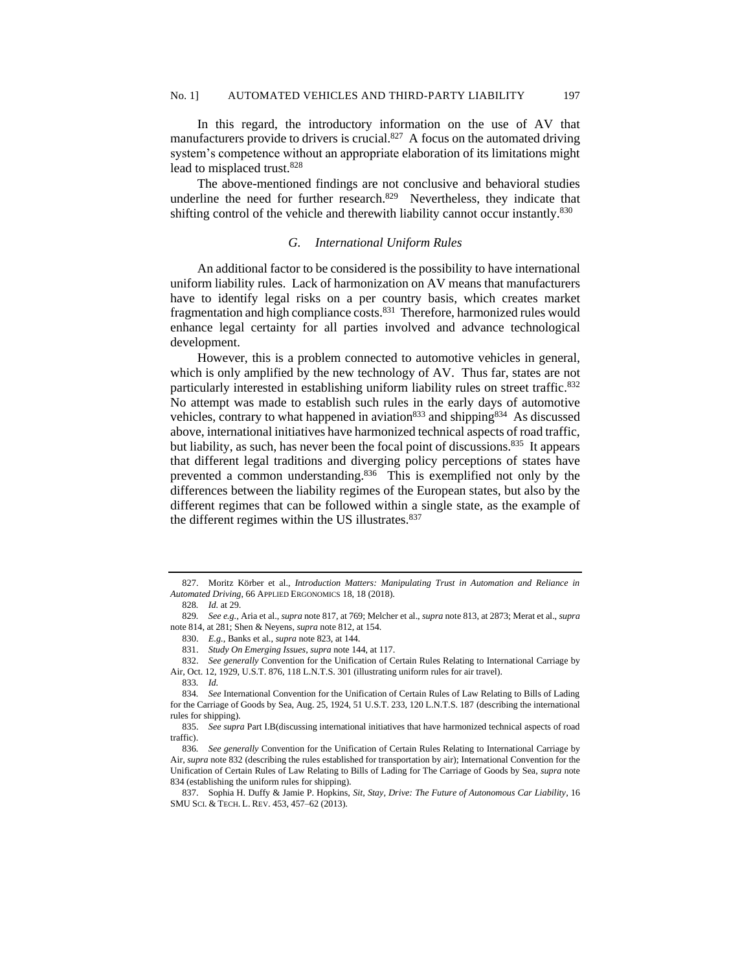In this regard, the introductory information on the use of AV that manufacturers provide to drivers is crucial.<sup>827</sup> A focus on the automated driving system's competence without an appropriate elaboration of its limitations might lead to misplaced trust.<sup>828</sup>

The above-mentioned findings are not conclusive and behavioral studies underline the need for further research. $829$  Nevertheless, they indicate that shifting control of the vehicle and therewith liability cannot occur instantly.<sup>830</sup>

### *G. International Uniform Rules*

An additional factor to be considered is the possibility to have international uniform liability rules. Lack of harmonization on AV means that manufacturers have to identify legal risks on a per country basis, which creates market fragmentation and high compliance costs.<sup>831</sup> Therefore, harmonized rules would enhance legal certainty for all parties involved and advance technological development.

However, this is a problem connected to automotive vehicles in general, which is only amplified by the new technology of AV. Thus far, states are not particularly interested in establishing uniform liability rules on street traffic.<sup>832</sup> No attempt was made to establish such rules in the early days of automotive vehicles, contrary to what happened in aviation<sup>833</sup> and shipping<sup>834</sup> As discussed above, international initiatives have harmonized technical aspects of road traffic, but liability, as such, has never been the focal point of discussions.<sup>835</sup> It appears that different legal traditions and diverging policy perceptions of states have prevented a common understanding.<sup>836</sup> This is exemplified not only by the differences between the liability regimes of the European states, but also by the different regimes that can be followed within a single state, as the example of the different regimes within the US illustrates.<sup>837</sup>

<sup>827.</sup> Moritz Körber et al., *Introduction Matters: Manipulating Trust in Automation and Reliance in Automated Driving*, 66 APPLIED ERGONOMICS 18, 18 (2018).

<sup>828</sup>*. Id.* at 29.

<sup>829</sup>*. See e.g.*, Aria et al., *supra* note 817, at 769; Melcher et al., *supra* note 813, at 2873; Merat et al., *supra*  note 814, at 281; Shen & Neyens, *supra* note 812, at 154.

<sup>830.</sup> *E.g.*, Banks et al., *supra* note 823, at 144.

<sup>831.</sup> *Study On Emerging Issues*, *supra* not[e 144](#page-4-0), at 117.

<sup>832.</sup> *See generally* Convention for the Unification of Certain Rules Relating to International Carriage by Air, Oct. 12, 1929, U.S.T. 876, 118 L.N.T.S. 301 (illustrating uniform rules for air travel).

<sup>833</sup>*. Id.*

<sup>834</sup>*. See* International Convention for the Unification of Certain Rules of Law Relating to Bills of Lading for the Carriage of Goods by Sea, Aug. 25, 1924, 51 U.S.T. 233, 120 L.N.T.S. 187 (describing the international rules for shipping).

<sup>835.</sup> *See supra* Part I.B(discussing international initiatives that have harmonized technical aspects of road traffic).

<sup>836</sup>*. See generally* Convention for the Unification of Certain Rules Relating to International Carriage by Air, *supra* note 832 (describing the rules established for transportation by air); International Convention for the Unification of Certain Rules of Law Relating to Bills of Lading for The Carriage of Goods by Sea, *supra* note 834 (establishing the uniform rules for shipping).

<sup>837.</sup> Sophia H. Duffy & Jamie P. Hopkins, *Sit, Stay, Drive: The Future of Autonomous Car Liability*, 16 SMU SCI. & TECH. L. REV. 453, 457–62 (2013).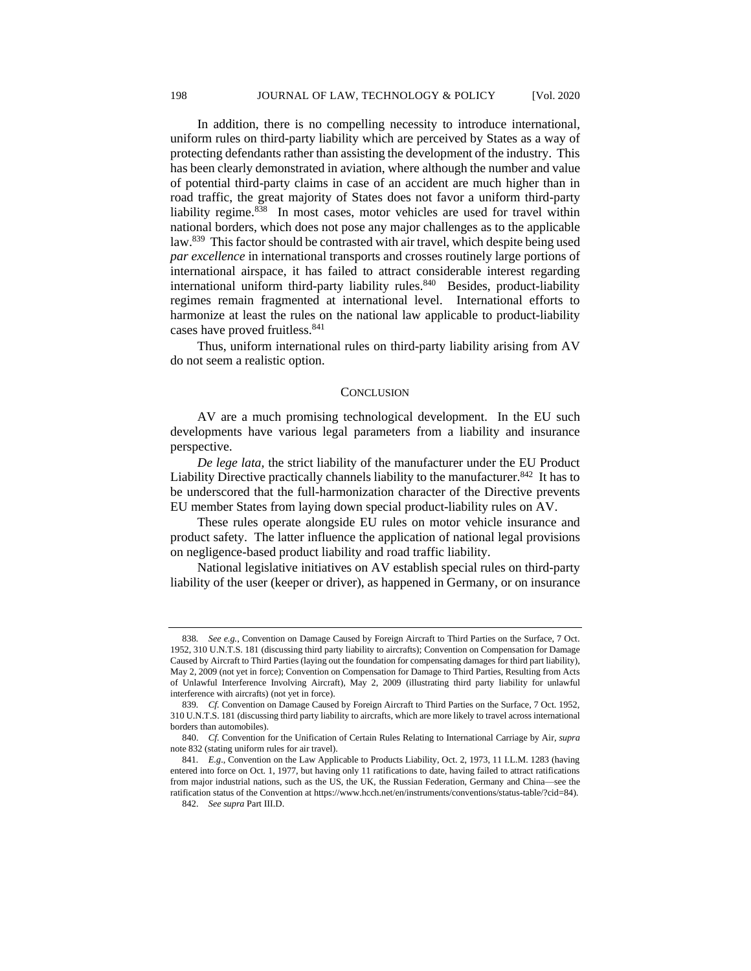In addition, there is no compelling necessity to introduce international, uniform rules on third-party liability which are perceived by States as a way of protecting defendants rather than assisting the development of the industry. This has been clearly demonstrated in aviation, where although the number and value of potential third-party claims in case of an accident are much higher than in road traffic, the great majority of States does not favor a uniform third-party liability regime.<sup>838</sup> In most cases, motor vehicles are used for travel within national borders, which does not pose any major challenges as to the applicable law.<sup>839</sup> This factor should be contrasted with air travel, which despite being used *par excellence* in international transports and crosses routinely large portions of international airspace, it has failed to attract considerable interest regarding international uniform third-party liability rules.<sup>840</sup> Besides, product-liability regimes remain fragmented at international level. International efforts to harmonize at least the rules on the national law applicable to product-liability cases have proved fruitless.<sup>841</sup>

Thus, uniform international rules on third-party liability arising from AV do not seem a realistic option.

#### **CONCLUSION**

AV are a much promising technological development. In the EU such developments have various legal parameters from a liability and insurance perspective.

*De lege lata,* the strict liability of the manufacturer under the EU Product Liability Directive practically channels liability to the manufacturer.<sup>842</sup> It has to be underscored that the full-harmonization character of the Directive prevents EU member States from laying down special product-liability rules on AV.

These rules operate alongside EU rules on motor vehicle insurance and product safety. The latter influence the application of national legal provisions on negligence-based product liability and road traffic liability.

National legislative initiatives on AV establish special rules on third-party liability of the user (keeper or driver), as happened in Germany, or on insurance

<sup>838</sup>*. See e.g.*, Convention on Damage Caused by Foreign Aircraft to Third Parties on the Surface, 7 Oct. 1952, 310 U.N.T.S. 181 (discussing third party liability to aircrafts); Convention on Compensation for Damage Caused by Aircraft to Third Parties (laying out the foundation for compensating damages for third part liability), May 2, 2009 (not yet in force); Convention on Compensation for Damage to Third Parties, Resulting from Acts of Unlawful Interference Involving Aircraft), May 2, 2009 (illustrating third party liability for unlawful interference with aircrafts) (not yet in force).

<sup>839.</sup> *Cf.* Convention on Damage Caused by Foreign Aircraft to Third Parties on the Surface, 7 Oct. 1952, 310 U.N.T.S. 181 (discussing third party liability to aircrafts, which are more likely to travel across international borders than automobiles).

<sup>840.</sup> *Cf.* Convention for the Unification of Certain Rules Relating to International Carriage by Air, *supra*  note 832 (stating uniform rules for air travel).

<sup>841</sup>*. E.g*., Convention on the Law Applicable to Products Liability, Oct. 2, 1973, 11 I.L.M. 1283 (having entered into force on Oct. 1, 1977, but having only 11 ratifications to date, having failed to attract ratifications from major industrial nations, such as the US, the UK, the Russian Federation, Germany and China—see the ratification status of the Convention at https://www.hcch.net/en/instruments/conventions/status-table/?cid=84).

<sup>842.</sup> *See supra* Part III.D.